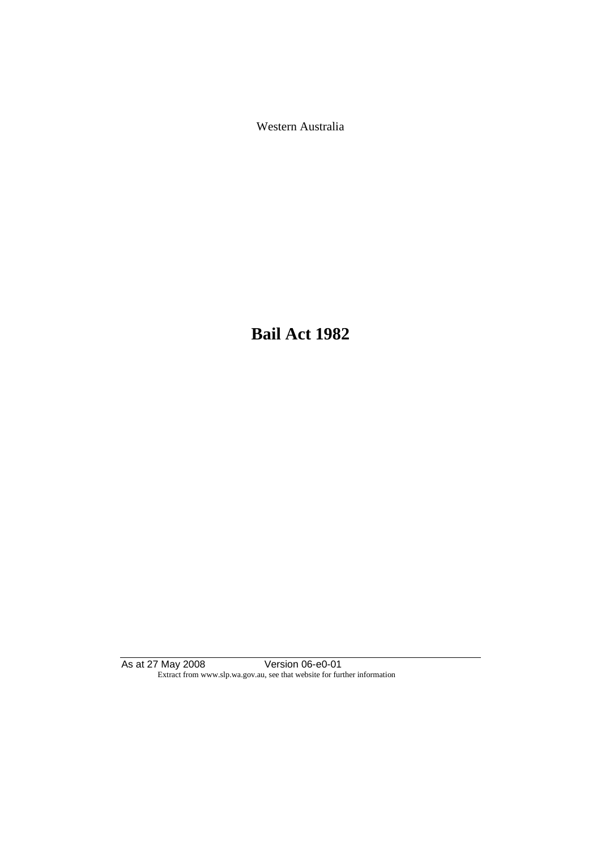Western Australia

**Bail Act 1982**

As at 27 May 2008 Version 06-e0-01 Extract from www.slp.wa.gov.au, see that website for further information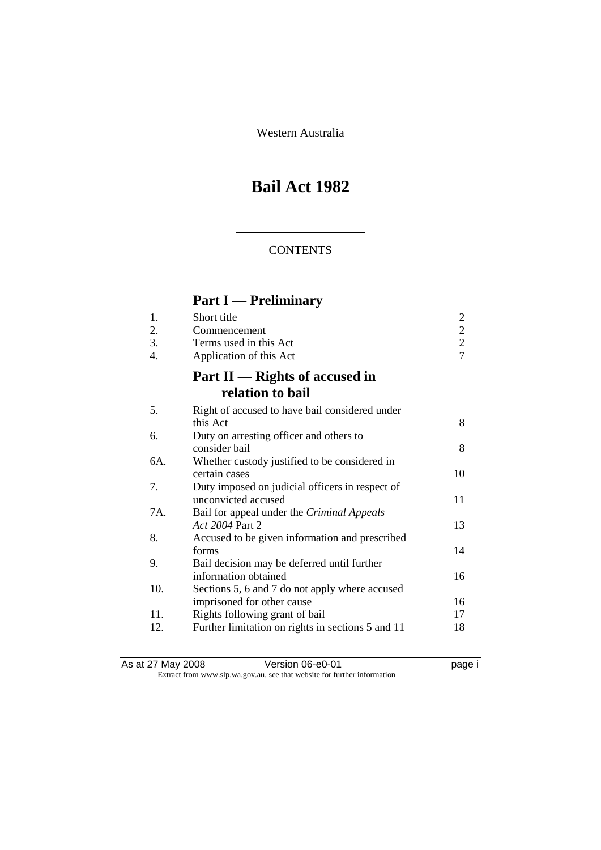Western Australia

# **Bail Act 1982**

#### **CONTENTS**

## **Part I — Preliminary**

| 1.<br>2.<br>3.<br>4. | Short title<br>Commencement<br>Terms used in this Act<br>Application of this Act | $\overline{\mathbf{c}}$<br>$\frac{2}{2}$<br>$\overline{7}$ |
|----------------------|----------------------------------------------------------------------------------|------------------------------------------------------------|
|                      | Part $II$ — Rights of accused in<br>relation to bail                             |                                                            |
| 5.                   | Right of accused to have bail considered under                                   |                                                            |
|                      | this Act                                                                         | 8                                                          |
| 6.                   | Duty on arresting officer and others to<br>consider bail                         | 8                                                          |
| 6A.                  | Whether custody justified to be considered in                                    |                                                            |
|                      | certain cases                                                                    | 10                                                         |
| 7.                   | Duty imposed on judicial officers in respect of                                  |                                                            |
|                      | unconvicted accused                                                              | 11                                                         |
| 7A.                  | Bail for appeal under the Criminal Appeals<br>Act 2004 Part 2                    | 13                                                         |
| 8.                   | Accused to be given information and prescribed                                   |                                                            |
|                      | forms                                                                            | 14                                                         |
| 9.                   | Bail decision may be deferred until further                                      |                                                            |
|                      | information obtained                                                             | 16                                                         |
| 10.                  | Sections 5, 6 and 7 do not apply where accused                                   |                                                            |
|                      | imprisoned for other cause                                                       | 16                                                         |
| 11.                  | Rights following grant of bail                                                   | 17                                                         |
| 12.                  | Further limitation on rights in sections 5 and 11                                | 18                                                         |
|                      |                                                                                  |                                                            |

As at 27 May 2008 **Version 06-e0-01 Page i page i** Extract from www.slp.wa.gov.au, see that website for further information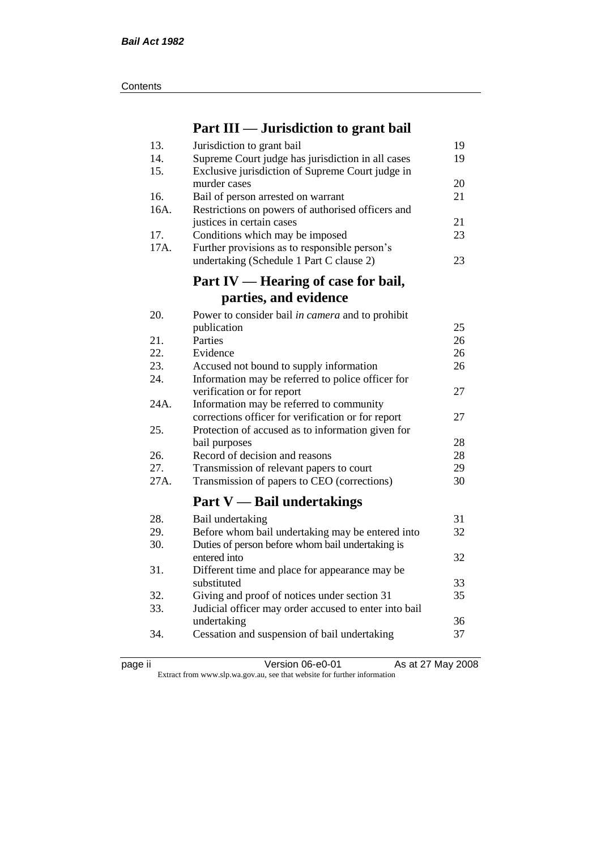| Contents |
|----------|
|----------|

## **Part III — Jurisdiction to grant bail**

| 13.  | Jurisdiction to grant bail                            | 19 |
|------|-------------------------------------------------------|----|
| 14.  | Supreme Court judge has jurisdiction in all cases     | 19 |
| 15.  | Exclusive jurisdiction of Supreme Court judge in      |    |
|      | murder cases                                          | 20 |
| 16.  | Bail of person arrested on warrant                    | 21 |
| 16A. | Restrictions on powers of authorised officers and     |    |
|      | justices in certain cases                             | 21 |
| 17.  | Conditions which may be imposed                       | 23 |
| 17A. | Further provisions as to responsible person's         |    |
|      | undertaking (Schedule 1 Part C clause 2)              | 23 |
|      |                                                       |    |
|      | Part IV — Hearing of case for bail,                   |    |
|      | parties, and evidence                                 |    |
| 20.  | Power to consider bail in camera and to prohibit      |    |
|      | publication                                           | 25 |
| 21.  | Parties                                               | 26 |
| 22.  | Evidence                                              | 26 |
| 23.  | Accused not bound to supply information               | 26 |
| 24.  | Information may be referred to police officer for     |    |
|      | verification or for report                            | 27 |
| 24A. | Information may be referred to community              |    |
|      | corrections officer for verification or for report    | 27 |
| 25.  | Protection of accused as to information given for     |    |
|      | bail purposes                                         | 28 |
| 26.  | Record of decision and reasons                        | 28 |
| 27.  | Transmission of relevant papers to court              | 29 |
| 27A. | Transmission of papers to CEO (corrections)           | 30 |
|      | <b>Part V</b> — Bail undertakings                     |    |
| 28.  | Bail undertaking                                      | 31 |
| 29.  | Before whom bail undertaking may be entered into      | 32 |
| 30.  | Duties of person before whom bail undertaking is      |    |
|      | entered into                                          | 32 |
| 31.  | Different time and place for appearance may be        |    |
|      | substituted                                           | 33 |
| 32.  | Giving and proof of notices under section 31          | 35 |
| 33.  | Judicial officer may order accused to enter into bail |    |
|      | undertaking                                           | 36 |
| 34.  | Cessation and suspension of bail undertaking          | 37 |
|      |                                                       |    |

page ii Version 06-e0-01 As at 27 May 2008

Extract from www.slp.wa.gov.au, see that website for further information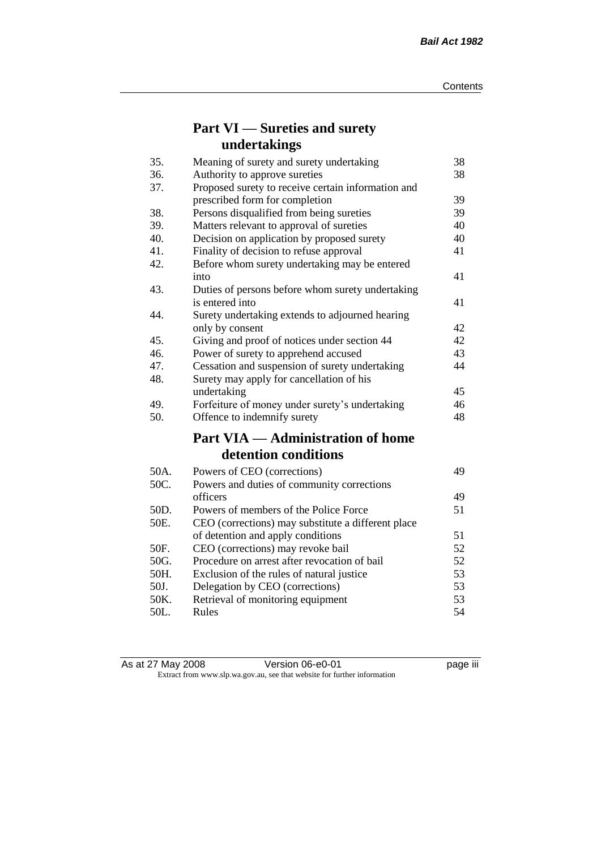## **Part VI — Sureties and surety undertakings**

| 35.  | Meaning of surety and surety undertaking           | 38 |
|------|----------------------------------------------------|----|
| 36.  | Authority to approve sureties                      | 38 |
| 37.  | Proposed surety to receive certain information and |    |
|      | prescribed form for completion                     | 39 |
| 38.  | Persons disqualified from being sureties           | 39 |
| 39.  | Matters relevant to approval of sureties           | 40 |
| 40.  | Decision on application by proposed surety         | 40 |
| 41.  | Finality of decision to refuse approval            | 41 |
| 42.  | Before whom surety undertaking may be entered      |    |
|      | into                                               | 41 |
| 43.  | Duties of persons before whom surety undertaking   |    |
|      | is entered into                                    | 41 |
| 44.  | Surety undertaking extends to adjourned hearing    |    |
|      | only by consent                                    | 42 |
| 45.  | Giving and proof of notices under section 44       | 42 |
| 46.  | Power of surety to apprehend accused               | 43 |
| 47.  | Cessation and suspension of surety undertaking     | 44 |
| 48.  | Surety may apply for cancellation of his           |    |
|      | undertaking                                        | 45 |
| 49.  | Forfeiture of money under surety's undertaking     | 46 |
| 50.  | Offence to indemnify surety                        | 48 |
|      | <b>Part VIA — Administration of home</b>           |    |
|      | detention conditions                               |    |
| 50A. | Powers of CEO (corrections)                        | 49 |
| 50C. | Powers and duties of community corrections         |    |
|      | officers                                           | 49 |
| 50D. | Powers of members of the Police Force              | 51 |
| 50E. | CEO (corrections) may substitute a different place |    |
|      | of detention and apply conditions                  | 51 |
| 50F. | CEO (corrections) may revoke bail                  | 52 |
| 50G. | Procedure on arrest after revocation of bail       | 52 |
| 50H. | Exclusion of the rules of natural justice          | 53 |
| 50J. | Delegation by CEO (corrections)                    | 53 |
| 50K. | Retrieval of monitoring equipment                  | 53 |
| 50L. | Rules                                              | 54 |

| As at 27 May 2008 | Version 06-e0-01                                                         | <br>page III |
|-------------------|--------------------------------------------------------------------------|--------------|
|                   | Extract from www.slp.wa.gov.au, see that website for further information |              |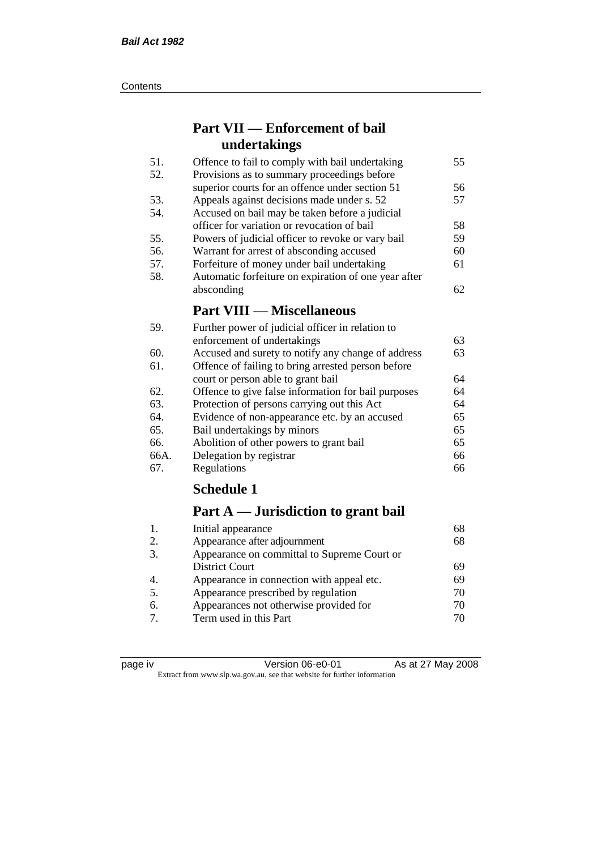#### **Contents**

## **Part VII — Enforcement of bail undertakings**

| Offence to fail to comply with bail undertaking      | 55 |
|------------------------------------------------------|----|
| Provisions as to summary proceedings before          |    |
| superior courts for an offence under section 51      | 56 |
| Appeals against decisions made under s. 52           | 57 |
| Accused on bail may be taken before a judicial       |    |
| officer for variation or revocation of bail          | 58 |
| Powers of judicial officer to revoke or vary bail    | 59 |
| Warrant for arrest of absconding accused             | 60 |
| Forfeiture of money under bail undertaking           | 61 |
| Automatic forfeiture on expiration of one year after |    |
| absconding                                           | 62 |
| <b>Part VIII — Miscellaneous</b>                     |    |
|                                                      |    |

| 59.  | Further power of judicial officer in relation to    |    |
|------|-----------------------------------------------------|----|
|      | enforcement of undertakings                         | 63 |
| 60.  | Accused and surety to notify any change of address  | 63 |
| 61.  | Offence of failing to bring arrested person before  |    |
|      | court or person able to grant bail                  | 64 |
| 62.  | Offence to give false information for bail purposes | 64 |
| 63.  | Protection of persons carrying out this Act         | 64 |
| 64.  | Evidence of non-appearance etc. by an accused       | 65 |
| 65.  | Bail undertakings by minors                         | 65 |
| 66.  | Abolition of other powers to grant bail             | 65 |
| 66A. | Delegation by registrar                             | 66 |
| 67.  | Regulations                                         | 66 |

## **Schedule 1**

## **Part A — Jurisdiction to grant bail**

| 68 |
|----|
|    |
| 69 |
| 69 |
| 70 |
| 70 |
| 70 |
|    |

| ⋍<br>IC.<br>и |  |
|---------------|--|
|               |  |
|               |  |

Version 06-e0-01 As at 27 May 2008 Extract from www.slp.wa.gov.au, see that website for further information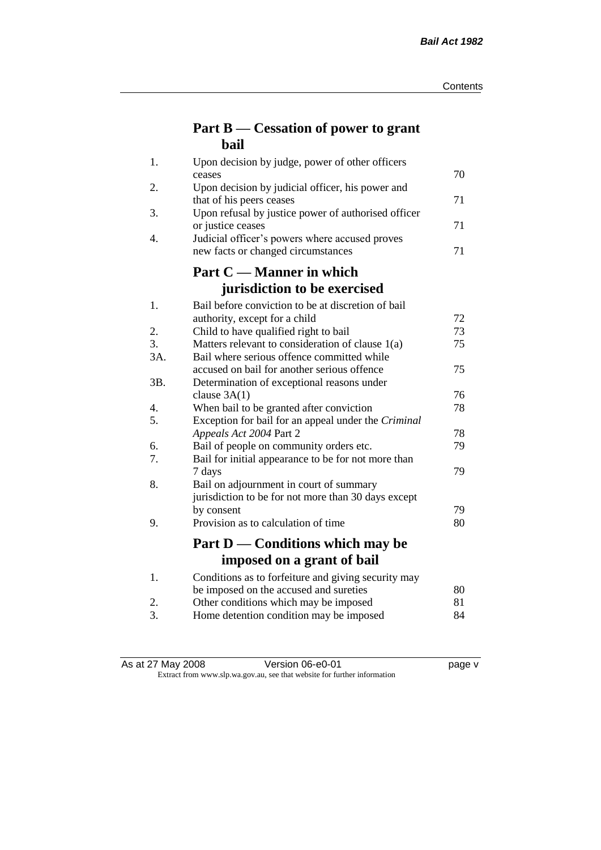## **Part B — Cessation of power to grant bail**

| 1.  | Upon decision by judge, power of other officers                                 |    |
|-----|---------------------------------------------------------------------------------|----|
|     | ceases                                                                          | 70 |
| 2.  | Upon decision by judicial officer, his power and                                | 71 |
| 3.  | that of his peers ceases<br>Upon refusal by justice power of authorised officer |    |
|     | or justice ceases                                                               | 71 |
| 4.  | Judicial officer's powers where accused proves                                  |    |
|     | new facts or changed circumstances                                              | 71 |
|     | Part C — Manner in which                                                        |    |
|     | jurisdiction to be exercised                                                    |    |
| 1.  | Bail before conviction to be at discretion of bail                              |    |
|     | authority, except for a child                                                   | 72 |
| 2.  | Child to have qualified right to bail                                           | 73 |
| 3.  | Matters relevant to consideration of clause 1(a)                                | 75 |
| 3A. | Bail where serious offence committed while                                      |    |
|     | accused on bail for another serious offence                                     | 75 |
| 3B. | Determination of exceptional reasons under                                      |    |
|     | clause $3A(1)$                                                                  | 76 |
| 4.  | When bail to be granted after conviction                                        | 78 |
| 5.  | Exception for bail for an appeal under the Criminal                             |    |
|     | Appeals Act 2004 Part 2                                                         | 78 |
| 6.  | Bail of people on community orders etc.                                         | 79 |
| 7.  | Bail for initial appearance to be for not more than<br>7 days                   | 79 |
| 8.  | Bail on adjournment in court of summary                                         |    |
|     | jurisdiction to be for not more than 30 days except                             |    |
|     | by consent                                                                      | 79 |
| 9.  | Provision as to calculation of time                                             | 80 |
|     |                                                                                 |    |
|     | Part D — Conditions which may be                                                |    |
|     | imposed on a grant of bail                                                      |    |
| 1.  | Conditions as to forfeiture and giving security may                             |    |
|     | be imposed on the accused and sureties                                          | 80 |
| 2.  | Other conditions which may be imposed                                           | 81 |
| 3.  | Home detention condition may be imposed                                         | 84 |

| As at 27 May 2008 | Version 06-e0-01 | page v |
|-------------------|------------------|--------|

#### Extract from www.slp.wa.gov.au, see that website for further information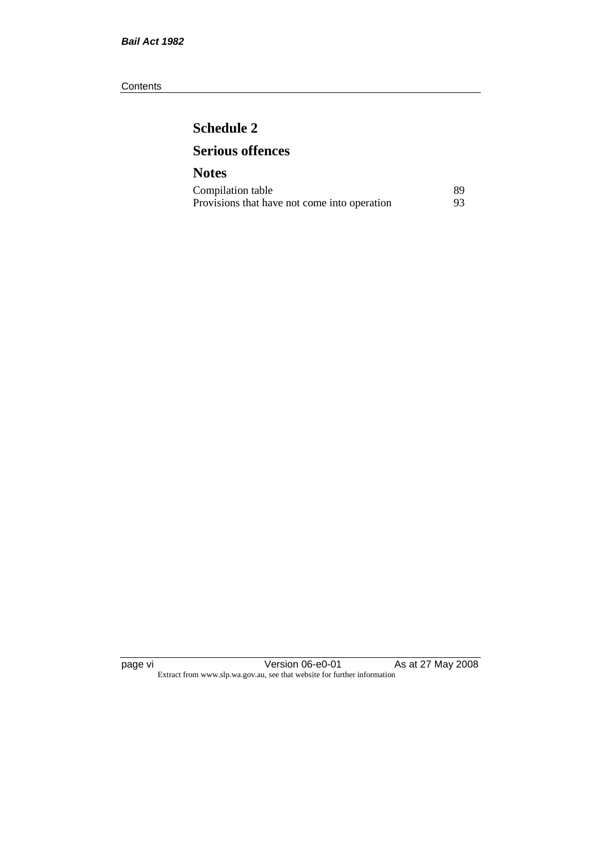#### **Contents**

## **Schedule 2 Serious offences**

### **Notes** Compilation table 89<br>Provisions that have not come into operation 93 Provisions that have not come into operation

page vi Version 06-e0-01 As at 27 May 2008 Extract from www.slp.wa.gov.au, see that website for further information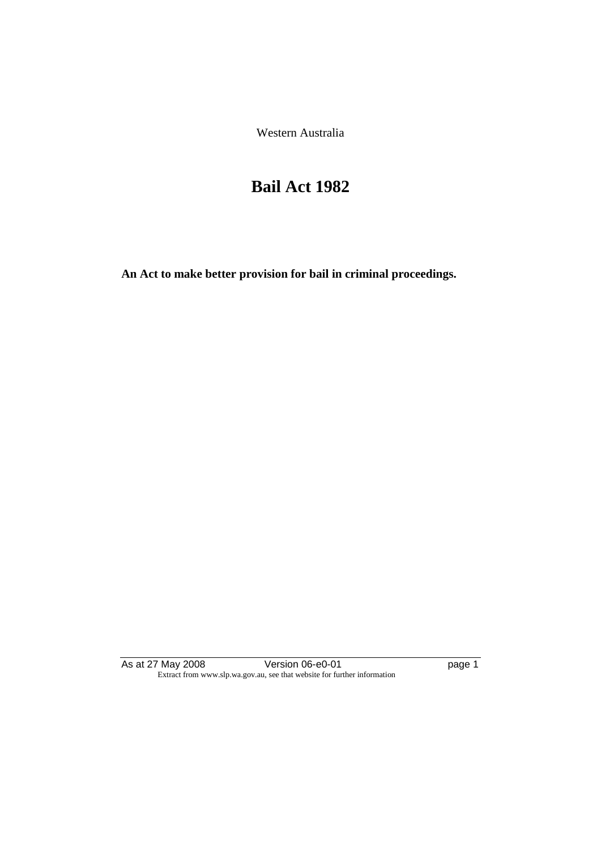Western Australia

# **Bail Act 1982**

**An Act to make better provision for bail in criminal proceedings.** 

As at 27 May 2008 **Version 06-e0-01 Page 1 page 1** Extract from www.slp.wa.gov.au, see that website for further information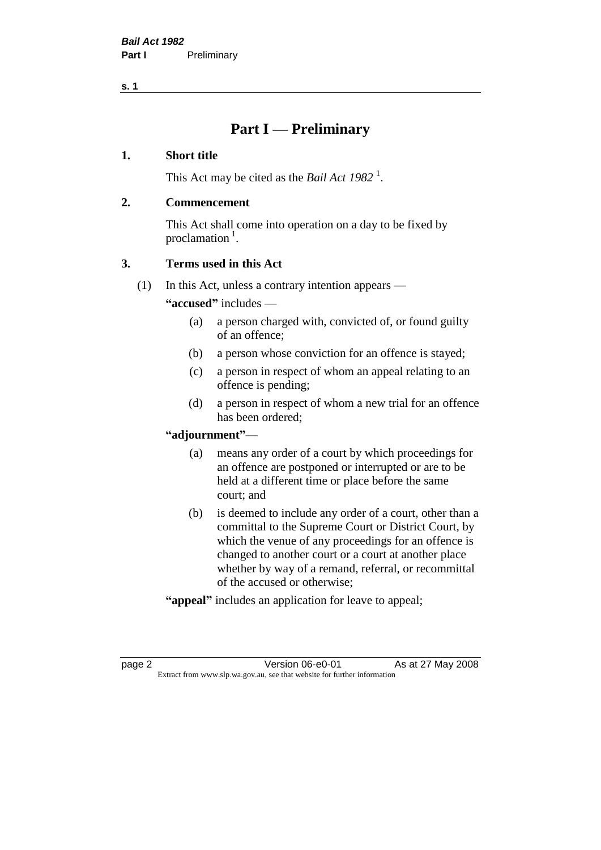## **Part I — Preliminary**

#### **1. Short title**

This Act may be cited as the *Bail Act* 1982<sup>1</sup>.

#### **2. Commencement**

This Act shall come into operation on a day to be fixed by proclamation  $<sup>1</sup>$ .</sup>

#### **3. Terms used in this Act**

(1) In this Act, unless a contrary intention appears —

**"accused"** includes —

- (a) a person charged with, convicted of, or found guilty of an offence;
- (b) a person whose conviction for an offence is stayed;
- (c) a person in respect of whom an appeal relating to an offence is pending;
- (d) a person in respect of whom a new trial for an offence has been ordered;

#### **"adjournment"**—

- (a) means any order of a court by which proceedings for an offence are postponed or interrupted or are to be held at a different time or place before the same court; and
- (b) is deemed to include any order of a court, other than a committal to the Supreme Court or District Court, by which the venue of any proceedings for an offence is changed to another court or a court at another place whether by way of a remand, referral, or recommittal of the accused or otherwise;
- **"appeal"** includes an application for leave to appeal;

page 2 Version 06-e0-01 As at 27 May 2008 Extract from www.slp.wa.gov.au, see that website for further information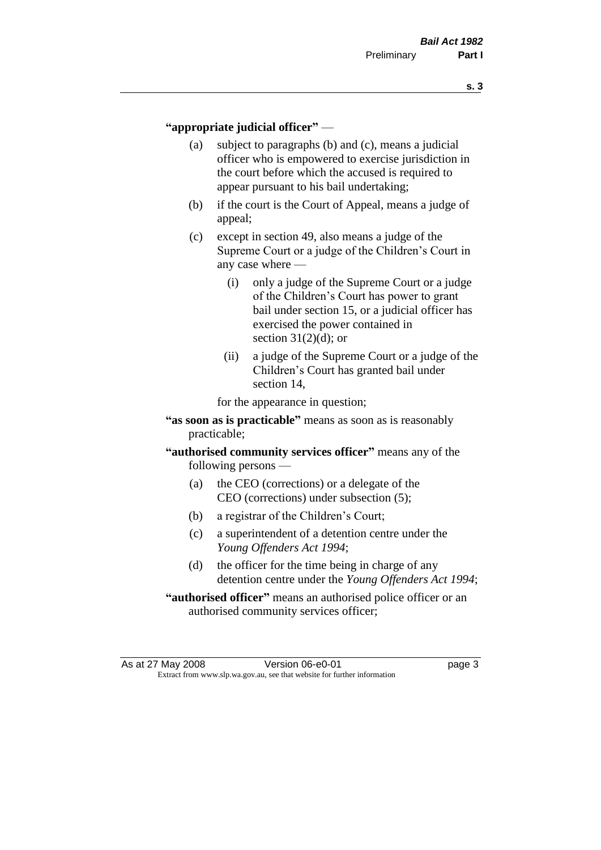#### **"appropriate judicial officer"** —

- (a) subject to paragraphs (b) and (c), means a judicial officer who is empowered to exercise jurisdiction in the court before which the accused is required to appear pursuant to his bail undertaking;
- (b) if the court is the Court of Appeal, means a judge of appeal;
- (c) except in section 49, also means a judge of the Supreme Court or a judge of the Children's Court in any case where —
	- (i) only a judge of the Supreme Court or a judge of the Children's Court has power to grant bail under section 15, or a judicial officer has exercised the power contained in section  $31(2)(d)$ ; or
	- (ii) a judge of the Supreme Court or a judge of the Children's Court has granted bail under section 14,

for the appearance in question;

- **"as soon as is practicable"** means as soon as is reasonably practicable;
- **"authorised community services officer"** means any of the following persons —
	- (a) the CEO (corrections) or a delegate of the CEO (corrections) under subsection (5);
	- (b) a registrar of the Children's Court;
	- (c) a superintendent of a detention centre under the *Young Offenders Act 1994*;
	- (d) the officer for the time being in charge of any detention centre under the *Young Offenders Act 1994*;
- **"authorised officer"** means an authorised police officer or an authorised community services officer;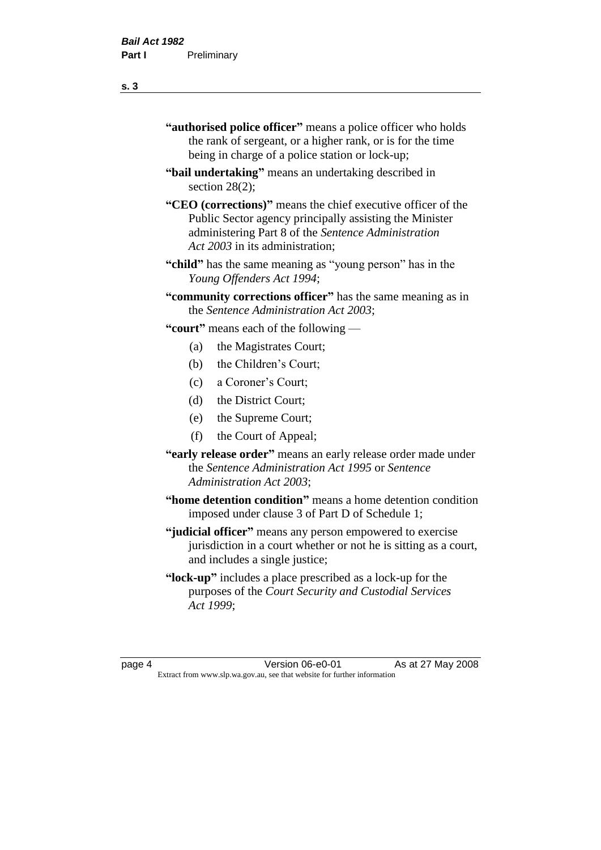- **"authorised police officer"** means a police officer who holds the rank of sergeant, or a higher rank, or is for the time being in charge of a police station or lock-up;
- **"bail undertaking"** means an undertaking described in section 28(2):
- **"CEO (corrections)"** means the chief executive officer of the Public Sector agency principally assisting the Minister administering Part 8 of the *Sentence Administration Act 2003* in its administration;
- **"child"** has the same meaning as "young person" has in the *Young Offenders Act 1994*;
- **"community corrections officer"** has the same meaning as in the *Sentence Administration Act 2003*;

**"court"** means each of the following —

- (a) the Magistrates Court;
- (b) the Children's Court;
- (c) a Coroner's Court;
- (d) the District Court;
- (e) the Supreme Court;
- (f) the Court of Appeal;
- **"early release order"** means an early release order made under the *Sentence Administration Act 1995* or *Sentence Administration Act 2003*;
- **"home detention condition"** means a home detention condition imposed under clause 3 of Part D of Schedule 1;
- **"judicial officer"** means any person empowered to exercise jurisdiction in a court whether or not he is sitting as a court, and includes a single justice;
- **"lock-up"** includes a place prescribed as a lock-up for the purposes of the *Court Security and Custodial Services Act 1999*;

page 4 Version 06-e0-01 As at 27 May 2008 Extract from www.slp.wa.gov.au, see that website for further information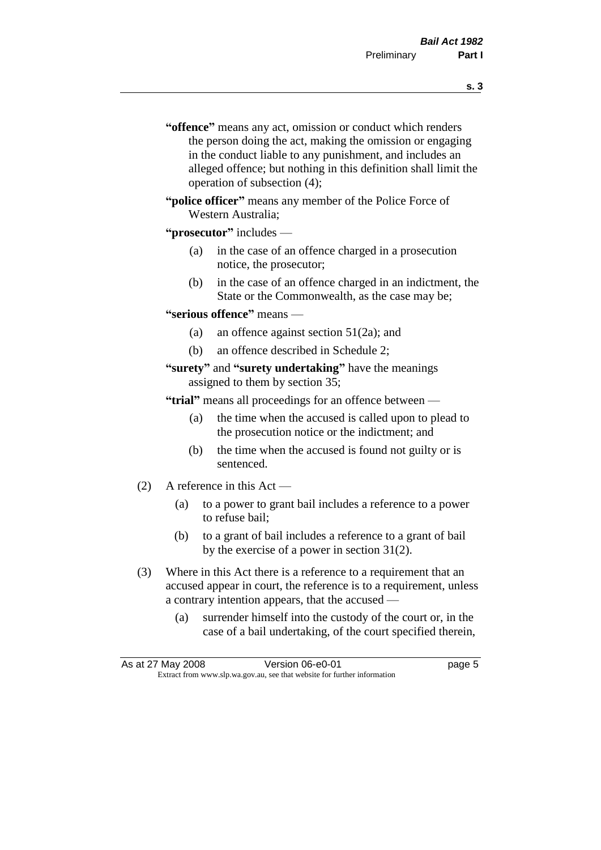- **s. 3**
- **"offence"** means any act, omission or conduct which renders the person doing the act, making the omission or engaging in the conduct liable to any punishment, and includes an alleged offence; but nothing in this definition shall limit the operation of subsection (4);
- **"police officer"** means any member of the Police Force of Western Australia;

#### **"prosecutor"** includes —

- (a) in the case of an offence charged in a prosecution notice, the prosecutor;
- (b) in the case of an offence charged in an indictment, the State or the Commonwealth, as the case may be;

#### **"serious offence"** means —

- (a) an offence against section 51(2a); and
- (b) an offence described in Schedule 2;

#### **"surety"** and **"surety undertaking"** have the meanings assigned to them by section 35;

**"trial"** means all proceedings for an offence between —

- (a) the time when the accused is called upon to plead to the prosecution notice or the indictment; and
- (b) the time when the accused is found not guilty or is sentenced.
- (2) A reference in this Act
	- (a) to a power to grant bail includes a reference to a power to refuse bail;
	- (b) to a grant of bail includes a reference to a grant of bail by the exercise of a power in section 31(2).
- (3) Where in this Act there is a reference to a requirement that an accused appear in court, the reference is to a requirement, unless a contrary intention appears, that the accused —
	- (a) surrender himself into the custody of the court or, in the case of a bail undertaking, of the court specified therein,

|                                                                          | As at 27 May 2008 | Version 06-e0-01 | page 5 |
|--------------------------------------------------------------------------|-------------------|------------------|--------|
| Extract from www.slp.wa.gov.au, see that website for further information |                   |                  |        |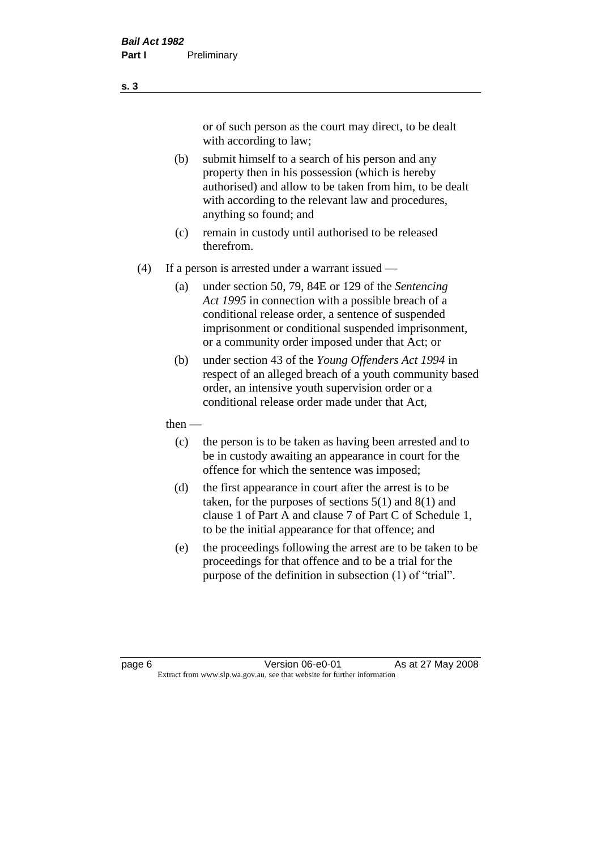or of such person as the court may direct, to be dealt with according to law;

(b) submit himself to a search of his person and any property then in his possession (which is hereby authorised) and allow to be taken from him, to be dealt with according to the relevant law and procedures, anything so found; and

- (c) remain in custody until authorised to be released therefrom.
- (4) If a person is arrested under a warrant issued
	- (a) under section 50, 79, 84E or 129 of the *Sentencing Act 1995* in connection with a possible breach of a conditional release order, a sentence of suspended imprisonment or conditional suspended imprisonment, or a community order imposed under that Act; or
	- (b) under section 43 of the *Young Offenders Act 1994* in respect of an alleged breach of a youth community based order, an intensive youth supervision order or a conditional release order made under that Act,
	- then
		- (c) the person is to be taken as having been arrested and to be in custody awaiting an appearance in court for the offence for which the sentence was imposed;
		- (d) the first appearance in court after the arrest is to be taken, for the purposes of sections  $5(1)$  and  $8(1)$  and clause 1 of Part A and clause 7 of Part C of Schedule 1, to be the initial appearance for that offence; and
		- (e) the proceedings following the arrest are to be taken to be proceedings for that offence and to be a trial for the purpose of the definition in subsection (1) of "trial".

page 6 **Version 06-e0-01** As at 27 May 2008 Extract from www.slp.wa.gov.au, see that website for further information

**s. 3**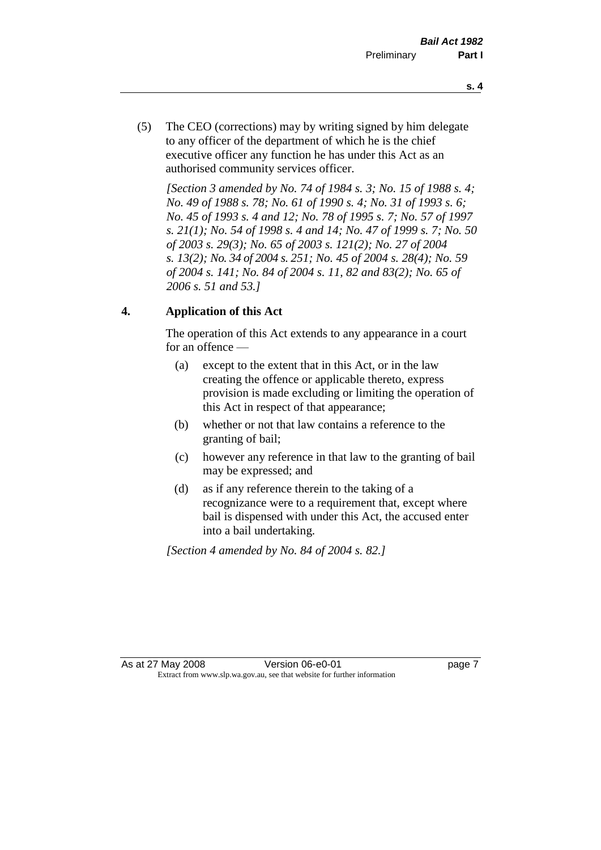- **s. 4**
- (5) The CEO (corrections) may by writing signed by him delegate to any officer of the department of which he is the chief executive officer any function he has under this Act as an authorised community services officer.

*[Section 3 amended by No. 74 of 1984 s. 3; No. 15 of 1988 s. 4; No. 49 of 1988 s. 78; No. 61 of 1990 s. 4; No. 31 of 1993 s. 6; No. 45 of 1993 s. 4 and 12; No. 78 of 1995 s. 7; No. 57 of 1997 s. 21(1); No. 54 of 1998 s. 4 and 14; No. 47 of 1999 s. 7; No. 50 of 2003 s. 29(3); No. 65 of 2003 s. 121(2); No. 27 of 2004 s. 13(2); No. 34 of 2004 s. 251; No. 45 of 2004 s. 28(4); No. 59 of 2004 s. 141; No. 84 of 2004 s. 11, 82 and 83(2); No. 65 of 2006 s. 51 and 53.]* 

#### **4. Application of this Act**

The operation of this Act extends to any appearance in a court for an offence —

- (a) except to the extent that in this Act, or in the law creating the offence or applicable thereto, express provision is made excluding or limiting the operation of this Act in respect of that appearance;
- (b) whether or not that law contains a reference to the granting of bail;
- (c) however any reference in that law to the granting of bail may be expressed; and
- (d) as if any reference therein to the taking of a recognizance were to a requirement that, except where bail is dispensed with under this Act, the accused enter into a bail undertaking.

*[Section 4 amended by No. 84 of 2004 s. 82.]*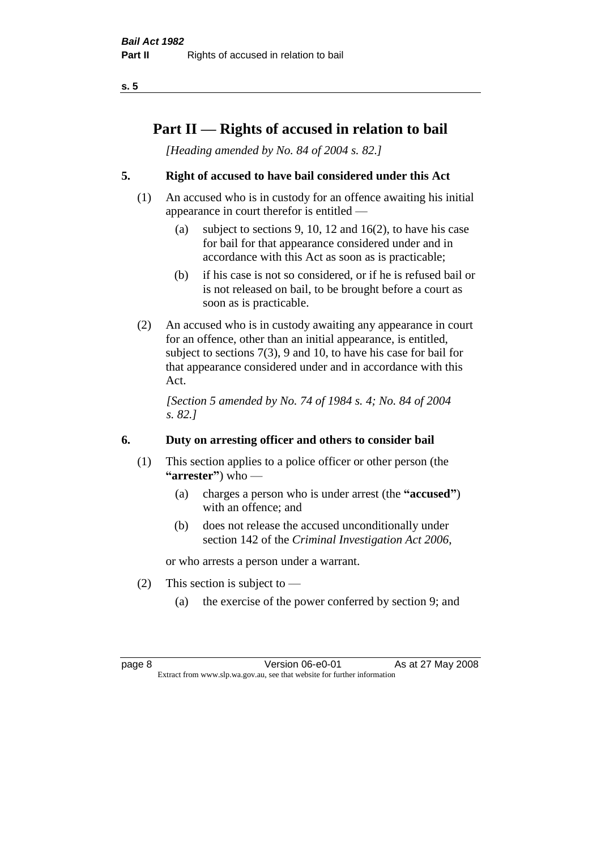## **Part II — Rights of accused in relation to bail**

*[Heading amended by No. 84 of 2004 s. 82.]* 

#### **5. Right of accused to have bail considered under this Act**

- (1) An accused who is in custody for an offence awaiting his initial appearance in court therefor is entitled —
	- (a) subject to sections 9, 10, 12 and 16(2), to have his case for bail for that appearance considered under and in accordance with this Act as soon as is practicable;
	- (b) if his case is not so considered, or if he is refused bail or is not released on bail, to be brought before a court as soon as is practicable.
- (2) An accused who is in custody awaiting any appearance in court for an offence, other than an initial appearance, is entitled, subject to sections 7(3), 9 and 10, to have his case for bail for that appearance considered under and in accordance with this Act.

*[Section 5 amended by No. 74 of 1984 s. 4; No. 84 of 2004 s. 82.]* 

#### **6. Duty on arresting officer and others to consider bail**

- (1) This section applies to a police officer or other person (the **"arrester"**) who —
	- (a) charges a person who is under arrest (the **"accused"**) with an offence; and
	- (b) does not release the accused unconditionally under section 142 of the *Criminal Investigation Act 2006*,

or who arrests a person under a warrant.

- (2) This section is subject to  $-$ 
	- (a) the exercise of the power conferred by section 9; and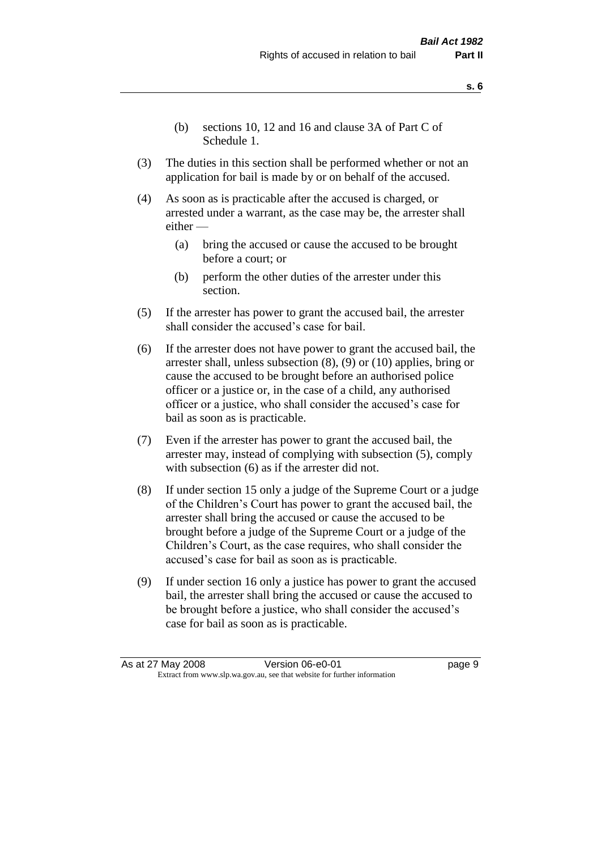- (b) sections 10, 12 and 16 and clause 3A of Part C of Schedule 1.
- (3) The duties in this section shall be performed whether or not an application for bail is made by or on behalf of the accused.
- (4) As soon as is practicable after the accused is charged, or arrested under a warrant, as the case may be, the arrester shall either —
	- (a) bring the accused or cause the accused to be brought before a court; or
	- (b) perform the other duties of the arrester under this section.
- (5) If the arrester has power to grant the accused bail, the arrester shall consider the accused's case for bail.
- (6) If the arrester does not have power to grant the accused bail, the arrester shall, unless subsection (8), (9) or (10) applies, bring or cause the accused to be brought before an authorised police officer or a justice or, in the case of a child, any authorised officer or a justice, who shall consider the accused's case for bail as soon as is practicable.
- (7) Even if the arrester has power to grant the accused bail, the arrester may, instead of complying with subsection (5), comply with subsection  $(6)$  as if the arrester did not.
- (8) If under section 15 only a judge of the Supreme Court or a judge of the Children's Court has power to grant the accused bail, the arrester shall bring the accused or cause the accused to be brought before a judge of the Supreme Court or a judge of the Children's Court, as the case requires, who shall consider the accused's case for bail as soon as is practicable.
- (9) If under section 16 only a justice has power to grant the accused bail, the arrester shall bring the accused or cause the accused to be brought before a justice, who shall consider the accused's case for bail as soon as is practicable.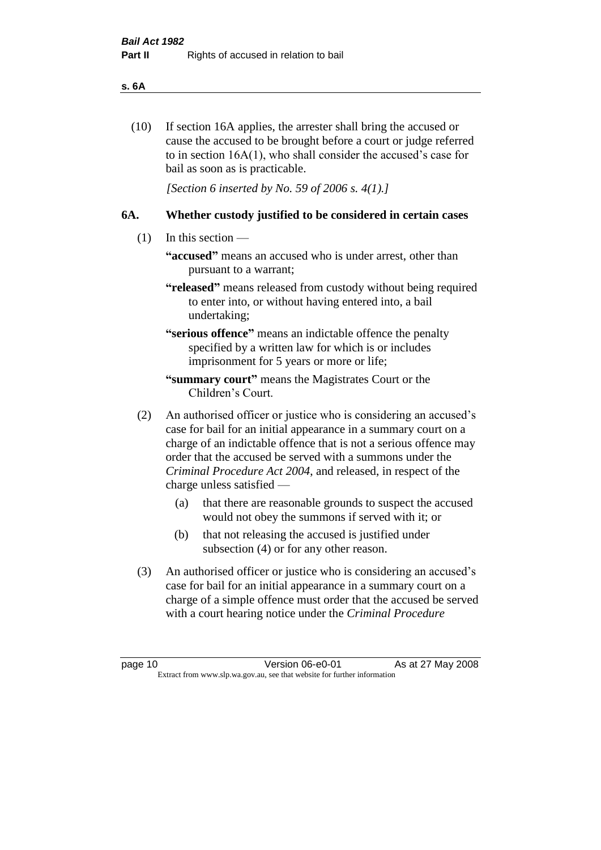#### **s. 6A**

(10) If section 16A applies, the arrester shall bring the accused or cause the accused to be brought before a court or judge referred to in section 16A(1), who shall consider the accused's case for bail as soon as is practicable.

*[Section 6 inserted by No. 59 of 2006 s. 4(1).]* 

#### **6A. Whether custody justified to be considered in certain cases**

- (1) In this section
	- **"accused"** means an accused who is under arrest, other than pursuant to a warrant;
	- **"released"** means released from custody without being required to enter into, or without having entered into, a bail undertaking;

**"serious offence"** means an indictable offence the penalty specified by a written law for which is or includes imprisonment for 5 years or more or life;

- **"summary court"** means the Magistrates Court or the Children's Court.
- (2) An authorised officer or justice who is considering an accused's case for bail for an initial appearance in a summary court on a charge of an indictable offence that is not a serious offence may order that the accused be served with a summons under the *Criminal Procedure Act 2004*, and released, in respect of the charge unless satisfied —
	- (a) that there are reasonable grounds to suspect the accused would not obey the summons if served with it; or
	- (b) that not releasing the accused is justified under subsection (4) or for any other reason.
- (3) An authorised officer or justice who is considering an accused's case for bail for an initial appearance in a summary court on a charge of a simple offence must order that the accused be served with a court hearing notice under the *Criminal Procedure*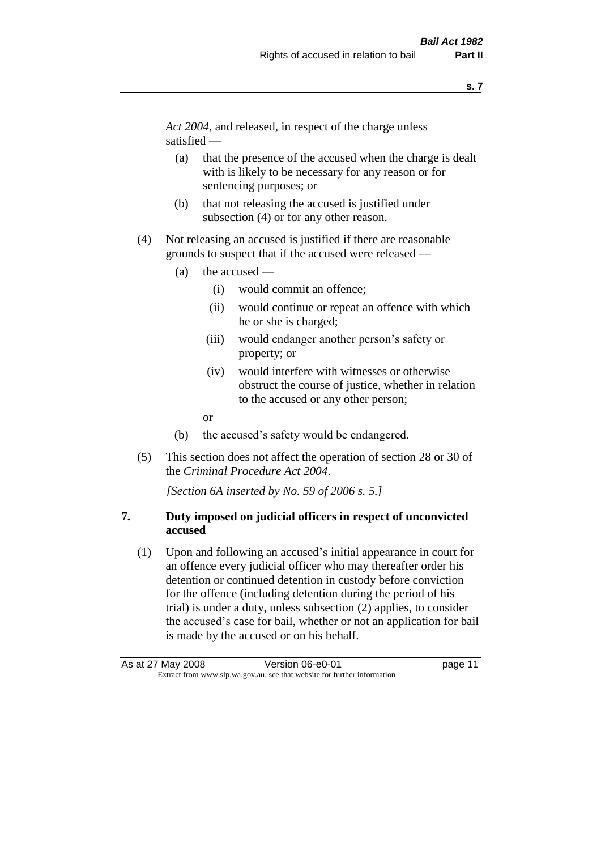*Act 2004*, and released, in respect of the charge unless satisfied —

- (a) that the presence of the accused when the charge is dealt with is likely to be necessary for any reason or for sentencing purposes; or
- (b) that not releasing the accused is justified under subsection (4) or for any other reason.
- (4) Not releasing an accused is justified if there are reasonable grounds to suspect that if the accused were released —
	- (a) the accused
		- (i) would commit an offence;
		- (ii) would continue or repeat an offence with which he or she is charged;
		- (iii) would endanger another person's safety or property; or
		- (iv) would interfere with witnesses or otherwise obstruct the course of justice, whether in relation to the accused or any other person;
		- or
	- (b) the accused's safety would be endangered.
- (5) This section does not affect the operation of section 28 or 30 of the *Criminal Procedure Act 2004*.

*[Section 6A inserted by No. 59 of 2006 s. 5.]* 

#### **7. Duty imposed on judicial officers in respect of unconvicted accused**

(1) Upon and following an accused's initial appearance in court for an offence every judicial officer who may thereafter order his detention or continued detention in custody before conviction for the offence (including detention during the period of his trial) is under a duty, unless subsection (2) applies, to consider the accused's case for bail, whether or not an application for bail is made by the accused or on his behalf.

As at 27 May 2008 Version 06-e0-01 Page 11 Extract from www.slp.wa.gov.au, see that website for further information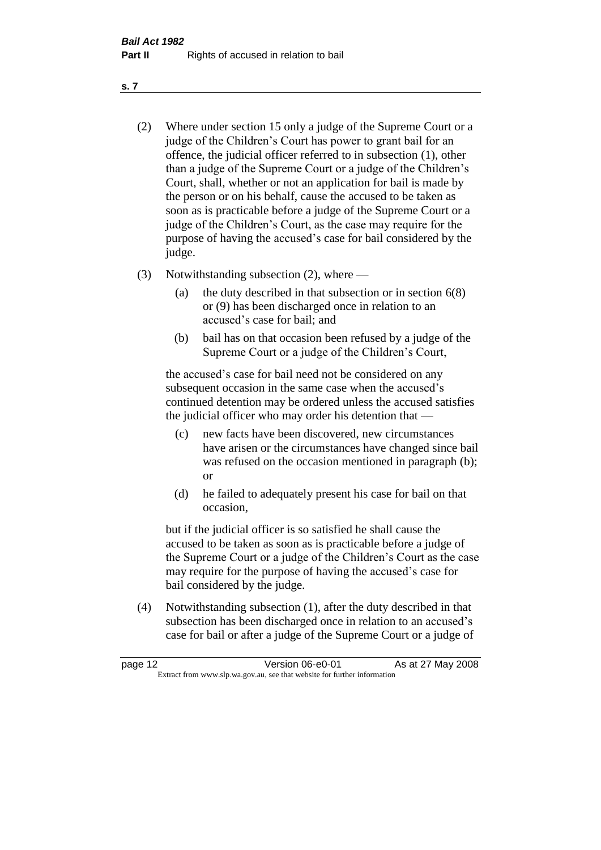- (2) Where under section 15 only a judge of the Supreme Court or a judge of the Children's Court has power to grant bail for an offence, the judicial officer referred to in subsection (1), other than a judge of the Supreme Court or a judge of the Children's Court, shall, whether or not an application for bail is made by the person or on his behalf, cause the accused to be taken as soon as is practicable before a judge of the Supreme Court or a judge of the Children's Court, as the case may require for the purpose of having the accused's case for bail considered by the judge.
- (3) Notwithstanding subsection (2), where
	- (a) the duty described in that subsection or in section 6(8) or (9) has been discharged once in relation to an accused's case for bail; and
	- (b) bail has on that occasion been refused by a judge of the Supreme Court or a judge of the Children's Court,

the accused's case for bail need not be considered on any subsequent occasion in the same case when the accused's continued detention may be ordered unless the accused satisfies the judicial officer who may order his detention that —

- (c) new facts have been discovered, new circumstances have arisen or the circumstances have changed since bail was refused on the occasion mentioned in paragraph (b); or
- (d) he failed to adequately present his case for bail on that occasion,

but if the judicial officer is so satisfied he shall cause the accused to be taken as soon as is practicable before a judge of the Supreme Court or a judge of the Children's Court as the case may require for the purpose of having the accused's case for bail considered by the judge.

(4) Notwithstanding subsection (1), after the duty described in that subsection has been discharged once in relation to an accused's case for bail or after a judge of the Supreme Court or a judge of

| page 12 | Version 06-e0-01                                                         | As at 27 May 2008 |
|---------|--------------------------------------------------------------------------|-------------------|
|         | Extract from www.slp.wa.gov.au, see that website for further information |                   |

**s. 7**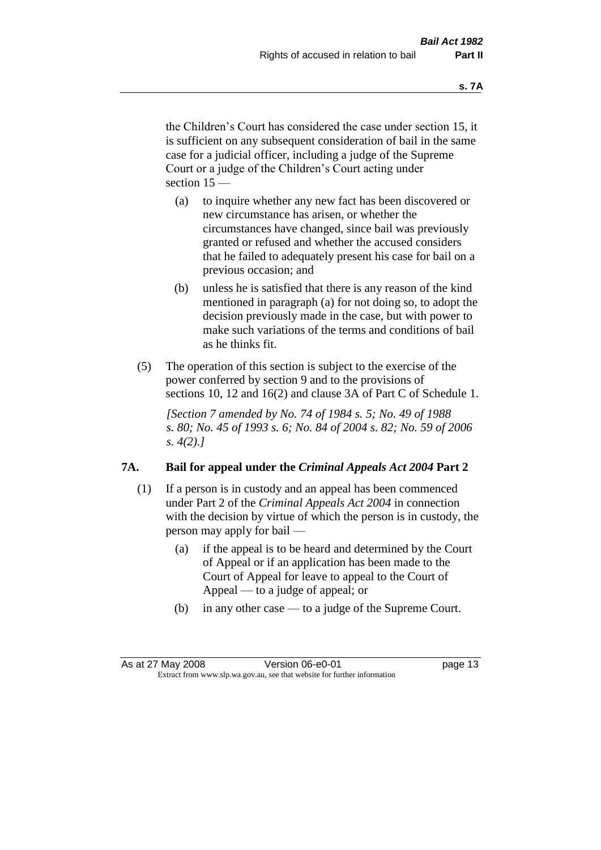the Children's Court has considered the case under section 15, it is sufficient on any subsequent consideration of bail in the same case for a judicial officer, including a judge of the Supreme Court or a judge of the Children's Court acting under section 15 —

- (a) to inquire whether any new fact has been discovered or new circumstance has arisen, or whether the circumstances have changed, since bail was previously granted or refused and whether the accused considers that he failed to adequately present his case for bail on a previous occasion; and
- (b) unless he is satisfied that there is any reason of the kind mentioned in paragraph (a) for not doing so, to adopt the decision previously made in the case, but with power to make such variations of the terms and conditions of bail as he thinks fit.
- (5) The operation of this section is subject to the exercise of the power conferred by section 9 and to the provisions of sections 10, 12 and 16(2) and clause 3A of Part C of Schedule 1.

*[Section 7 amended by No. 74 of 1984 s. 5; No. 49 of 1988 s. 80; No. 45 of 1993 s. 6; No. 84 of 2004 s. 82; No. 59 of 2006 s. 4(2).]* 

#### **7A. Bail for appeal under the** *Criminal Appeals Act 2004* **Part 2**

- (1) If a person is in custody and an appeal has been commenced under Part 2 of the *Criminal Appeals Act 2004* in connection with the decision by virtue of which the person is in custody, the person may apply for bail —
	- (a) if the appeal is to be heard and determined by the Court of Appeal or if an application has been made to the Court of Appeal for leave to appeal to the Court of Appeal — to a judge of appeal; or
	- (b) in any other case to a judge of the Supreme Court.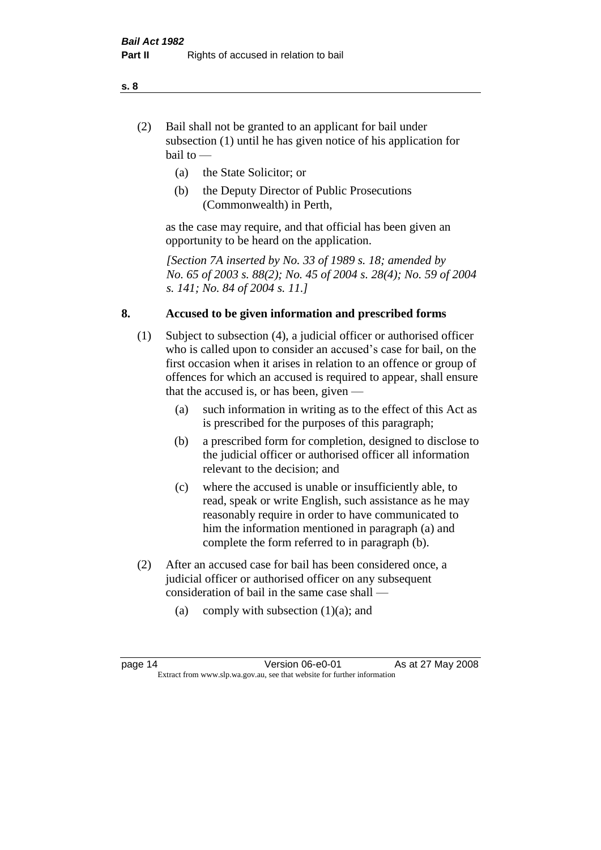- (2) Bail shall not be granted to an applicant for bail under subsection (1) until he has given notice of his application for bail to —
	- (a) the State Solicitor; or
	- (b) the Deputy Director of Public Prosecutions (Commonwealth) in Perth,

as the case may require, and that official has been given an opportunity to be heard on the application.

*[Section 7A inserted by No. 33 of 1989 s. 18; amended by No. 65 of 2003 s. 88(2); No. 45 of 2004 s. 28(4); No. 59 of 2004 s. 141; No. 84 of 2004 s. 11.]* 

#### **8. Accused to be given information and prescribed forms**

- (1) Subject to subsection (4), a judicial officer or authorised officer who is called upon to consider an accused's case for bail, on the first occasion when it arises in relation to an offence or group of offences for which an accused is required to appear, shall ensure that the accused is, or has been, given —
	- (a) such information in writing as to the effect of this Act as is prescribed for the purposes of this paragraph;
	- (b) a prescribed form for completion, designed to disclose to the judicial officer or authorised officer all information relevant to the decision; and
	- (c) where the accused is unable or insufficiently able, to read, speak or write English, such assistance as he may reasonably require in order to have communicated to him the information mentioned in paragraph (a) and complete the form referred to in paragraph (b).
- (2) After an accused case for bail has been considered once, a judicial officer or authorised officer on any subsequent consideration of bail in the same case shall —
	- (a) comply with subsection  $(1)(a)$ ; and

**s. 8**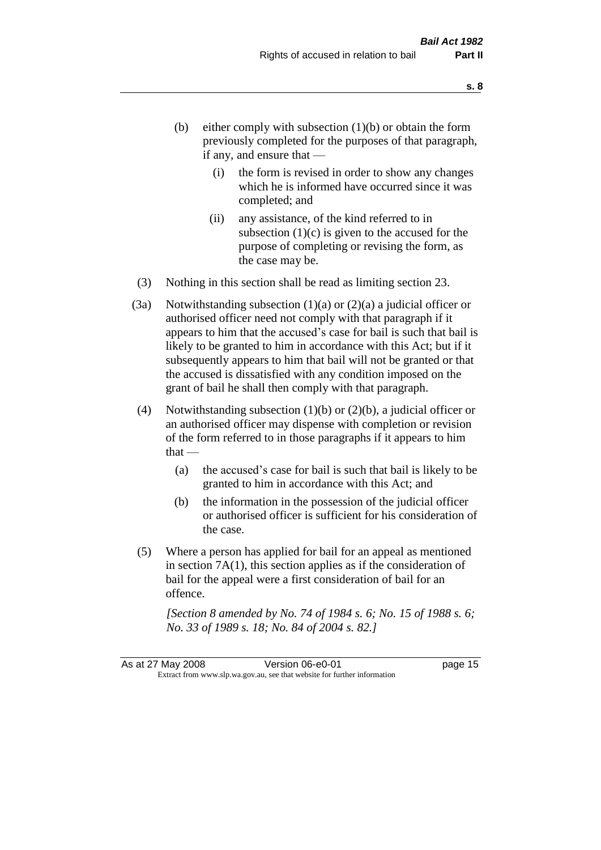- (b) either comply with subsection  $(1)(b)$  or obtain the form previously completed for the purposes of that paragraph, if any, and ensure that —
	- (i) the form is revised in order to show any changes which he is informed have occurred since it was completed; and
	- (ii) any assistance, of the kind referred to in subsection  $(1)(c)$  is given to the accused for the purpose of completing or revising the form, as the case may be.
- (3) Nothing in this section shall be read as limiting section 23.
- (3a) Notwithstanding subsection  $(1)(a)$  or  $(2)(a)$  a judicial officer or authorised officer need not comply with that paragraph if it appears to him that the accused's case for bail is such that bail is likely to be granted to him in accordance with this Act; but if it subsequently appears to him that bail will not be granted or that the accused is dissatisfied with any condition imposed on the grant of bail he shall then comply with that paragraph.
- (4) Notwithstanding subsection  $(1)(b)$  or  $(2)(b)$ , a judicial officer or an authorised officer may dispense with completion or revision of the form referred to in those paragraphs if it appears to him  $that -$ 
	- (a) the accused's case for bail is such that bail is likely to be granted to him in accordance with this Act; and
	- (b) the information in the possession of the judicial officer or authorised officer is sufficient for his consideration of the case.
- (5) Where a person has applied for bail for an appeal as mentioned in section 7A(1), this section applies as if the consideration of bail for the appeal were a first consideration of bail for an offence.

*[Section 8 amended by No. 74 of 1984 s. 6; No. 15 of 1988 s. 6; No. 33 of 1989 s. 18; No. 84 of 2004 s. 82.]*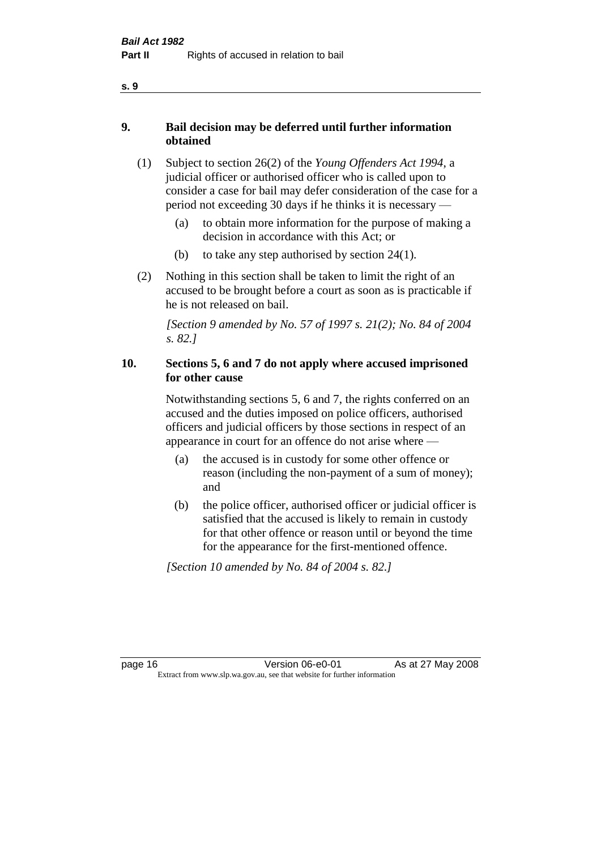- **9. Bail decision may be deferred until further information obtained** 
	- (1) Subject to section 26(2) of the *Young Offenders Act 1994*, a judicial officer or authorised officer who is called upon to consider a case for bail may defer consideration of the case for a period not exceeding 30 days if he thinks it is necessary —
		- (a) to obtain more information for the purpose of making a decision in accordance with this Act; or
		- (b) to take any step authorised by section  $24(1)$ .
	- (2) Nothing in this section shall be taken to limit the right of an accused to be brought before a court as soon as is practicable if he is not released on bail.

*[Section 9 amended by No. 57 of 1997 s. 21(2); No. 84 of 2004 s. 82.]*

#### **10. Sections 5, 6 and 7 do not apply where accused imprisoned for other cause**

Notwithstanding sections 5, 6 and 7, the rights conferred on an accused and the duties imposed on police officers, authorised officers and judicial officers by those sections in respect of an appearance in court for an offence do not arise where —

- (a) the accused is in custody for some other offence or reason (including the non-payment of a sum of money); and
- (b) the police officer, authorised officer or judicial officer is satisfied that the accused is likely to remain in custody for that other offence or reason until or beyond the time for the appearance for the first-mentioned offence.

*[Section 10 amended by No. 84 of 2004 s. 82.]*

**s. 9**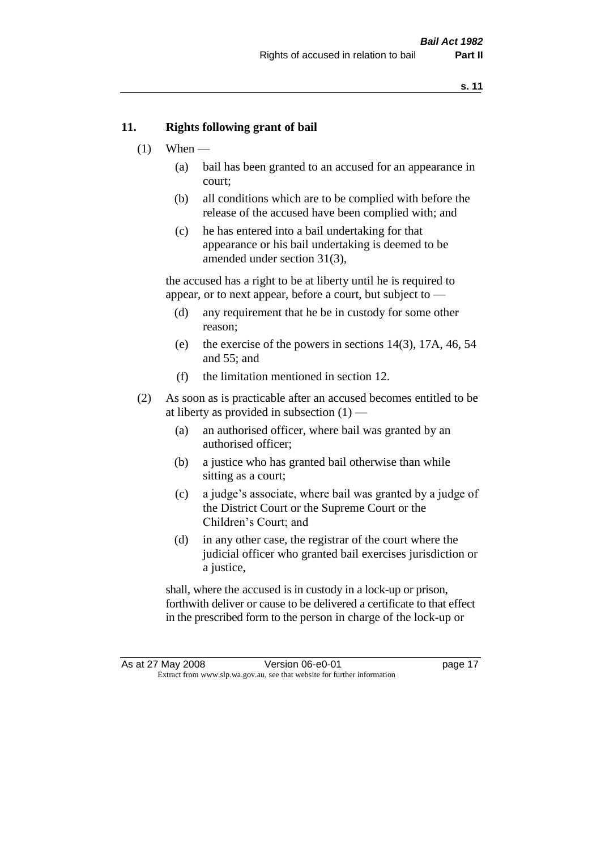#### **11. Rights following grant of bail**

- $(1)$  When
	- (a) bail has been granted to an accused for an appearance in court;
	- (b) all conditions which are to be complied with before the release of the accused have been complied with; and
	- (c) he has entered into a bail undertaking for that appearance or his bail undertaking is deemed to be amended under section 31(3),

the accused has a right to be at liberty until he is required to appear, or to next appear, before a court, but subject to —

- (d) any requirement that he be in custody for some other reason;
- (e) the exercise of the powers in sections 14(3), 17A, 46, 54 and 55; and
- (f) the limitation mentioned in section 12.
- (2) As soon as is practicable after an accused becomes entitled to be at liberty as provided in subsection  $(1)$  —
	- (a) an authorised officer, where bail was granted by an authorised officer;
	- (b) a justice who has granted bail otherwise than while sitting as a court;
	- (c) a judge's associate, where bail was granted by a judge of the District Court or the Supreme Court or the Children's Court; and
	- (d) in any other case, the registrar of the court where the judicial officer who granted bail exercises jurisdiction or a justice,

shall, where the accused is in custody in a lock-up or prison, forthwith deliver or cause to be delivered a certificate to that effect in the prescribed form to the person in charge of the lock-up or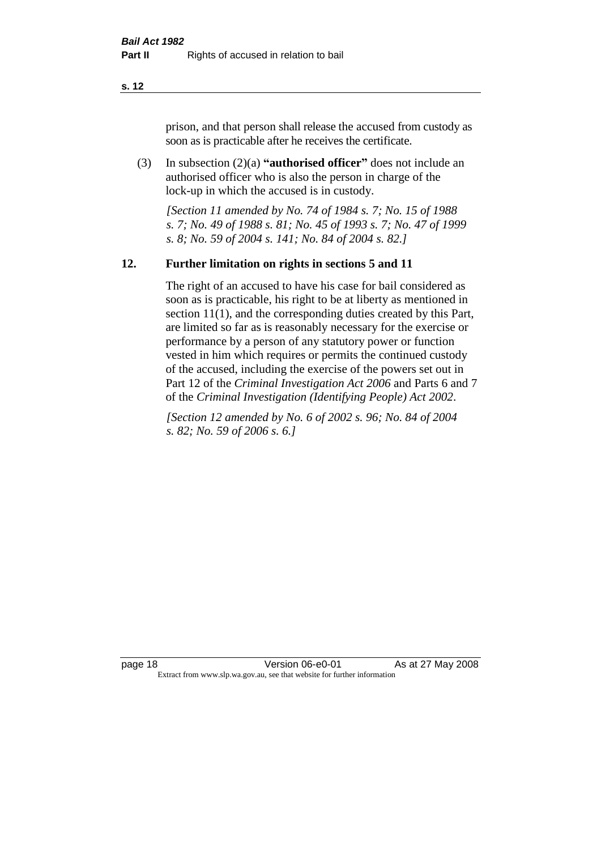prison, and that person shall release the accused from custody as soon as is practicable after he receives the certificate.

(3) In subsection (2)(a) **"authorised officer"** does not include an authorised officer who is also the person in charge of the lock-up in which the accused is in custody.

*[Section 11 amended by No. 74 of 1984 s. 7; No. 15 of 1988 s. 7; No. 49 of 1988 s. 81; No. 45 of 1993 s. 7; No. 47 of 1999 s. 8; No. 59 of 2004 s. 141; No. 84 of 2004 s. 82.]* 

#### **12. Further limitation on rights in sections 5 and 11**

The right of an accused to have his case for bail considered as soon as is practicable, his right to be at liberty as mentioned in section 11(1), and the corresponding duties created by this Part, are limited so far as is reasonably necessary for the exercise or performance by a person of any statutory power or function vested in him which requires or permits the continued custody of the accused, including the exercise of the powers set out in Part 12 of the *Criminal Investigation Act 2006* and Parts 6 and 7 of the *Criminal Investigation (Identifying People) Act 2002*.

*[Section 12 amended by No. 6 of 2002 s. 96; No. 84 of 2004 s. 82; No. 59 of 2006 s. 6.]*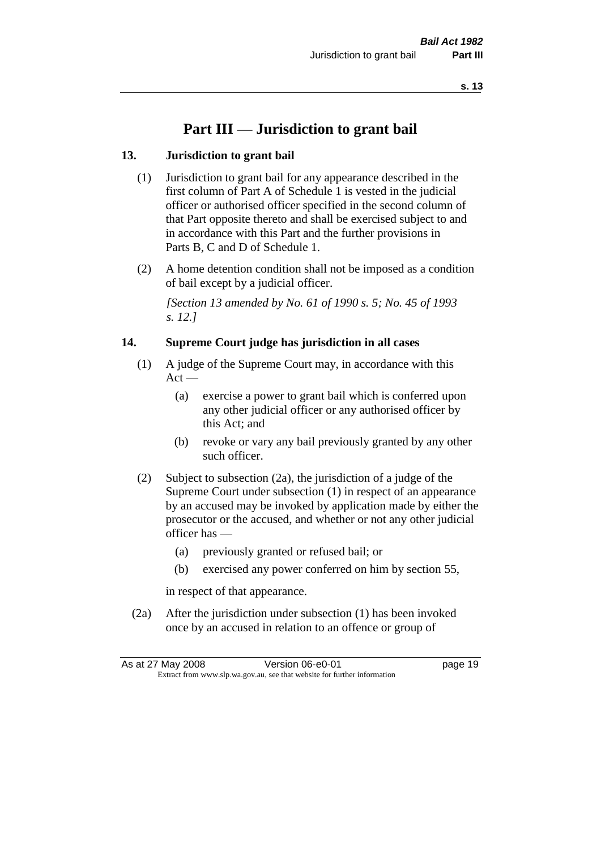## **Part III — Jurisdiction to grant bail**

#### **13. Jurisdiction to grant bail**

- (1) Jurisdiction to grant bail for any appearance described in the first column of Part A of Schedule 1 is vested in the judicial officer or authorised officer specified in the second column of that Part opposite thereto and shall be exercised subject to and in accordance with this Part and the further provisions in Parts B, C and D of Schedule 1.
- (2) A home detention condition shall not be imposed as a condition of bail except by a judicial officer.

*[Section 13 amended by No. 61 of 1990 s. 5; No. 45 of 1993 s. 12.]* 

#### **14. Supreme Court judge has jurisdiction in all cases**

- (1) A judge of the Supreme Court may, in accordance with this  $Act -$ 
	- (a) exercise a power to grant bail which is conferred upon any other judicial officer or any authorised officer by this Act; and
	- (b) revoke or vary any bail previously granted by any other such officer.
- (2) Subject to subsection (2a), the jurisdiction of a judge of the Supreme Court under subsection (1) in respect of an appearance by an accused may be invoked by application made by either the prosecutor or the accused, and whether or not any other judicial officer has —
	- (a) previously granted or refused bail; or
	- (b) exercised any power conferred on him by section 55,

in respect of that appearance.

(2a) After the jurisdiction under subsection (1) has been invoked once by an accused in relation to an offence or group of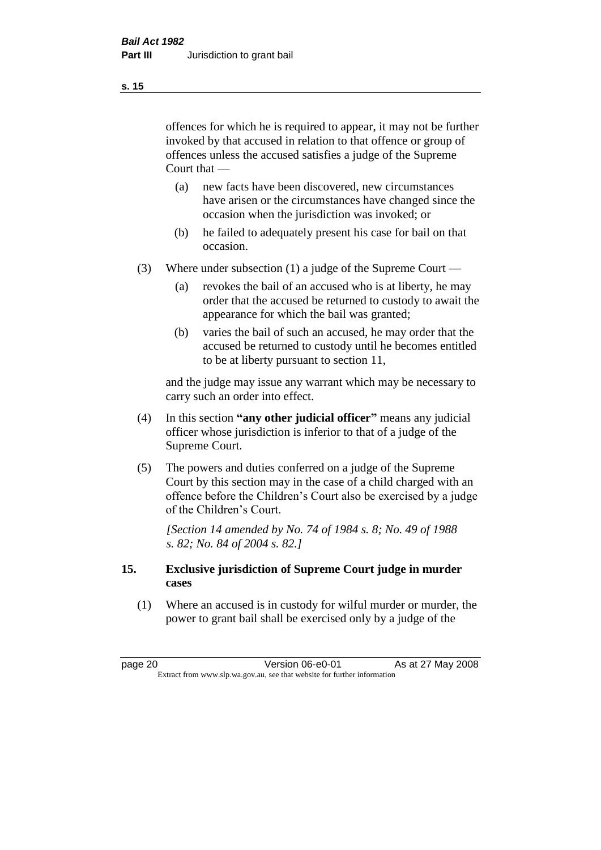offences for which he is required to appear, it may not be further invoked by that accused in relation to that offence or group of offences unless the accused satisfies a judge of the Supreme Court that —

- (a) new facts have been discovered, new circumstances have arisen or the circumstances have changed since the occasion when the jurisdiction was invoked; or
- (b) he failed to adequately present his case for bail on that occasion.
- (3) Where under subsection (1) a judge of the Supreme Court
	- (a) revokes the bail of an accused who is at liberty, he may order that the accused be returned to custody to await the appearance for which the bail was granted;
	- (b) varies the bail of such an accused, he may order that the accused be returned to custody until he becomes entitled to be at liberty pursuant to section 11,

and the judge may issue any warrant which may be necessary to carry such an order into effect.

- (4) In this section **"any other judicial officer"** means any judicial officer whose jurisdiction is inferior to that of a judge of the Supreme Court.
- (5) The powers and duties conferred on a judge of the Supreme Court by this section may in the case of a child charged with an offence before the Children's Court also be exercised by a judge of the Children's Court.

*[Section 14 amended by No. 74 of 1984 s. 8; No. 49 of 1988 s. 82; No. 84 of 2004 s. 82.]* 

#### **15. Exclusive jurisdiction of Supreme Court judge in murder cases**

(1) Where an accused is in custody for wilful murder or murder, the power to grant bail shall be exercised only by a judge of the

page 20 **Version 06-e0-01** As at 27 May 2008 Extract from www.slp.wa.gov.au, see that website for further information

**s. 15**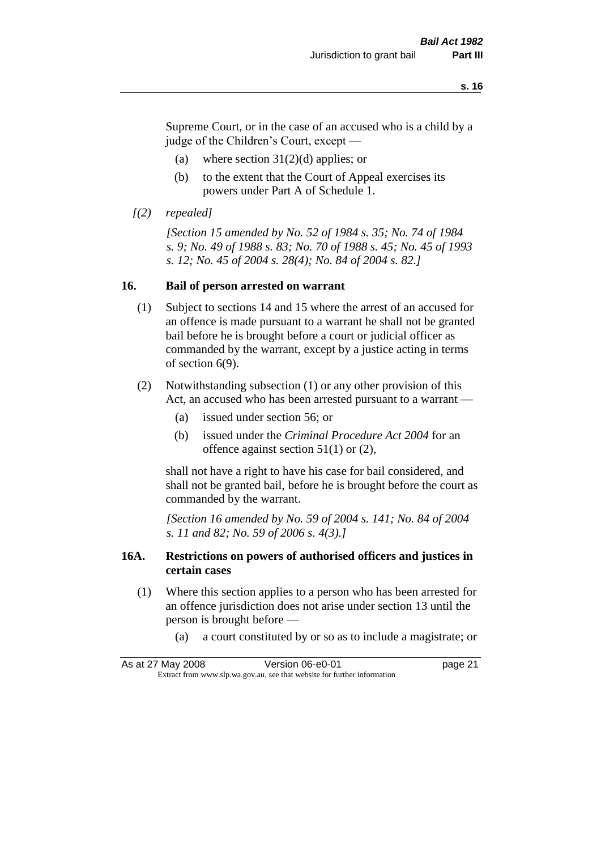Supreme Court, or in the case of an accused who is a child by a judge of the Children's Court, except —

- (a) where section  $31(2)(d)$  applies; or
- (b) to the extent that the Court of Appeal exercises its powers under Part A of Schedule 1.
- *[(2) repealed]*

*[Section 15 amended by No. 52 of 1984 s. 35; No. 74 of 1984 s. 9; No. 49 of 1988 s. 83; No. 70 of 1988 s. 45; No. 45 of 1993 s. 12; No. 45 of 2004 s. 28(4); No. 84 of 2004 s. 82.]* 

#### **16. Bail of person arrested on warrant**

- (1) Subject to sections 14 and 15 where the arrest of an accused for an offence is made pursuant to a warrant he shall not be granted bail before he is brought before a court or judicial officer as commanded by the warrant, except by a justice acting in terms of section 6(9).
- (2) Notwithstanding subsection (1) or any other provision of this Act, an accused who has been arrested pursuant to a warrant —
	- (a) issued under section 56; or
	- (b) issued under the *Criminal Procedure Act 2004* for an offence against section 51(1) or (2),

shall not have a right to have his case for bail considered, and shall not be granted bail, before he is brought before the court as commanded by the warrant.

*[Section 16 amended by No. 59 of 2004 s. 141; No. 84 of 2004 s. 11 and 82; No. 59 of 2006 s. 4(3).]*

#### **16A. Restrictions on powers of authorised officers and justices in certain cases**

- (1) Where this section applies to a person who has been arrested for an offence jurisdiction does not arise under section 13 until the person is brought before —
	- (a) a court constituted by or so as to include a magistrate; or

As at 27 May 2008 Version 06-e0-01 Page 21 Extract from www.slp.wa.gov.au, see that website for further information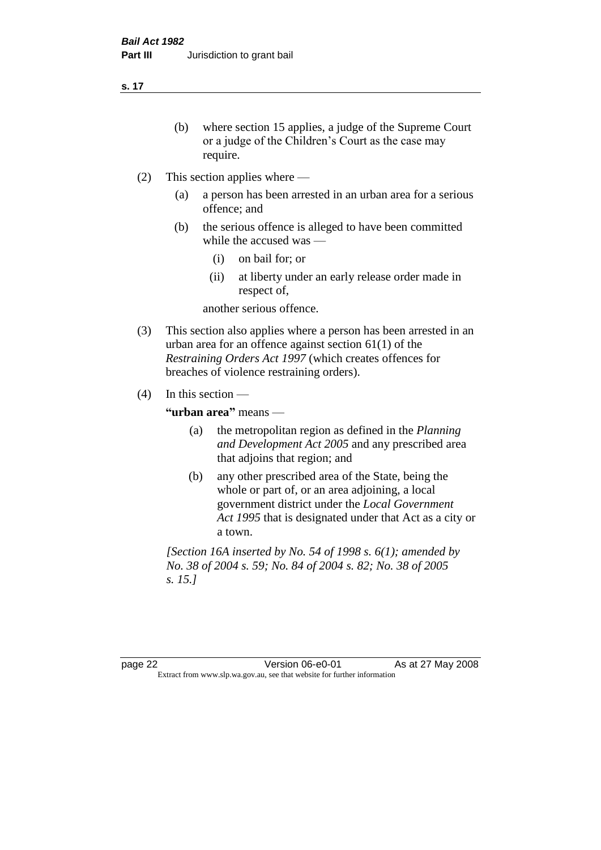- (b) where section 15 applies, a judge of the Supreme Court or a judge of the Children's Court as the case may require.
- (2) This section applies where
	- (a) a person has been arrested in an urban area for a serious offence; and
	- (b) the serious offence is alleged to have been committed while the accused was —
		- (i) on bail for; or
		- (ii) at liberty under an early release order made in respect of,

another serious offence.

- (3) This section also applies where a person has been arrested in an urban area for an offence against section 61(1) of the *Restraining Orders Act 1997* (which creates offences for breaches of violence restraining orders).
- (4) In this section —

**"urban area"** means —

- (a) the metropolitan region as defined in the *Planning and Development Act 2005* and any prescribed area that adjoins that region; and
- (b) any other prescribed area of the State, being the whole or part of, or an area adjoining, a local government district under the *Local Government Act 1995* that is designated under that Act as a city or a town.

*[Section 16A inserted by No. 54 of 1998 s. 6(1); amended by No. 38 of 2004 s. 59; No. 84 of 2004 s. 82; No. 38 of 2005 s. 15.]*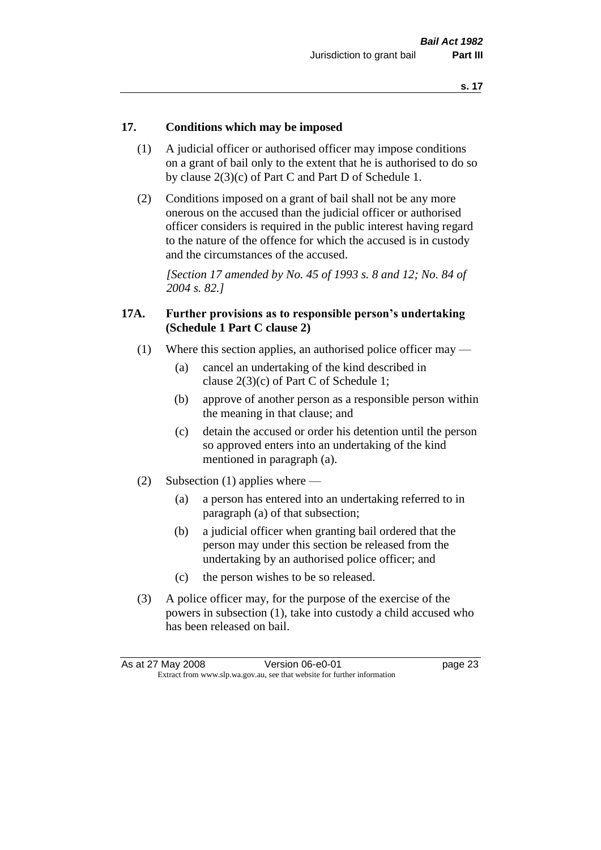#### **17. Conditions which may be imposed**

- (1) A judicial officer or authorised officer may impose conditions on a grant of bail only to the extent that he is authorised to do so by clause 2(3)(c) of Part C and Part D of Schedule 1.
- (2) Conditions imposed on a grant of bail shall not be any more onerous on the accused than the judicial officer or authorised officer considers is required in the public interest having regard to the nature of the offence for which the accused is in custody and the circumstances of the accused.

*[Section 17 amended by No. 45 of 1993 s. 8 and 12; No. 84 of 2004 s. 82.]* 

#### **17A. Further provisions as to responsible person's undertaking (Schedule 1 Part C clause 2)**

- (1) Where this section applies, an authorised police officer may
	- (a) cancel an undertaking of the kind described in clause 2(3)(c) of Part C of Schedule 1;
	- (b) approve of another person as a responsible person within the meaning in that clause; and
	- (c) detain the accused or order his detention until the person so approved enters into an undertaking of the kind mentioned in paragraph (a).
- (2) Subsection (1) applies where
	- (a) a person has entered into an undertaking referred to in paragraph (a) of that subsection;
	- (b) a judicial officer when granting bail ordered that the person may under this section be released from the undertaking by an authorised police officer; and
	- (c) the person wishes to be so released.
- (3) A police officer may, for the purpose of the exercise of the powers in subsection (1), take into custody a child accused who has been released on bail.

| As at 27 May 2008 |                                                                          | Version 06-e0-01 | page 23 |
|-------------------|--------------------------------------------------------------------------|------------------|---------|
|                   | Extract from www.slp.wa.gov.au, see that website for further information |                  |         |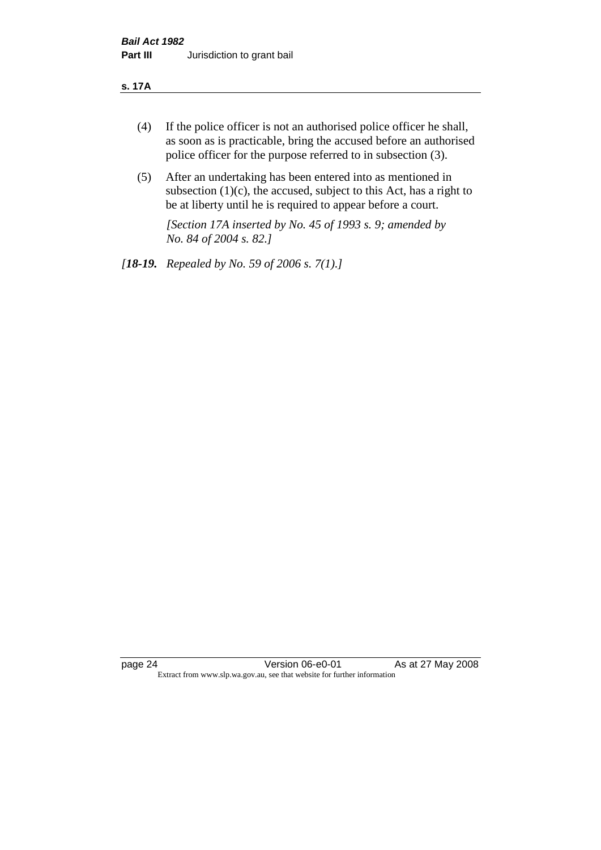#### **s. 17A**

- (4) If the police officer is not an authorised police officer he shall, as soon as is practicable, bring the accused before an authorised police officer for the purpose referred to in subsection (3).
- (5) After an undertaking has been entered into as mentioned in subsection  $(1)(c)$ , the accused, subject to this Act, has a right to be at liberty until he is required to appear before a court.

*[Section 17A inserted by No. 45 of 1993 s. 9; amended by No. 84 of 2004 s. 82.]* 

*[18-19. Repealed by No. 59 of 2006 s. 7(1).]*

page 24 Version 06-e0-01 As at 27 May 2008 Extract from www.slp.wa.gov.au, see that website for further information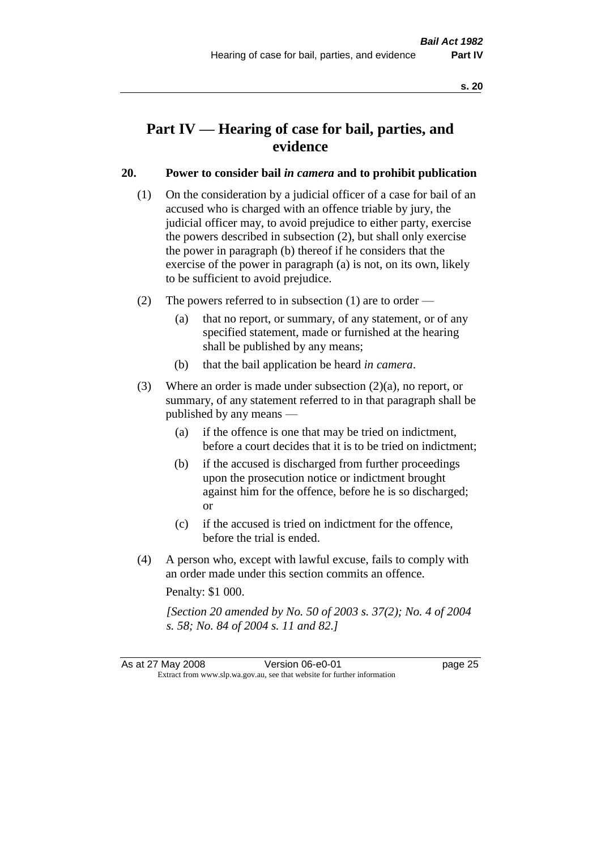## **Part IV — Hearing of case for bail, parties, and evidence**

#### **20. Power to consider bail** *in camera* **and to prohibit publication**

- (1) On the consideration by a judicial officer of a case for bail of an accused who is charged with an offence triable by jury, the judicial officer may, to avoid prejudice to either party, exercise the powers described in subsection (2), but shall only exercise the power in paragraph (b) thereof if he considers that the exercise of the power in paragraph (a) is not, on its own, likely to be sufficient to avoid prejudice.
- (2) The powers referred to in subsection (1) are to order
	- (a) that no report, or summary, of any statement, or of any specified statement, made or furnished at the hearing shall be published by any means;
	- (b) that the bail application be heard *in camera*.
- (3) Where an order is made under subsection (2)(a), no report, or summary, of any statement referred to in that paragraph shall be published by any means —
	- (a) if the offence is one that may be tried on indictment, before a court decides that it is to be tried on indictment;
	- (b) if the accused is discharged from further proceedings upon the prosecution notice or indictment brought against him for the offence, before he is so discharged; or
	- (c) if the accused is tried on indictment for the offence, before the trial is ended.
- (4) A person who, except with lawful excuse, fails to comply with an order made under this section commits an offence.

Penalty: \$1 000.

*[Section 20 amended by No. 50 of 2003 s. 37(2); No. 4 of 2004 s. 58; No. 84 of 2004 s. 11 and 82.]*

As at 27 May 2008 Version 06-e0-01 Page 25 Extract from www.slp.wa.gov.au, see that website for further information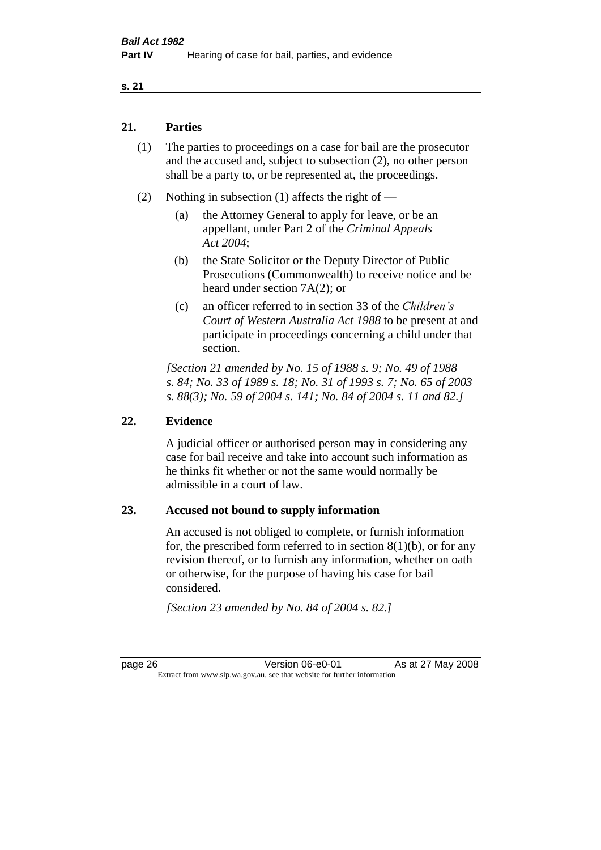#### **21. Parties**

- (1) The parties to proceedings on a case for bail are the prosecutor and the accused and, subject to subsection (2), no other person shall be a party to, or be represented at, the proceedings.
- (2) Nothing in subsection (1) affects the right of
	- (a) the Attorney General to apply for leave, or be an appellant, under Part 2 of the *Criminal Appeals Act 2004*;
	- (b) the State Solicitor or the Deputy Director of Public Prosecutions (Commonwealth) to receive notice and be heard under section 7A(2); or
	- (c) an officer referred to in section 33 of the *Children's Court of Western Australia Act 1988* to be present at and participate in proceedings concerning a child under that section.

*[Section 21 amended by No. 15 of 1988 s. 9; No. 49 of 1988 s. 84; No. 33 of 1989 s. 18; No. 31 of 1993 s. 7; No. 65 of 2003 s. 88(3); No. 59 of 2004 s. 141; No. 84 of 2004 s. 11 and 82.]* 

#### **22. Evidence**

A judicial officer or authorised person may in considering any case for bail receive and take into account such information as he thinks fit whether or not the same would normally be admissible in a court of law.

#### **23. Accused not bound to supply information**

An accused is not obliged to complete, or furnish information for, the prescribed form referred to in section  $8(1)(b)$ , or for any revision thereof, or to furnish any information, whether on oath or otherwise, for the purpose of having his case for bail considered.

*[Section 23 amended by No. 84 of 2004 s. 82.]* 

page 26 **Version 06-e0-01** As at 27 May 2008 Extract from www.slp.wa.gov.au, see that website for further information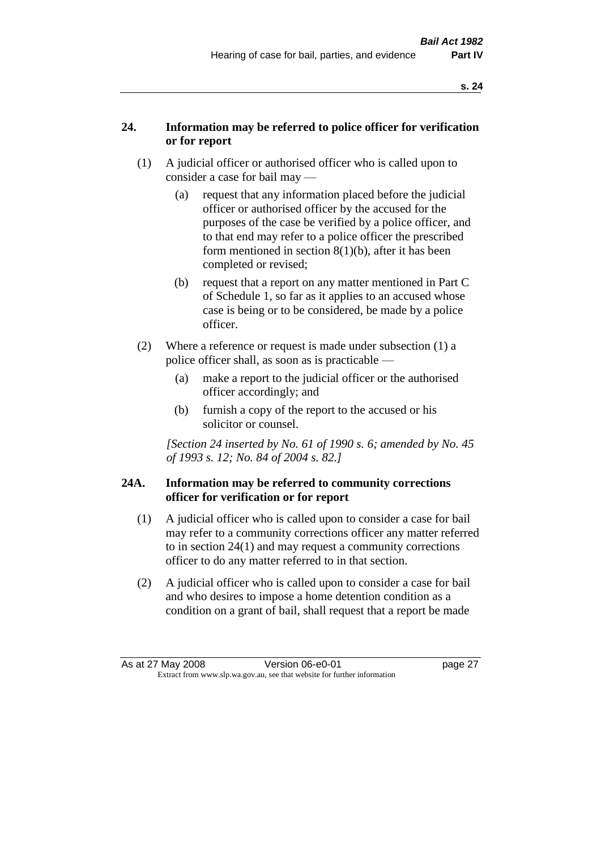#### **24. Information may be referred to police officer for verification or for report**

- (1) A judicial officer or authorised officer who is called upon to consider a case for bail may —
	- (a) request that any information placed before the judicial officer or authorised officer by the accused for the purposes of the case be verified by a police officer, and to that end may refer to a police officer the prescribed form mentioned in section 8(1)(b), after it has been completed or revised;
	- (b) request that a report on any matter mentioned in Part C of Schedule 1, so far as it applies to an accused whose case is being or to be considered, be made by a police officer.
- (2) Where a reference or request is made under subsection (1) a police officer shall, as soon as is practicable —
	- (a) make a report to the judicial officer or the authorised officer accordingly; and
	- (b) furnish a copy of the report to the accused or his solicitor or counsel.

*[Section 24 inserted by No. 61 of 1990 s. 6; amended by No. 45 of 1993 s. 12; No. 84 of 2004 s. 82.]* 

#### **24A. Information may be referred to community corrections officer for verification or for report**

- (1) A judicial officer who is called upon to consider a case for bail may refer to a community corrections officer any matter referred to in section 24(1) and may request a community corrections officer to do any matter referred to in that section.
- (2) A judicial officer who is called upon to consider a case for bail and who desires to impose a home detention condition as a condition on a grant of bail, shall request that a report be made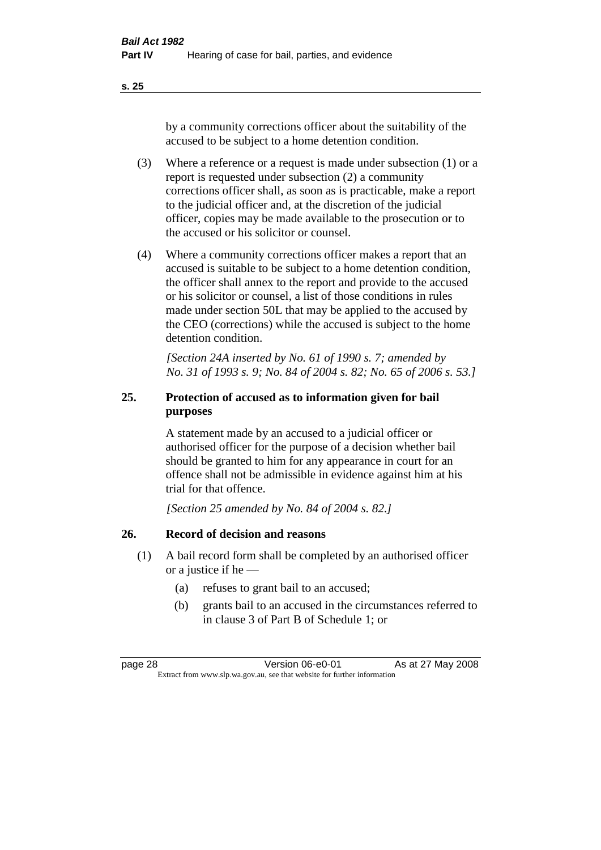by a community corrections officer about the suitability of the accused to be subject to a home detention condition.

- (3) Where a reference or a request is made under subsection (1) or a report is requested under subsection (2) a community corrections officer shall, as soon as is practicable, make a report to the judicial officer and, at the discretion of the judicial officer, copies may be made available to the prosecution or to the accused or his solicitor or counsel.
- (4) Where a community corrections officer makes a report that an accused is suitable to be subject to a home detention condition, the officer shall annex to the report and provide to the accused or his solicitor or counsel, a list of those conditions in rules made under section 50L that may be applied to the accused by the CEO (corrections) while the accused is subject to the home detention condition.

*[Section 24A inserted by No. 61 of 1990 s. 7; amended by No. 31 of 1993 s. 9; No. 84 of 2004 s. 82; No. 65 of 2006 s. 53.]* 

### **25. Protection of accused as to information given for bail purposes**

A statement made by an accused to a judicial officer or authorised officer for the purpose of a decision whether bail should be granted to him for any appearance in court for an offence shall not be admissible in evidence against him at his trial for that offence.

*[Section 25 amended by No. 84 of 2004 s. 82.]* 

#### **26. Record of decision and reasons**

- (1) A bail record form shall be completed by an authorised officer or a justice if he —
	- (a) refuses to grant bail to an accused;
	- (b) grants bail to an accused in the circumstances referred to in clause 3 of Part B of Schedule 1; or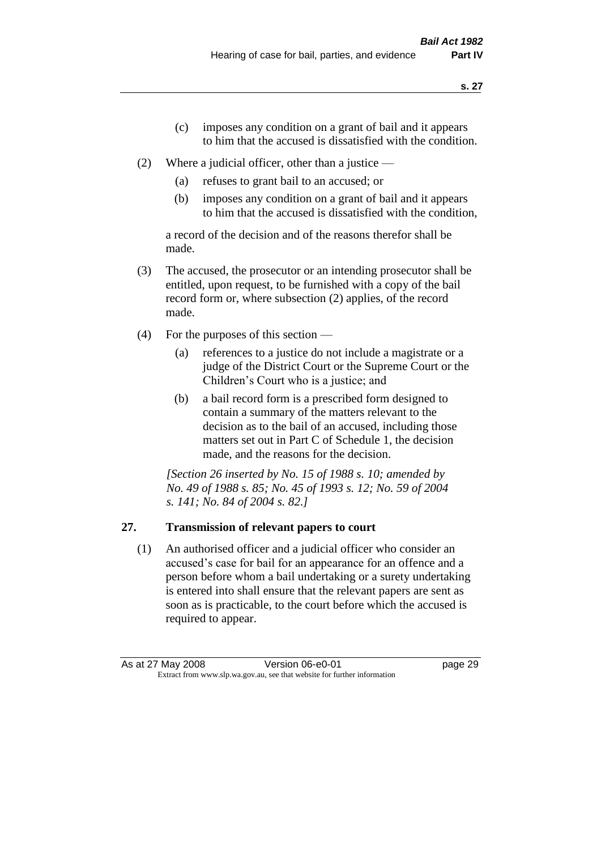- (c) imposes any condition on a grant of bail and it appears to him that the accused is dissatisfied with the condition.
- (2) Where a judicial officer, other than a justice
	- (a) refuses to grant bail to an accused; or
	- (b) imposes any condition on a grant of bail and it appears to him that the accused is dissatisfied with the condition,

a record of the decision and of the reasons therefor shall be made.

- (3) The accused, the prosecutor or an intending prosecutor shall be entitled, upon request, to be furnished with a copy of the bail record form or, where subsection (2) applies, of the record made.
- (4) For the purposes of this section
	- (a) references to a justice do not include a magistrate or a judge of the District Court or the Supreme Court or the Children's Court who is a justice; and
	- (b) a bail record form is a prescribed form designed to contain a summary of the matters relevant to the decision as to the bail of an accused, including those matters set out in Part C of Schedule 1, the decision made, and the reasons for the decision.

*[Section 26 inserted by No. 15 of 1988 s. 10; amended by No. 49 of 1988 s. 85; No. 45 of 1993 s. 12; No. 59 of 2004 s. 141; No. 84 of 2004 s. 82.]* 

# **27. Transmission of relevant papers to court**

(1) An authorised officer and a judicial officer who consider an accused's case for bail for an appearance for an offence and a person before whom a bail undertaking or a surety undertaking is entered into shall ensure that the relevant papers are sent as soon as is practicable, to the court before which the accused is required to appear.

As at 27 May 2008 Version 06-e0-01 Page 29 Extract from www.slp.wa.gov.au, see that website for further information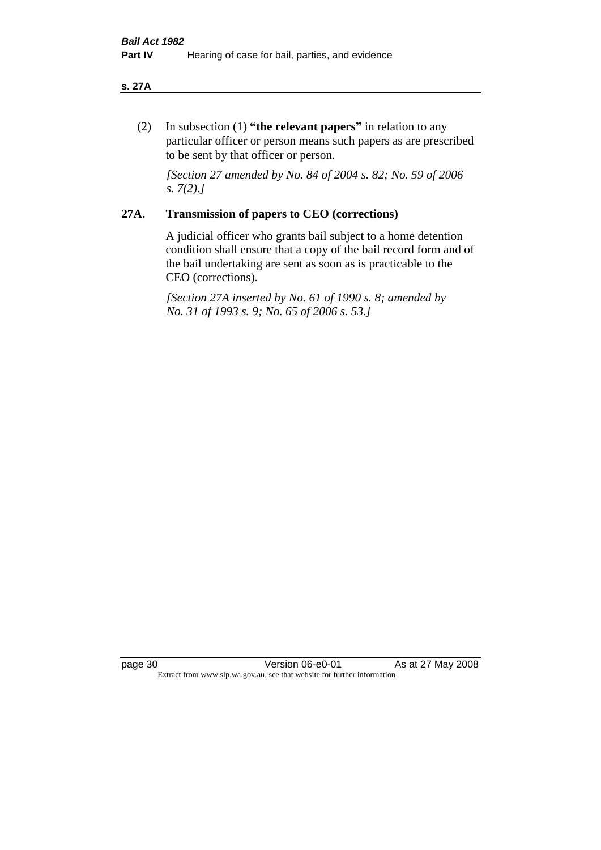#### **s. 27A**

(2) In subsection (1) **"the relevant papers"** in relation to any particular officer or person means such papers as are prescribed to be sent by that officer or person.

*[Section 27 amended by No. 84 of 2004 s. 82; No. 59 of 2006 s. 7(2).]* 

# **27A. Transmission of papers to CEO (corrections)**

A judicial officer who grants bail subject to a home detention condition shall ensure that a copy of the bail record form and of the bail undertaking are sent as soon as is practicable to the CEO (corrections).

*[Section 27A inserted by No. 61 of 1990 s. 8; amended by No. 31 of 1993 s. 9; No. 65 of 2006 s. 53.]* 

page 30 **Version 06-e0-01** As at 27 May 2008 Extract from www.slp.wa.gov.au, see that website for further information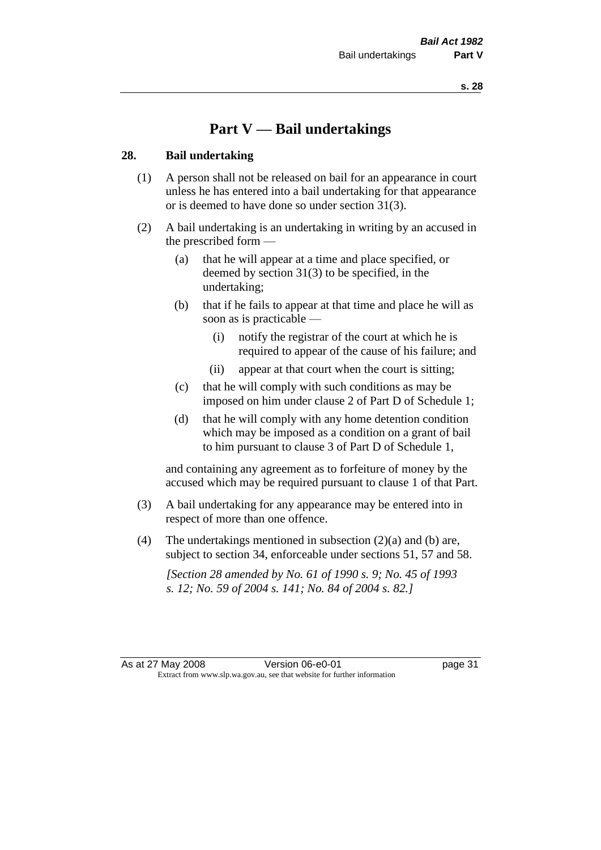# **Part V — Bail undertakings**

# **28. Bail undertaking**

- (1) A person shall not be released on bail for an appearance in court unless he has entered into a bail undertaking for that appearance or is deemed to have done so under section 31(3).
- (2) A bail undertaking is an undertaking in writing by an accused in the prescribed form —
	- (a) that he will appear at a time and place specified, or deemed by section 31(3) to be specified, in the undertaking;
	- (b) that if he fails to appear at that time and place he will as soon as is practicable —
		- (i) notify the registrar of the court at which he is required to appear of the cause of his failure; and
		- (ii) appear at that court when the court is sitting;
	- (c) that he will comply with such conditions as may be imposed on him under clause 2 of Part D of Schedule 1;
	- (d) that he will comply with any home detention condition which may be imposed as a condition on a grant of bail to him pursuant to clause 3 of Part D of Schedule 1,

and containing any agreement as to forfeiture of money by the accused which may be required pursuant to clause 1 of that Part.

- (3) A bail undertaking for any appearance may be entered into in respect of more than one offence.
- (4) The undertakings mentioned in subsection  $(2)(a)$  and (b) are, subject to section 34, enforceable under sections 51, 57 and 58.

*[Section 28 amended by No. 61 of 1990 s. 9; No. 45 of 1993 s. 12; No. 59 of 2004 s. 141; No. 84 of 2004 s. 82.]*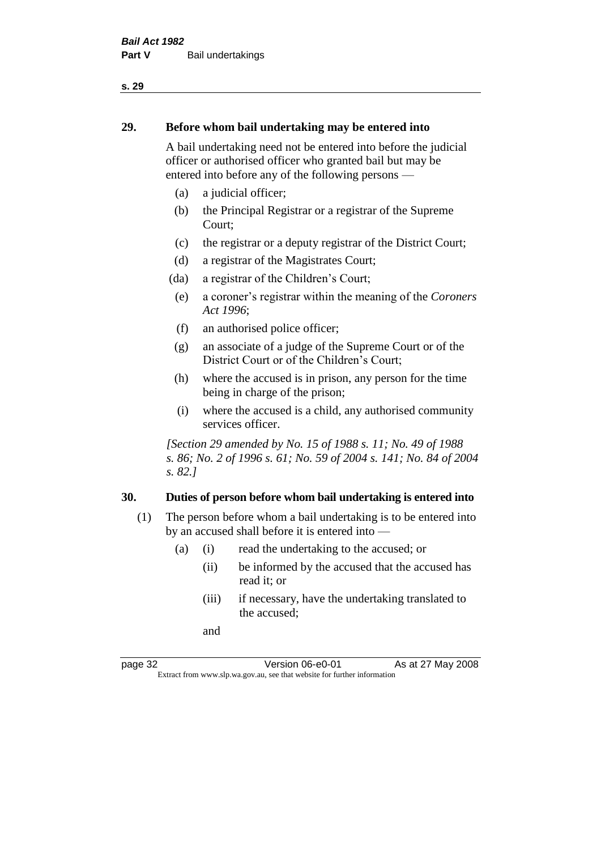# **29. Before whom bail undertaking may be entered into**

A bail undertaking need not be entered into before the judicial officer or authorised officer who granted bail but may be entered into before any of the following persons —

- (a) a judicial officer;
- (b) the Principal Registrar or a registrar of the Supreme Court;
- (c) the registrar or a deputy registrar of the District Court;
- (d) a registrar of the Magistrates Court;
- (da) a registrar of the Children's Court;
- (e) a coroner's registrar within the meaning of the *Coroners Act 1996*;
- (f) an authorised police officer;
- (g) an associate of a judge of the Supreme Court or of the District Court or of the Children's Court;
- (h) where the accused is in prison, any person for the time being in charge of the prison;
- (i) where the accused is a child, any authorised community services officer.

*[Section 29 amended by No. 15 of 1988 s. 11; No. 49 of 1988 s. 86; No. 2 of 1996 s. 61; No. 59 of 2004 s. 141; No. 84 of 2004 s. 82.]* 

# **30. Duties of person before whom bail undertaking is entered into**

- (1) The person before whom a bail undertaking is to be entered into by an accused shall before it is entered into —
	- (a) (i) read the undertaking to the accused; or
		- (ii) be informed by the accused that the accused has read it; or
		- (iii) if necessary, have the undertaking translated to the accused;

and

page 32 **Version 06-e0-01** As at 27 May 2008 Extract from www.slp.wa.gov.au, see that website for further information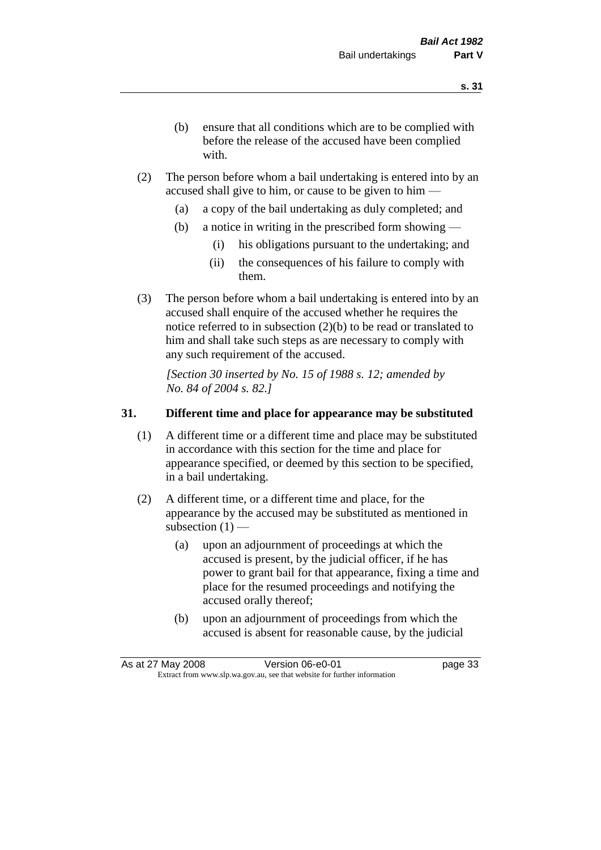- (b) ensure that all conditions which are to be complied with before the release of the accused have been complied with.
- (2) The person before whom a bail undertaking is entered into by an accused shall give to him, or cause to be given to him —
	- (a) a copy of the bail undertaking as duly completed; and
	- (b) a notice in writing in the prescribed form showing
		- (i) his obligations pursuant to the undertaking; and
		- (ii) the consequences of his failure to comply with them.
- (3) The person before whom a bail undertaking is entered into by an accused shall enquire of the accused whether he requires the notice referred to in subsection (2)(b) to be read or translated to him and shall take such steps as are necessary to comply with any such requirement of the accused.

*[Section 30 inserted by No. 15 of 1988 s. 12; amended by No. 84 of 2004 s. 82.]* 

# **31. Different time and place for appearance may be substituted**

- (1) A different time or a different time and place may be substituted in accordance with this section for the time and place for appearance specified, or deemed by this section to be specified, in a bail undertaking.
- (2) A different time, or a different time and place, for the appearance by the accused may be substituted as mentioned in subsection  $(1)$  —
	- (a) upon an adjournment of proceedings at which the accused is present, by the judicial officer, if he has power to grant bail for that appearance, fixing a time and place for the resumed proceedings and notifying the accused orally thereof;
	- (b) upon an adjournment of proceedings from which the accused is absent for reasonable cause, by the judicial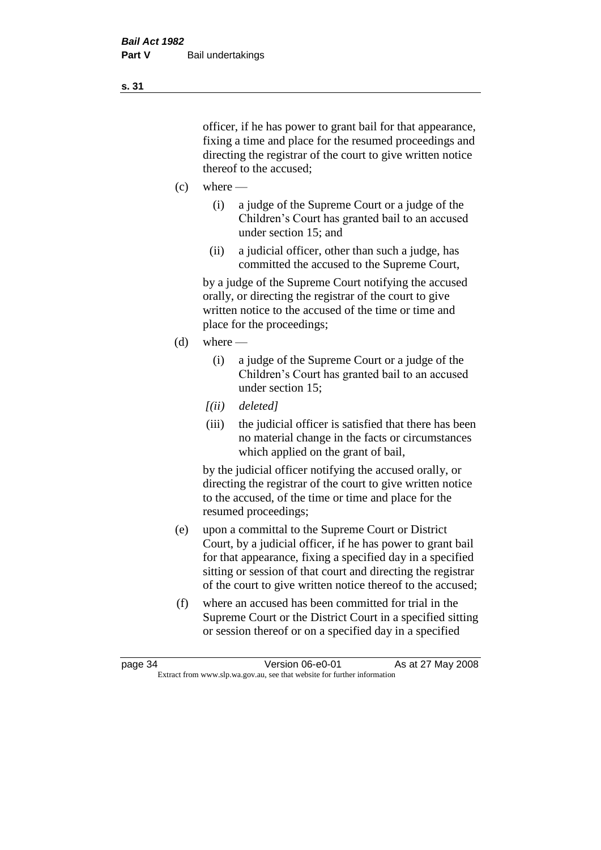officer, if he has power to grant bail for that appearance, fixing a time and place for the resumed proceedings and directing the registrar of the court to give written notice thereof to the accused;

- $(c)$  where
	- (i) a judge of the Supreme Court or a judge of the Children's Court has granted bail to an accused under section 15; and
	- (ii) a judicial officer, other than such a judge, has committed the accused to the Supreme Court,

by a judge of the Supreme Court notifying the accused orally, or directing the registrar of the court to give written notice to the accused of the time or time and place for the proceedings;

- (d) where
	- (i) a judge of the Supreme Court or a judge of the Children's Court has granted bail to an accused under section 15;
	- *[(ii) deleted]*
	- (iii) the judicial officer is satisfied that there has been no material change in the facts or circumstances which applied on the grant of bail,

by the judicial officer notifying the accused orally, or directing the registrar of the court to give written notice to the accused, of the time or time and place for the resumed proceedings;

- (e) upon a committal to the Supreme Court or District Court, by a judicial officer, if he has power to grant bail for that appearance, fixing a specified day in a specified sitting or session of that court and directing the registrar of the court to give written notice thereof to the accused;
- (f) where an accused has been committed for trial in the Supreme Court or the District Court in a specified sitting or session thereof or on a specified day in a specified

**s. 31**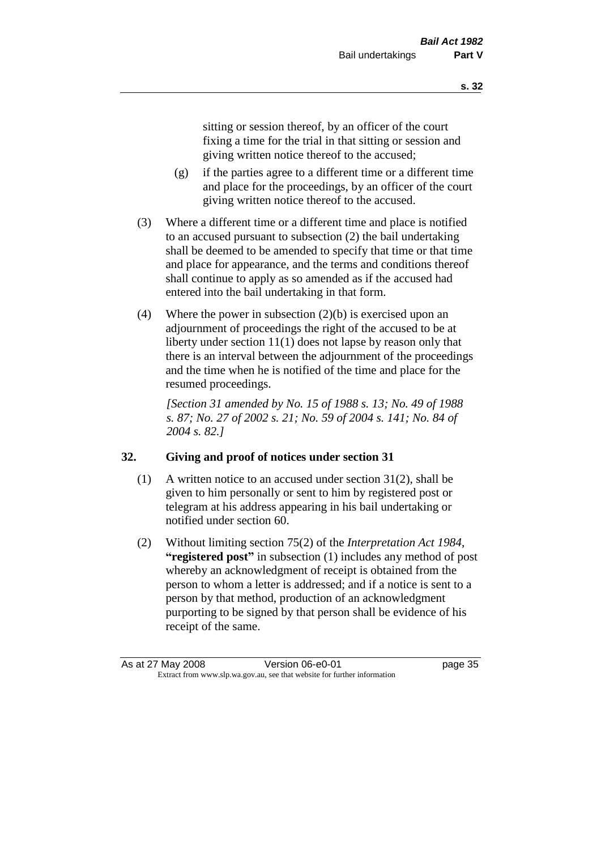sitting or session thereof, by an officer of the court fixing a time for the trial in that sitting or session and giving written notice thereof to the accused;

- (g) if the parties agree to a different time or a different time and place for the proceedings, by an officer of the court giving written notice thereof to the accused.
- (3) Where a different time or a different time and place is notified to an accused pursuant to subsection (2) the bail undertaking shall be deemed to be amended to specify that time or that time and place for appearance, and the terms and conditions thereof shall continue to apply as so amended as if the accused had entered into the bail undertaking in that form.
- (4) Where the power in subsection (2)(b) is exercised upon an adjournment of proceedings the right of the accused to be at liberty under section 11(1) does not lapse by reason only that there is an interval between the adjournment of the proceedings and the time when he is notified of the time and place for the resumed proceedings.

*[Section 31 amended by No. 15 of 1988 s. 13; No. 49 of 1988 s. 87; No. 27 of 2002 s. 21; No. 59 of 2004 s. 141; No. 84 of 2004 s. 82.]* 

# **32. Giving and proof of notices under section 31**

- (1) A written notice to an accused under section 31(2), shall be given to him personally or sent to him by registered post or telegram at his address appearing in his bail undertaking or notified under section 60.
- (2) Without limiting section 75(2) of the *Interpretation Act 1984*, **"registered post"** in subsection (1) includes any method of post whereby an acknowledgment of receipt is obtained from the person to whom a letter is addressed; and if a notice is sent to a person by that method, production of an acknowledgment purporting to be signed by that person shall be evidence of his receipt of the same.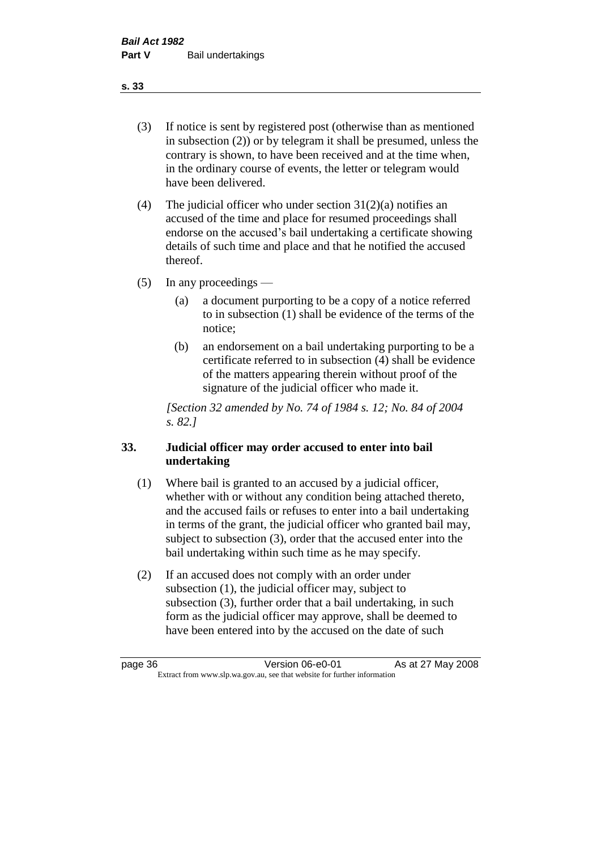(3) If notice is sent by registered post (otherwise than as mentioned in subsection (2)) or by telegram it shall be presumed, unless the contrary is shown, to have been received and at the time when, in the ordinary course of events, the letter or telegram would have been delivered.

(4) The judicial officer who under section  $31(2)(a)$  notifies an accused of the time and place for resumed proceedings shall endorse on the accused's bail undertaking a certificate showing details of such time and place and that he notified the accused thereof.

(5) In any proceedings —

- (a) a document purporting to be a copy of a notice referred to in subsection (1) shall be evidence of the terms of the notice;
- (b) an endorsement on a bail undertaking purporting to be a certificate referred to in subsection (4) shall be evidence of the matters appearing therein without proof of the signature of the judicial officer who made it.

*[Section 32 amended by No. 74 of 1984 s. 12; No. 84 of 2004 s. 82.]* 

# **33. Judicial officer may order accused to enter into bail undertaking**

- (1) Where bail is granted to an accused by a judicial officer, whether with or without any condition being attached thereto, and the accused fails or refuses to enter into a bail undertaking in terms of the grant, the judicial officer who granted bail may, subject to subsection (3), order that the accused enter into the bail undertaking within such time as he may specify.
- (2) If an accused does not comply with an order under subsection (1), the judicial officer may, subject to subsection (3), further order that a bail undertaking, in such form as the judicial officer may approve, shall be deemed to have been entered into by the accused on the date of such

**s. 33**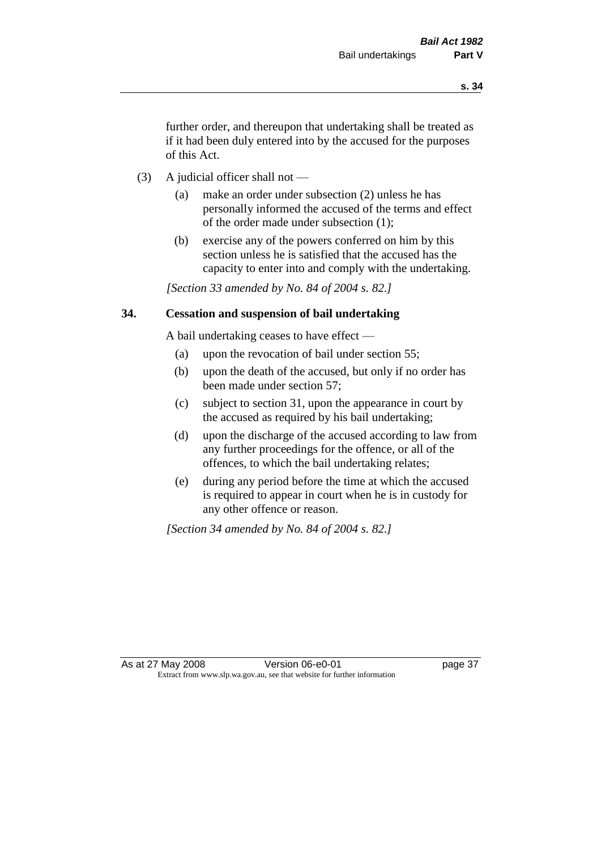further order, and thereupon that undertaking shall be treated as if it had been duly entered into by the accused for the purposes of this Act.

- (3) A judicial officer shall not
	- (a) make an order under subsection (2) unless he has personally informed the accused of the terms and effect of the order made under subsection (1);
	- (b) exercise any of the powers conferred on him by this section unless he is satisfied that the accused has the capacity to enter into and comply with the undertaking.

*[Section 33 amended by No. 84 of 2004 s. 82.]* 

# **34. Cessation and suspension of bail undertaking**

A bail undertaking ceases to have effect —

- (a) upon the revocation of bail under section 55;
- (b) upon the death of the accused, but only if no order has been made under section 57;
- (c) subject to section 31, upon the appearance in court by the accused as required by his bail undertaking;
- (d) upon the discharge of the accused according to law from any further proceedings for the offence, or all of the offences, to which the bail undertaking relates;
- (e) during any period before the time at which the accused is required to appear in court when he is in custody for any other offence or reason.

*[Section 34 amended by No. 84 of 2004 s. 82.]*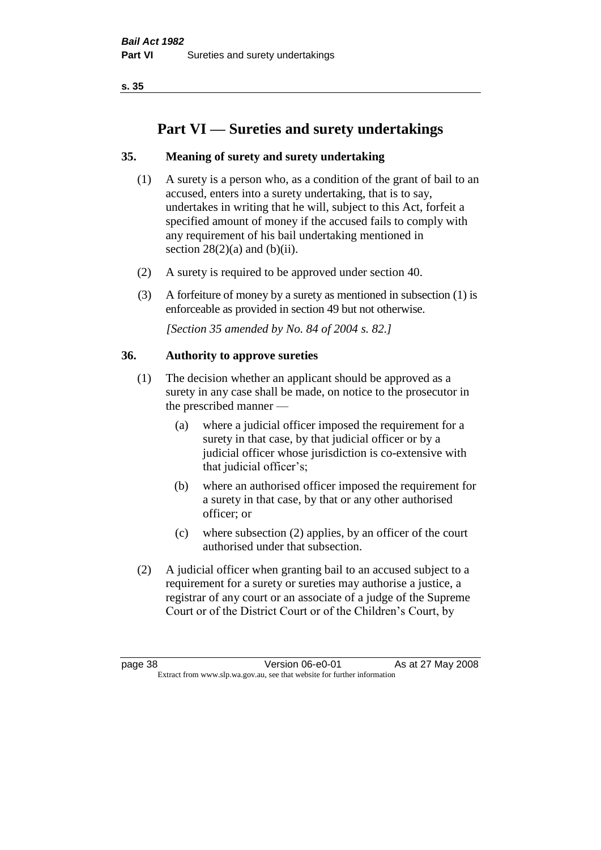# **Part VI — Sureties and surety undertakings**

# **35. Meaning of surety and surety undertaking**

- (1) A surety is a person who, as a condition of the grant of bail to an accused, enters into a surety undertaking, that is to say, undertakes in writing that he will, subject to this Act, forfeit a specified amount of money if the accused fails to comply with any requirement of his bail undertaking mentioned in section  $28(2)(a)$  and  $(b)(ii)$ .
- (2) A surety is required to be approved under section 40.
- (3) A forfeiture of money by a surety as mentioned in subsection (1) is enforceable as provided in section 49 but not otherwise.

*[Section 35 amended by No. 84 of 2004 s. 82.]* 

# **36. Authority to approve sureties**

- (1) The decision whether an applicant should be approved as a surety in any case shall be made, on notice to the prosecutor in the prescribed manner —
	- (a) where a judicial officer imposed the requirement for a surety in that case, by that judicial officer or by a judicial officer whose jurisdiction is co-extensive with that judicial officer's;
	- (b) where an authorised officer imposed the requirement for a surety in that case, by that or any other authorised officer; or
	- (c) where subsection (2) applies, by an officer of the court authorised under that subsection.
- (2) A judicial officer when granting bail to an accused subject to a requirement for a surety or sureties may authorise a justice, a registrar of any court or an associate of a judge of the Supreme Court or of the District Court or of the Children's Court, by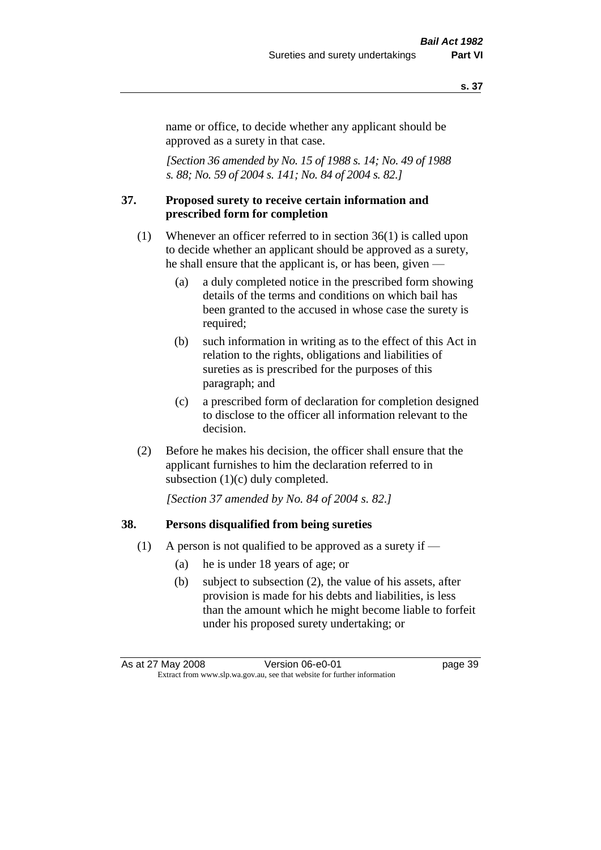name or office, to decide whether any applicant should be approved as a surety in that case.

*[Section 36 amended by No. 15 of 1988 s. 14; No. 49 of 1988 s. 88; No. 59 of 2004 s. 141; No. 84 of 2004 s. 82.]* 

# **37. Proposed surety to receive certain information and prescribed form for completion**

- (1) Whenever an officer referred to in section 36(1) is called upon to decide whether an applicant should be approved as a surety, he shall ensure that the applicant is, or has been, given —
	- (a) a duly completed notice in the prescribed form showing details of the terms and conditions on which bail has been granted to the accused in whose case the surety is required;
	- (b) such information in writing as to the effect of this Act in relation to the rights, obligations and liabilities of sureties as is prescribed for the purposes of this paragraph; and
	- (c) a prescribed form of declaration for completion designed to disclose to the officer all information relevant to the decision.
- (2) Before he makes his decision, the officer shall ensure that the applicant furnishes to him the declaration referred to in subsection (1)(c) duly completed.

*[Section 37 amended by No. 84 of 2004 s. 82.]* 

# **38. Persons disqualified from being sureties**

- (1) A person is not qualified to be approved as a surety if  $-$ 
	- (a) he is under 18 years of age; or
	- (b) subject to subsection (2), the value of his assets, after provision is made for his debts and liabilities, is less than the amount which he might become liable to forfeit under his proposed surety undertaking; or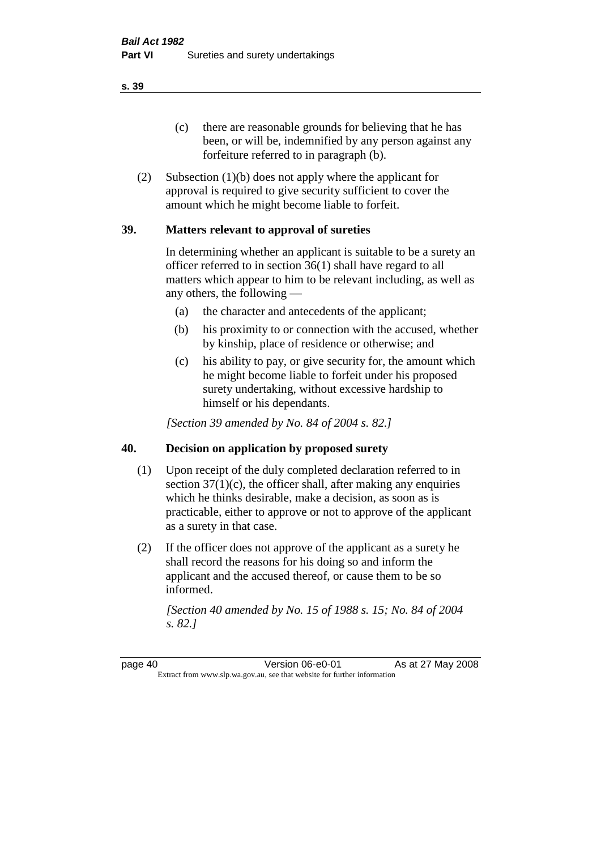(c) there are reasonable grounds for believing that he has been, or will be, indemnified by any person against any forfeiture referred to in paragraph (b).

(2) Subsection (1)(b) does not apply where the applicant for approval is required to give security sufficient to cover the amount which he might become liable to forfeit.

# **39. Matters relevant to approval of sureties**

In determining whether an applicant is suitable to be a surety an officer referred to in section 36(1) shall have regard to all matters which appear to him to be relevant including, as well as any others, the following —

- (a) the character and antecedents of the applicant;
- (b) his proximity to or connection with the accused, whether by kinship, place of residence or otherwise; and
- (c) his ability to pay, or give security for, the amount which he might become liable to forfeit under his proposed surety undertaking, without excessive hardship to himself or his dependants.

*[Section 39 amended by No. 84 of 2004 s. 82.]* 

# **40. Decision on application by proposed surety**

- (1) Upon receipt of the duly completed declaration referred to in section  $37(1)(c)$ , the officer shall, after making any enquiries which he thinks desirable, make a decision, as soon as is practicable, either to approve or not to approve of the applicant as a surety in that case.
- (2) If the officer does not approve of the applicant as a surety he shall record the reasons for his doing so and inform the applicant and the accused thereof, or cause them to be so informed.

*[Section 40 amended by No. 15 of 1988 s. 15; No. 84 of 2004 s. 82.]* 

page 40 **Version 06-e0-01** As at 27 May 2008 Extract from www.slp.wa.gov.au, see that website for further information

**s. 39**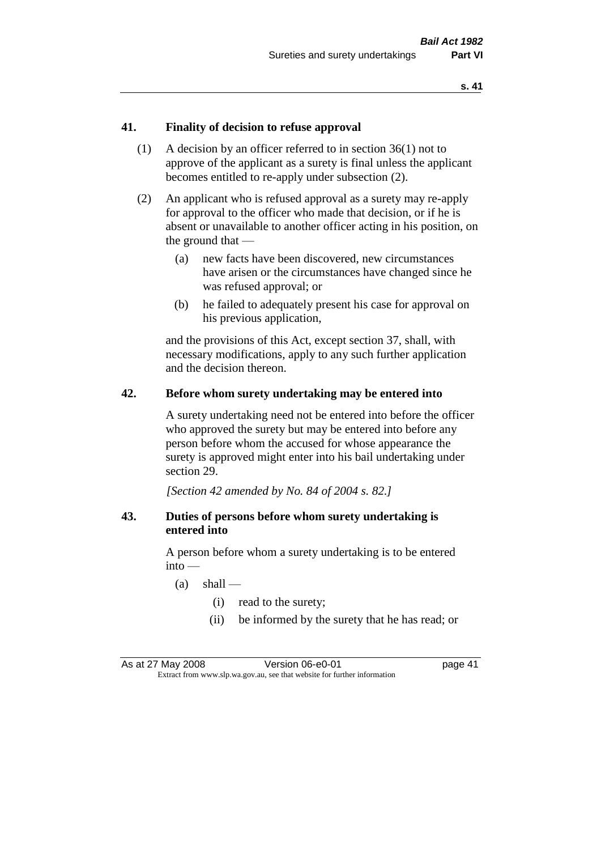# **41. Finality of decision to refuse approval**

- (1) A decision by an officer referred to in section 36(1) not to approve of the applicant as a surety is final unless the applicant becomes entitled to re-apply under subsection (2).
- (2) An applicant who is refused approval as a surety may re-apply for approval to the officer who made that decision, or if he is absent or unavailable to another officer acting in his position, on the ground that —
	- (a) new facts have been discovered, new circumstances have arisen or the circumstances have changed since he was refused approval; or
	- (b) he failed to adequately present his case for approval on his previous application,

and the provisions of this Act, except section 37, shall, with necessary modifications, apply to any such further application and the decision thereon.

# **42. Before whom surety undertaking may be entered into**

A surety undertaking need not be entered into before the officer who approved the surety but may be entered into before any person before whom the accused for whose appearance the surety is approved might enter into his bail undertaking under section 29.

*[Section 42 amended by No. 84 of 2004 s. 82.]* 

# **43. Duties of persons before whom surety undertaking is entered into**

A person before whom a surety undertaking is to be entered into —

- $(a)$  shall
	- (i) read to the surety;
	- (ii) be informed by the surety that he has read; or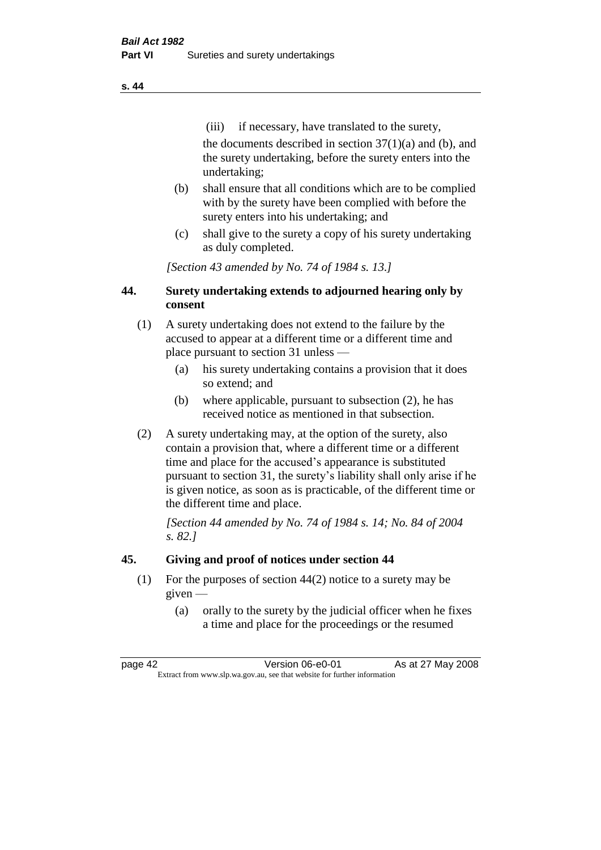(iii) if necessary, have translated to the surety, the documents described in section  $37(1)(a)$  and (b), and the surety undertaking, before the surety enters into the undertaking;

- (b) shall ensure that all conditions which are to be complied with by the surety have been complied with before the surety enters into his undertaking; and
- (c) shall give to the surety a copy of his surety undertaking as duly completed.

*[Section 43 amended by No. 74 of 1984 s. 13.]* 

# **44. Surety undertaking extends to adjourned hearing only by consent**

- (1) A surety undertaking does not extend to the failure by the accused to appear at a different time or a different time and place pursuant to section 31 unless —
	- (a) his surety undertaking contains a provision that it does so extend; and
	- (b) where applicable, pursuant to subsection (2), he has received notice as mentioned in that subsection.
- (2) A surety undertaking may, at the option of the surety, also contain a provision that, where a different time or a different time and place for the accused's appearance is substituted pursuant to section 31, the surety's liability shall only arise if he is given notice, as soon as is practicable, of the different time or the different time and place.

*[Section 44 amended by No. 74 of 1984 s. 14; No. 84 of 2004 s. 82.]* 

# **45. Giving and proof of notices under section 44**

- (1) For the purposes of section 44(2) notice to a surety may be given —
	- (a) orally to the surety by the judicial officer when he fixes a time and place for the proceedings or the resumed

page 42 **Version 06-e0-01** As at 27 May 2008 Extract from www.slp.wa.gov.au, see that website for further information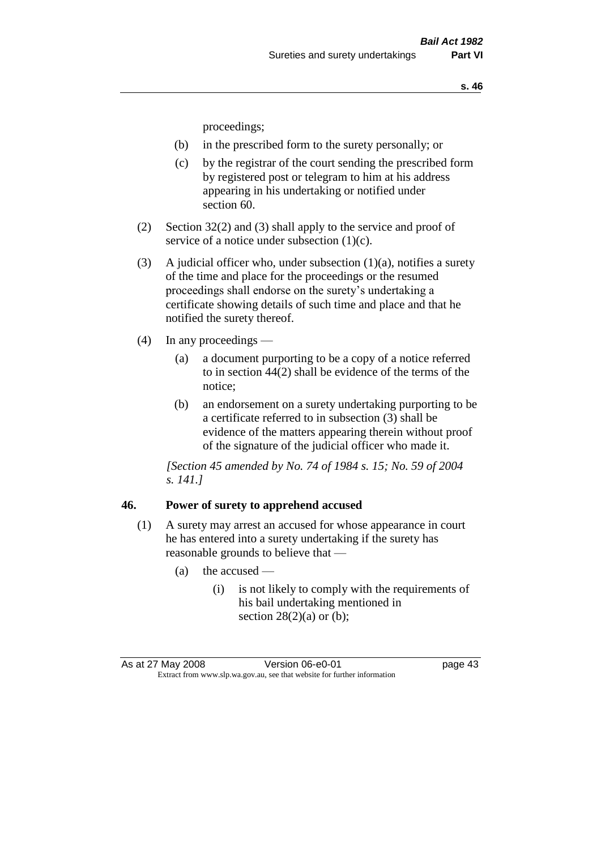proceedings;

- (b) in the prescribed form to the surety personally; or
- (c) by the registrar of the court sending the prescribed form by registered post or telegram to him at his address appearing in his undertaking or notified under section 60.
- (2) Section 32(2) and (3) shall apply to the service and proof of service of a notice under subsection (1)(c).
- (3) A judicial officer who, under subsection  $(1)(a)$ , notifies a surety of the time and place for the proceedings or the resumed proceedings shall endorse on the surety's undertaking a certificate showing details of such time and place and that he notified the surety thereof.
- (4) In any proceedings
	- (a) a document purporting to be a copy of a notice referred to in section 44(2) shall be evidence of the terms of the notice;
	- (b) an endorsement on a surety undertaking purporting to be a certificate referred to in subsection (3) shall be evidence of the matters appearing therein without proof of the signature of the judicial officer who made it.

*[Section 45 amended by No. 74 of 1984 s. 15; No. 59 of 2004 s. 141.]* 

# **46. Power of surety to apprehend accused**

- (1) A surety may arrest an accused for whose appearance in court he has entered into a surety undertaking if the surety has reasonable grounds to believe that —
	- (a) the accused
		- (i) is not likely to comply with the requirements of his bail undertaking mentioned in section  $28(2)(a)$  or (b);

As at 27 May 2008 Version 06-e0-01 page 43 Extract from www.slp.wa.gov.au, see that website for further information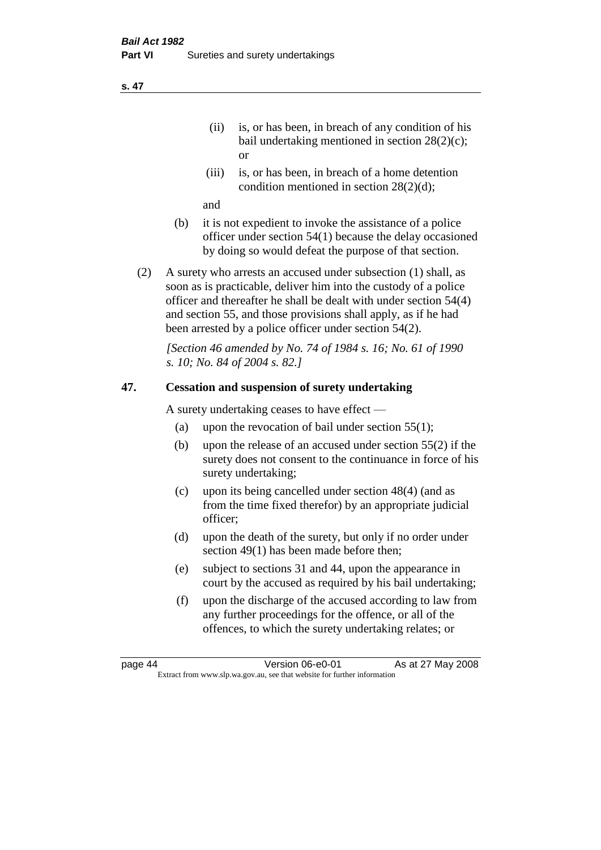- (ii) is, or has been, in breach of any condition of his bail undertaking mentioned in section 28(2)(c); or
- (iii) is, or has been, in breach of a home detention condition mentioned in section 28(2)(d);

and

- (b) it is not expedient to invoke the assistance of a police officer under section 54(1) because the delay occasioned by doing so would defeat the purpose of that section.
- (2) A surety who arrests an accused under subsection (1) shall, as soon as is practicable, deliver him into the custody of a police officer and thereafter he shall be dealt with under section 54(4) and section 55, and those provisions shall apply, as if he had been arrested by a police officer under section 54(2).

*[Section 46 amended by No. 74 of 1984 s. 16; No. 61 of 1990 s. 10; No. 84 of 2004 s. 82.]* 

# **47. Cessation and suspension of surety undertaking**

A surety undertaking ceases to have effect —

- (a) upon the revocation of bail under section  $55(1)$ ;
- (b) upon the release of an accused under section 55(2) if the surety does not consent to the continuance in force of his surety undertaking;
- (c) upon its being cancelled under section 48(4) (and as from the time fixed therefor) by an appropriate judicial officer;
- (d) upon the death of the surety, but only if no order under section 49(1) has been made before then;
- (e) subject to sections 31 and 44, upon the appearance in court by the accused as required by his bail undertaking;
- (f) upon the discharge of the accused according to law from any further proceedings for the offence, or all of the offences, to which the surety undertaking relates; or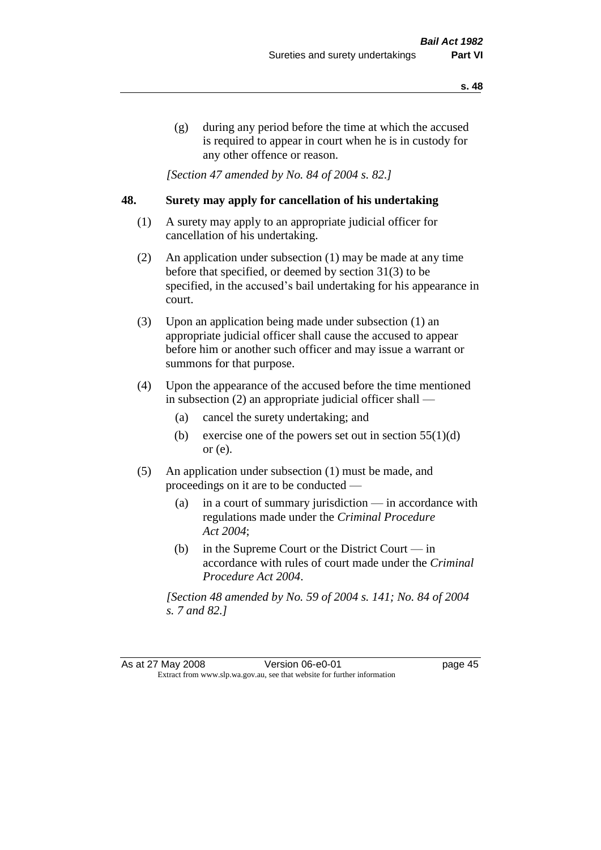(g) during any period before the time at which the accused is required to appear in court when he is in custody for any other offence or reason.

*[Section 47 amended by No. 84 of 2004 s. 82.]* 

# **48. Surety may apply for cancellation of his undertaking**

- (1) A surety may apply to an appropriate judicial officer for cancellation of his undertaking.
- (2) An application under subsection (1) may be made at any time before that specified, or deemed by section 31(3) to be specified, in the accused's bail undertaking for his appearance in court.
- (3) Upon an application being made under subsection (1) an appropriate judicial officer shall cause the accused to appear before him or another such officer and may issue a warrant or summons for that purpose.
- (4) Upon the appearance of the accused before the time mentioned in subsection (2) an appropriate judicial officer shall —
	- (a) cancel the surety undertaking; and
	- (b) exercise one of the powers set out in section  $55(1)(d)$ or (e).
- (5) An application under subsection (1) must be made, and proceedings on it are to be conducted —
	- (a) in a court of summary jurisdiction in accordance with regulations made under the *Criminal Procedure Act 2004*;
	- (b) in the Supreme Court or the District Court  $-\text{in}$ accordance with rules of court made under the *Criminal Procedure Act 2004*.

*[Section 48 amended by No. 59 of 2004 s. 141; No. 84 of 2004 s. 7 and 82.]*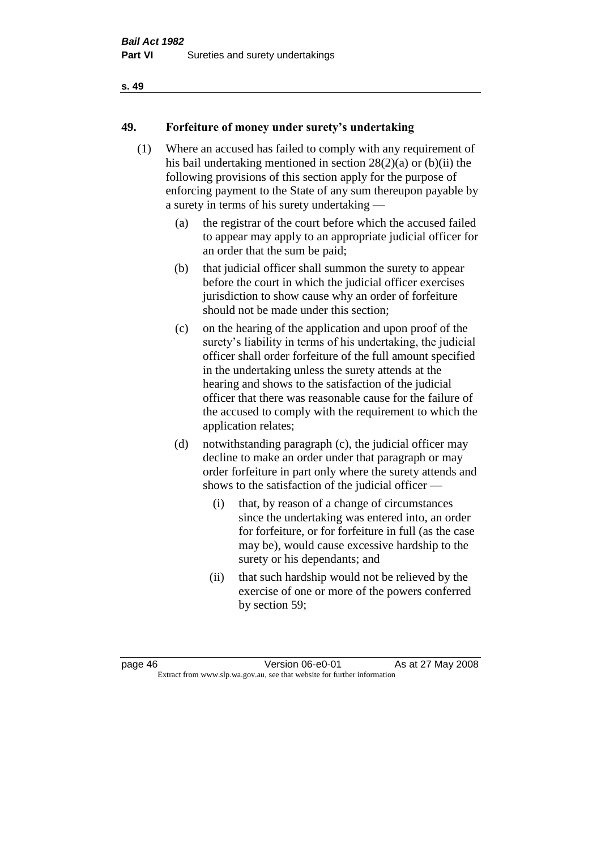# **49. Forfeiture of money under surety's undertaking**

- (1) Where an accused has failed to comply with any requirement of his bail undertaking mentioned in section 28(2)(a) or (b)(ii) the following provisions of this section apply for the purpose of enforcing payment to the State of any sum thereupon payable by a surety in terms of his surety undertaking —
	- (a) the registrar of the court before which the accused failed to appear may apply to an appropriate judicial officer for an order that the sum be paid;
	- (b) that judicial officer shall summon the surety to appear before the court in which the judicial officer exercises jurisdiction to show cause why an order of forfeiture should not be made under this section;
	- (c) on the hearing of the application and upon proof of the surety's liability in terms of his undertaking, the judicial officer shall order forfeiture of the full amount specified in the undertaking unless the surety attends at the hearing and shows to the satisfaction of the judicial officer that there was reasonable cause for the failure of the accused to comply with the requirement to which the application relates;
	- (d) notwithstanding paragraph (c), the judicial officer may decline to make an order under that paragraph or may order forfeiture in part only where the surety attends and shows to the satisfaction of the judicial officer —
		- (i) that, by reason of a change of circumstances since the undertaking was entered into, an order for forfeiture, or for forfeiture in full (as the case may be), would cause excessive hardship to the surety or his dependants; and
		- (ii) that such hardship would not be relieved by the exercise of one or more of the powers conferred by section 59;

page 46 **Version 06-e0-01** As at 27 May 2008 Extract from www.slp.wa.gov.au, see that website for further information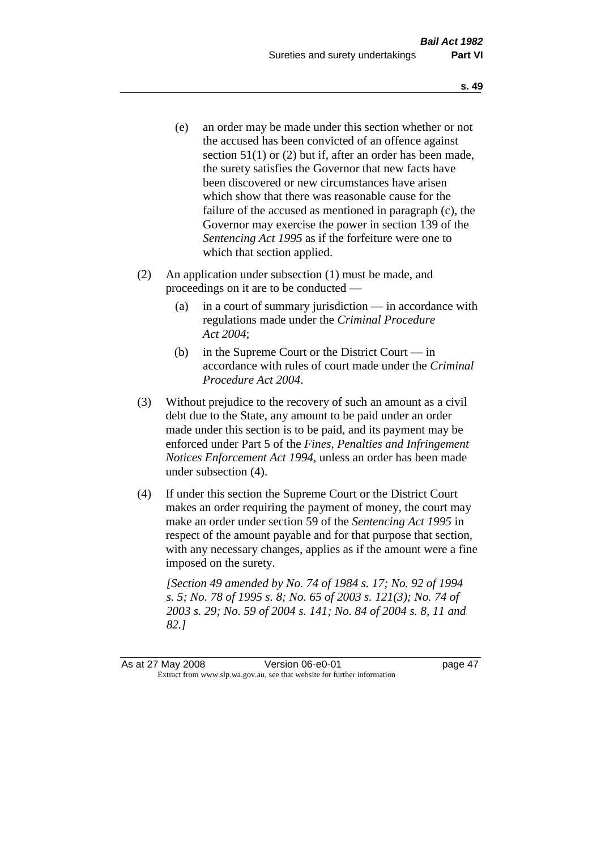- (e) an order may be made under this section whether or not the accused has been convicted of an offence against section 51(1) or (2) but if, after an order has been made, the surety satisfies the Governor that new facts have been discovered or new circumstances have arisen which show that there was reasonable cause for the failure of the accused as mentioned in paragraph (c), the Governor may exercise the power in section 139 of the *Sentencing Act 1995* as if the forfeiture were one to which that section applied.
- (2) An application under subsection (1) must be made, and proceedings on it are to be conducted —
	- (a) in a court of summary jurisdiction in accordance with regulations made under the *Criminal Procedure Act 2004*;
	- (b) in the Supreme Court or the District Court in accordance with rules of court made under the *Criminal Procedure Act 2004*.
- (3) Without prejudice to the recovery of such an amount as a civil debt due to the State, any amount to be paid under an order made under this section is to be paid, and its payment may be enforced under Part 5 of the *Fines, Penalties and Infringement Notices Enforcement Act 1994*, unless an order has been made under subsection (4).
- (4) If under this section the Supreme Court or the District Court makes an order requiring the payment of money, the court may make an order under section 59 of the *Sentencing Act 1995* in respect of the amount payable and for that purpose that section, with any necessary changes, applies as if the amount were a fine imposed on the surety.

*[Section 49 amended by No. 74 of 1984 s. 17; No. 92 of 1994 s. 5; No. 78 of 1995 s. 8; No. 65 of 2003 s. 121(3); No. 74 of 2003 s. 29; No. 59 of 2004 s. 141; No. 84 of 2004 s. 8, 11 and 82.]*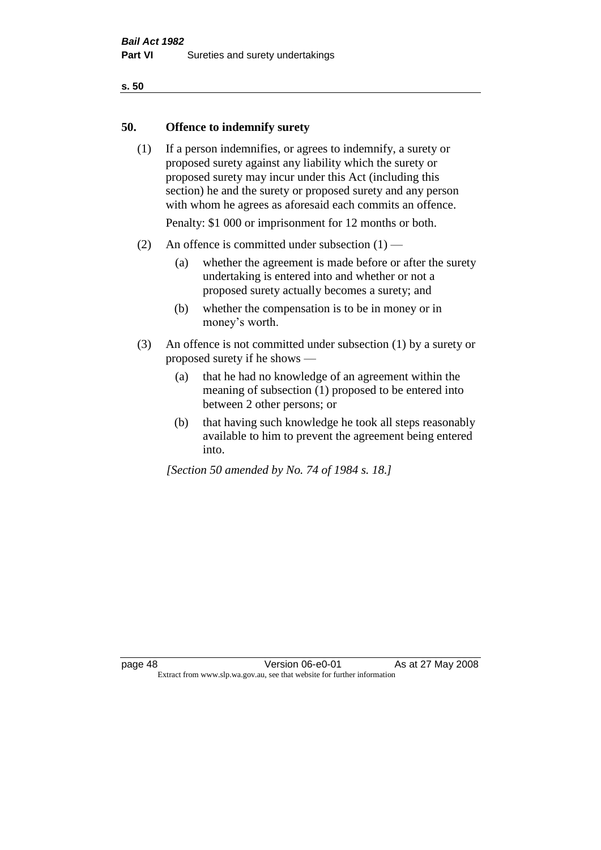# **50. Offence to indemnify surety**

(1) If a person indemnifies, or agrees to indemnify, a surety or proposed surety against any liability which the surety or proposed surety may incur under this Act (including this section) he and the surety or proposed surety and any person with whom he agrees as aforesaid each commits an offence.

Penalty: \$1 000 or imprisonment for 12 months or both.

- (2) An offence is committed under subsection  $(1)$ 
	- (a) whether the agreement is made before or after the surety undertaking is entered into and whether or not a proposed surety actually becomes a surety; and
	- (b) whether the compensation is to be in money or in money's worth.
- (3) An offence is not committed under subsection (1) by a surety or proposed surety if he shows —
	- (a) that he had no knowledge of an agreement within the meaning of subsection (1) proposed to be entered into between 2 other persons; or
	- (b) that having such knowledge he took all steps reasonably available to him to prevent the agreement being entered into.

*[Section 50 amended by No. 74 of 1984 s. 18.]*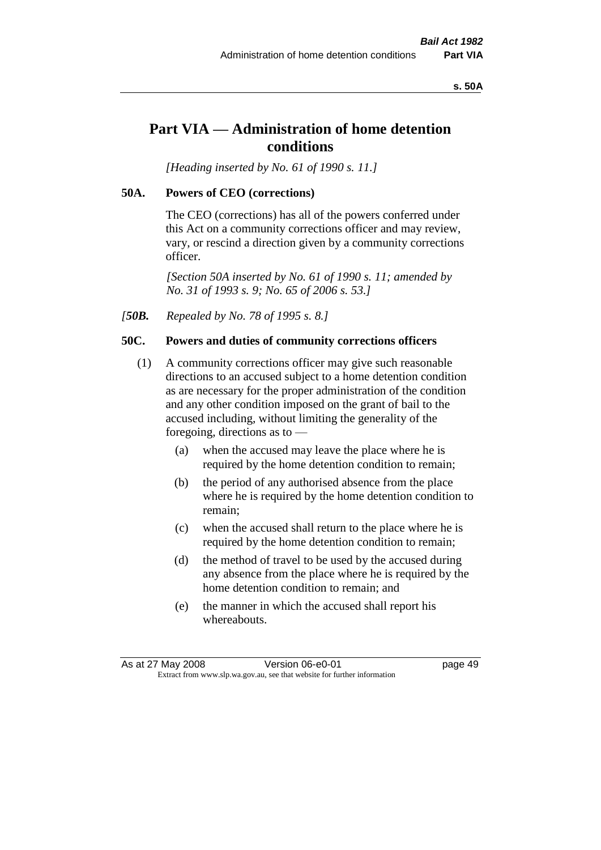#### **s. 50A**

# **Part VIA — Administration of home detention conditions**

*[Heading inserted by No. 61 of 1990 s. 11.]* 

## **50A. Powers of CEO (corrections)**

The CEO (corrections) has all of the powers conferred under this Act on a community corrections officer and may review, vary, or rescind a direction given by a community corrections officer.

*[Section 50A inserted by No. 61 of 1990 s. 11; amended by No. 31 of 1993 s. 9; No. 65 of 2006 s. 53.]* 

*[50B. Repealed by No. 78 of 1995 s. 8.]* 

# **50C. Powers and duties of community corrections officers**

- (1) A community corrections officer may give such reasonable directions to an accused subject to a home detention condition as are necessary for the proper administration of the condition and any other condition imposed on the grant of bail to the accused including, without limiting the generality of the foregoing, directions as to —
	- (a) when the accused may leave the place where he is required by the home detention condition to remain;
	- (b) the period of any authorised absence from the place where he is required by the home detention condition to remain;
	- (c) when the accused shall return to the place where he is required by the home detention condition to remain;
	- (d) the method of travel to be used by the accused during any absence from the place where he is required by the home detention condition to remain; and
	- (e) the manner in which the accused shall report his whereabouts.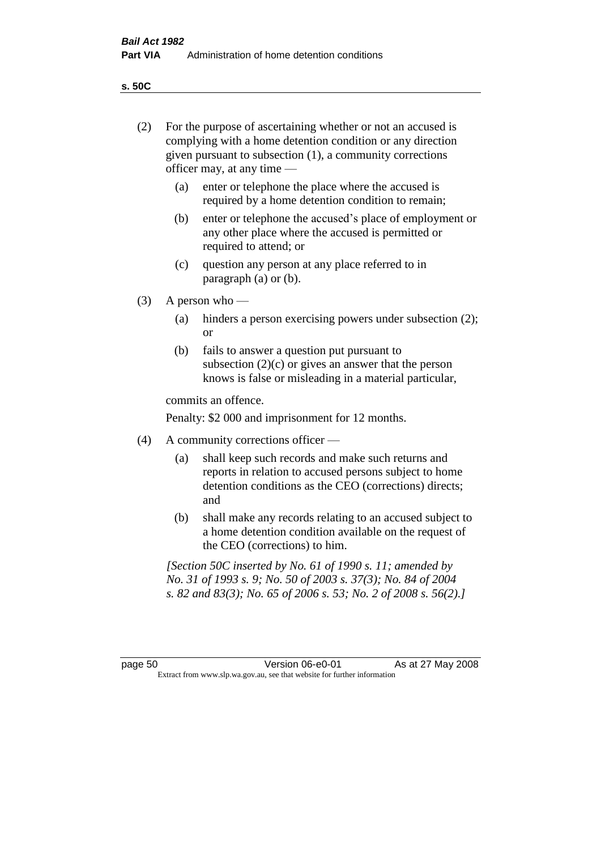**s. 50C**

| (2)     | For the purpose of ascertaining whether or not an accused is<br>complying with a home detention condition or any direction<br>given pursuant to subsection (1), a community corrections<br>officer may, at any time — |                                                                                                                                                                                              |  |
|---------|-----------------------------------------------------------------------------------------------------------------------------------------------------------------------------------------------------------------------|----------------------------------------------------------------------------------------------------------------------------------------------------------------------------------------------|--|
|         | (a)                                                                                                                                                                                                                   | enter or telephone the place where the accused is<br>required by a home detention condition to remain;                                                                                       |  |
|         | (b)                                                                                                                                                                                                                   | enter or telephone the accused's place of employment or<br>any other place where the accused is permitted or<br>required to attend; or                                                       |  |
|         | (c)                                                                                                                                                                                                                   | question any person at any place referred to in<br>paragraph $(a)$ or $(b)$ .                                                                                                                |  |
| (3)     |                                                                                                                                                                                                                       | A person who $-$                                                                                                                                                                             |  |
|         | (a)                                                                                                                                                                                                                   | hinders a person exercising powers under subsection (2);<br><sub>or</sub>                                                                                                                    |  |
|         | (b)                                                                                                                                                                                                                   | fails to answer a question put pursuant to<br>subsection $(2)(c)$ or gives an answer that the person<br>knows is false or misleading in a material particular,                               |  |
|         |                                                                                                                                                                                                                       | commits an offence.                                                                                                                                                                          |  |
|         |                                                                                                                                                                                                                       | Penalty: \$2 000 and imprisonment for 12 months.                                                                                                                                             |  |
| (4)     | A community corrections officer —                                                                                                                                                                                     |                                                                                                                                                                                              |  |
|         | (a)                                                                                                                                                                                                                   | shall keep such records and make such returns and<br>reports in relation to accused persons subject to home<br>detention conditions as the CEO (corrections) directs;<br>and                 |  |
|         | (b)                                                                                                                                                                                                                   | shall make any records relating to an accused subject to<br>a home detention condition available on the request of<br>the CEO (corrections) to him.                                          |  |
|         |                                                                                                                                                                                                                       | [Section 50C inserted by No. 61 of 1990 s. 11; amended by<br>No. 31 of 1993 s. 9; No. 50 of 2003 s. 37(3); No. 84 of 2004<br>s. 82 and 83(3); No. 65 of 2006 s. 53; No. 2 of 2008 s. 56(2).] |  |
|         |                                                                                                                                                                                                                       |                                                                                                                                                                                              |  |
| page 50 |                                                                                                                                                                                                                       | Version 06-e0-01<br>As at 27 May 2008<br>Extract from www.slp.wa.gov.au, see that website for further information                                                                            |  |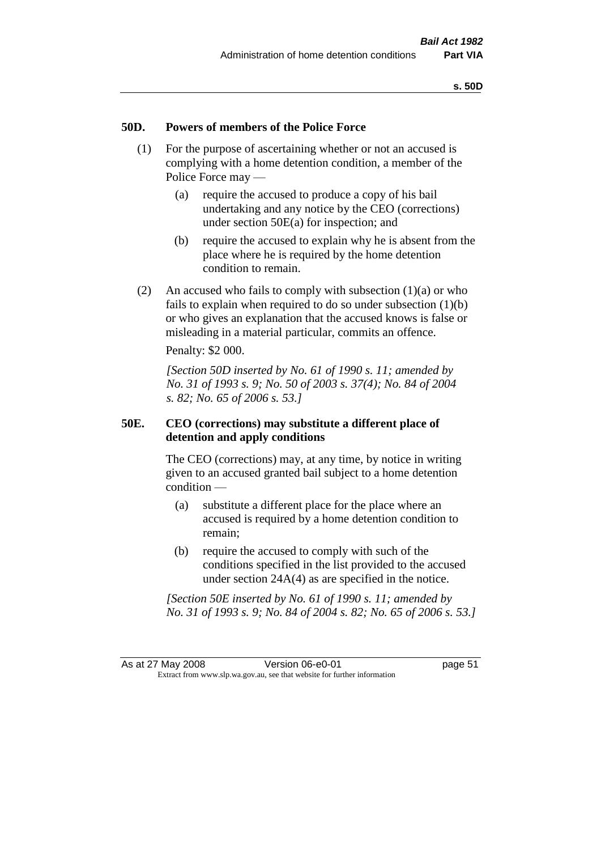# **50D. Powers of members of the Police Force**

- (1) For the purpose of ascertaining whether or not an accused is complying with a home detention condition, a member of the Police Force may —
	- (a) require the accused to produce a copy of his bail undertaking and any notice by the CEO (corrections) under section 50E(a) for inspection; and
	- (b) require the accused to explain why he is absent from the place where he is required by the home detention condition to remain.
- (2) An accused who fails to comply with subsection  $(1)(a)$  or who fails to explain when required to do so under subsection  $(1)(b)$ or who gives an explanation that the accused knows is false or misleading in a material particular, commits an offence.

Penalty: \$2 000.

*[Section 50D inserted by No. 61 of 1990 s. 11; amended by No. 31 of 1993 s. 9; No. 50 of 2003 s. 37(4); No. 84 of 2004 s. 82; No. 65 of 2006 s. 53.]* 

# **50E. CEO (corrections) may substitute a different place of detention and apply conditions**

The CEO (corrections) may, at any time, by notice in writing given to an accused granted bail subject to a home detention condition —

- (a) substitute a different place for the place where an accused is required by a home detention condition to remain;
- (b) require the accused to comply with such of the conditions specified in the list provided to the accused under section 24A(4) as are specified in the notice.

*[Section 50E inserted by No. 61 of 1990 s. 11; amended by No. 31 of 1993 s. 9; No. 84 of 2004 s. 82; No. 65 of 2006 s. 53.]*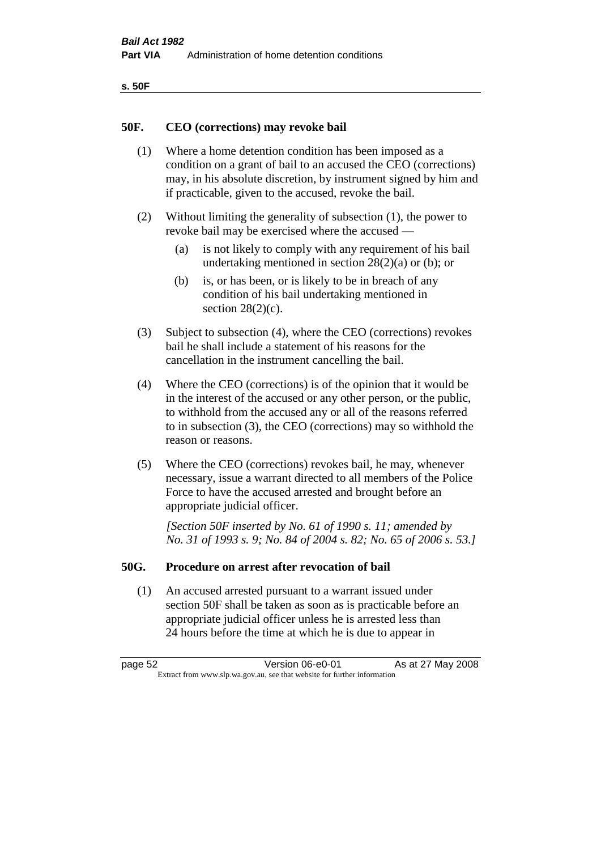| ۰.<br>۰,<br>۰.<br>×<br>× |
|--------------------------|
|--------------------------|

# **50F. CEO (corrections) may revoke bail**

- (1) Where a home detention condition has been imposed as a condition on a grant of bail to an accused the CEO (corrections) may, in his absolute discretion, by instrument signed by him and if practicable, given to the accused, revoke the bail.
- (2) Without limiting the generality of subsection (1), the power to revoke bail may be exercised where the accused —
	- (a) is not likely to comply with any requirement of his bail undertaking mentioned in section  $28(2)(a)$  or (b); or
	- (b) is, or has been, or is likely to be in breach of any condition of his bail undertaking mentioned in section  $28(2)(c)$ .
- (3) Subject to subsection (4), where the CEO (corrections) revokes bail he shall include a statement of his reasons for the cancellation in the instrument cancelling the bail.
- (4) Where the CEO (corrections) is of the opinion that it would be in the interest of the accused or any other person, or the public, to withhold from the accused any or all of the reasons referred to in subsection (3), the CEO (corrections) may so withhold the reason or reasons.
- (5) Where the CEO (corrections) revokes bail, he may, whenever necessary, issue a warrant directed to all members of the Police Force to have the accused arrested and brought before an appropriate judicial officer.

*[Section 50F inserted by No. 61 of 1990 s. 11; amended by No. 31 of 1993 s. 9; No. 84 of 2004 s. 82; No. 65 of 2006 s. 53.]* 

#### **50G. Procedure on arrest after revocation of bail**

(1) An accused arrested pursuant to a warrant issued under section 50F shall be taken as soon as is practicable before an appropriate judicial officer unless he is arrested less than 24 hours before the time at which he is due to appear in

page 52 **Version 06-e0-01** As at 27 May 2008 Extract from www.slp.wa.gov.au, see that website for further information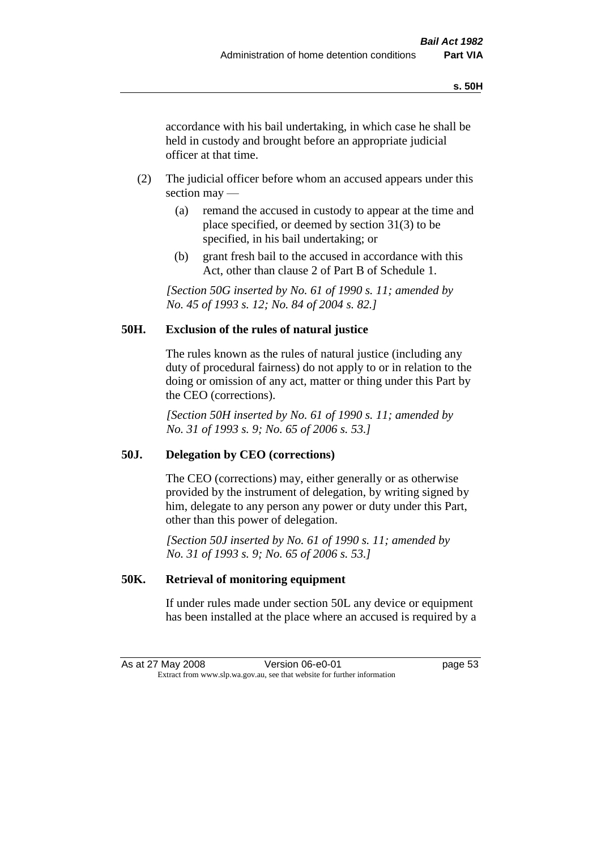accordance with his bail undertaking, in which case he shall be held in custody and brought before an appropriate judicial officer at that time.

- (2) The judicial officer before whom an accused appears under this section may —
	- (a) remand the accused in custody to appear at the time and place specified, or deemed by section 31(3) to be specified, in his bail undertaking; or
	- (b) grant fresh bail to the accused in accordance with this Act, other than clause 2 of Part B of Schedule 1.

*[Section 50G inserted by No. 61 of 1990 s. 11; amended by No. 45 of 1993 s. 12; No. 84 of 2004 s. 82.]* 

# **50H. Exclusion of the rules of natural justice**

The rules known as the rules of natural justice (including any duty of procedural fairness) do not apply to or in relation to the doing or omission of any act, matter or thing under this Part by the CEO (corrections).

*[Section 50H inserted by No. 61 of 1990 s. 11; amended by No. 31 of 1993 s. 9; No. 65 of 2006 s. 53.]* 

# **50J. Delegation by CEO (corrections)**

The CEO (corrections) may, either generally or as otherwise provided by the instrument of delegation, by writing signed by him, delegate to any person any power or duty under this Part, other than this power of delegation.

*[Section 50J inserted by No. 61 of 1990 s. 11; amended by No. 31 of 1993 s. 9; No. 65 of 2006 s. 53.]* 

# **50K. Retrieval of monitoring equipment**

If under rules made under section 50L any device or equipment has been installed at the place where an accused is required by a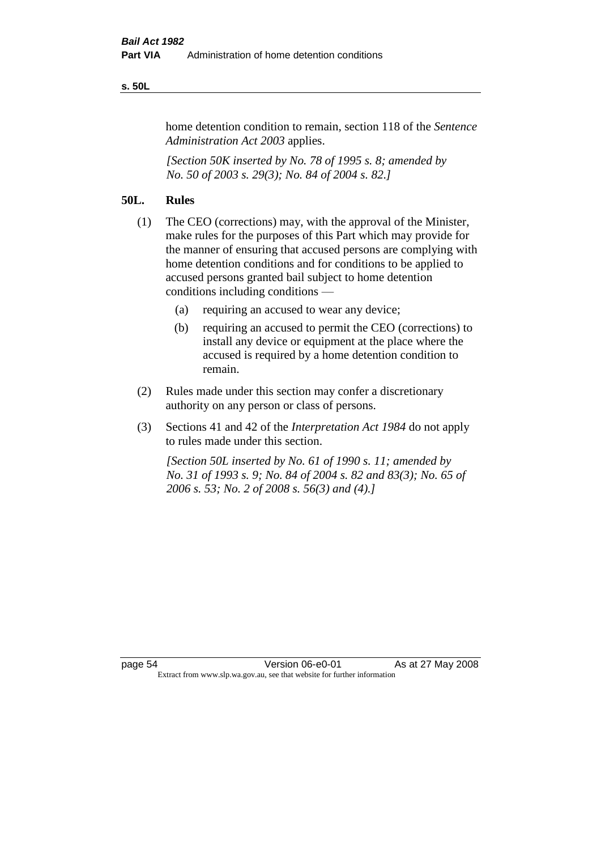#### **s. 50L**

home detention condition to remain, section 118 of the *Sentence Administration Act 2003* applies.

*[Section 50K inserted by No. 78 of 1995 s. 8; amended by No. 50 of 2003 s. 29(3); No. 84 of 2004 s. 82.]* 

# **50L. Rules**

- (1) The CEO (corrections) may, with the approval of the Minister, make rules for the purposes of this Part which may provide for the manner of ensuring that accused persons are complying with home detention conditions and for conditions to be applied to accused persons granted bail subject to home detention conditions including conditions —
	- (a) requiring an accused to wear any device;
	- (b) requiring an accused to permit the CEO (corrections) to install any device or equipment at the place where the accused is required by a home detention condition to remain.
- (2) Rules made under this section may confer a discretionary authority on any person or class of persons.
- (3) Sections 41 and 42 of the *Interpretation Act 1984* do not apply to rules made under this section.

*[Section 50L inserted by No. 61 of 1990 s. 11; amended by No. 31 of 1993 s. 9; No. 84 of 2004 s. 82 and 83(3); No. 65 of 2006 s. 53; No. 2 of 2008 s. 56(3) and (4).]*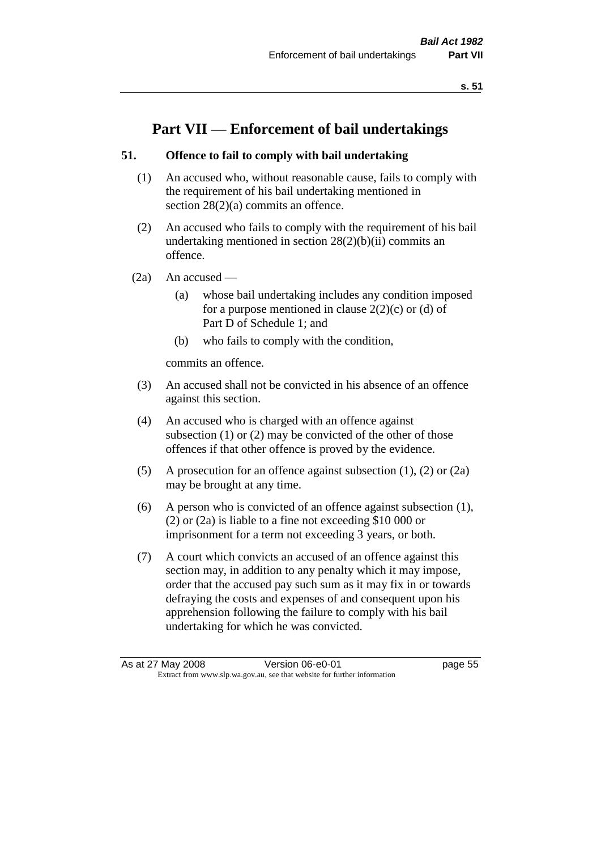# **Part VII — Enforcement of bail undertakings**

# **51. Offence to fail to comply with bail undertaking**

- (1) An accused who, without reasonable cause, fails to comply with the requirement of his bail undertaking mentioned in section  $28(2)(a)$  commits an offence.
- (2) An accused who fails to comply with the requirement of his bail undertaking mentioned in section  $28(2)(b)(ii)$  commits an offence.
- $(2a)$  An accused
	- (a) whose bail undertaking includes any condition imposed for a purpose mentioned in clause  $2(2)(c)$  or (d) of Part D of Schedule 1; and
	- (b) who fails to comply with the condition,

commits an offence.

- (3) An accused shall not be convicted in his absence of an offence against this section.
- (4) An accused who is charged with an offence against subsection (1) or (2) may be convicted of the other of those offences if that other offence is proved by the evidence.
- (5) A prosecution for an offence against subsection (1), (2) or (2a) may be brought at any time.
- (6) A person who is convicted of an offence against subsection (1), (2) or (2a) is liable to a fine not exceeding \$10 000 or imprisonment for a term not exceeding 3 years, or both.
- (7) A court which convicts an accused of an offence against this section may, in addition to any penalty which it may impose, order that the accused pay such sum as it may fix in or towards defraying the costs and expenses of and consequent upon his apprehension following the failure to comply with his bail undertaking for which he was convicted.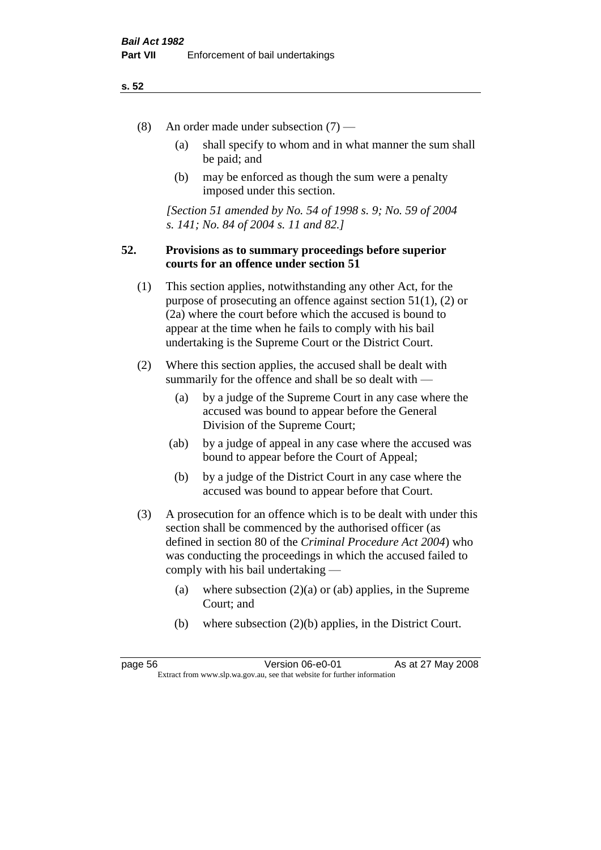- (8) An order made under subsection (7)
	- (a) shall specify to whom and in what manner the sum shall be paid; and
	- (b) may be enforced as though the sum were a penalty imposed under this section.

*[Section 51 amended by No. 54 of 1998 s. 9; No. 59 of 2004 s. 141; No. 84 of 2004 s. 11 and 82.]*

# **52. Provisions as to summary proceedings before superior courts for an offence under section 51**

- (1) This section applies, notwithstanding any other Act, for the purpose of prosecuting an offence against section 51(1), (2) or (2a) where the court before which the accused is bound to appear at the time when he fails to comply with his bail undertaking is the Supreme Court or the District Court.
- (2) Where this section applies, the accused shall be dealt with summarily for the offence and shall be so dealt with —
	- (a) by a judge of the Supreme Court in any case where the accused was bound to appear before the General Division of the Supreme Court;
	- (ab) by a judge of appeal in any case where the accused was bound to appear before the Court of Appeal;
	- (b) by a judge of the District Court in any case where the accused was bound to appear before that Court.
- (3) A prosecution for an offence which is to be dealt with under this section shall be commenced by the authorised officer (as defined in section 80 of the *Criminal Procedure Act 2004*) who was conducting the proceedings in which the accused failed to comply with his bail undertaking —
	- (a) where subsection  $(2)(a)$  or (ab) applies, in the Supreme Court; and
	- (b) where subsection (2)(b) applies, in the District Court.

page 56 **Version 06-e0-01** As at 27 May 2008 Extract from www.slp.wa.gov.au, see that website for further information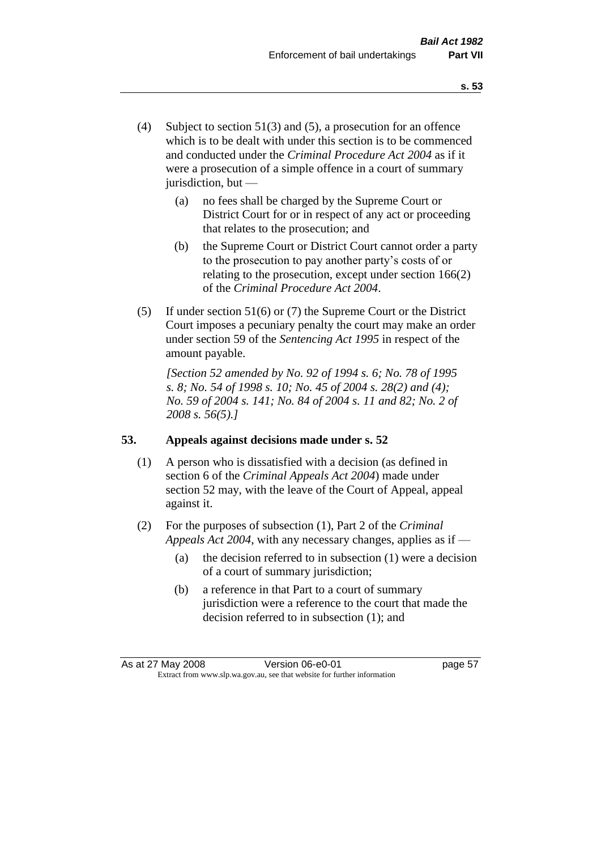- (4) Subject to section 51(3) and (5), a prosecution for an offence which is to be dealt with under this section is to be commenced and conducted under the *Criminal Procedure Act 2004* as if it were a prosecution of a simple offence in a court of summary jurisdiction, but —
	- (a) no fees shall be charged by the Supreme Court or District Court for or in respect of any act or proceeding that relates to the prosecution; and
	- (b) the Supreme Court or District Court cannot order a party to the prosecution to pay another party's costs of or relating to the prosecution, except under section 166(2) of the *Criminal Procedure Act 2004*.
- (5) If under section 51(6) or (7) the Supreme Court or the District Court imposes a pecuniary penalty the court may make an order under section 59 of the *Sentencing Act 1995* in respect of the amount payable.

*[Section 52 amended by No. 92 of 1994 s. 6; No. 78 of 1995 s. 8; No. 54 of 1998 s. 10; No. 45 of 2004 s. 28(2) and (4); No. 59 of 2004 s. 141; No. 84 of 2004 s. 11 and 82; No. 2 of 2008 s. 56(5).]* 

# **53. Appeals against decisions made under s. 52**

- (1) A person who is dissatisfied with a decision (as defined in section 6 of the *Criminal Appeals Act 2004*) made under section 52 may, with the leave of the Court of Appeal, appeal against it.
- (2) For the purposes of subsection (1), Part 2 of the *Criminal Appeals Act 2004*, with any necessary changes, applies as if —
	- (a) the decision referred to in subsection (1) were a decision of a court of summary jurisdiction;
	- (b) a reference in that Part to a court of summary jurisdiction were a reference to the court that made the decision referred to in subsection (1); and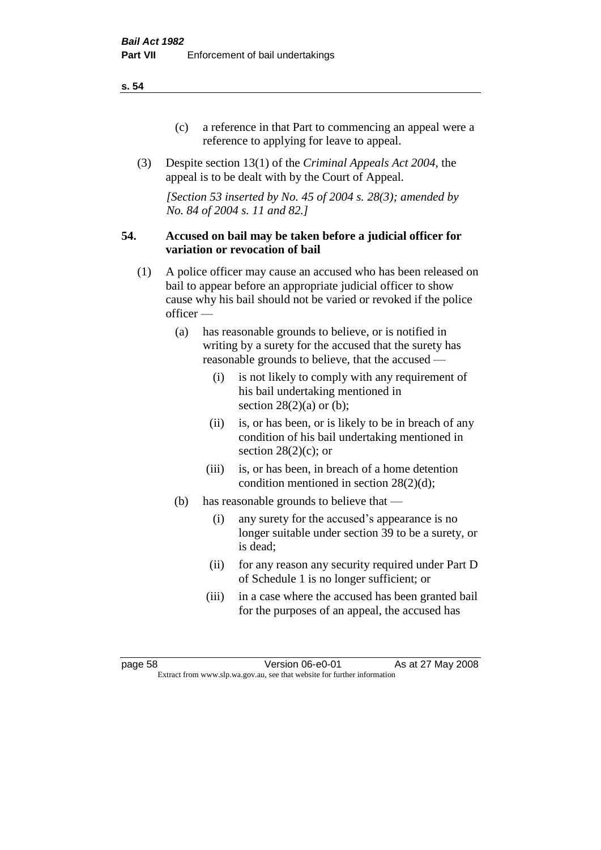- (c) a reference in that Part to commencing an appeal were a reference to applying for leave to appeal.
- (3) Despite section 13(1) of the *Criminal Appeals Act 2004*, the appeal is to be dealt with by the Court of Appeal.

*[Section 53 inserted by No. 45 of 2004 s. 28(3); amended by No. 84 of 2004 s. 11 and 82.]*

# **54. Accused on bail may be taken before a judicial officer for variation or revocation of bail**

- (1) A police officer may cause an accused who has been released on bail to appear before an appropriate judicial officer to show cause why his bail should not be varied or revoked if the police officer —
	- (a) has reasonable grounds to believe, or is notified in writing by a surety for the accused that the surety has reasonable grounds to believe, that the accused —
		- (i) is not likely to comply with any requirement of his bail undertaking mentioned in section  $28(2)(a)$  or (b);
		- (ii) is, or has been, or is likely to be in breach of any condition of his bail undertaking mentioned in section  $28(2)(c)$ ; or
		- (iii) is, or has been, in breach of a home detention condition mentioned in section 28(2)(d);
	- (b) has reasonable grounds to believe that
		- (i) any surety for the accused's appearance is no longer suitable under section 39 to be a surety, or is dead;
		- (ii) for any reason any security required under Part D of Schedule 1 is no longer sufficient; or
		- (iii) in a case where the accused has been granted bail for the purposes of an appeal, the accused has

page 58 Version 06-e0-01 As at 27 May 2008 Extract from www.slp.wa.gov.au, see that website for further information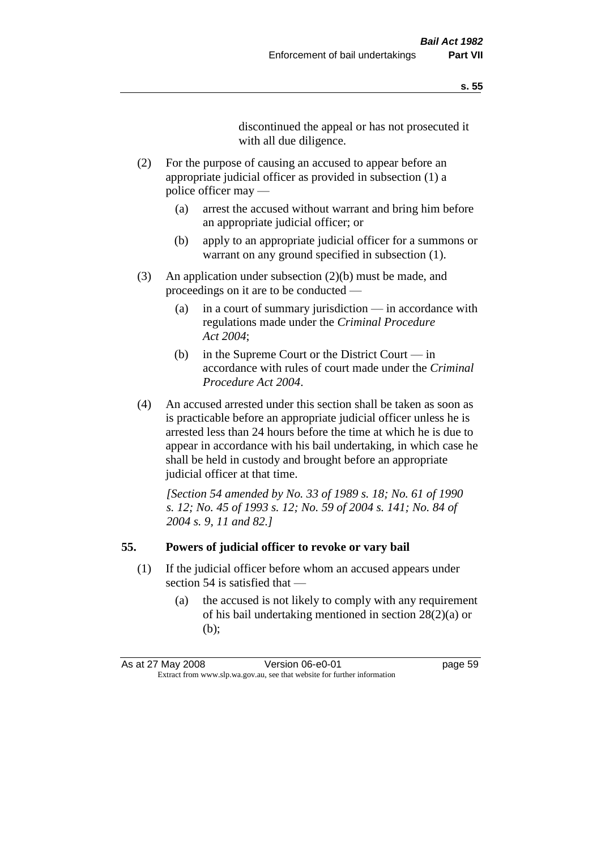discontinued the appeal or has not prosecuted it with all due diligence.

- (2) For the purpose of causing an accused to appear before an appropriate judicial officer as provided in subsection (1) a police officer may —
	- (a) arrest the accused without warrant and bring him before an appropriate judicial officer; or
	- (b) apply to an appropriate judicial officer for a summons or warrant on any ground specified in subsection  $(1)$ .
- (3) An application under subsection (2)(b) must be made, and proceedings on it are to be conducted —
	- (a) in a court of summary jurisdiction in accordance with regulations made under the *Criminal Procedure Act 2004*;
	- (b) in the Supreme Court or the District Court in accordance with rules of court made under the *Criminal Procedure Act 2004*.
- (4) An accused arrested under this section shall be taken as soon as is practicable before an appropriate judicial officer unless he is arrested less than 24 hours before the time at which he is due to appear in accordance with his bail undertaking, in which case he shall be held in custody and brought before an appropriate judicial officer at that time.

*[Section 54 amended by No. 33 of 1989 s. 18; No. 61 of 1990 s. 12; No. 45 of 1993 s. 12; No. 59 of 2004 s. 141; No. 84 of 2004 s. 9, 11 and 82.]* 

#### **55. Powers of judicial officer to revoke or vary bail**

- (1) If the judicial officer before whom an accused appears under section 54 is satisfied that —
	- (a) the accused is not likely to comply with any requirement of his bail undertaking mentioned in section 28(2)(a) or (b);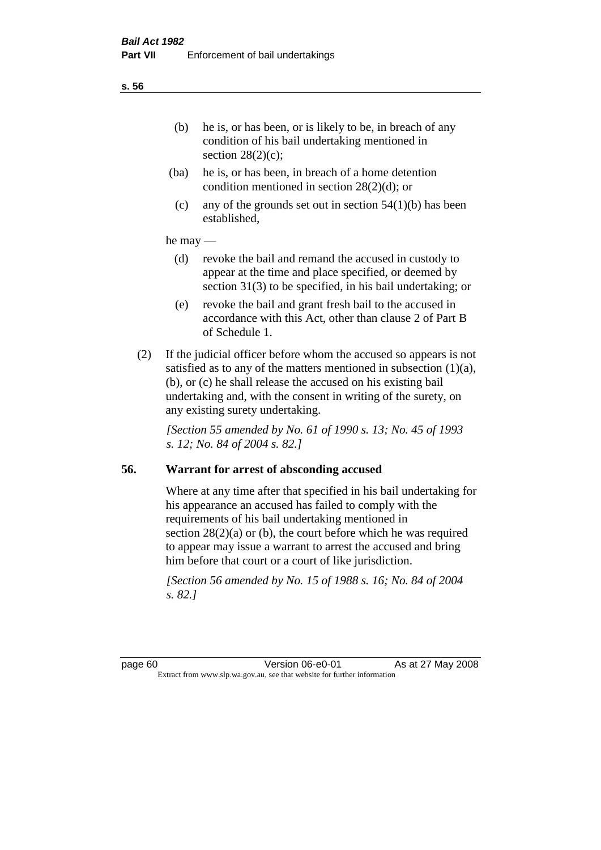- (ba) he is, or has been, in breach of a home detention condition mentioned in section 28(2)(d); or
- (c) any of the grounds set out in section  $54(1)(b)$  has been established,

## he may —

- (d) revoke the bail and remand the accused in custody to appear at the time and place specified, or deemed by section 31(3) to be specified, in his bail undertaking; or
- (e) revoke the bail and grant fresh bail to the accused in accordance with this Act, other than clause 2 of Part B of Schedule 1.
- (2) If the judicial officer before whom the accused so appears is not satisfied as to any of the matters mentioned in subsection  $(1)(a)$ , (b), or (c) he shall release the accused on his existing bail undertaking and, with the consent in writing of the surety, on any existing surety undertaking.

*[Section 55 amended by No. 61 of 1990 s. 13; No. 45 of 1993 s. 12; No. 84 of 2004 s. 82.]* 

# **56. Warrant for arrest of absconding accused**

Where at any time after that specified in his bail undertaking for his appearance an accused has failed to comply with the requirements of his bail undertaking mentioned in section  $28(2)(a)$  or (b), the court before which he was required to appear may issue a warrant to arrest the accused and bring him before that court or a court of like jurisdiction.

*[Section 56 amended by No. 15 of 1988 s. 16; No. 84 of 2004 s. 82.]*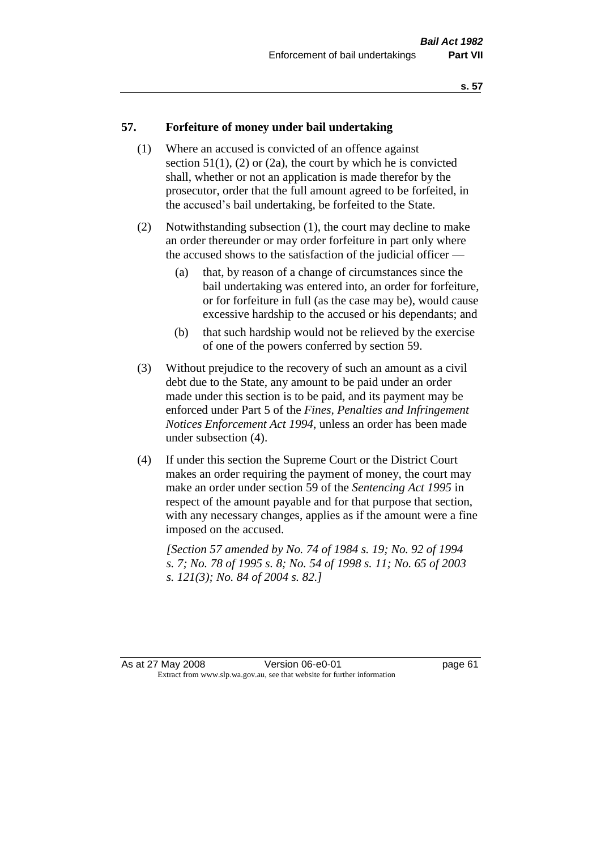# **57. Forfeiture of money under bail undertaking**

- (1) Where an accused is convicted of an offence against section  $51(1)$ ,  $(2)$  or  $(2a)$ , the court by which he is convicted shall, whether or not an application is made therefor by the prosecutor, order that the full amount agreed to be forfeited, in the accused's bail undertaking, be forfeited to the State.
- (2) Notwithstanding subsection (1), the court may decline to make an order thereunder or may order forfeiture in part only where the accused shows to the satisfaction of the judicial officer —
	- (a) that, by reason of a change of circumstances since the bail undertaking was entered into, an order for forfeiture, or for forfeiture in full (as the case may be), would cause excessive hardship to the accused or his dependants; and
	- (b) that such hardship would not be relieved by the exercise of one of the powers conferred by section 59.
- (3) Without prejudice to the recovery of such an amount as a civil debt due to the State, any amount to be paid under an order made under this section is to be paid, and its payment may be enforced under Part 5 of the *Fines, Penalties and Infringement Notices Enforcement Act 1994*, unless an order has been made under subsection (4).
- (4) If under this section the Supreme Court or the District Court makes an order requiring the payment of money, the court may make an order under section 59 of the *Sentencing Act 1995* in respect of the amount payable and for that purpose that section, with any necessary changes, applies as if the amount were a fine imposed on the accused.

*[Section 57 amended by No. 74 of 1984 s. 19; No. 92 of 1994 s. 7; No. 78 of 1995 s. 8; No. 54 of 1998 s. 11; No. 65 of 2003 s. 121(3); No. 84 of 2004 s. 82.]*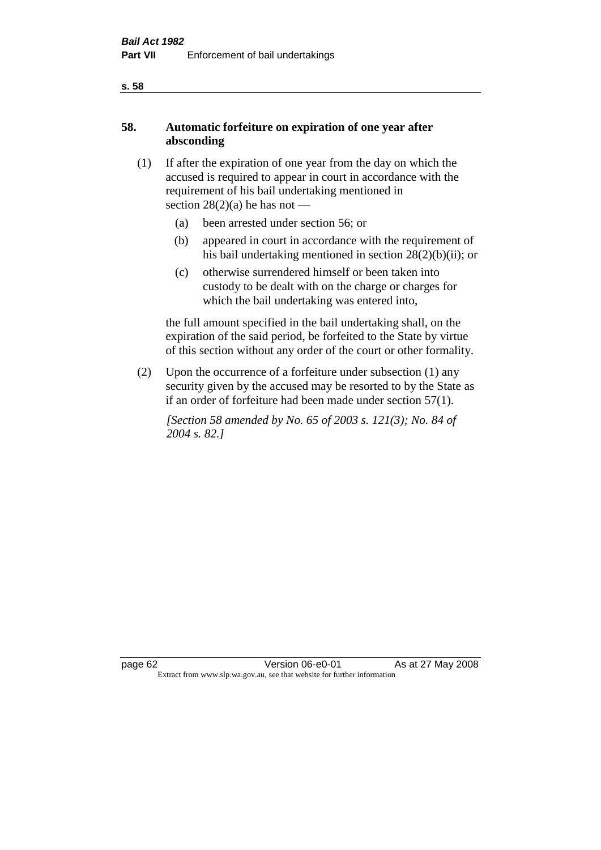# **58. Automatic forfeiture on expiration of one year after absconding**

- (1) If after the expiration of one year from the day on which the accused is required to appear in court in accordance with the requirement of his bail undertaking mentioned in section  $28(2)(a)$  he has not —
	- (a) been arrested under section 56; or
	- (b) appeared in court in accordance with the requirement of his bail undertaking mentioned in section 28(2)(b)(ii); or
	- (c) otherwise surrendered himself or been taken into custody to be dealt with on the charge or charges for which the bail undertaking was entered into,

the full amount specified in the bail undertaking shall, on the expiration of the said period, be forfeited to the State by virtue of this section without any order of the court or other formality.

(2) Upon the occurrence of a forfeiture under subsection (1) any security given by the accused may be resorted to by the State as if an order of forfeiture had been made under section 57(1).

*[Section 58 amended by No. 65 of 2003 s. 121(3); No. 84 of 2004 s. 82.]*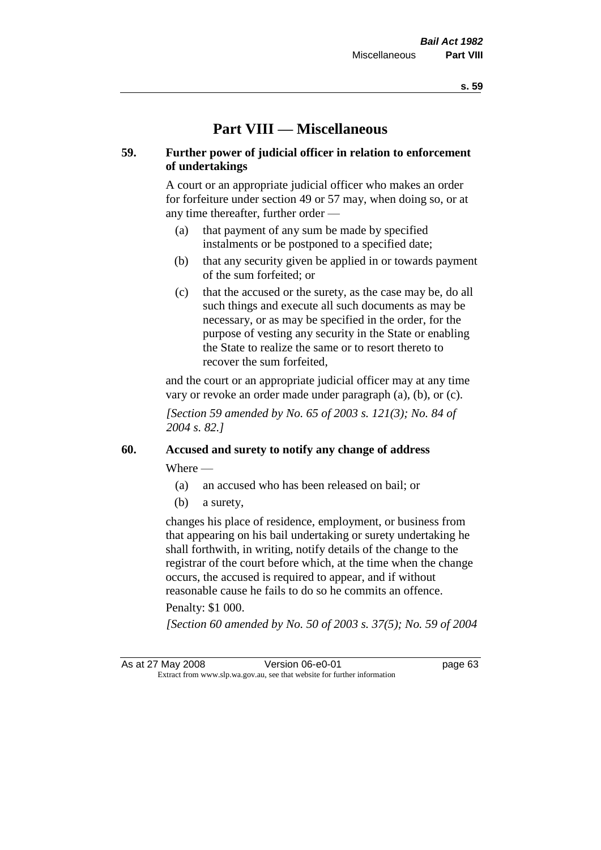# **Part VIII — Miscellaneous**

# **59. Further power of judicial officer in relation to enforcement of undertakings**

A court or an appropriate judicial officer who makes an order for forfeiture under section 49 or 57 may, when doing so, or at any time thereafter, further order —

- (a) that payment of any sum be made by specified instalments or be postponed to a specified date;
- (b) that any security given be applied in or towards payment of the sum forfeited; or
- (c) that the accused or the surety, as the case may be, do all such things and execute all such documents as may be necessary, or as may be specified in the order, for the purpose of vesting any security in the State or enabling the State to realize the same or to resort thereto to recover the sum forfeited,

and the court or an appropriate judicial officer may at any time vary or revoke an order made under paragraph (a), (b), or (c).

*[Section 59 amended by No. 65 of 2003 s. 121(3); No. 84 of 2004 s. 82.]*

# **60. Accused and surety to notify any change of address**

Where —

- (a) an accused who has been released on bail; or
- (b) a surety,

changes his place of residence, employment, or business from that appearing on his bail undertaking or surety undertaking he shall forthwith, in writing, notify details of the change to the registrar of the court before which, at the time when the change occurs, the accused is required to appear, and if without reasonable cause he fails to do so he commits an offence.

#### Penalty: \$1 000.

*[Section 60 amended by No. 50 of 2003 s. 37(5); No. 59 of 2004* 

As at 27 May 2008 Version 06-e0-01 page 63 Extract from www.slp.wa.gov.au, see that website for further information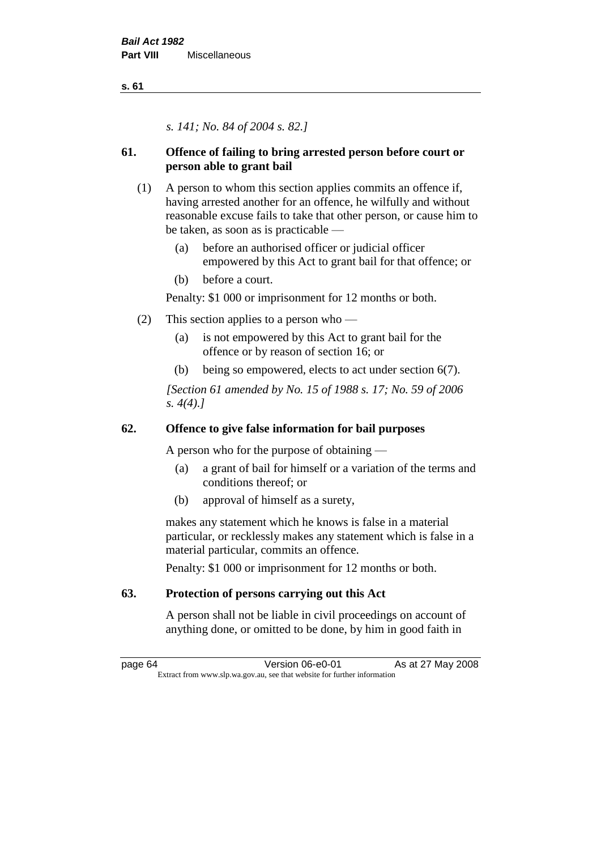*s. 141; No. 84 of 2004 s. 82.]*

# **61. Offence of failing to bring arrested person before court or person able to grant bail**

- (1) A person to whom this section applies commits an offence if, having arrested another for an offence, he wilfully and without reasonable excuse fails to take that other person, or cause him to be taken, as soon as is practicable —
	- (a) before an authorised officer or judicial officer empowered by this Act to grant bail for that offence; or
	- (b) before a court.

Penalty: \$1 000 or imprisonment for 12 months or both.

- (2) This section applies to a person who
	- (a) is not empowered by this Act to grant bail for the offence or by reason of section 16; or
	- (b) being so empowered, elects to act under section 6(7).

*[Section 61 amended by No. 15 of 1988 s. 17; No. 59 of 2006 s. 4(4).]* 

# **62. Offence to give false information for bail purposes**

A person who for the purpose of obtaining —

- (a) a grant of bail for himself or a variation of the terms and conditions thereof; or
- (b) approval of himself as a surety,

makes any statement which he knows is false in a material particular, or recklessly makes any statement which is false in a material particular, commits an offence.

Penalty: \$1 000 or imprisonment for 12 months or both.

# **63. Protection of persons carrying out this Act**

A person shall not be liable in civil proceedings on account of anything done, or omitted to be done, by him in good faith in

page 64 Version 06-e0-01 As at 27 May 2008 Extract from www.slp.wa.gov.au, see that website for further information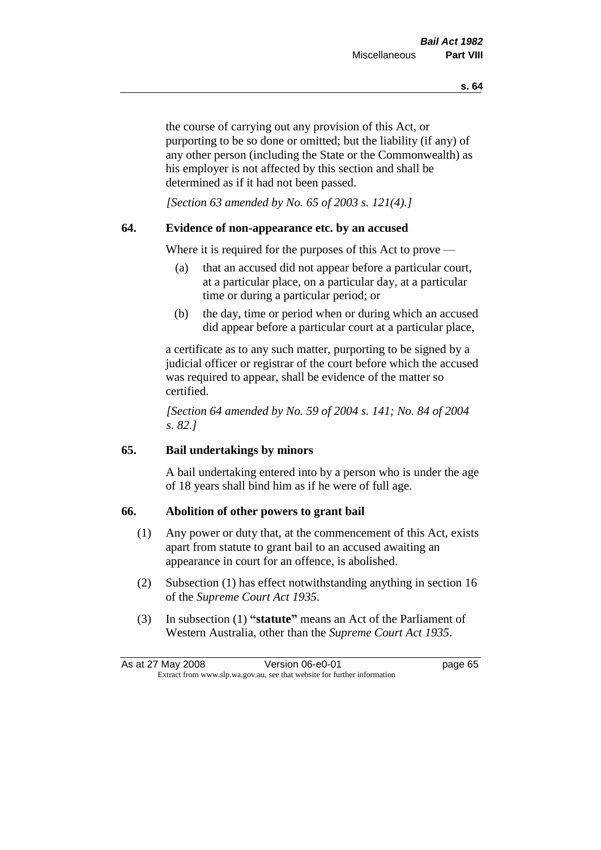the course of carrying out any provision of this Act, or purporting to be so done or omitted; but the liability (if any) of any other person (including the State or the Commonwealth) as his employer is not affected by this section and shall be determined as if it had not been passed.

*[Section 63 amended by No. 65 of 2003 s. 121(4).]*

# **64. Evidence of non-appearance etc. by an accused**

Where it is required for the purposes of this Act to prove —

- (a) that an accused did not appear before a particular court, at a particular place, on a particular day, at a particular time or during a particular period; or
- (b) the day, time or period when or during which an accused did appear before a particular court at a particular place,

a certificate as to any such matter, purporting to be signed by a judicial officer or registrar of the court before which the accused was required to appear, shall be evidence of the matter so certified.

*[Section 64 amended by No. 59 of 2004 s. 141; No. 84 of 2004 s. 82.]* 

# **65. Bail undertakings by minors**

A bail undertaking entered into by a person who is under the age of 18 years shall bind him as if he were of full age.

# **66. Abolition of other powers to grant bail**

- (1) Any power or duty that, at the commencement of this Act, exists apart from statute to grant bail to an accused awaiting an appearance in court for an offence, is abolished.
- (2) Subsection (1) has effect notwithstanding anything in section 16 of the *Supreme Court Act 1935*.
- (3) In subsection (1) **"statute"** means an Act of the Parliament of Western Australia, other than the *Supreme Court Act 1935*.

| As at 27 May 2008 | Version 06-e0-01                                                         | page 65 |
|-------------------|--------------------------------------------------------------------------|---------|
|                   | Extract from www.slp.wa.gov.au, see that website for further information |         |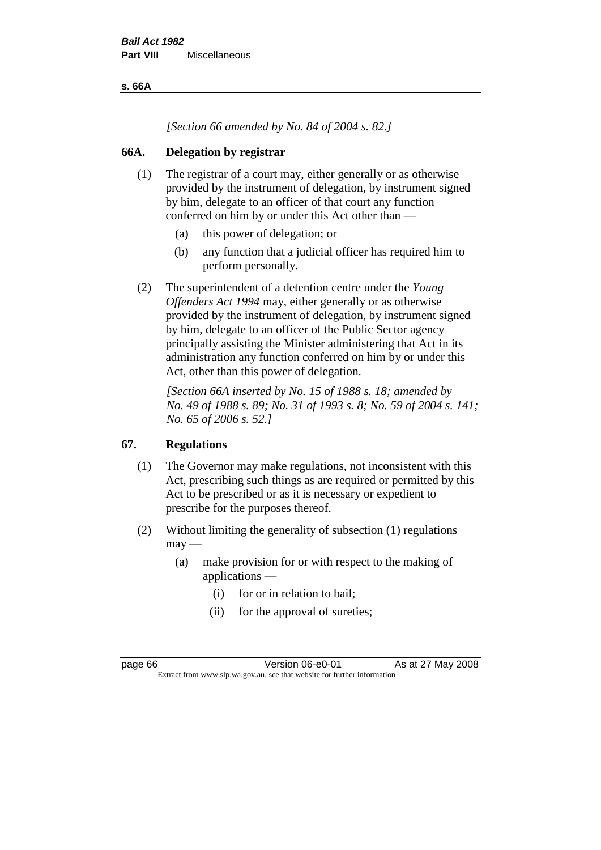**s. 66A**

*[Section 66 amended by No. 84 of 2004 s. 82.]*

# **66A. Delegation by registrar**

- (1) The registrar of a court may, either generally or as otherwise provided by the instrument of delegation, by instrument signed by him, delegate to an officer of that court any function conferred on him by or under this Act other than —
	- (a) this power of delegation; or
	- (b) any function that a judicial officer has required him to perform personally.
- (2) The superintendent of a detention centre under the *Young Offenders Act 1994* may, either generally or as otherwise provided by the instrument of delegation, by instrument signed by him, delegate to an officer of the Public Sector agency principally assisting the Minister administering that Act in its administration any function conferred on him by or under this Act, other than this power of delegation.

*[Section 66A inserted by No. 15 of 1988 s. 18; amended by No. 49 of 1988 s. 89; No. 31 of 1993 s. 8; No. 59 of 2004 s. 141; No. 65 of 2006 s. 52.]* 

# **67. Regulations**

- (1) The Governor may make regulations, not inconsistent with this Act, prescribing such things as are required or permitted by this Act to be prescribed or as it is necessary or expedient to prescribe for the purposes thereof.
- (2) Without limiting the generality of subsection (1) regulations  $may -$ 
	- (a) make provision for or with respect to the making of applications —
		- (i) for or in relation to bail;
		- (ii) for the approval of sureties;

page 66 **Version 06-e0-01** As at 27 May 2008 Extract from www.slp.wa.gov.au, see that website for further information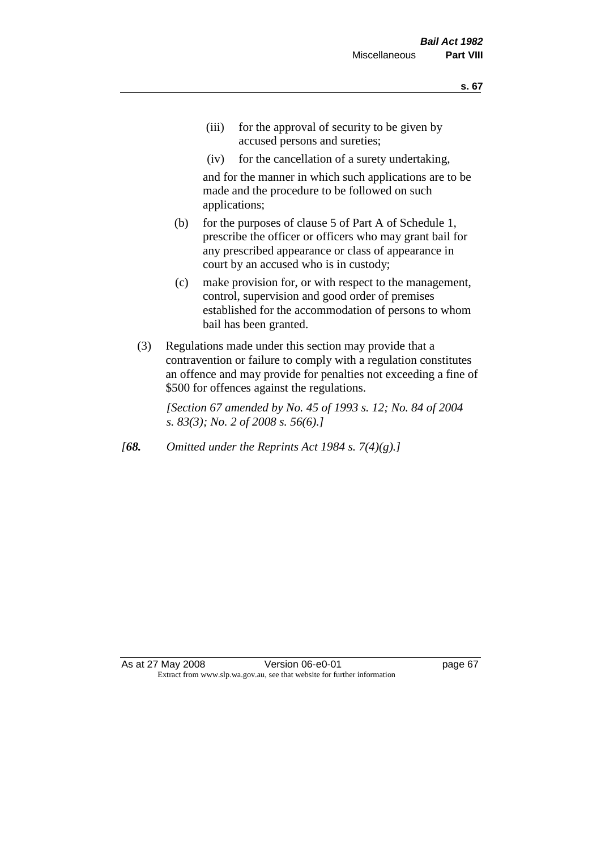- (iii) for the approval of security to be given by accused persons and sureties;
- (iv) for the cancellation of a surety undertaking,

and for the manner in which such applications are to be made and the procedure to be followed on such applications;

- (b) for the purposes of clause 5 of Part A of Schedule 1, prescribe the officer or officers who may grant bail for any prescribed appearance or class of appearance in court by an accused who is in custody;
- (c) make provision for, or with respect to the management, control, supervision and good order of premises established for the accommodation of persons to whom bail has been granted.
- (3) Regulations made under this section may provide that a contravention or failure to comply with a regulation constitutes an offence and may provide for penalties not exceeding a fine of \$500 for offences against the regulations.

*[Section 67 amended by No. 45 of 1993 s. 12; No. 84 of 2004 s. 83(3); No. 2 of 2008 s. 56(6).]* 

*[68. Omitted under the Reprints Act 1984 s. 7(4)(g).]*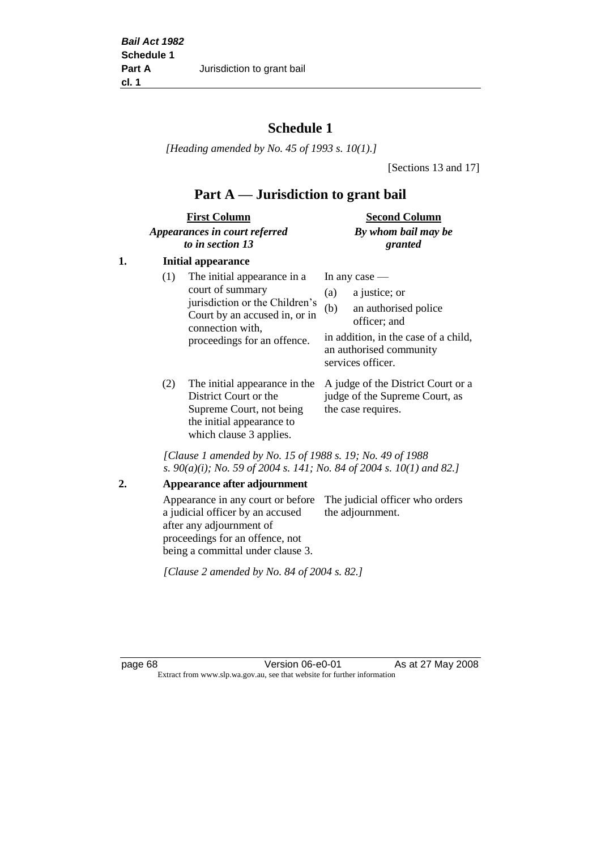# **Schedule 1**

*[Heading amended by No. 45 of 1993 s. 10(1).]*

[Sections 13 and 17]

# **Part A — Jurisdiction to grant bail**

| <b>First Column</b>           | <b>Second Column</b> |
|-------------------------------|----------------------|
| Appearances in court referred | By whom bail may be  |
| to in section 13              | granted              |

# **1. Initial appearance**

| (1) | The initial appearance in a<br>court of summary<br>jurisdiction or the Children's<br>Court by an accused in, or in<br>connection with,<br>proceedings for an offence. | In any case $-$<br>a justice; or<br>(a)<br>an authorised police<br>(b)<br>officer; and<br>in addition, in the case of a child,<br>an authorised community<br>services officer. |
|-----|-----------------------------------------------------------------------------------------------------------------------------------------------------------------------|--------------------------------------------------------------------------------------------------------------------------------------------------------------------------------|
|     |                                                                                                                                                                       |                                                                                                                                                                                |

District Court or the Supreme Court, not being the initial appearance to which clause 3 applies.

(2) The initial appearance in the A judge of the District Court or a judge of the Supreme Court, as the case requires.

*[Clause 1 amended by No. 15 of 1988 s. 19; No. 49 of 1988 s. 90(a)(i); No. 59 of 2004 s. 141; No. 84 of 2004 s. 10(1) and 82.]*

#### **2. Appearance after adjournment**

Appearance in any court or before The judicial officer who orders a judicial officer by an accused after any adjournment of proceedings for an offence, not being a committal under clause 3. the adjournment.

*[Clause 2 amended by No. 84 of 2004 s. 82.]*

page 68 **Version 06-e0-01** As at 27 May 2008 Extract from www.slp.wa.gov.au, see that website for further information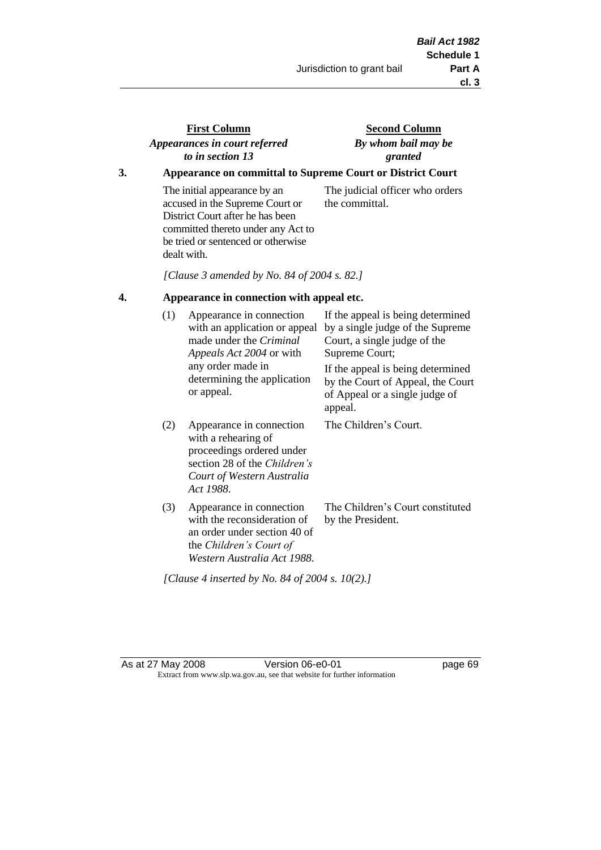# **First Column** *Appearances in court referred to in section 13*

# **Second Column** *By whom bail may be granted*

# **3. Appearance on committal to Supreme Court or District Court**

The initial appearance by an accused in the Supreme Court or District Court after he has been committed thereto under any Act to be tried or sentenced or otherwise dealt with.

The judicial officer who orders the committal.

*[Clause 3 amended by No. 84 of 2004 s. 82.]*

## **4. Appearance in connection with appeal etc.**

| (1) | Appearance in connection<br>with an application or appeal<br>made under the <i>Criminal</i><br><i>Appeals Act 2004</i> or with<br>any order made in<br>determining the application<br>or appeal. | If the appeal is being determined<br>by a single judge of the Supreme<br>Court, a single judge of the<br>Supreme Court;<br>If the appeal is being determined<br>by the Court of Appeal, the Court<br>of Appeal or a single judge of<br>appeal. |
|-----|--------------------------------------------------------------------------------------------------------------------------------------------------------------------------------------------------|------------------------------------------------------------------------------------------------------------------------------------------------------------------------------------------------------------------------------------------------|
| (2) | Appearance in connection<br>with a rehearing of<br>proceedings ordered under<br>section 28 of the <i>Children's</i><br>Court of Western Australia<br>Act 1988.                                   | The Children's Court.                                                                                                                                                                                                                          |
| (3) | Appearance in connection<br>with the reconsideration of<br>an order under section 40 of<br>the Children's Court of<br>Western Australia Act 1988.                                                | The Children's Court constituted<br>by the President.                                                                                                                                                                                          |

*[Clause 4 inserted by No. 84 of 2004 s. 10(2).]*

As at 27 May 2008 Version 06-e0-01 Page 69 Extract from www.slp.wa.gov.au, see that website for further information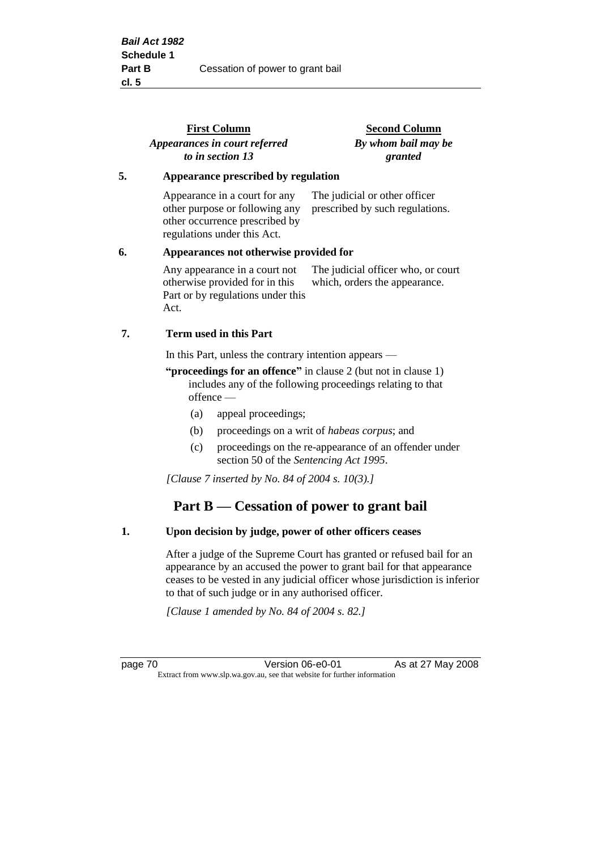|    | <b>First Column</b><br>Appearances in court referred                                                                             | <b>Second Column</b><br>By whom bail may be                         |
|----|----------------------------------------------------------------------------------------------------------------------------------|---------------------------------------------------------------------|
|    | to in section 13                                                                                                                 | granted                                                             |
| 5. | Appearance prescribed by regulation                                                                                              |                                                                     |
|    | Appearance in a court for any<br>other purpose or following any<br>other occurrence prescribed by<br>regulations under this Act. | The judicial or other officer<br>prescribed by such regulations.    |
| 6. | Appearances not otherwise provided for                                                                                           |                                                                     |
|    | Any appearance in a court not<br>otherwise provided for in this<br>Part or by regulations under this<br>Act.                     | The judicial officer who, or court<br>which, orders the appearance. |
| 7. | Term used in this Part                                                                                                           |                                                                     |
|    | In this Part, unless the contrary intention appears —                                                                            |                                                                     |

**"proceedings for an offence"** in clause 2 (but not in clause 1) includes any of the following proceedings relating to that offence —

- (a) appeal proceedings;
- (b) proceedings on a writ of *habeas corpus*; and
- (c) proceedings on the re-appearance of an offender under section 50 of the *Sentencing Act 1995*.

*[Clause 7 inserted by No. 84 of 2004 s. 10(3).]*

# **Part B — Cessation of power to grant bail**

#### **1. Upon decision by judge, power of other officers ceases**

After a judge of the Supreme Court has granted or refused bail for an appearance by an accused the power to grant bail for that appearance ceases to be vested in any judicial officer whose jurisdiction is inferior to that of such judge or in any authorised officer.

*[Clause 1 amended by No. 84 of 2004 s. 82.]*

page 70 **Version 06-e0-01** As at 27 May 2008 Extract from www.slp.wa.gov.au, see that website for further information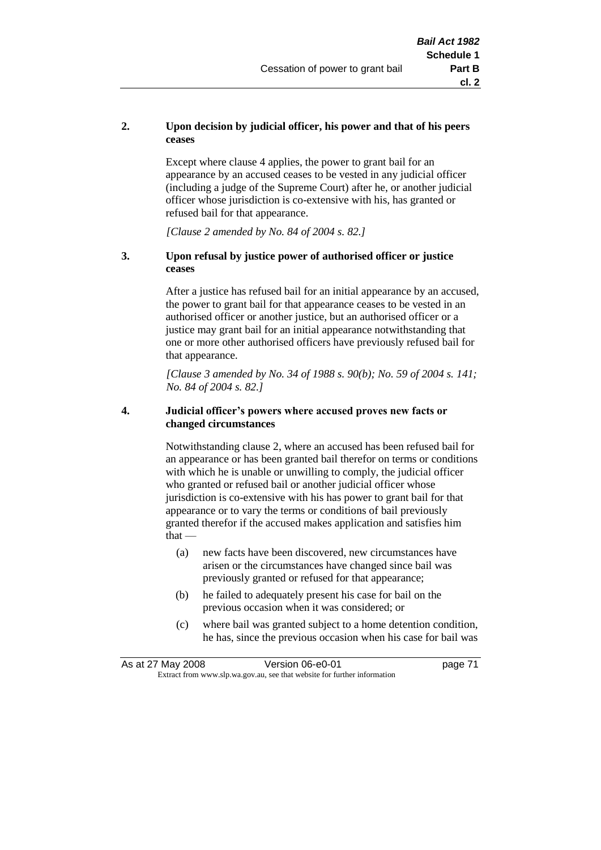## **2. Upon decision by judicial officer, his power and that of his peers ceases**

Except where clause 4 applies, the power to grant bail for an appearance by an accused ceases to be vested in any judicial officer (including a judge of the Supreme Court) after he, or another judicial officer whose jurisdiction is co-extensive with his, has granted or refused bail for that appearance.

*[Clause 2 amended by No. 84 of 2004 s. 82.]*

#### **3. Upon refusal by justice power of authorised officer or justice ceases**

After a justice has refused bail for an initial appearance by an accused, the power to grant bail for that appearance ceases to be vested in an authorised officer or another justice, but an authorised officer or a justice may grant bail for an initial appearance notwithstanding that one or more other authorised officers have previously refused bail for that appearance.

*[Clause 3 amended by No. 34 of 1988 s. 90(b); No. 59 of 2004 s. 141; No. 84 of 2004 s. 82.]*

#### **4. Judicial officer's powers where accused proves new facts or changed circumstances**

Notwithstanding clause 2, where an accused has been refused bail for an appearance or has been granted bail therefor on terms or conditions with which he is unable or unwilling to comply, the judicial officer who granted or refused bail or another judicial officer whose jurisdiction is co-extensive with his has power to grant bail for that appearance or to vary the terms or conditions of bail previously granted therefor if the accused makes application and satisfies him  $that -$ 

- (a) new facts have been discovered, new circumstances have arisen or the circumstances have changed since bail was previously granted or refused for that appearance;
- (b) he failed to adequately present his case for bail on the previous occasion when it was considered; or
- (c) where bail was granted subject to a home detention condition, he has, since the previous occasion when his case for bail was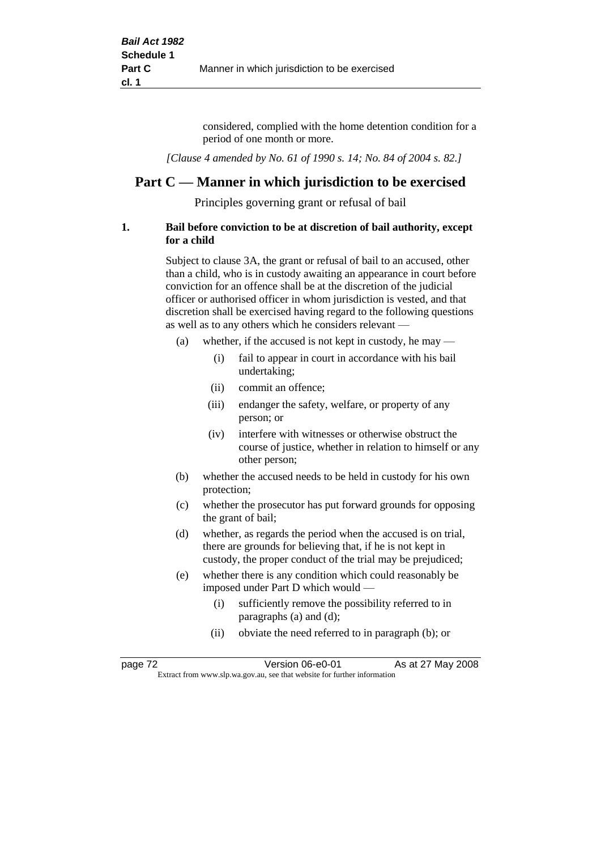considered, complied with the home detention condition for a period of one month or more.

*[Clause 4 amended by No. 61 of 1990 s. 14; No. 84 of 2004 s. 82.]*

# **Part C — Manner in which jurisdiction to be exercised**

Principles governing grant or refusal of bail

#### **1. Bail before conviction to be at discretion of bail authority, except for a child**

Subject to clause 3A, the grant or refusal of bail to an accused, other than a child, who is in custody awaiting an appearance in court before conviction for an offence shall be at the discretion of the judicial officer or authorised officer in whom jurisdiction is vested, and that discretion shall be exercised having regard to the following questions as well as to any others which he considers relevant —

- (a) whether, if the accused is not kept in custody, he may  $-$ 
	- (i) fail to appear in court in accordance with his bail undertaking;
	- (ii) commit an offence;
	- (iii) endanger the safety, welfare, or property of any person; or
	- (iv) interfere with witnesses or otherwise obstruct the course of justice, whether in relation to himself or any other person;
- (b) whether the accused needs to be held in custody for his own protection;
- (c) whether the prosecutor has put forward grounds for opposing the grant of bail;
- (d) whether, as regards the period when the accused is on trial, there are grounds for believing that, if he is not kept in custody, the proper conduct of the trial may be prejudiced;
- (e) whether there is any condition which could reasonably be imposed under Part D which would —
	- (i) sufficiently remove the possibility referred to in paragraphs (a) and (d);
	- (ii) obviate the need referred to in paragraph (b); or

| page 72 | Version 06-e0-01                                                         | As at 27 May 2008 |  |
|---------|--------------------------------------------------------------------------|-------------------|--|
|         | Extract from www.slp.wa.gov.au, see that website for further information |                   |  |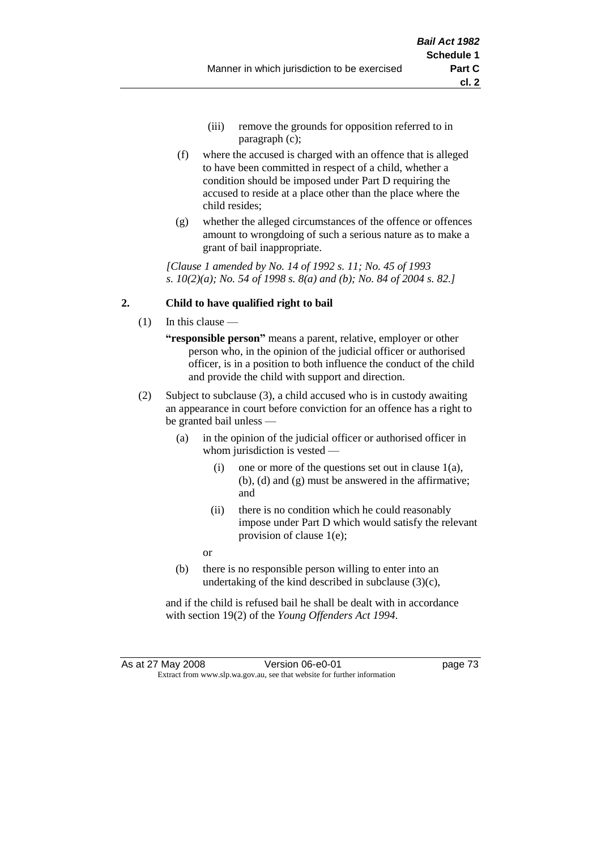- (iii) remove the grounds for opposition referred to in paragraph (c);
- (f) where the accused is charged with an offence that is alleged to have been committed in respect of a child, whether a condition should be imposed under Part D requiring the accused to reside at a place other than the place where the child resides;
- (g) whether the alleged circumstances of the offence or offences amount to wrongdoing of such a serious nature as to make a grant of bail inappropriate.

*[Clause 1 amended by No. 14 of 1992 s. 11; No. 45 of 1993 s. 10(2)(a); No. 54 of 1998 s. 8(a) and (b); No. 84 of 2004 s. 82.]*

# **2. Child to have qualified right to bail**

- (1) In this clause
	- **"responsible person"** means a parent, relative, employer or other person who, in the opinion of the judicial officer or authorised officer, is in a position to both influence the conduct of the child and provide the child with support and direction.
- (2) Subject to subclause (3), a child accused who is in custody awaiting an appearance in court before conviction for an offence has a right to be granted bail unless —
	- (a) in the opinion of the judicial officer or authorised officer in whom jurisdiction is vested —
		- (i) one or more of the questions set out in clause  $1(a)$ , (b), (d) and (g) must be answered in the affirmative; and
		- (ii) there is no condition which he could reasonably impose under Part D which would satisfy the relevant provision of clause 1(e);
		- or
	- (b) there is no responsible person willing to enter into an undertaking of the kind described in subclause (3)(c),

and if the child is refused bail he shall be dealt with in accordance with section 19(2) of the *Young Offenders Act 1994*.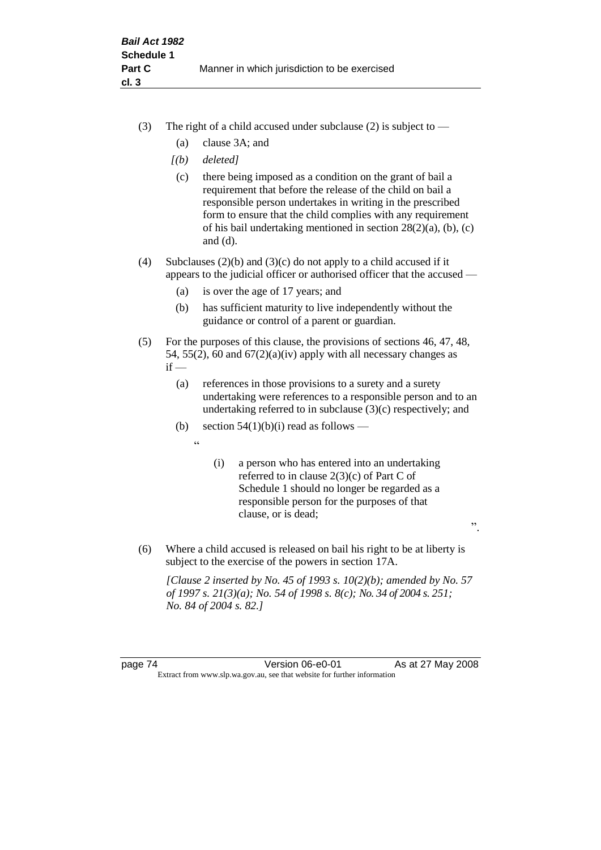- (3) The right of a child accused under subclause (2) is subject to  $-$ 
	- (a) clause 3A; and
	- *[(b) deleted]*
	- (c) there being imposed as a condition on the grant of bail a requirement that before the release of the child on bail a responsible person undertakes in writing in the prescribed form to ensure that the child complies with any requirement of his bail undertaking mentioned in section 28(2)(a), (b), (c) and (d).
- (4) Subclauses (2)(b) and (3)(c) do not apply to a child accused if it appears to the judicial officer or authorised officer that the accused —
	- (a) is over the age of 17 years; and
	- (b) has sufficient maturity to live independently without the guidance or control of a parent or guardian.
- (5) For the purposes of this clause, the provisions of sections 46, 47, 48, 54, 55(2), 60 and  $67(2)(a)(iv)$  apply with all necessary changes as  $if -$ 
	- (a) references in those provisions to a surety and a surety undertaking were references to a responsible person and to an undertaking referred to in subclause (3)(c) respectively; and
	- (b) section  $54(1)(b)(i)$  read as follows
		- $\epsilon$
- (i) a person who has entered into an undertaking referred to in clause 2(3)(c) of Part C of Schedule 1 should no longer be regarded as a responsible person for the purposes of that clause, or is dead;

".

(6) Where a child accused is released on bail his right to be at liberty is subject to the exercise of the powers in section 17A.

*[Clause 2 inserted by No. 45 of 1993 s. 10(2)(b); amended by No. 57 of 1997 s. 21(3)(a); No. 54 of 1998 s. 8(c); No. 34 of 2004 s. 251; No. 84 of 2004 s. 82.]*

page 74 Version 06-e0-01 As at 27 May 2008 Extract from www.slp.wa.gov.au, see that website for further information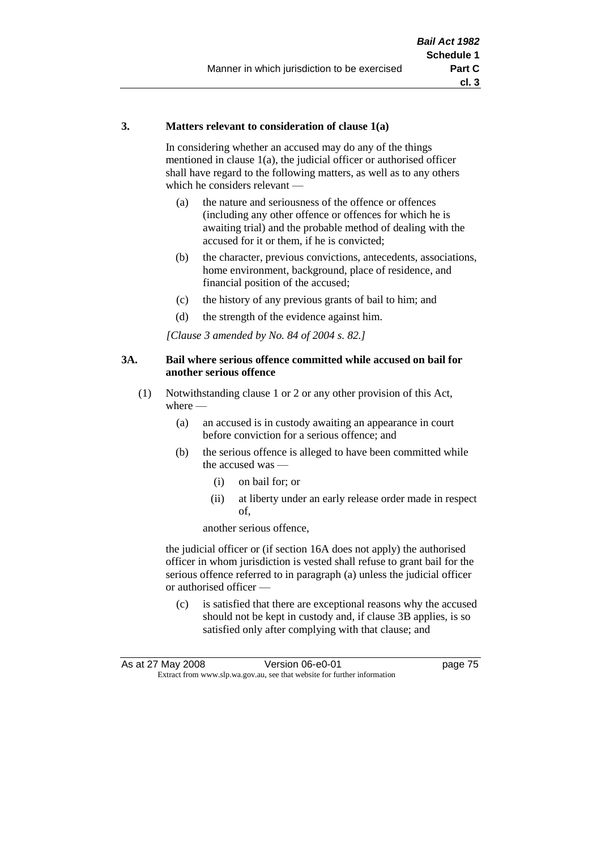#### **3. Matters relevant to consideration of clause 1(a)**

In considering whether an accused may do any of the things mentioned in clause 1(a), the judicial officer or authorised officer shall have regard to the following matters, as well as to any others which he considers relevant —

- (a) the nature and seriousness of the offence or offences (including any other offence or offences for which he is awaiting trial) and the probable method of dealing with the accused for it or them, if he is convicted;
- (b) the character, previous convictions, antecedents, associations, home environment, background, place of residence, and financial position of the accused;
- (c) the history of any previous grants of bail to him; and
- (d) the strength of the evidence against him.

*[Clause 3 amended by No. 84 of 2004 s. 82.]*

#### **3A. Bail where serious offence committed while accused on bail for another serious offence**

- (1) Notwithstanding clause 1 or 2 or any other provision of this Act, where —
	- (a) an accused is in custody awaiting an appearance in court before conviction for a serious offence; and
	- (b) the serious offence is alleged to have been committed while the accused was —
		- (i) on bail for; or
		- (ii) at liberty under an early release order made in respect of,

another serious offence,

the judicial officer or (if section 16A does not apply) the authorised officer in whom jurisdiction is vested shall refuse to grant bail for the serious offence referred to in paragraph (a) unless the judicial officer or authorised officer —

(c) is satisfied that there are exceptional reasons why the accused should not be kept in custody and, if clause 3B applies, is so satisfied only after complying with that clause; and

| As at 27 May 2008 | Version 06-e0-01                                                         | page 75 |
|-------------------|--------------------------------------------------------------------------|---------|
|                   | Extract from www.slp.wa.gov.au, see that website for further information |         |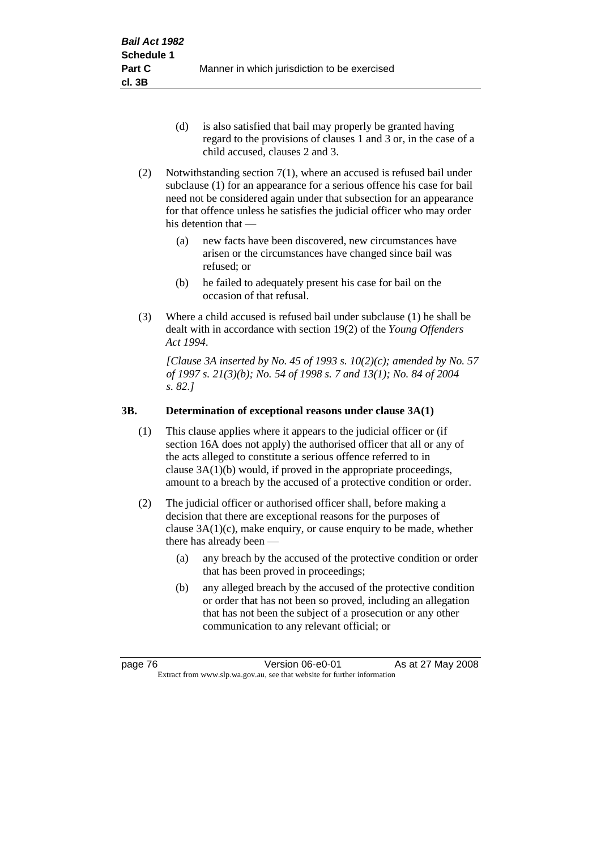- (d) is also satisfied that bail may properly be granted having regard to the provisions of clauses 1 and 3 or, in the case of a child accused, clauses 2 and 3.
- (2) Notwithstanding section 7(1), where an accused is refused bail under subclause (1) for an appearance for a serious offence his case for bail need not be considered again under that subsection for an appearance for that offence unless he satisfies the judicial officer who may order his detention that —
	- (a) new facts have been discovered, new circumstances have arisen or the circumstances have changed since bail was refused; or
	- (b) he failed to adequately present his case for bail on the occasion of that refusal.
- (3) Where a child accused is refused bail under subclause (1) he shall be dealt with in accordance with section 19(2) of the *Young Offenders Act 1994*.

*[Clause 3A inserted by No. 45 of 1993 s. 10(2)(c); amended by No. 57 of 1997 s. 21(3)(b); No. 54 of 1998 s. 7 and 13(1); No. 84 of 2004 s. 82.]*

# **3B. Determination of exceptional reasons under clause 3A(1)**

- (1) This clause applies where it appears to the judicial officer or (if section 16A does not apply) the authorised officer that all or any of the acts alleged to constitute a serious offence referred to in clause 3A(1)(b) would, if proved in the appropriate proceedings, amount to a breach by the accused of a protective condition or order.
- (2) The judicial officer or authorised officer shall, before making a decision that there are exceptional reasons for the purposes of clause  $3A(1)(c)$ , make enquiry, or cause enquiry to be made, whether there has already been -
	- (a) any breach by the accused of the protective condition or order that has been proved in proceedings;
	- (b) any alleged breach by the accused of the protective condition or order that has not been so proved, including an allegation that has not been the subject of a prosecution or any other communication to any relevant official; or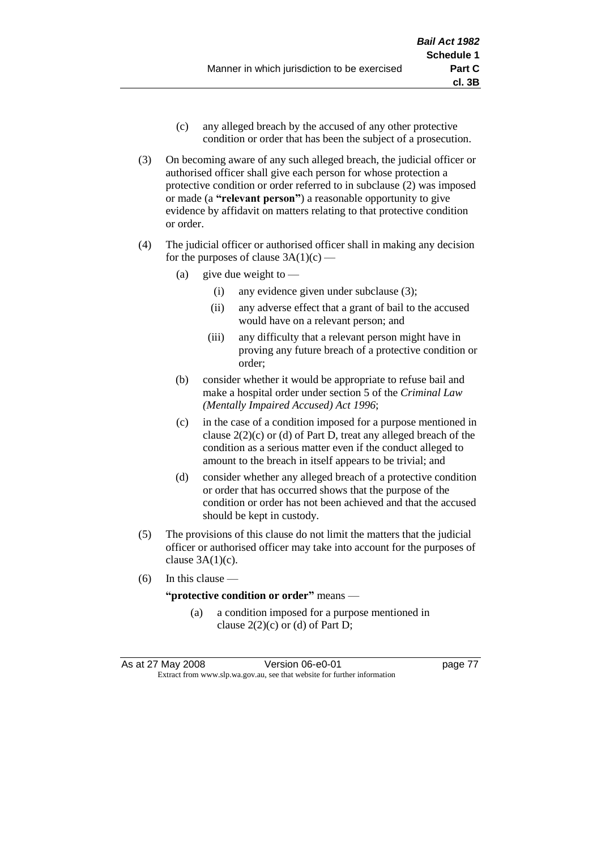- (c) any alleged breach by the accused of any other protective condition or order that has been the subject of a prosecution.
- (3) On becoming aware of any such alleged breach, the judicial officer or authorised officer shall give each person for whose protection a protective condition or order referred to in subclause (2) was imposed or made (a **"relevant person"**) a reasonable opportunity to give evidence by affidavit on matters relating to that protective condition or order.
- (4) The judicial officer or authorised officer shall in making any decision for the purposes of clause  $3A(1)(c)$  —
	- (a) give due weight to  $-$ 
		- (i) any evidence given under subclause (3);
		- (ii) any adverse effect that a grant of bail to the accused would have on a relevant person; and
		- (iii) any difficulty that a relevant person might have in proving any future breach of a protective condition or order;
	- (b) consider whether it would be appropriate to refuse bail and make a hospital order under section 5 of the *Criminal Law (Mentally Impaired Accused) Act 1996*;
	- (c) in the case of a condition imposed for a purpose mentioned in clause  $2(2)(c)$  or (d) of Part D, treat any alleged breach of the condition as a serious matter even if the conduct alleged to amount to the breach in itself appears to be trivial; and
	- (d) consider whether any alleged breach of a protective condition or order that has occurred shows that the purpose of the condition or order has not been achieved and that the accused should be kept in custody.
- (5) The provisions of this clause do not limit the matters that the judicial officer or authorised officer may take into account for the purposes of clause  $3A(1)(c)$ .
- (6) In this clause —

#### **"protective condition or order"** means —

(a) a condition imposed for a purpose mentioned in clause  $2(2)(c)$  or (d) of Part D;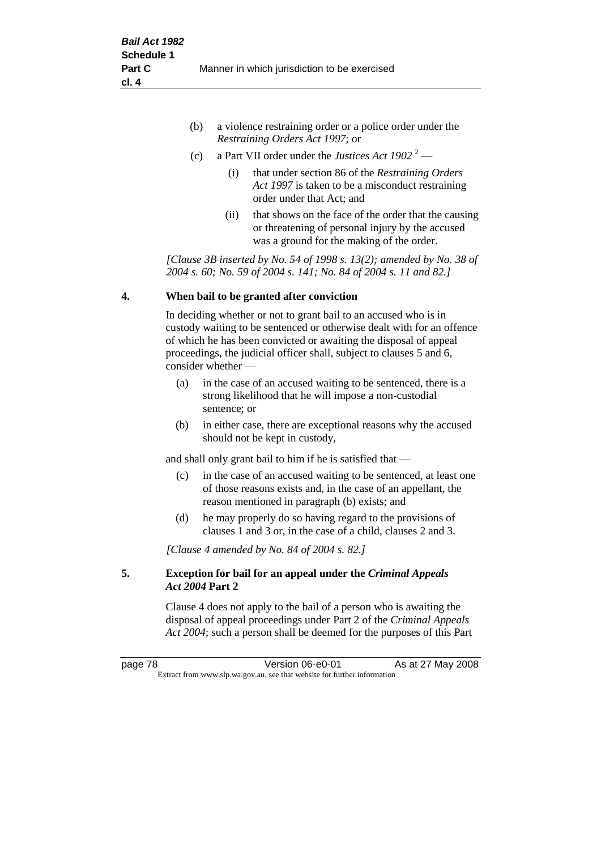| (b) | a violence restraining order or a police order under the |
|-----|----------------------------------------------------------|
|     | <i>Restraining Orders Act 1997; or</i>                   |

- (c) a Part VII order under the *Justices Act 1902* <sup>2</sup>
	- (i) that under section 86 of the *Restraining Orders Act 1997* is taken to be a misconduct restraining order under that Act; and
	- (ii) that shows on the face of the order that the causing or threatening of personal injury by the accused was a ground for the making of the order.

*[Clause 3B inserted by No. 54 of 1998 s. 13(2); amended by No. 38 of 2004 s. 60; No. 59 of 2004 s. 141; No. 84 of 2004 s. 11 and 82.]*

#### **4. When bail to be granted after conviction**

In deciding whether or not to grant bail to an accused who is in custody waiting to be sentenced or otherwise dealt with for an offence of which he has been convicted or awaiting the disposal of appeal proceedings, the judicial officer shall, subject to clauses 5 and 6, consider whether —

- (a) in the case of an accused waiting to be sentenced, there is a strong likelihood that he will impose a non-custodial sentence; or
- (b) in either case, there are exceptional reasons why the accused should not be kept in custody,

and shall only grant bail to him if he is satisfied that —

- (c) in the case of an accused waiting to be sentenced, at least one of those reasons exists and, in the case of an appellant, the reason mentioned in paragraph (b) exists; and
- (d) he may properly do so having regard to the provisions of clauses 1 and 3 or, in the case of a child, clauses 2 and 3.

*[Clause 4 amended by No. 84 of 2004 s. 82.]*

## **5. Exception for bail for an appeal under the** *Criminal Appeals Act 2004* **Part 2**

Clause 4 does not apply to the bail of a person who is awaiting the disposal of appeal proceedings under Part 2 of the *Criminal Appeals Act 2004*; such a person shall be deemed for the purposes of this Part

page 78 **Version 06-e0-01** As at 27 May 2008 Extract from www.slp.wa.gov.au, see that website for further information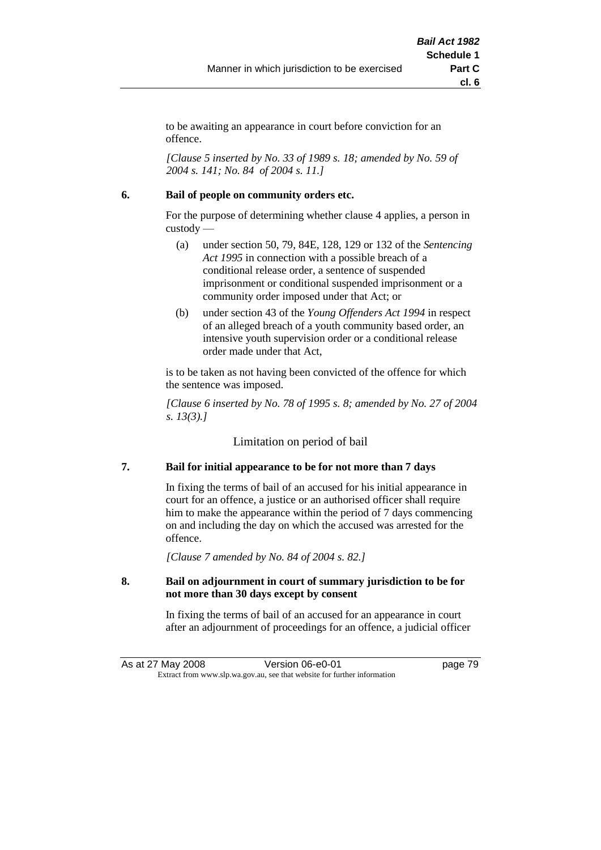to be awaiting an appearance in court before conviction for an offence.

*[Clause 5 inserted by No. 33 of 1989 s. 18; amended by No. 59 of 2004 s. 141; No. 84 of 2004 s. 11.]*

## **6. Bail of people on community orders etc.**

For the purpose of determining whether clause 4 applies, a person in custody —

- (a) under section 50, 79, 84E, 128, 129 or 132 of the *Sentencing Act 1995* in connection with a possible breach of a conditional release order, a sentence of suspended imprisonment or conditional suspended imprisonment or a community order imposed under that Act; or
- (b) under section 43 of the *Young Offenders Act 1994* in respect of an alleged breach of a youth community based order, an intensive youth supervision order or a conditional release order made under that Act,

is to be taken as not having been convicted of the offence for which the sentence was imposed.

*[Clause 6 inserted by No. 78 of 1995 s. 8; amended by No. 27 of 2004 s. 13(3).]*

Limitation on period of bail

# **7. Bail for initial appearance to be for not more than 7 days**

In fixing the terms of bail of an accused for his initial appearance in court for an offence, a justice or an authorised officer shall require him to make the appearance within the period of 7 days commencing on and including the day on which the accused was arrested for the offence.

*[Clause 7 amended by No. 84 of 2004 s. 82.]*

## **8. Bail on adjournment in court of summary jurisdiction to be for not more than 30 days except by consent**

In fixing the terms of bail of an accused for an appearance in court after an adjournment of proceedings for an offence, a judicial officer

As at 27 May 2008 Version 06-e0-01 page 79 Extract from www.slp.wa.gov.au, see that website for further information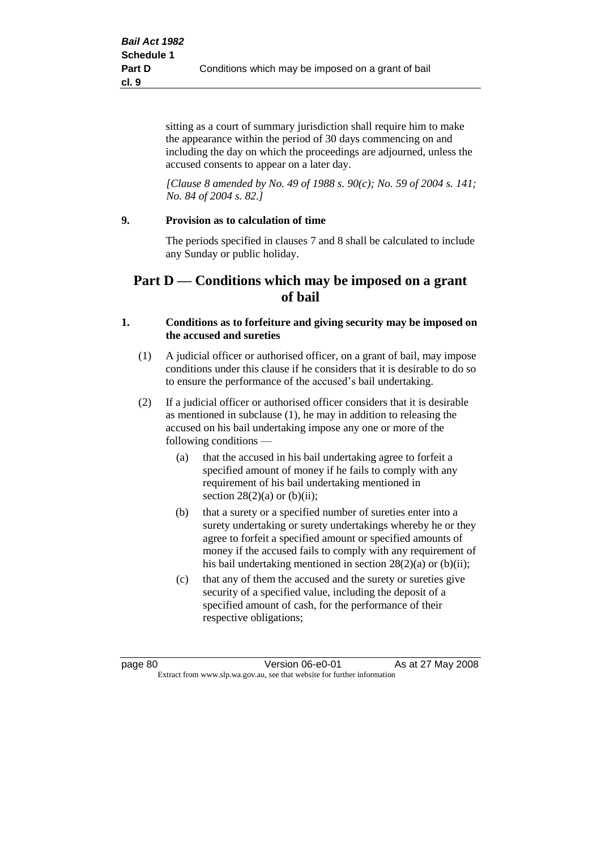sitting as a court of summary jurisdiction shall require him to make the appearance within the period of 30 days commencing on and including the day on which the proceedings are adjourned, unless the accused consents to appear on a later day.

*[Clause 8 amended by No. 49 of 1988 s. 90(c); No. 59 of 2004 s. 141; No. 84 of 2004 s. 82.]*

## **9. Provision as to calculation of time**

The periods specified in clauses 7 and 8 shall be calculated to include any Sunday or public holiday.

# **Part D — Conditions which may be imposed on a grant of bail**

#### **1. Conditions as to forfeiture and giving security may be imposed on the accused and sureties**

- (1) A judicial officer or authorised officer, on a grant of bail, may impose conditions under this clause if he considers that it is desirable to do so to ensure the performance of the accused's bail undertaking.
- (2) If a judicial officer or authorised officer considers that it is desirable as mentioned in subclause (1), he may in addition to releasing the accused on his bail undertaking impose any one or more of the following conditions —
	- (a) that the accused in his bail undertaking agree to forfeit a specified amount of money if he fails to comply with any requirement of his bail undertaking mentioned in section  $28(2)(a)$  or  $(b)(ii)$ ;
	- (b) that a surety or a specified number of sureties enter into a surety undertaking or surety undertakings whereby he or they agree to forfeit a specified amount or specified amounts of money if the accused fails to comply with any requirement of his bail undertaking mentioned in section 28(2)(a) or (b)(ii);
	- (c) that any of them the accused and the surety or sureties give security of a specified value, including the deposit of a specified amount of cash, for the performance of their respective obligations;

page 80 **Version 06-e0-01** As at 27 May 2008 Extract from www.slp.wa.gov.au, see that website for further information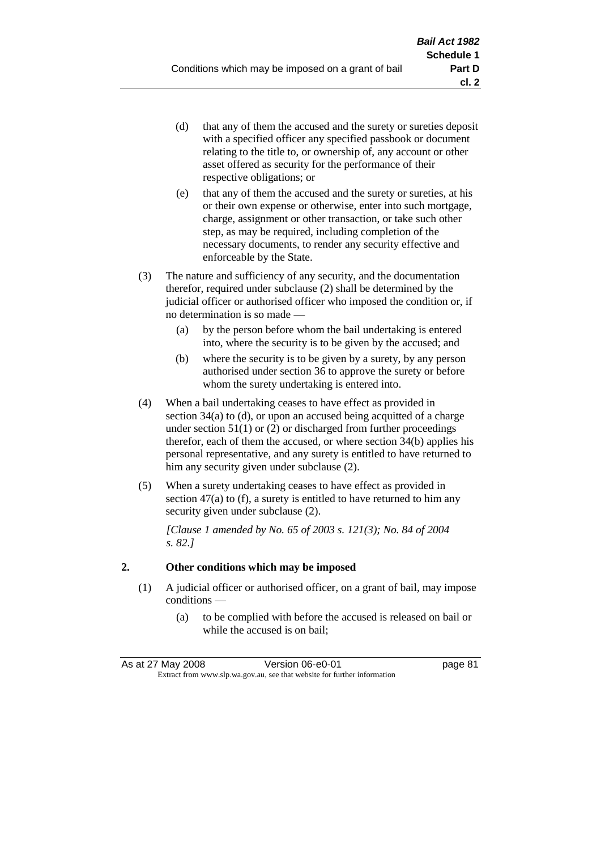- (d) that any of them the accused and the surety or sureties deposit with a specified officer any specified passbook or document relating to the title to, or ownership of, any account or other asset offered as security for the performance of their respective obligations; or
- (e) that any of them the accused and the surety or sureties, at his or their own expense or otherwise, enter into such mortgage, charge, assignment or other transaction, or take such other step, as may be required, including completion of the necessary documents, to render any security effective and enforceable by the State.
- (3) The nature and sufficiency of any security, and the documentation therefor, required under subclause (2) shall be determined by the judicial officer or authorised officer who imposed the condition or, if no determination is so made —
	- (a) by the person before whom the bail undertaking is entered into, where the security is to be given by the accused; and
	- (b) where the security is to be given by a surety, by any person authorised under section 36 to approve the surety or before whom the surety undertaking is entered into.
- (4) When a bail undertaking ceases to have effect as provided in section 34(a) to (d), or upon an accused being acquitted of a charge under section  $51(1)$  or (2) or discharged from further proceedings therefor, each of them the accused, or where section 34(b) applies his personal representative, and any surety is entitled to have returned to him any security given under subclause (2).
- (5) When a surety undertaking ceases to have effect as provided in section 47(a) to (f), a surety is entitled to have returned to him any security given under subclause  $(2)$ .

*[Clause 1 amended by No. 65 of 2003 s. 121(3); No. 84 of 2004 s. 82.]*

# **2. Other conditions which may be imposed**

- (1) A judicial officer or authorised officer, on a grant of bail, may impose conditions —
	- (a) to be complied with before the accused is released on bail or while the accused is on bail;

| As at 27 May 2008 | Version 06-e0-01                                                         | page 81 |
|-------------------|--------------------------------------------------------------------------|---------|
|                   | Extract from www.slp.wa.gov.au, see that website for further information |         |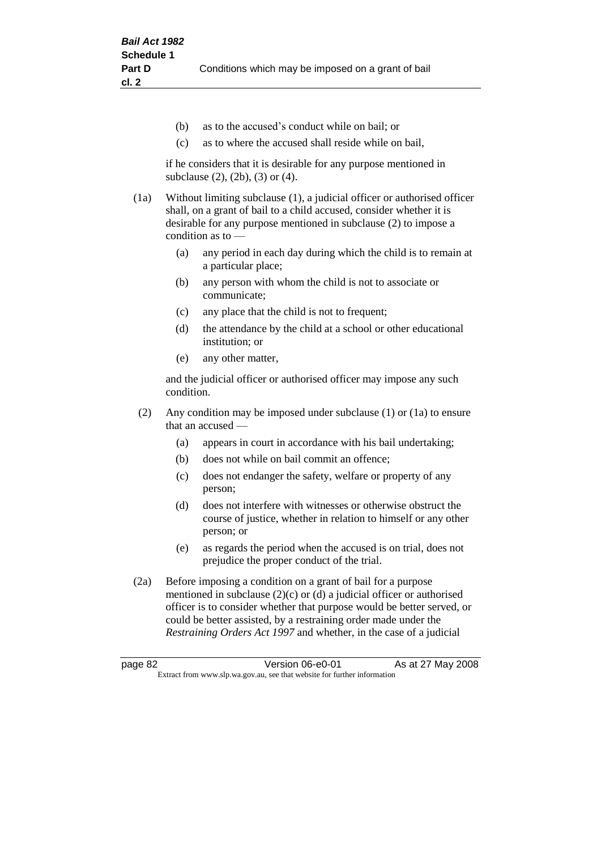- (b) as to the accused's conduct while on bail; or
- (c) as to where the accused shall reside while on bail,

if he considers that it is desirable for any purpose mentioned in subclause (2), (2b), (3) or (4).

(1a) Without limiting subclause (1), a judicial officer or authorised officer shall, on a grant of bail to a child accused, consider whether it is desirable for any purpose mentioned in subclause (2) to impose a condition as to —

- (a) any period in each day during which the child is to remain at a particular place;
- (b) any person with whom the child is not to associate or communicate;
- (c) any place that the child is not to frequent;
- (d) the attendance by the child at a school or other educational institution; or
- (e) any other matter,

and the judicial officer or authorised officer may impose any such condition.

- (2) Any condition may be imposed under subclause (1) or (1a) to ensure that an accused —
	- (a) appears in court in accordance with his bail undertaking;
	- (b) does not while on bail commit an offence;
	- (c) does not endanger the safety, welfare or property of any person;
	- (d) does not interfere with witnesses or otherwise obstruct the course of justice, whether in relation to himself or any other person; or
	- (e) as regards the period when the accused is on trial, does not prejudice the proper conduct of the trial.
- (2a) Before imposing a condition on a grant of bail for a purpose mentioned in subclause (2)(c) or (d) a judicial officer or authorised officer is to consider whether that purpose would be better served, or could be better assisted, by a restraining order made under the *Restraining Orders Act 1997* and whether, in the case of a judicial

page 82 **Version 06-e0-01** As at 27 May 2008 Extract from www.slp.wa.gov.au, see that website for further information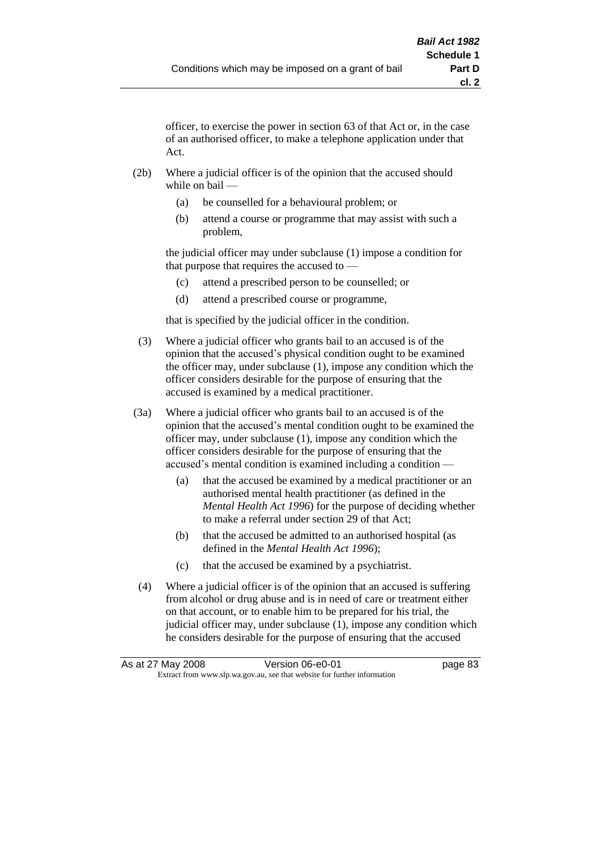officer, to exercise the power in section 63 of that Act or, in the case of an authorised officer, to make a telephone application under that Act.

- (2b) Where a judicial officer is of the opinion that the accused should while on bail —
	- (a) be counselled for a behavioural problem; or
	- (b) attend a course or programme that may assist with such a problem,

the judicial officer may under subclause (1) impose a condition for that purpose that requires the accused to —

- (c) attend a prescribed person to be counselled; or
- (d) attend a prescribed course or programme,

that is specified by the judicial officer in the condition.

- (3) Where a judicial officer who grants bail to an accused is of the opinion that the accused's physical condition ought to be examined the officer may, under subclause (1), impose any condition which the officer considers desirable for the purpose of ensuring that the accused is examined by a medical practitioner.
- (3a) Where a judicial officer who grants bail to an accused is of the opinion that the accused's mental condition ought to be examined the officer may, under subclause (1), impose any condition which the officer considers desirable for the purpose of ensuring that the accused's mental condition is examined including a condition —
	- (a) that the accused be examined by a medical practitioner or an authorised mental health practitioner (as defined in the *Mental Health Act 1996*) for the purpose of deciding whether to make a referral under section 29 of that Act;
	- (b) that the accused be admitted to an authorised hospital (as defined in the *Mental Health Act 1996*);
	- (c) that the accused be examined by a psychiatrist.
- (4) Where a judicial officer is of the opinion that an accused is suffering from alcohol or drug abuse and is in need of care or treatment either on that account, or to enable him to be prepared for his trial, the judicial officer may, under subclause (1), impose any condition which he considers desirable for the purpose of ensuring that the accused

| As at 27 May 2008 | Version 06-e0-01                                                         | page 83 |
|-------------------|--------------------------------------------------------------------------|---------|
|                   | Extract from www.slp.wa.gov.au, see that website for further information |         |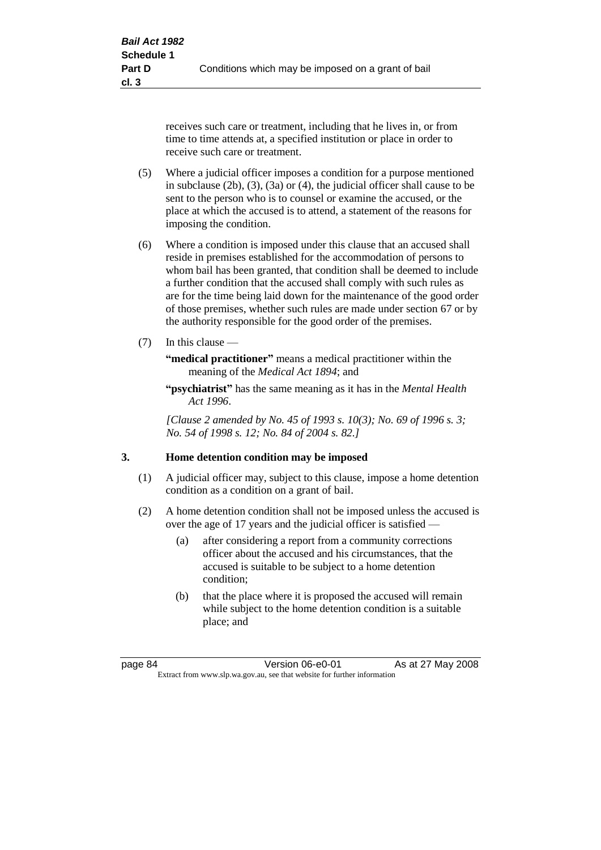receives such care or treatment, including that he lives in, or from time to time attends at, a specified institution or place in order to receive such care or treatment.

- (5) Where a judicial officer imposes a condition for a purpose mentioned in subclause (2b), (3), (3a) or (4), the judicial officer shall cause to be sent to the person who is to counsel or examine the accused, or the place at which the accused is to attend, a statement of the reasons for imposing the condition.
- (6) Where a condition is imposed under this clause that an accused shall reside in premises established for the accommodation of persons to whom bail has been granted, that condition shall be deemed to include a further condition that the accused shall comply with such rules as are for the time being laid down for the maintenance of the good order of those premises, whether such rules are made under section 67 or by the authority responsible for the good order of the premises.
- (7) In this clause —

**"medical practitioner"** means a medical practitioner within the meaning of the *Medical Act 1894*; and

**"psychiatrist"** has the same meaning as it has in the *Mental Health Act 1996*.

*[Clause 2 amended by No. 45 of 1993 s. 10(3); No. 69 of 1996 s. 3; No. 54 of 1998 s. 12; No. 84 of 2004 s. 82.]*

#### **3. Home detention condition may be imposed**

- (1) A judicial officer may, subject to this clause, impose a home detention condition as a condition on a grant of bail.
- (2) A home detention condition shall not be imposed unless the accused is over the age of 17 years and the judicial officer is satisfied —
	- (a) after considering a report from a community corrections officer about the accused and his circumstances, that the accused is suitable to be subject to a home detention condition;
	- (b) that the place where it is proposed the accused will remain while subject to the home detention condition is a suitable place; and

page 84 Version 06-e0-01 As at 27 May 2008 Extract from www.slp.wa.gov.au, see that website for further information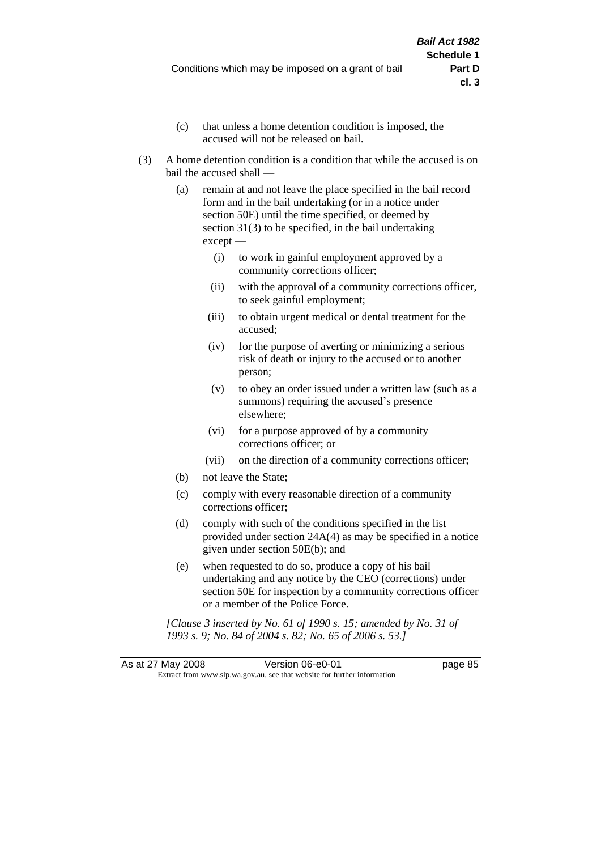- (c) that unless a home detention condition is imposed, the accused will not be released on bail.
- (3) A home detention condition is a condition that while the accused is on bail the accused shall —
	- (a) remain at and not leave the place specified in the bail record form and in the bail undertaking (or in a notice under section 50E) until the time specified, or deemed by section 31(3) to be specified, in the bail undertaking except —
		- (i) to work in gainful employment approved by a community corrections officer;
		- (ii) with the approval of a community corrections officer, to seek gainful employment;
		- (iii) to obtain urgent medical or dental treatment for the accused;
		- (iv) for the purpose of averting or minimizing a serious risk of death or injury to the accused or to another person;
		- (v) to obey an order issued under a written law (such as a summons) requiring the accused's presence elsewhere;
		- (vi) for a purpose approved of by a community corrections officer; or
		- (vii) on the direction of a community corrections officer;
	- (b) not leave the State;
	- (c) comply with every reasonable direction of a community corrections officer;
	- (d) comply with such of the conditions specified in the list provided under section 24A(4) as may be specified in a notice given under section 50E(b); and
	- (e) when requested to do so, produce a copy of his bail undertaking and any notice by the CEO (corrections) under section 50E for inspection by a community corrections officer or a member of the Police Force.

*[Clause 3 inserted by No. 61 of 1990 s. 15; amended by No. 31 of 1993 s. 9; No. 84 of 2004 s. 82; No. 65 of 2006 s. 53.]*

As at 27 May 2008 Version 06-e0-01 page 85 Extract from www.slp.wa.gov.au, see that website for further information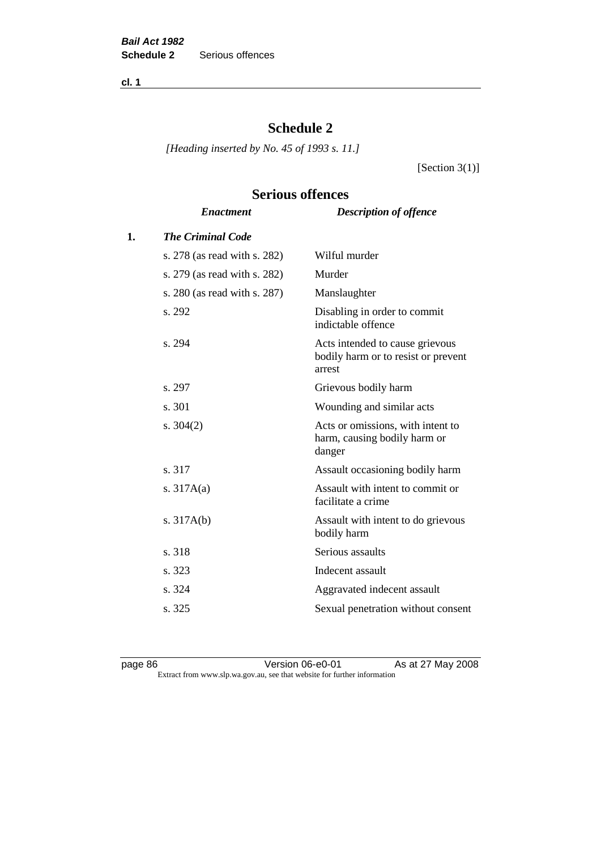**cl. 1**

# **Schedule 2**

**Serious offences**

*[Heading inserted by No. 45 of 1993 s. 11.]*

[Section  $3(1)$ ]

# *Enactment Description of offence* **1.** *The Criminal Code* s. 278 (as read with s. 282) Wilful murder s. 279 (as read with s. 282) Murder s. 280 (as read with s. 287) Manslaughter s. 292 Disabling in order to commit indictable offence s. 294 Acts intended to cause grievous bodily harm or to resist or prevent arrest s. 297 Grievous bodily harm s. 301 Wounding and similar acts s. 304(2) Acts or omissions, with intent to harm, causing bodily harm or danger s. 317 Assault occasioning bodily harm s. 317A(a) Assault with intent to commit or facilitate a crime s. 317A(b) Assault with intent to do grievous bodily harm s. 318 Serious assaults s. 323 Indecent assault s. 324 Aggravated indecent assault s. 325 Sexual penetration without consent

page 86 Version 06-e0-01 As at 27 May 2008 Extract from www.slp.wa.gov.au, see that website for further information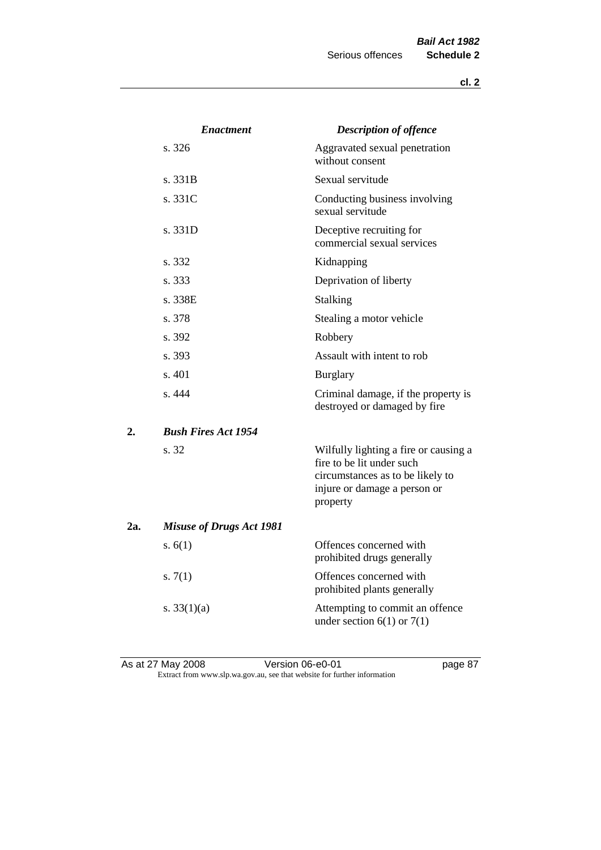|     | <b>Enactment</b>                | <b>Description of offence</b>                                                                                                                      |
|-----|---------------------------------|----------------------------------------------------------------------------------------------------------------------------------------------------|
|     | s. 326                          | Aggravated sexual penetration<br>without consent                                                                                                   |
|     | s. 331B                         | Sexual servitude                                                                                                                                   |
|     | s. 331C                         | Conducting business involving<br>sexual servitude                                                                                                  |
|     | s. 331D                         | Deceptive recruiting for<br>commercial sexual services                                                                                             |
|     | s. 332                          | Kidnapping                                                                                                                                         |
|     | s. 333                          | Deprivation of liberty                                                                                                                             |
|     | s. 338E                         | Stalking                                                                                                                                           |
|     | s. 378                          | Stealing a motor vehicle                                                                                                                           |
|     | s. 392                          | Robbery                                                                                                                                            |
|     | s. 393                          | Assault with intent to rob                                                                                                                         |
|     | s. 401                          | <b>Burglary</b>                                                                                                                                    |
|     | s. 444                          | Criminal damage, if the property is<br>destroyed or damaged by fire                                                                                |
| 2.  | <b>Bush Fires Act 1954</b>      |                                                                                                                                                    |
|     | s. 32                           | Wilfully lighting a fire or causing a<br>fire to be lit under such<br>circumstances as to be likely to<br>injure or damage a person or<br>property |
| 2a. | <b>Misuse of Drugs Act 1981</b> |                                                                                                                                                    |
|     | s. $6(1)$                       | Offences concerned with<br>prohibited drugs generally                                                                                              |
|     | s. $7(1)$                       | Offences concerned with<br>prohibited plants generally                                                                                             |
|     | s. $33(1)(a)$                   | Attempting to commit an offence<br>under section $6(1)$ or $7(1)$                                                                                  |

As at 27 May 2008 **Version 06-e0-01 Page 87** Extract from www.slp.wa.gov.au, see that website for further information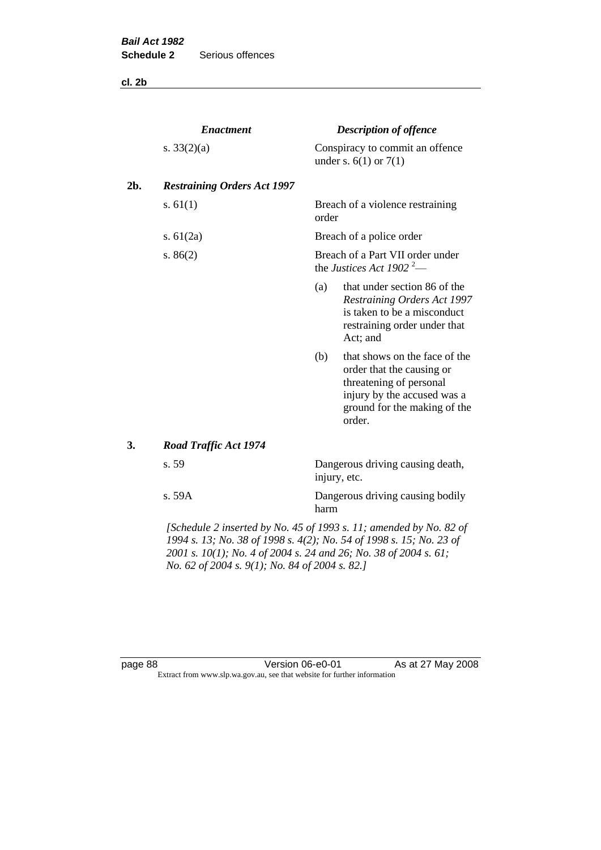**cl. 2b**

|     | <b>Enactment</b>                                                   |                                                                          | <b>Description of offence</b>                                                                                                                                  |
|-----|--------------------------------------------------------------------|--------------------------------------------------------------------------|----------------------------------------------------------------------------------------------------------------------------------------------------------------|
|     | s. $33(2)(a)$                                                      |                                                                          | Conspiracy to commit an offence<br>under s. $6(1)$ or $7(1)$                                                                                                   |
| 2b. | <b>Restraining Orders Act 1997</b>                                 |                                                                          |                                                                                                                                                                |
|     | s. $61(1)$                                                         | order                                                                    | Breach of a violence restraining                                                                                                                               |
|     | s. $61(2a)$                                                        |                                                                          | Breach of a police order                                                                                                                                       |
|     | s. $86(2)$                                                         | Breach of a Part VII order under<br>the Justices Act 1902 <sup>2</sup> — |                                                                                                                                                                |
|     |                                                                    | (a)                                                                      | that under section 86 of the<br>Restraining Orders Act 1997<br>is taken to be a misconduct<br>restraining order under that<br>Act; and                         |
|     |                                                                    | (b)                                                                      | that shows on the face of the<br>order that the causing or<br>threatening of personal<br>injury by the accused was a<br>ground for the making of the<br>order. |
| 3.  | <b>Road Traffic Act 1974</b>                                       |                                                                          |                                                                                                                                                                |
|     | s. 59                                                              | Dangerous driving causing death,<br>injury, etc.                         |                                                                                                                                                                |
|     | s. 59A                                                             | harm                                                                     | Dangerous driving causing bodily                                                                                                                               |
|     | [Schedule 2 inserted by No. 45 of 1993 s. 11; amended by No. 82 of |                                                                          |                                                                                                                                                                |

*1994 s. 13; No. 38 of 1998 s. 4(2); No. 54 of 1998 s. 15; No. 23 of 2001 s. 10(1); No. 4 of 2004 s. 24 and 26; No. 38 of 2004 s. 61; No. 62 of 2004 s. 9(1); No. 84 of 2004 s. 82.]* 

page 88 Version 06-e0-01 As at 27 May 2008 Extract from www.slp.wa.gov.au, see that website for further information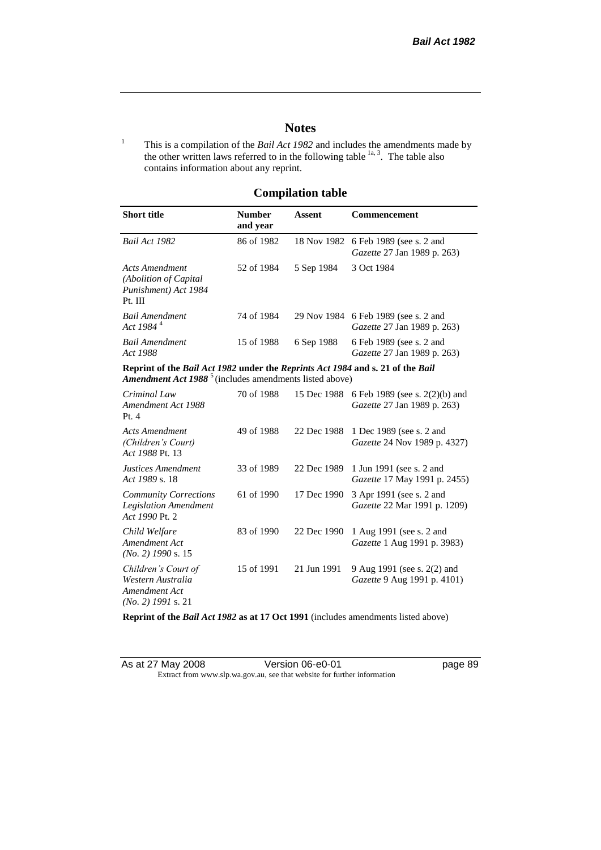# **Notes**

<sup>1</sup> This is a compilation of the *Bail Act 1982* and includes the amendments made by the other written laws referred to in the following table  $\frac{1}{a}$ , The table also contains information about any reprint.

# **Compilation table**

| <b>Short title</b>                                                                                                                                   | <b>Number</b><br>and year | Assent     | <b>Commencement</b>                                                        |
|------------------------------------------------------------------------------------------------------------------------------------------------------|---------------------------|------------|----------------------------------------------------------------------------|
| Bail Act 1982                                                                                                                                        | 86 of 1982                |            | 18 Nov 1982 6 Feb 1989 (see s. 2 and<br><i>Gazette</i> 27 Jan 1989 p. 263) |
| Acts Amendment<br>(Abolition of Capital)<br>Punishment) Act 1984<br>Pt. III                                                                          | 52 of 1984                | 5 Sep 1984 | 3 Oct 1984                                                                 |
| <b>Bail Amendment</b><br>Act 1984 <sup>4</sup>                                                                                                       | 74 of 1984                |            | 29 Nov 1984 6 Feb 1989 (see s. 2 and<br><i>Gazette</i> 27 Jan 1989 p. 263) |
| <b>Bail Amendment</b><br>Act 1988                                                                                                                    | 15 of 1988                | 6 Sep 1988 | 6 Feb 1989 (see s. 2 and<br><i>Gazette</i> 27 Jan 1989 p. 263)             |
| Reprint of the Bail Act 1982 under the Reprints Act 1984 and s. 21 of the Bail<br>Amendment Act 1988 <sup>5</sup> (includes amendments listed above) |                           |            |                                                                            |
| Criminal Law<br>Amendment Act 1988                                                                                                                   | 70 of 1988                |            | 15 Dec 1988 6 Feb 1989 (see s. 2(2)(b) and<br>Gazette 27 Ian 1989 n 263)   |

| Criminai Law<br>Amendment Act 1988<br>Pt.4                                        | 70.01.1988 |             | 13 Dec 1988 6 Feb 1989 (see s. $2(2)(0)$ and<br>Gazette 27 Jan 1989 p. 263) |
|-----------------------------------------------------------------------------------|------------|-------------|-----------------------------------------------------------------------------|
| <b>Acts Amendment</b><br>(Children's Court)<br>Act 1988 Pt. 13                    | 49 of 1988 | 22 Dec 1988 | 1 Dec 1989 (see s. 2 and<br><i>Gazette</i> 24 Nov 1989 p. 4327)             |
| Justices Amendment<br>Act 1989 s. 18                                              | 33 of 1989 | 22 Dec 1989 | 1 Jun 1991 (see s. 2 and<br><i>Gazette</i> 17 May 1991 p. 2455)             |
| <b>Community Corrections</b><br><b>Legislation Amendment</b><br>Act 1990 Pt. 2    | 61 of 1990 | 17 Dec 1990 | 3 Apr 1991 (see s. 2 and<br><i>Gazette</i> 22 Mar 1991 p. 1209)             |
| Child Welfare<br>Amendment Act<br>$(No. 2)$ 1990 s. 15                            | 83 of 1990 | 22 Dec 1990 | 1 Aug 1991 (see s. 2 and<br>Gazette 1 Aug 1991 p. 3983)                     |
| Children's Court of<br>Western Australia<br>Amendment Act<br>$(No. 2)$ 1991 s. 21 | 15 of 1991 | 21 Jun 1991 | 9 Aug 1991 (see s. 2(2) and<br>Gazette 9 Aug 1991 p. 4101)                  |

**Reprint of the** *Bail Act 1982* **as at 17 Oct 1991** (includes amendments listed above)

| As at 27 May 2008 | Version 06-e0-01                                                         |
|-------------------|--------------------------------------------------------------------------|
|                   | Extract from www.slp.wa.gov.au, see that website for further information |

page 89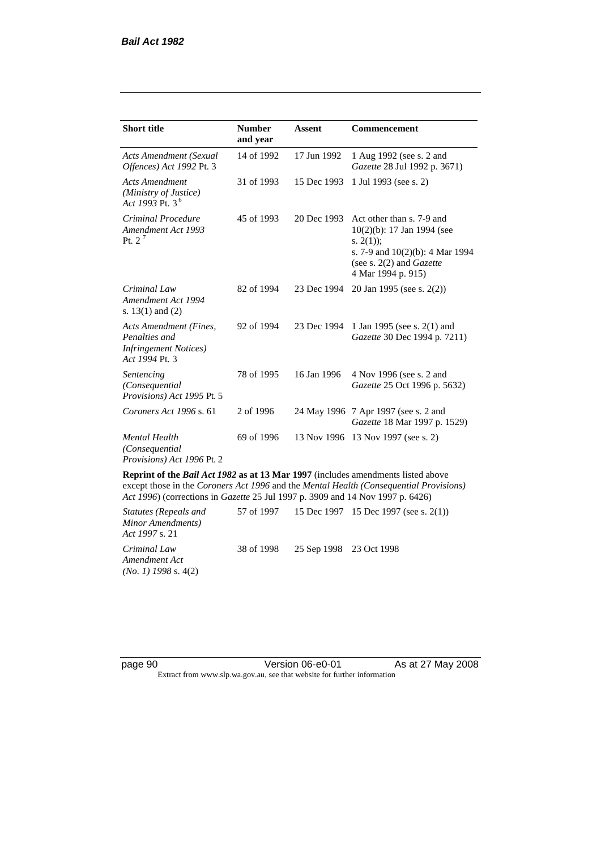| <b>Short title</b>                                                                         | <b>Number</b><br>and year | <b>Assent</b> | <b>Commencement</b>                                                                                                                                                        |
|--------------------------------------------------------------------------------------------|---------------------------|---------------|----------------------------------------------------------------------------------------------------------------------------------------------------------------------------|
| Acts Amendment (Sexual<br>Offences) Act 1992 Pt. 3                                         | 14 of 1992                | 17 Jun 1992   | 1 Aug 1992 (see s. 2 and<br>Gazette 28 Jul 1992 p. 3671)                                                                                                                   |
| <b>Acts Amendment</b><br>(Ministry of Justice)<br>Act 1993 Pt. 3 <sup>6</sup>              | 31 of 1993                | 15 Dec 1993   | 1 Jul 1993 (see s. 2)                                                                                                                                                      |
| Criminal Procedure<br>Amendment Act 1993<br>Pt. $2^7$                                      | 45 of 1993                | 20 Dec 1993   | Act other than s. 7-9 and<br>$10(2)(b)$ : 17 Jan 1994 (see<br>s. $2(1)$ ;<br>s. 7-9 and $10(2)(b)$ : 4 Mar 1994<br>(see s. $2(2)$ and <i>Gazette</i><br>4 Mar 1994 p. 915) |
| Criminal Law<br>Amendment Act 1994<br>s. $13(1)$ and $(2)$                                 | 82 of 1994                | 23 Dec 1994   | 20 Jan 1995 (see s. 2(2))                                                                                                                                                  |
| Acts Amendment (Fines,<br>Penalties and<br><b>Infringement Notices</b> )<br>Act 1994 Pt. 3 | 92 of 1994                | 23 Dec 1994   | 1 Jan 1995 (see s. 2(1) and<br>Gazette 30 Dec 1994 p. 7211)                                                                                                                |
| Sentencing<br>(Consequential<br>Provisions) Act 1995 Pt. 5                                 | 78 of 1995                | 16 Jan 1996   | 4 Nov 1996 (see s. 2 and<br>Gazette 25 Oct 1996 p. 5632)                                                                                                                   |
| Coroners Act 1996 s. 61                                                                    | 2 of 1996                 |               | 24 May 1996 7 Apr 1997 (see s. 2 and<br>Gazette 18 Mar 1997 p. 1529)                                                                                                       |
| <b>Mental Health</b><br>(Consequential)<br><i>Provisions</i> ) Act 1996 Pt. 2              | 69 of 1996                | 13 Nov 1996   | 13 Nov 1997 (see s. 2)                                                                                                                                                     |

**Reprint of the** *Bail Act 1982* **as at 13 Mar 1997** (includes amendments listed above except those in the *Coroners Act 1996* and the *Mental Health (Consequential Provisions) Act 1996*) (corrections in *Gazette* 25 Jul 1997 p. 3909 and 14 Nov 1997 p. 6426)

*Statutes (Repeals and Minor Amendments) Act 1997* s. 21 57 of 1997 15 Dec 1997 15 Dec 1997 (see s. 2(1)) *Criminal Law Amendment Act (No. 1) 1998* s. 4(2) 38 of 1998 25 Sep 1998 23 Oct 1998

page 90 **Version 06-e0-01** As at 27 May 2008 Extract from www.slp.wa.gov.au, see that website for further information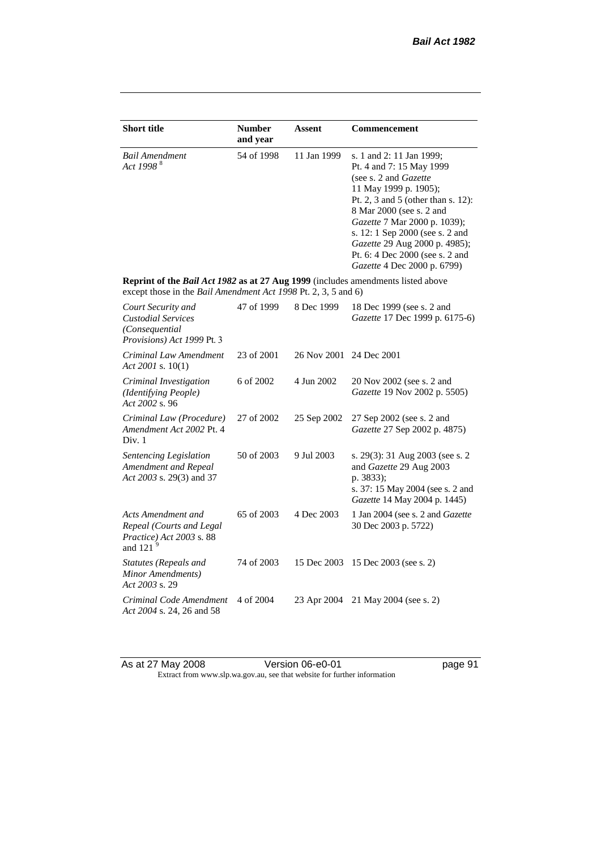| <b>Short title</b>                                                                                                                                 | <b>Number</b><br>and year | <b>Assent</b> | <b>Commencement</b>                                                                                                                                                                                                                                                                                                                                     |
|----------------------------------------------------------------------------------------------------------------------------------------------------|---------------------------|---------------|---------------------------------------------------------------------------------------------------------------------------------------------------------------------------------------------------------------------------------------------------------------------------------------------------------------------------------------------------------|
| <b>Bail Amendment</b><br>Act 1998 <sup>8</sup>                                                                                                     | 54 of 1998                | 11 Jan 1999   | s. 1 and 2: 11 Jan 1999;<br>Pt. 4 and 7: 15 May 1999<br>(see s. 2 and <i>Gazette</i> )<br>11 May 1999 p. 1905);<br>Pt. 2, 3 and 5 (other than s. 12):<br>8 Mar 2000 (see s. 2 and<br>Gazette 7 Mar 2000 p. 1039);<br>s. 12: 1 Sep 2000 (see s. 2 and<br>Gazette 29 Aug 2000 p. 4985);<br>Pt. 6: 4 Dec 2000 (see s. 2 and<br>Gazette 4 Dec 2000 p. 6799) |
| Reprint of the Bail Act 1982 as at 27 Aug 1999 (includes amendments listed above<br>except those in the Bail Amendment Act 1998 Pt. 2, 3, 5 and 6) |                           |               |                                                                                                                                                                                                                                                                                                                                                         |
| Court Security and<br><b>Custodial Services</b><br>(Consequential)<br>Provisions) Act 1999 Pt. 3                                                   | 47 of 1999                | 8 Dec 1999    | 18 Dec 1999 (see s. 2 and<br>Gazette 17 Dec 1999 p. 6175-6)                                                                                                                                                                                                                                                                                             |
| Criminal Law Amendment<br>Act 2001 s. $10(1)$                                                                                                      | 23 of 2001                | 26 Nov 2001   | 24 Dec 2001                                                                                                                                                                                                                                                                                                                                             |
| Criminal Investigation<br>(Identifying People)<br>Act 2002 s. 96                                                                                   | 6 of 2002                 | 4 Jun 2002    | 20 Nov 2002 (see s. 2 and<br>Gazette 19 Nov 2002 p. 5505)                                                                                                                                                                                                                                                                                               |
| Criminal Law (Procedure)<br>Amendment Act 2002 Pt. 4<br>Div. 1                                                                                     | 27 of 2002                | 25 Sep 2002   | 27 Sep 2002 (see s. 2 and<br>Gazette 27 Sep 2002 p. 4875)                                                                                                                                                                                                                                                                                               |
| Sentencing Legislation<br>Amendment and Repeal<br>Act 2003 s. 29(3) and 37                                                                         | 50 of 2003                | 9 Jul 2003    | s. 29(3): 31 Aug 2003 (see s. 2<br>and Gazette 29 Aug 2003<br>p. 3833);<br>s. 37: 15 May 2004 (see s. 2 and<br>Gazette 14 May 2004 p. 1445)                                                                                                                                                                                                             |
| Acts Amendment and<br>Repeal (Courts and Legal<br>Practice) Act 2003 s. 88<br>and 121 $^{9}$                                                       | 65 of 2003                | 4 Dec 2003    | 1 Jan 2004 (see s. 2 and <i>Gazette</i><br>30 Dec 2003 p. 5722)                                                                                                                                                                                                                                                                                         |
| Statutes (Repeals and<br>Minor Amendments)<br>Act 2003 s. 29                                                                                       | 74 of 2003                | 15 Dec 2003   | 15 Dec 2003 (see s. 2)                                                                                                                                                                                                                                                                                                                                  |
| Criminal Code Amendment<br>Act 2004 s. 24, 26 and 58                                                                                               | 4 of 2004                 | 23 Apr 2004   | 21 May 2004 (see s. 2)                                                                                                                                                                                                                                                                                                                                  |

As at 27 May 2008 **Version 06-e0-01 Page 91 page 91** Extract from www.slp.wa.gov.au, see that website for further information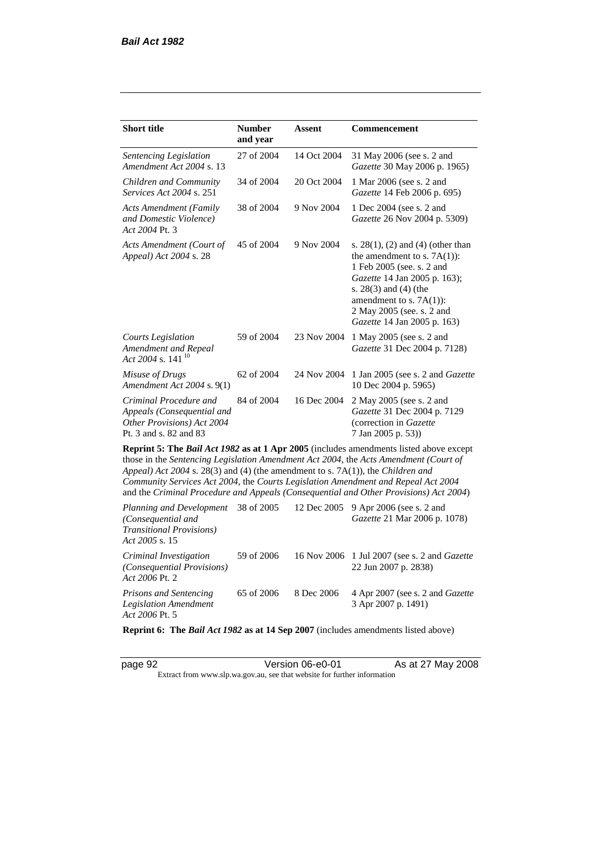*Act 2006* Pt. 2

| <b>Short title</b>                                                                                                                                                   | <b>Number</b><br>and year | Assent      | <b>Commencement</b>                                                                                                                                                                                                                                                            |
|----------------------------------------------------------------------------------------------------------------------------------------------------------------------|---------------------------|-------------|--------------------------------------------------------------------------------------------------------------------------------------------------------------------------------------------------------------------------------------------------------------------------------|
| Sentencing Legislation<br>Amendment Act 2004 s. 13                                                                                                                   | 27 of 2004                | 14 Oct 2004 | 31 May 2006 (see s. 2 and<br>Gazette 30 May 2006 p. 1965)                                                                                                                                                                                                                      |
| Children and Community<br>Services Act 2004 s. 251                                                                                                                   | 34 of 2004                | 20 Oct 2004 | 1 Mar 2006 (see s. 2 and<br>Gazette 14 Feb 2006 p. 695)                                                                                                                                                                                                                        |
| <b>Acts Amendment (Family</b><br>and Domestic Violence)<br>Act 2004 Pt. 3                                                                                            | 38 of 2004                | 9 Nov 2004  | 1 Dec 2004 (see s. 2 and<br>Gazette 26 Nov 2004 p. 5309)                                                                                                                                                                                                                       |
| Acts Amendment (Court of<br>Appeal) Act 2004 s. 28                                                                                                                   | 45 of 2004                | 9 Nov 2004  | s. $28(1)$ , (2) and (4) (other than<br>the amendment to s. $7A(1)$ :<br>1 Feb 2005 (see. s. 2 and<br>Gazette 14 Jan 2005 p. 163);<br>s. $28(3)$ and $(4)$ (the<br>amendment to s. $7A(1)$ :<br>2 May 2005 (see. s. 2 and<br>Gazette 14 Jan 2005 p. 163)                       |
| <b>Courts Legislation</b><br>Amendment and Repeal<br>Act 2004 s. 141 <sup>10</sup>                                                                                   | 59 of 2004                | 23 Nov 2004 | 1 May 2005 (see s. 2 and<br>Gazette 31 Dec 2004 p. 7128)                                                                                                                                                                                                                       |
| Misuse of Drugs<br>Amendment Act 2004 s. 9(1)                                                                                                                        | 62 of 2004                | 24 Nov 2004 | 1 Jan 2005 (see s. 2 and <i>Gazette</i><br>10 Dec 2004 p. 5965)                                                                                                                                                                                                                |
| Criminal Procedure and<br>Appeals (Consequential and<br>Other Provisions) Act 2004<br>Pt. 3 and s. 82 and 83                                                         | 84 of 2004                | 16 Dec 2004 | 2 May 2005 (see s. 2 and<br>Gazette 31 Dec 2004 p. 7129<br>(correction in Gazette<br>7 Jan 2005 p. 53))                                                                                                                                                                        |
| Appeal) Act 2004 s. 28(3) and (4) (the amendment to s. 7A(1)), the Children and<br>Community Services Act 2004, the Courts Legislation Amendment and Repeal Act 2004 |                           |             | <b>Reprint 5: The Bail Act 1982 as at 1 Apr 2005</b> (includes amendments listed above except<br>those in the Sentencing Legislation Amendment Act 2004, the Acts Amendment (Court of<br>and the Criminal Procedure and Appeals (Consequential and Other Provisions) Act 2004) |
| <b>Planning and Development</b><br>(Consequential and<br><b>Transitional Provisions)</b><br>Act 2005 s. 15                                                           | 38 of 2005                | 12 Dec 2005 | 9 Apr 2006 (see s. 2 and<br>Gazette 21 Mar 2006 p. 1078)                                                                                                                                                                                                                       |
| Criminal Investigation<br>(Consequential Provisions)                                                                                                                 | 59 of 2006                | 16 Nov 2006 | 1 Jul 2007 (see s. 2 and Gazette<br>22 Jun 2007 p. 2838)                                                                                                                                                                                                                       |

*Prisons and Sentencing Legislation Amendment Act 2006* Pt. 5 65 of 2006 8 Dec 2006 4 Apr 2007 (see s. 2 and *Gazette* 3 Apr 2007 p. 1491)

**Reprint 6: The** *Bail Act 1982* **as at 14 Sep 2007** (includes amendments listed above)

page 92 Version 06-e0-01 As at 27 May 2008 Extract from www.slp.wa.gov.au, see that website for further information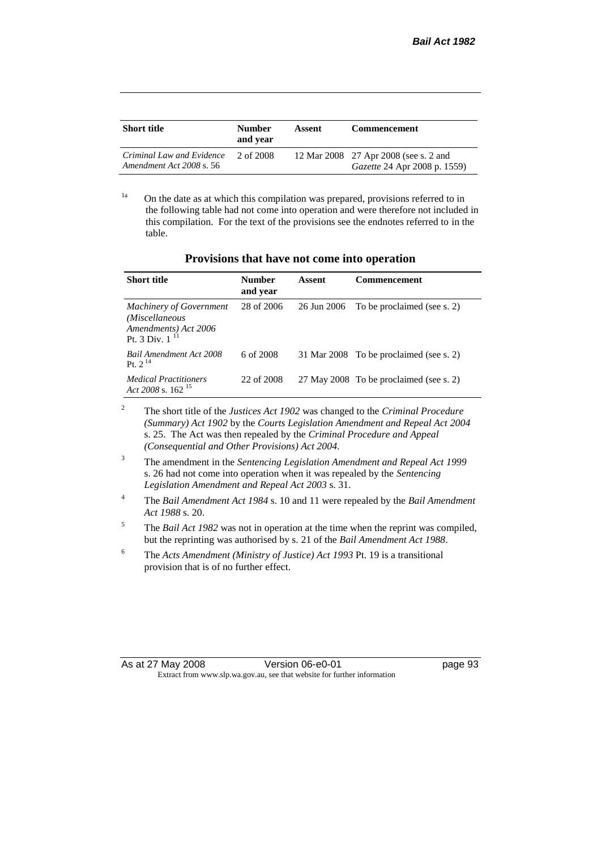| <b>Short title</b>                                    | <b>Number</b><br>and vear | Assent | <b>Commencement</b>                                                          |
|-------------------------------------------------------|---------------------------|--------|------------------------------------------------------------------------------|
| Criminal Law and Evidence<br>Amendment Act 2008 s. 56 | 2 of 2008                 |        | 12 Mar 2008 27 Apr 2008 (see s. 2 and<br><i>Gazette</i> 24 Apr 2008 p. 1559) |

<sup>1a</sup> On the date as at which this compilation was prepared, provisions referred to in the following table had not come into operation and were therefore not included in this compilation. For the text of the provisions see the endnotes referred to in the table.

| Provisions that have not come into operation |  |  |  |  |
|----------------------------------------------|--|--|--|--|
|----------------------------------------------|--|--|--|--|

| <b>Short title</b>                                                                              | <b>Number</b><br>and year | Assent      | Commencement                            |
|-------------------------------------------------------------------------------------------------|---------------------------|-------------|-----------------------------------------|
| <b>Machinery of Government</b><br>(Miscellaneous<br>Amendments) Act 2006<br>Pt. 3 Div. $1^{11}$ | 28 of 2006                | 26 Jun 2006 | To be proclaimed (see s. 2)             |
| <b>Bail Amendment Act 2008</b><br>Pt. $2^{14}$                                                  | 6 of 2008                 |             | 31 Mar 2008 To be proclaimed (see s. 2) |
| <i>Medical Practitioners</i><br>Act 2008 s. $162^{15}$                                          | 22 of 2008                |             | 27 May 2008 To be proclaimed (see s. 2) |

<sup>2</sup> The short title of the *Justices Act 1902* was changed to the *Criminal Procedure (Summary) Act 1902* by the *Courts Legislation Amendment and Repeal Act 2004*  s. 25. The Act was then repealed by the *Criminal Procedure and Appeal (Consequential and Other Provisions) Act 2004.*

- <sup>3</sup> The amendment in the *Sentencing Legislation Amendment and Repeal Act 1999* s. 26 had not come into operation when it was repealed by the *Sentencing Legislation Amendment and Repeal Act 2003* s. 31.
- <sup>4</sup> The *Bail Amendment Act 1984* s. 10 and 11 were repealed by the *Bail Amendment Act 1988* s. 20.
- <sup>5</sup> The *Bail Act 1982* was not in operation at the time when the reprint was compiled, but the reprinting was authorised by s. 21 of the *Bail Amendment Act 1988*.
- <sup>6</sup> The *Acts Amendment (Ministry of Justice) Act 1993* Pt. 19 is a transitional provision that is of no further effect.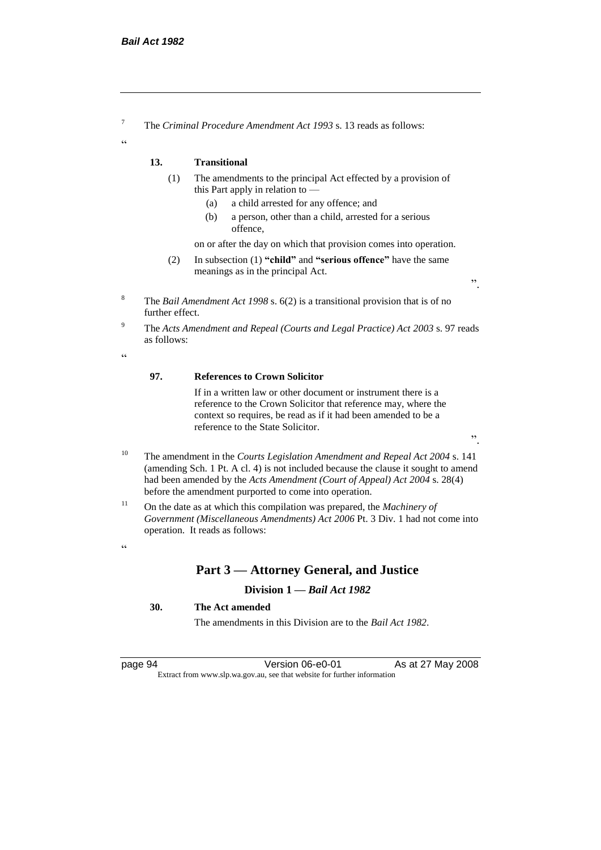<sup>7</sup> The *Criminal Procedure Amendment Act 1993* s. 13 reads as follows:

#### **13. Transitional**

- (1) The amendments to the principal Act effected by a provision of this Part apply in relation to —
	- (a) a child arrested for any offence; and
	- (b) a person, other than a child, arrested for a serious offence,

on or after the day on which that provision comes into operation.

- (2) In subsection (1) **"child"** and **"serious offence"** have the same meanings as in the principal Act.
- <sup>8</sup> The *Bail Amendment Act 1998* s. 6(2) is a transitional provision that is of no further effect.
- <sup>9</sup> The *Acts Amendment and Repeal (Courts and Legal Practice) Act 2003* s. 97 reads as follows:

 $\epsilon$ 

 $\alpha$ 

#### **97. References to Crown Solicitor**

If in a written law or other document or instrument there is a reference to the Crown Solicitor that reference may, where the context so requires, be read as if it had been amended to be a reference to the State Solicitor.

".

".

- <sup>10</sup> The amendment in the *Courts Legislation Amendment and Repeal Act 2004* s. 141 (amending Sch. 1 Pt. A cl. 4) is not included because the clause it sought to amend had been amended by the *Acts Amendment (Court of Appeal) Act 2004* s. 28(4) before the amendment purported to come into operation.
- <sup>11</sup> On the date as at which this compilation was prepared, the *Machinery of Government (Miscellaneous Amendments) Act 2006* Pt. 3 Div. 1 had not come into operation. It reads as follows:

#### $\alpha$

# **Part 3 — Attorney General, and Justice**

#### **Division 1 —** *Bail Act 1982*

#### **30. The Act amended**

The amendments in this Division are to the *Bail Act 1982*.

page 94 Version 06-e0-01 As at 27 May 2008 Extract from www.slp.wa.gov.au, see that website for further information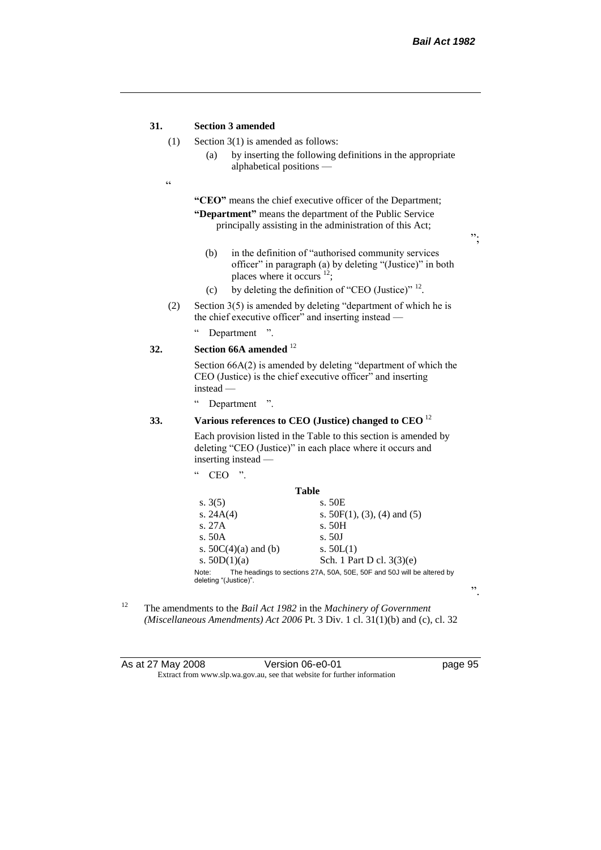#### **31. Section 3 amended**

- (1) Section 3(1) is amended as follows:
	- (a) by inserting the following definitions in the appropriate alphabetical positions —
- $\epsilon$

**"CEO"** means the chief executive officer of the Department; **"Department"** means the department of the Public Service principally assisting in the administration of this Act;

";

- (b) in the definition of "authorised community services officer" in paragraph (a) by deleting "(Justice)" in both places where it occurs <sup>12</sup>;
- (c) by deleting the definition of "CEO (Justice)"  $^{12}$ .
- (2) Section  $3(5)$  is amended by deleting "department of which he is the chief executive officer" and inserting instead —
	- " Department ".

#### **32. Section 66A amended** <sup>12</sup>

Section 66A(2) is amended by deleting "department of which the CEO (Justice) is the chief executive officer" and inserting instead —

" Department ".

#### **33. Various references to CEO (Justice) changed to CEO** <sup>12</sup>

Each provision listed in the Table to this section is amended by deleting "CEO (Justice)" in each place where it occurs and inserting instead —

| cc          | "<br>CEO               |                                                                        |
|-------------|------------------------|------------------------------------------------------------------------|
|             | Table                  |                                                                        |
| s. $3(5)$   |                        | s. 50E                                                                 |
| s. $24A(4)$ |                        | s. $50F(1)$ , (3), (4) and (5)                                         |
| s. 27A      |                        | s. 50H                                                                 |
| s. 50A      |                        | s. 50J                                                                 |
|             | s. $50C(4)(a)$ and (b) | s. $50L(1)$                                                            |
|             | s. $50D(1)(a)$         | Sch. 1 Part D cl. $3(3)(e)$                                            |
| Note:       | deleting "(Justice)".  | The headings to sections 27A, 50A, 50E, 50F and 50J will be altered by |

<sup>12</sup> The amendments to the *Bail Act 1982* in the *Machinery of Government (Miscellaneous Amendments) Act 2006* Pt. 3 Div. 1 cl. 31(1)(b) and (c), cl. 32

| As at 27 May 2008 | Version 06-e0-01                                                         |
|-------------------|--------------------------------------------------------------------------|
|                   | Extract from www.slp.wa.gov.au, see that website for further information |

".

page 95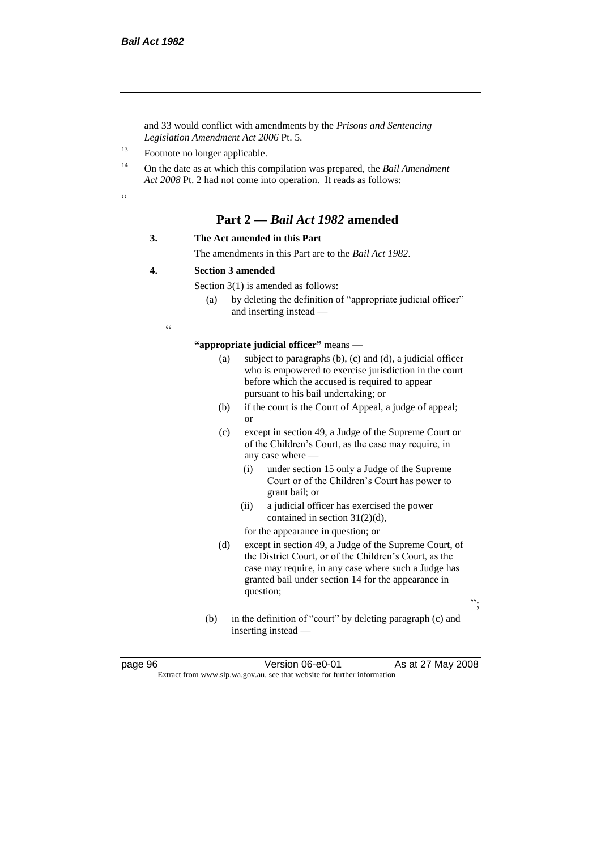and 33 would conflict with amendments by the *Prisons and Sentencing Legislation Amendment Act 2006* Pt. 5.

<sup>13</sup> Footnote no longer applicable.

<sup>14</sup> On the date as at which this compilation was prepared, the *Bail Amendment Act 2008* Pt. 2 had not come into operation. It reads as follows:

.<br>.<br>.

# **Part 2 —** *Bail Act 1982* **amended**

#### **3. The Act amended in this Part**

The amendments in this Part are to the *Bail Act 1982*.

#### **4. Section 3 amended**

Section 3(1) is amended as follows:

(a) by deleting the definition of "appropriate judicial officer" and inserting instead —

 $\epsilon$ 

**"appropriate judicial officer"** means —

- (a) subject to paragraphs (b), (c) and (d), a judicial officer who is empowered to exercise jurisdiction in the court before which the accused is required to appear pursuant to his bail undertaking; or
- (b) if the court is the Court of Appeal, a judge of appeal; or
- (c) except in section 49, a Judge of the Supreme Court or of the Children's Court, as the case may require, in any case where —
	- (i) under section 15 only a Judge of the Supreme Court or of the Children's Court has power to grant bail; or
	- (ii) a judicial officer has exercised the power contained in section 31(2)(d),

for the appearance in question; or

- (d) except in section 49, a Judge of the Supreme Court, of the District Court, or of the Children's Court, as the case may require, in any case where such a Judge has granted bail under section 14 for the appearance in question;
- ";
- (b) in the definition of "court" by deleting paragraph (c) and inserting instead —

page 96 **Version 06-e0-01** As at 27 May 2008 Extract from www.slp.wa.gov.au, see that website for further information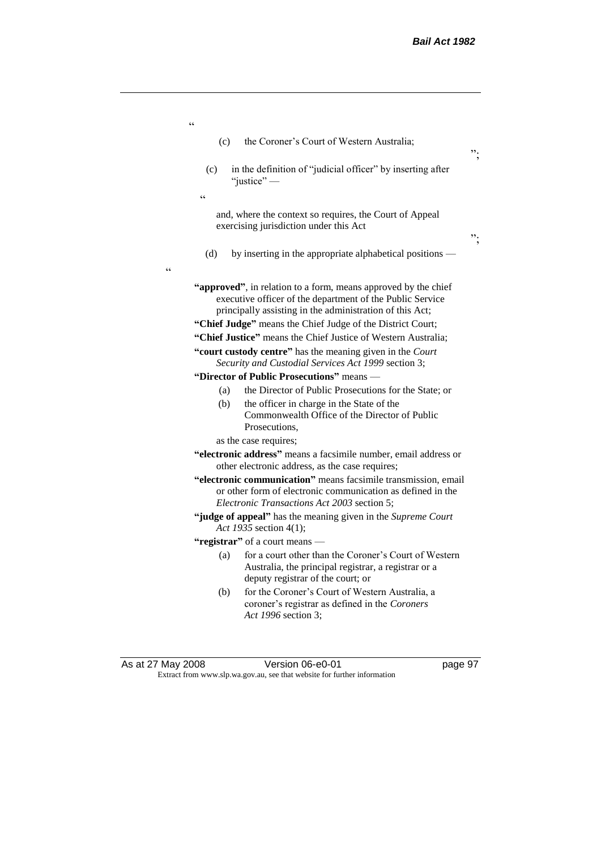| As at 27 May 2008                                 |            | Version 06-e0-01                                                                                                                                   | page 97 |
|---------------------------------------------------|------------|----------------------------------------------------------------------------------------------------------------------------------------------------|---------|
|                                                   |            |                                                                                                                                                    |         |
|                                                   | (b)        | for the Coroner's Court of Western Australia, a<br>coroner's registrar as defined in the Coroners<br>Act 1996 section 3;                           |         |
|                                                   | (a)        | for a court other than the Coroner's Court of Western<br>Australia, the principal registrar, a registrar or a<br>deputy registrar of the court; or |         |
|                                                   |            | "registrar" of a court means —                                                                                                                     |         |
|                                                   |            | Act 1935 section 4(1);                                                                                                                             |         |
|                                                   |            | "judge of appeal" has the meaning given in the Supreme Court                                                                                       |         |
|                                                   |            | or other form of electronic communication as defined in the<br>Electronic Transactions Act 2003 section 5;                                         |         |
|                                                   |            | "electronic communication" means facsimile transmission, email                                                                                     |         |
|                                                   |            | "electronic address" means a facsimile number, email address or<br>other electronic address, as the case requires;                                 |         |
|                                                   |            | as the case requires;                                                                                                                              |         |
|                                                   | (b)        | the officer in charge in the State of the<br>Commonwealth Office of the Director of Public<br>Prosecutions,                                        |         |
|                                                   | (a)        | the Director of Public Prosecutions for the State; or                                                                                              |         |
|                                                   |            | "Director of Public Prosecutions" means -                                                                                                          |         |
|                                                   |            | Security and Custodial Services Act 1999 section 3;                                                                                                |         |
|                                                   |            | "court custody centre" has the meaning given in the Court                                                                                          |         |
|                                                   |            | "Chief Justice" means the Chief Justice of Western Australia;                                                                                      |         |
|                                                   |            | principally assisting in the administration of this Act;<br>"Chief Judge" means the Chief Judge of the District Court;                             |         |
| $\boldsymbol{\varsigma}$ $\boldsymbol{\varsigma}$ |            | "approved", in relation to a form, means approved by the chief<br>executive officer of the department of the Public Service                        |         |
|                                                   | (d)        | by inserting in the appropriate alphabetical positions —                                                                                           |         |
|                                                   |            | and, where the context so requires, the Court of Appeal<br>exercising jurisdiction under this Act                                                  | ".      |
|                                                   | $\epsilon$ | "justice" $-$                                                                                                                                      |         |
|                                                   | (c)        | in the definition of "judicial officer" by inserting after                                                                                         |         |
|                                                   | (c)        | the Coroner's Court of Western Australia;                                                                                                          | ".      |
| $\boldsymbol{\varsigma}$ $\boldsymbol{\varsigma}$ |            |                                                                                                                                                    |         |

Extract from www.slp.wa.gov.au, see that website for further information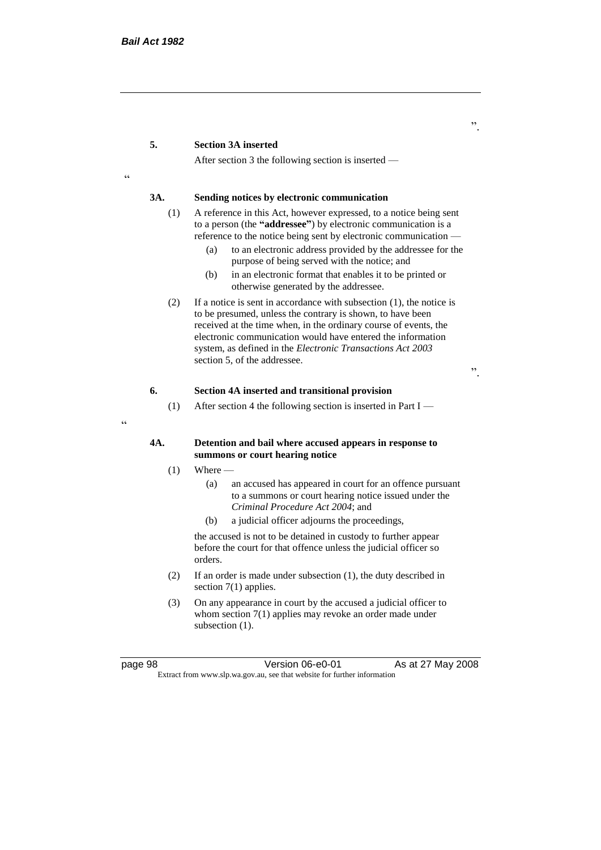#### **5. Section 3A inserted**

After section 3 the following section is inserted —

<u>،</u>

 $\epsilon$ 

#### **3A. Sending notices by electronic communication**

- (1) A reference in this Act, however expressed, to a notice being sent to a person (the **"addressee"**) by electronic communication is a reference to the notice being sent by electronic communication —
	- (a) to an electronic address provided by the addressee for the purpose of being served with the notice; and
	- (b) in an electronic format that enables it to be printed or otherwise generated by the addressee.
- (2) If a notice is sent in accordance with subsection (1), the notice is to be presumed, unless the contrary is shown, to have been received at the time when, in the ordinary course of events, the electronic communication would have entered the information system, as defined in the *Electronic Transactions Act 2003* section 5, of the addressee.

".

#### **6. Section 4A inserted and transitional provision**

(1) After section 4 the following section is inserted in Part I —

#### **4A. Detention and bail where accused appears in response to summons or court hearing notice**

- $(1)$  Where
	- (a) an accused has appeared in court for an offence pursuant to a summons or court hearing notice issued under the *Criminal Procedure Act 2004*; and
	- (b) a judicial officer adjourns the proceedings,

the accused is not to be detained in custody to further appear before the court for that offence unless the judicial officer so orders.

- (2) If an order is made under subsection (1), the duty described in section 7(1) applies.
- (3) On any appearance in court by the accused a judicial officer to whom section 7(1) applies may revoke an order made under subsection  $(1)$ .

page 98 Version 06-e0-01 As at 27 May 2008 Extract from www.slp.wa.gov.au, see that website for further information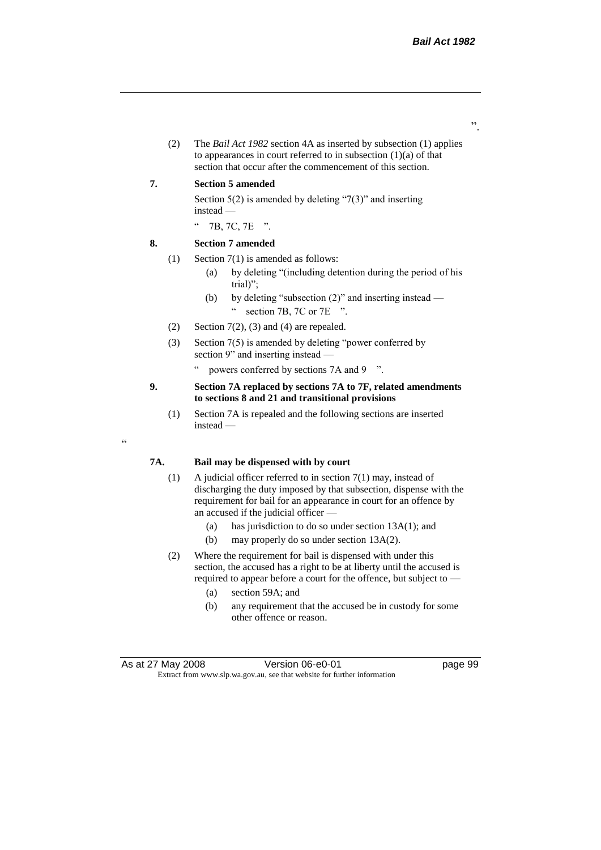".

(2) The *Bail Act 1982* section 4A as inserted by subsection (1) applies to appearances in court referred to in subsection  $(1)(a)$  of that section that occur after the commencement of this section.

#### **7. Section 5 amended**

Section  $5(2)$  is amended by deleting "7(3)" and inserting instead —

" 7B, 7C, 7E ".

#### **8. Section 7 amended**

"

- (1) Section 7(1) is amended as follows:
	- (a) by deleting "(including detention during the period of his trial)";
	- (b) by deleting "subsection (2)" and inserting instead " section 7B, 7C or 7E ".
- (2) Section  $7(2)$ , (3) and (4) are repealed.
- (3) Section 7(5) is amended by deleting "power conferred by section 9" and inserting instead —
	- " powers conferred by sections 7A and 9 ".

#### **9. Section 7A replaced by sections 7A to 7F, related amendments to sections 8 and 21 and transitional provisions**

(1) Section 7A is repealed and the following sections are inserted instead —

#### **7A. Bail may be dispensed with by court**

- (1) A judicial officer referred to in section 7(1) may, instead of discharging the duty imposed by that subsection, dispense with the requirement for bail for an appearance in court for an offence by an accused if the judicial officer —
	- (a) has jurisdiction to do so under section 13A(1); and
	- (b) may properly do so under section 13A(2).
- (2) Where the requirement for bail is dispensed with under this section, the accused has a right to be at liberty until the accused is required to appear before a court for the offence, but subject to —
	- (a) section 59A; and
	- (b) any requirement that the accused be in custody for some other offence or reason.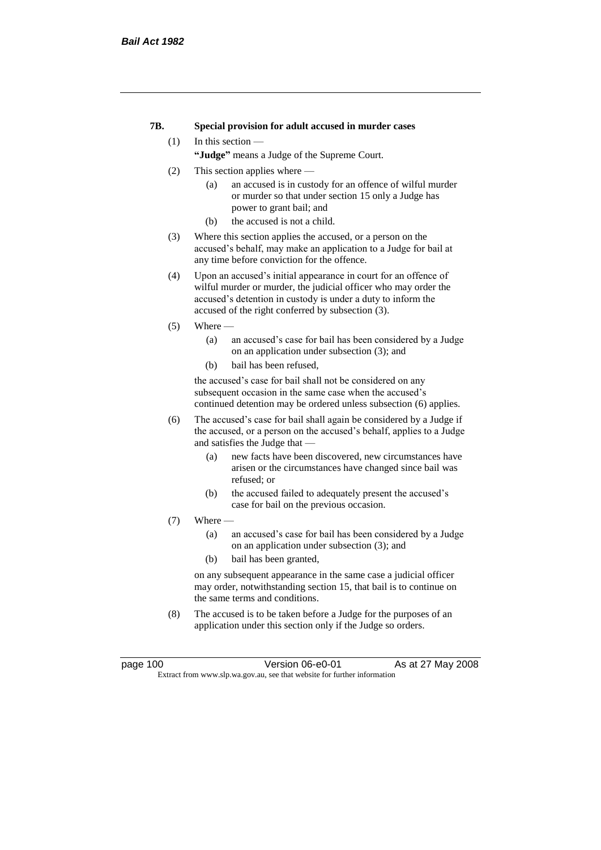#### **7B. Special provision for adult accused in murder cases**

#### (1) In this section —

**"Judge"** means a Judge of the Supreme Court.

- (2) This section applies where
	- (a) an accused is in custody for an offence of wilful murder or murder so that under section 15 only a Judge has power to grant bail; and
	- (b) the accused is not a child.
- (3) Where this section applies the accused, or a person on the accused's behalf, may make an application to a Judge for bail at any time before conviction for the offence.
- (4) Upon an accused's initial appearance in court for an offence of wilful murder or murder, the judicial officer who may order the accused's detention in custody is under a duty to inform the accused of the right conferred by subsection (3).
- $(5)$  Where
	- (a) an accused's case for bail has been considered by a Judge on an application under subsection (3); and
	- (b) bail has been refused,

the accused's case for bail shall not be considered on any subsequent occasion in the same case when the accused's continued detention may be ordered unless subsection (6) applies.

- (6) The accused's case for bail shall again be considered by a Judge if the accused, or a person on the accused's behalf, applies to a Judge and satisfies the Judge that —
	- (a) new facts have been discovered, new circumstances have arisen or the circumstances have changed since bail was refused; or
	- (b) the accused failed to adequately present the accused's case for bail on the previous occasion.
- $(7)$  Where  $-$ 
	- (a) an accused's case for bail has been considered by a Judge on an application under subsection (3); and
	- (b) bail has been granted,

on any subsequent appearance in the same case a judicial officer may order, notwithstanding section 15, that bail is to continue on the same terms and conditions.

(8) The accused is to be taken before a Judge for the purposes of an application under this section only if the Judge so orders.

page 100 Version 06-e0-01 As at 27 May 2008 Extract from www.slp.wa.gov.au, see that website for further information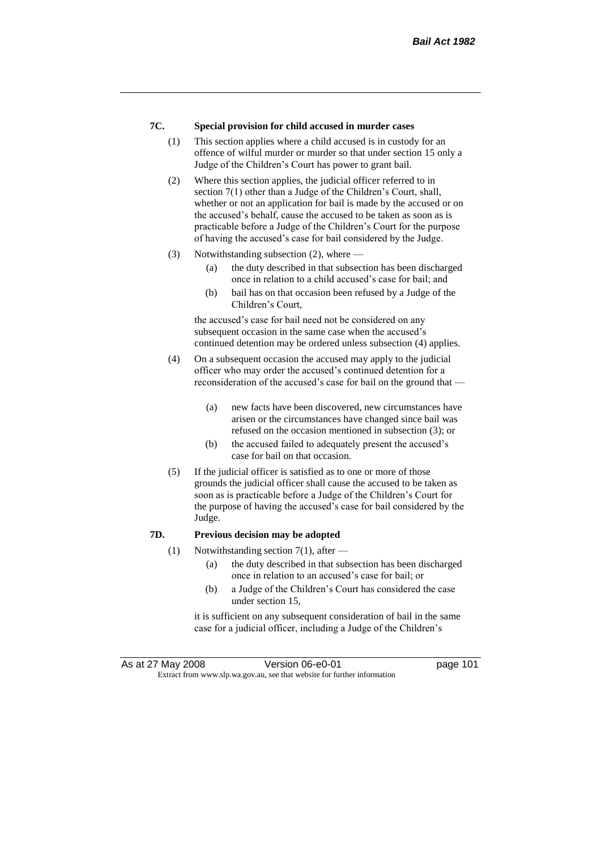## **7C. Special provision for child accused in murder cases**

- (1) This section applies where a child accused is in custody for an offence of wilful murder or murder so that under section 15 only a Judge of the Children's Court has power to grant bail.
- (2) Where this section applies, the judicial officer referred to in section 7(1) other than a Judge of the Children's Court, shall, whether or not an application for bail is made by the accused or on the accused's behalf, cause the accused to be taken as soon as is practicable before a Judge of the Children's Court for the purpose of having the accused's case for bail considered by the Judge.
- (3) Notwithstanding subsection (2), where
	- (a) the duty described in that subsection has been discharged once in relation to a child accused's case for bail; and
	- (b) bail has on that occasion been refused by a Judge of the Children's Court,

the accused's case for bail need not be considered on any subsequent occasion in the same case when the accused's continued detention may be ordered unless subsection (4) applies.

- (4) On a subsequent occasion the accused may apply to the judicial officer who may order the accused's continued detention for a reconsideration of the accused's case for bail on the ground that —
	- (a) new facts have been discovered, new circumstances have arisen or the circumstances have changed since bail was refused on the occasion mentioned in subsection (3); or
	- (b) the accused failed to adequately present the accused's case for bail on that occasion.
- (5) If the judicial officer is satisfied as to one or more of those grounds the judicial officer shall cause the accused to be taken as soon as is practicable before a Judge of the Children's Court for the purpose of having the accused's case for bail considered by the Judge.

## **7D. Previous decision may be adopted**

- (1) Notwithstanding section 7(1), after  $-$ 
	- (a) the duty described in that subsection has been discharged once in relation to an accused's case for bail; or
	- (b) a Judge of the Children's Court has considered the case under section 15,

it is sufficient on any subsequent consideration of bail in the same case for a judicial officer, including a Judge of the Children's

As at 27 May 2008 Version 06-e0-01 Page 101 Extract from www.slp.wa.gov.au, see that website for further information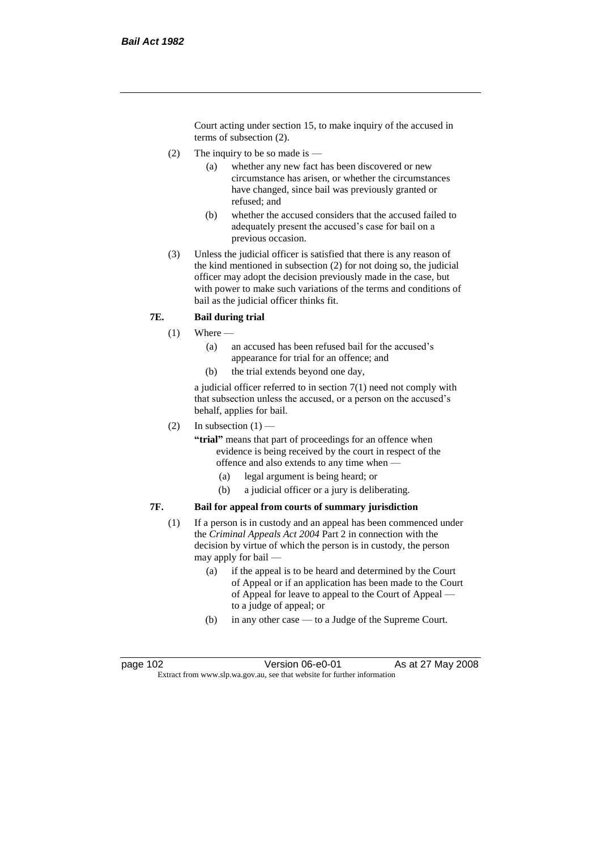Court acting under section 15, to make inquiry of the accused in terms of subsection (2).

- (2) The inquiry to be so made is  $-$ 
	- (a) whether any new fact has been discovered or new circumstance has arisen, or whether the circumstances have changed, since bail was previously granted or refused; and
	- (b) whether the accused considers that the accused failed to adequately present the accused's case for bail on a previous occasion.
- (3) Unless the judicial officer is satisfied that there is any reason of the kind mentioned in subsection (2) for not doing so, the judicial officer may adopt the decision previously made in the case, but with power to make such variations of the terms and conditions of bail as the judicial officer thinks fit.

# **7E. Bail during trial**

- $(1)$  Where
	- (a) an accused has been refused bail for the accused's appearance for trial for an offence; and
	- (b) the trial extends beyond one day,

a judicial officer referred to in section 7(1) need not comply with that subsection unless the accused, or a person on the accused's behalf, applies for bail.

(2) In subsection  $(1)$  —

**"trial"** means that part of proceedings for an offence when evidence is being received by the court in respect of the offence and also extends to any time when —

- (a) legal argument is being heard; or
- (b) a judicial officer or a jury is deliberating.

## **7F. Bail for appeal from courts of summary jurisdiction**

- (1) If a person is in custody and an appeal has been commenced under the *Criminal Appeals Act 2004* Part 2 in connection with the decision by virtue of which the person is in custody, the person may apply for bail —
	- (a) if the appeal is to be heard and determined by the Court of Appeal or if an application has been made to the Court of Appeal for leave to appeal to the Court of Appeal to a judge of appeal; or
	- (b) in any other case to a Judge of the Supreme Court.

page 102 Version 06-e0-01 As at 27 May 2008 Extract from www.slp.wa.gov.au, see that website for further information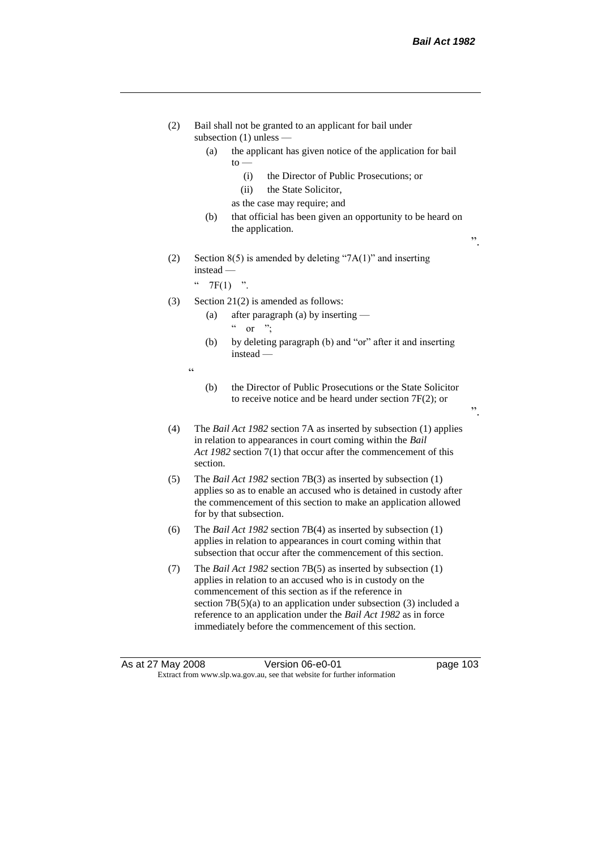".

".

- (2) Bail shall not be granted to an applicant for bail under subsection (1) unless —
	- (a) the applicant has given notice of the application for bail to —
		- (i) the Director of Public Prosecutions; or
		- (ii) the State Solicitor,
		- as the case may require; and
	- (b) that official has been given an opportunity to be heard on the application.
- (2) Section  $8(5)$  is amended by deleting "7A(1)" and inserting instead —

"  $7F(1)$  ".

.<br>.<br>.

- (3) Section 21(2) is amended as follows:
	- (a) after paragraph (a) by inserting  $\alpha$  or ";
	- (b) by deleting paragraph (b) and "or" after it and inserting instead —
	- (b) the Director of Public Prosecutions or the State Solicitor to receive notice and be heard under section 7F(2); or
- (4) The *Bail Act 1982* section 7A as inserted by subsection (1) applies in relation to appearances in court coming within the *Bail Act 1982* section 7(1) that occur after the commencement of this section.
- (5) The *Bail Act 1982* section 7B(3) as inserted by subsection (1) applies so as to enable an accused who is detained in custody after the commencement of this section to make an application allowed for by that subsection.
- (6) The *Bail Act 1982* section 7B(4) as inserted by subsection (1) applies in relation to appearances in court coming within that subsection that occur after the commencement of this section.
- (7) The *Bail Act 1982* section 7B(5) as inserted by subsection (1) applies in relation to an accused who is in custody on the commencement of this section as if the reference in section 7B(5)(a) to an application under subsection (3) included a reference to an application under the *Bail Act 1982* as in force immediately before the commencement of this section.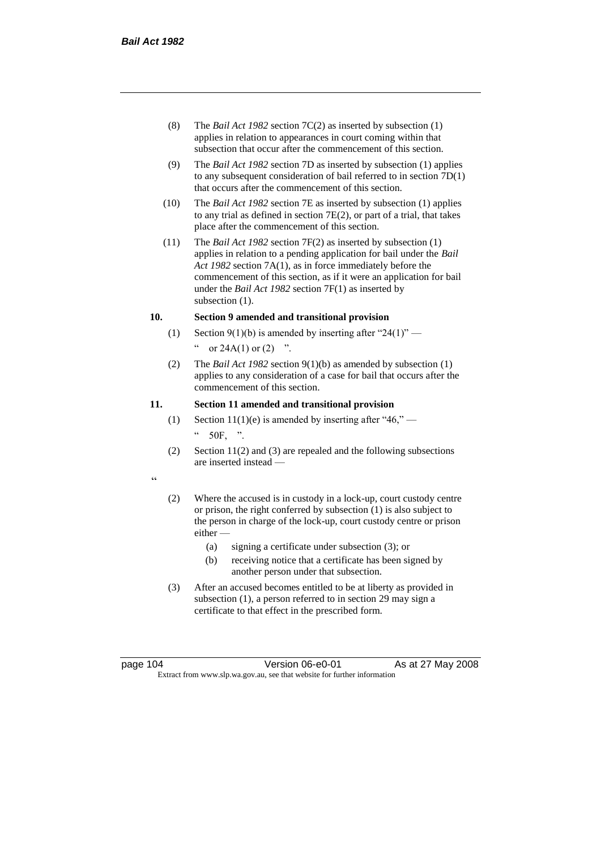- (8) The *Bail Act 1982* section 7C(2) as inserted by subsection (1) applies in relation to appearances in court coming within that subsection that occur after the commencement of this section.
- (9) The *Bail Act 1982* section 7D as inserted by subsection (1) applies to any subsequent consideration of bail referred to in section 7D(1) that occurs after the commencement of this section.
- (10) The *Bail Act 1982* section 7E as inserted by subsection (1) applies to any trial as defined in section 7E(2), or part of a trial, that takes place after the commencement of this section.
- (11) The *Bail Act 1982* section 7F(2) as inserted by subsection (1) applies in relation to a pending application for bail under the *Bail Act 1982* section 7A(1), as in force immediately before the commencement of this section, as if it were an application for bail under the *Bail Act 1982* section 7F(1) as inserted by subsection  $(1)$ .

## **10. Section 9 amended and transitional provision**

- (1) Section 9(1)(b) is amended by inserting after "24(1)" " or  $24A(1)$  or  $(2)$  ".
- (2) The *Bail Act 1982* section 9(1)(b) as amended by subsection (1) applies to any consideration of a case for bail that occurs after the commencement of this section.

## **11. Section 11 amended and transitional provision**

- (1) Section 11(1)(e) is amended by inserting after "46," 50F, ".
- (2) Section 11(2) and (3) are repealed and the following subsections are inserted instead —
- $\epsilon$
- (2) Where the accused is in custody in a lock-up, court custody centre or prison, the right conferred by subsection (1) is also subject to the person in charge of the lock-up, court custody centre or prison either —
	- (a) signing a certificate under subsection (3); or
	- (b) receiving notice that a certificate has been signed by another person under that subsection.
- (3) After an accused becomes entitled to be at liberty as provided in subsection (1), a person referred to in section 29 may sign a certificate to that effect in the prescribed form.

page 104 Version 06-e0-01 As at 27 May 2008 Extract from www.slp.wa.gov.au, see that website for further information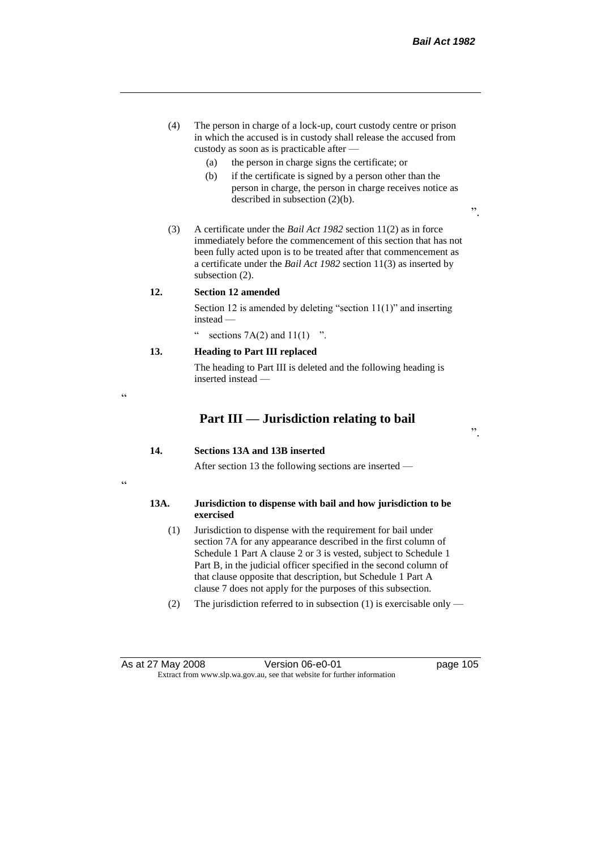- (4) The person in charge of a lock-up, court custody centre or prison in which the accused is in custody shall release the accused from custody as soon as is practicable after —
	- (a) the person in charge signs the certificate; or
	- (b) if the certificate is signed by a person other than the person in charge, the person in charge receives notice as described in subsection (2)(b).
- (3) A certificate under the *Bail Act 1982* section 11(2) as in force immediately before the commencement of this section that has not been fully acted upon is to be treated after that commencement as a certificate under the *Bail Act 1982* section 11(3) as inserted by subsection (2).

## **12. Section 12 amended**

 $\epsilon$ 

"

Section 12 is amended by deleting "section 11(1)" and inserting instead —

" sections  $7A(2)$  and  $11(1)$  ".

# **13. Heading to Part III replaced**

The heading to Part III is deleted and the following heading is inserted instead —

# **Part III — Jurisdiction relating to bail**

".

".

# **14. Sections 13A and 13B inserted**

After section 13 the following sections are inserted —

## **13A. Jurisdiction to dispense with bail and how jurisdiction to be exercised**

- (1) Jurisdiction to dispense with the requirement for bail under section 7A for any appearance described in the first column of Schedule 1 Part A clause 2 or 3 is vested, subject to Schedule 1 Part B, in the judicial officer specified in the second column of that clause opposite that description, but Schedule 1 Part A clause 7 does not apply for the purposes of this subsection.
- (2) The jurisdiction referred to in subsection (1) is exercisable only —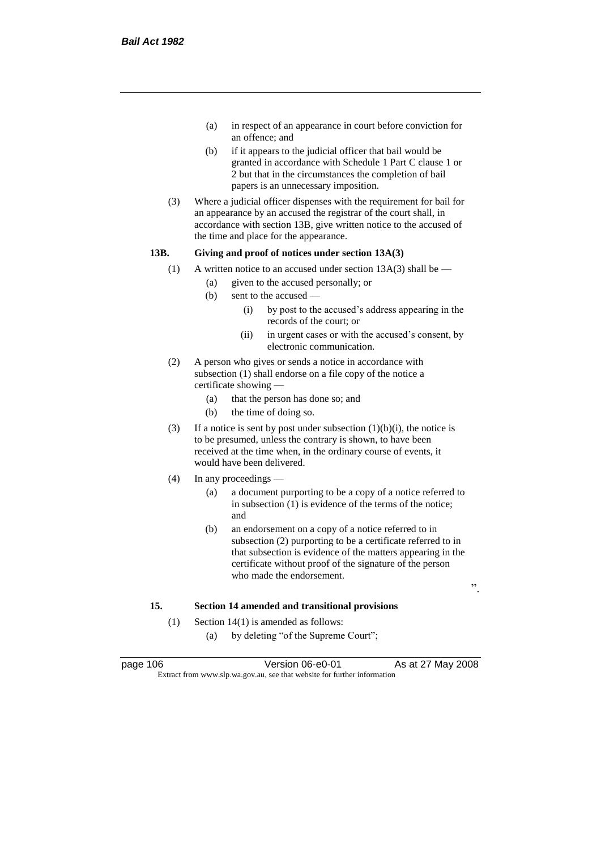- (a) in respect of an appearance in court before conviction for an offence; and
- (b) if it appears to the judicial officer that bail would be granted in accordance with Schedule 1 Part C clause 1 or 2 but that in the circumstances the completion of bail papers is an unnecessary imposition.
- (3) Where a judicial officer dispenses with the requirement for bail for an appearance by an accused the registrar of the court shall, in accordance with section 13B, give written notice to the accused of the time and place for the appearance.

## **13B. Giving and proof of notices under section 13A(3)**

- (1) A written notice to an accused under section  $13A(3)$  shall be
	- (a) given to the accused personally; or
	- (b) sent to the accused
		- (i) by post to the accused's address appearing in the records of the court; or
		- (ii) in urgent cases or with the accused's consent, by electronic communication.
- (2) A person who gives or sends a notice in accordance with subsection (1) shall endorse on a file copy of the notice a certificate showing —
	- (a) that the person has done so; and
	- (b) the time of doing so.
- (3) If a notice is sent by post under subsection  $(1)(b)(i)$ , the notice is to be presumed, unless the contrary is shown, to have been received at the time when, in the ordinary course of events, it would have been delivered.
- (4) In any proceedings
	- (a) a document purporting to be a copy of a notice referred to in subsection (1) is evidence of the terms of the notice; and
	- (b) an endorsement on a copy of a notice referred to in subsection (2) purporting to be a certificate referred to in that subsection is evidence of the matters appearing in the certificate without proof of the signature of the person who made the endorsement.

".

# **15. Section 14 amended and transitional provisions**

- (1) Section 14(1) is amended as follows:
	- (a) by deleting "of the Supreme Court";

page 106 **Version 06-e0-01** As at 27 May 2008 Extract from www.slp.wa.gov.au, see that website for further information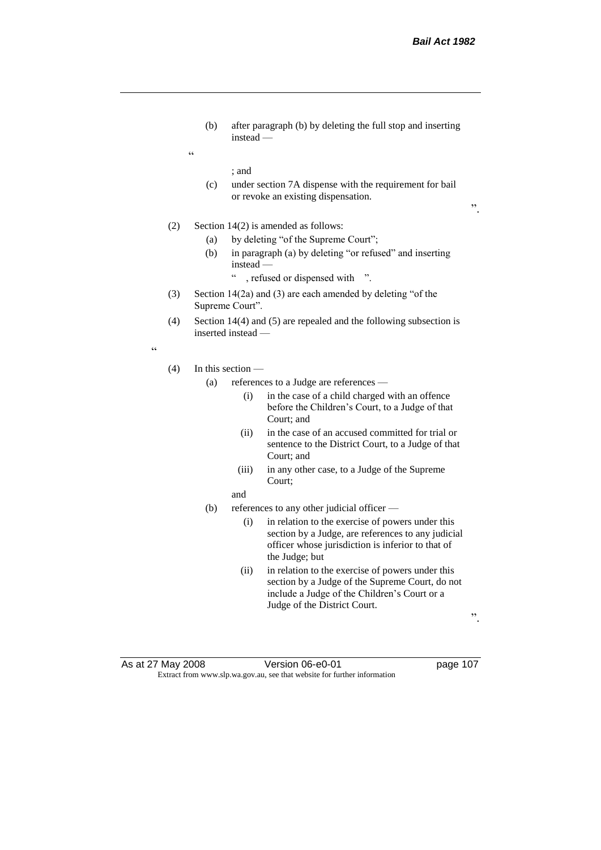(b) after paragraph (b) by deleting the full stop and inserting instead —

; and

 $\epsilon$ 

(c) under section 7A dispense with the requirement for bail or revoke an existing dispensation.

".

- (2) Section 14(2) is amended as follows:
	- (a) by deleting "of the Supreme Court";
	- (b) in paragraph (a) by deleting "or refused" and inserting instead —
		- " , refused or dispensed with ".
- (3) Section 14(2a) and (3) are each amended by deleting "of the Supreme Court".
- (4) Section 14(4) and (5) are repealed and the following subsection is inserted instead —

"

#### (4) In this section —

- (a) references to a Judge are references
	- (i) in the case of a child charged with an offence before the Children's Court, to a Judge of that Court; and
	- (ii) in the case of an accused committed for trial or sentence to the District Court, to a Judge of that Court; and
	- (iii) in any other case, to a Judge of the Supreme Court;
	- and
- (b) references to any other judicial officer
	- (i) in relation to the exercise of powers under this section by a Judge, are references to any judicial officer whose jurisdiction is inferior to that of the Judge; but
	- (ii) in relation to the exercise of powers under this section by a Judge of the Supreme Court, do not include a Judge of the Children's Court or a Judge of the District Court.

".

As at 27 May 2008 Version 06-e0-01 page 107 Extract from www.slp.wa.gov.au, see that website for further information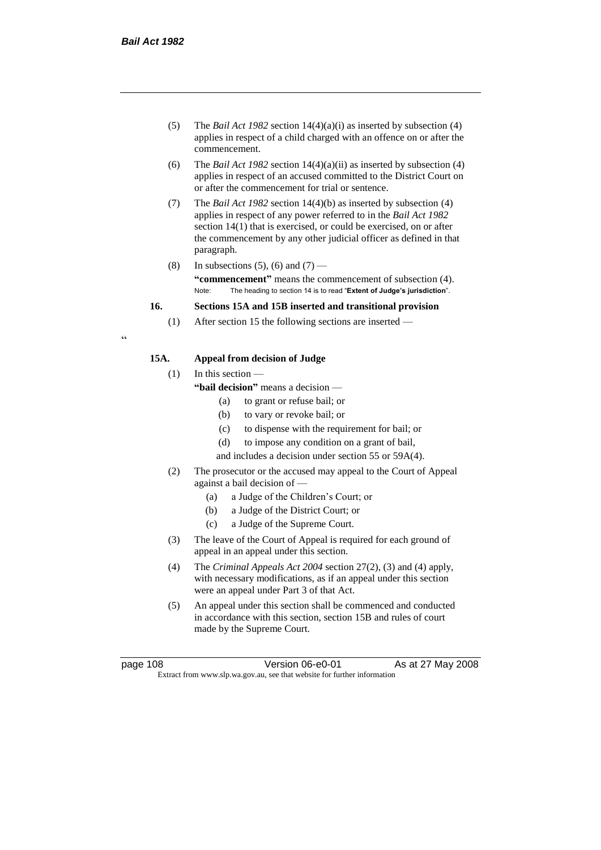- (5) The *Bail Act 1982* section 14(4)(a)(i) as inserted by subsection (4) applies in respect of a child charged with an offence on or after the commencement.
- (6) The *Bail Act 1982* section 14(4)(a)(ii) as inserted by subsection (4) applies in respect of an accused committed to the District Court on or after the commencement for trial or sentence.
- (7) The *Bail Act 1982* section 14(4)(b) as inserted by subsection (4) applies in respect of any power referred to in the *Bail Act 1982* section 14(1) that is exercised, or could be exercised, on or after the commencement by any other judicial officer as defined in that paragraph.
- (8) In subsections (5), (6) and (7) **"commencement"** means the commencement of subsection (4). Note: The heading to section 14 is to read "**Extent of Judge's jurisdiction**".

## **16. Sections 15A and 15B inserted and transitional provision**

(1) After section 15 the following sections are inserted —

# **15A. Appeal from decision of Judge**

(1) In this section —

- **"bail decision"** means a decision
	- (a) to grant or refuse bail; or
	- (b) to vary or revoke bail; or
	- (c) to dispense with the requirement for bail; or
	- (d) to impose any condition on a grant of bail,
	- and includes a decision under section 55 or 59A(4).
- (2) The prosecutor or the accused may appeal to the Court of Appeal against a bail decision of —
	- (a) a Judge of the Children's Court; or
	- (b) a Judge of the District Court; or
	- (c) a Judge of the Supreme Court.
- (3) The leave of the Court of Appeal is required for each ground of appeal in an appeal under this section.
- (4) The *Criminal Appeals Act 2004* section 27(2), (3) and (4) apply, with necessary modifications, as if an appeal under this section were an appeal under Part 3 of that Act.
- (5) An appeal under this section shall be commenced and conducted in accordance with this section, section 15B and rules of court made by the Supreme Court.

.<br>.

page 108 **Version 06-e0-01** As at 27 May 2008 Extract from www.slp.wa.gov.au, see that website for further information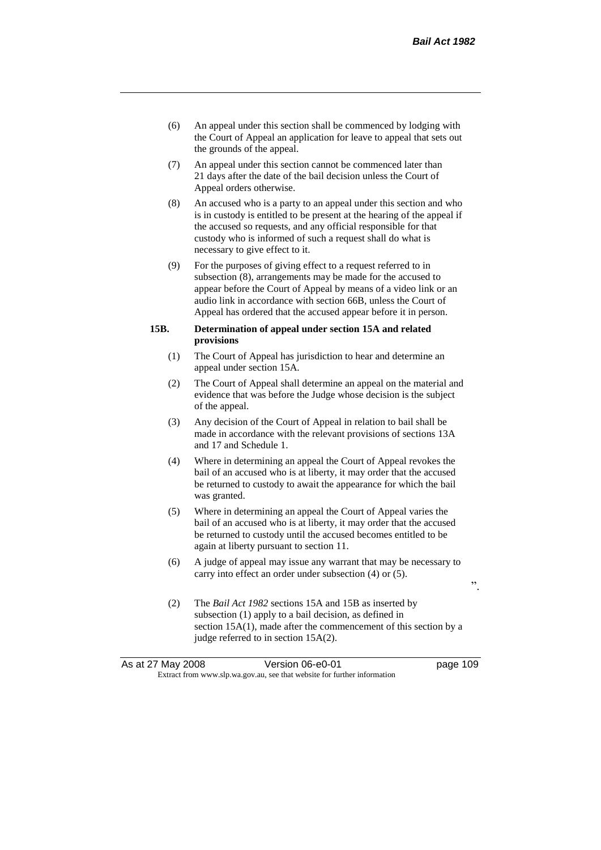- (6) An appeal under this section shall be commenced by lodging with the Court of Appeal an application for leave to appeal that sets out the grounds of the appeal.
- (7) An appeal under this section cannot be commenced later than 21 days after the date of the bail decision unless the Court of Appeal orders otherwise.
- (8) An accused who is a party to an appeal under this section and who is in custody is entitled to be present at the hearing of the appeal if the accused so requests, and any official responsible for that custody who is informed of such a request shall do what is necessary to give effect to it.
- (9) For the purposes of giving effect to a request referred to in subsection (8), arrangements may be made for the accused to appear before the Court of Appeal by means of a video link or an audio link in accordance with section 66B, unless the Court of Appeal has ordered that the accused appear before it in person.

## **15B. Determination of appeal under section 15A and related provisions**

- (1) The Court of Appeal has jurisdiction to hear and determine an appeal under section 15A.
- (2) The Court of Appeal shall determine an appeal on the material and evidence that was before the Judge whose decision is the subject of the appeal.
- (3) Any decision of the Court of Appeal in relation to bail shall be made in accordance with the relevant provisions of sections 13A and 17 and Schedule 1.
- (4) Where in determining an appeal the Court of Appeal revokes the bail of an accused who is at liberty, it may order that the accused be returned to custody to await the appearance for which the bail was granted.
- (5) Where in determining an appeal the Court of Appeal varies the bail of an accused who is at liberty, it may order that the accused be returned to custody until the accused becomes entitled to be again at liberty pursuant to section 11.
- (6) A judge of appeal may issue any warrant that may be necessary to carry into effect an order under subsection (4) or (5).
	- $\ddot{\hspace{1mm}}$
- (2) The *Bail Act 1982* sections 15A and 15B as inserted by subsection (1) apply to a bail decision, as defined in section 15A(1), made after the commencement of this section by a judge referred to in section 15A(2).

| As at 27 May 2008                                                        |  | Version 06-e0-01 | page 109 |
|--------------------------------------------------------------------------|--|------------------|----------|
| Extract from www.slp.wa.gov.au, see that website for further information |  |                  |          |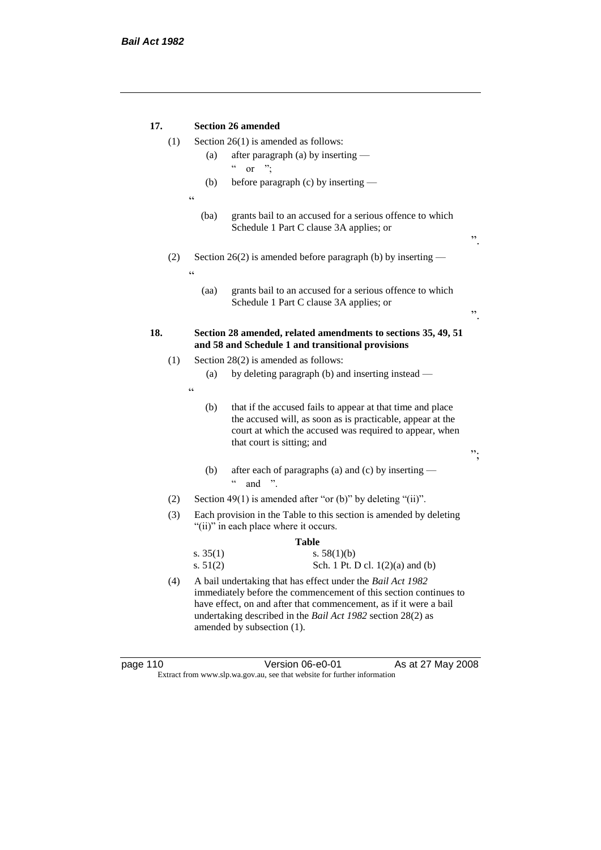| 17.   |     | <b>Section 26 amended</b>                                                                                                                                                                                                                                                                        |  |  |  |
|-------|-----|--------------------------------------------------------------------------------------------------------------------------------------------------------------------------------------------------------------------------------------------------------------------------------------------------|--|--|--|
|       | (1) | Section $26(1)$ is amended as follows:                                                                                                                                                                                                                                                           |  |  |  |
|       |     | after paragraph (a) by inserting —<br>(a)                                                                                                                                                                                                                                                        |  |  |  |
|       |     | $\boldsymbol{\varsigma}$ $\boldsymbol{\varsigma}$<br>".<br>$\alpha$                                                                                                                                                                                                                              |  |  |  |
|       |     | before paragraph (c) by inserting —<br>(b)                                                                                                                                                                                                                                                       |  |  |  |
|       |     | $\zeta\,\zeta$                                                                                                                                                                                                                                                                                   |  |  |  |
|       |     | (ba)<br>grants bail to an accused for a serious offence to which<br>Schedule 1 Part C clause 3A applies; or<br>,,                                                                                                                                                                                |  |  |  |
|       | (2) | Section 26(2) is amended before paragraph (b) by inserting $-$<br>$\epsilon$                                                                                                                                                                                                                     |  |  |  |
|       |     | grants bail to an accused for a serious offence to which<br>(aa)<br>Schedule 1 Part C clause 3A applies; or<br>,,                                                                                                                                                                                |  |  |  |
| 18.   |     | Section 28 amended, related amendments to sections 35, 49, 51<br>and 58 and Schedule 1 and transitional provisions                                                                                                                                                                               |  |  |  |
|       | (1) | Section 28(2) is amended as follows:                                                                                                                                                                                                                                                             |  |  |  |
|       |     | by deleting paragraph (b) and inserting instead —<br>(a)                                                                                                                                                                                                                                         |  |  |  |
|       |     | $\zeta\,\zeta$                                                                                                                                                                                                                                                                                   |  |  |  |
|       |     | that if the accused fails to appear at that time and place<br>(b)<br>the accused will, as soon as is practicable, appear at the<br>court at which the accused was required to appear, when<br>that court is sitting; and<br>".                                                                   |  |  |  |
|       |     | after each of paragraphs (a) and (c) by inserting —<br>(b)<br>$\boldsymbol{\varsigma}$ $\boldsymbol{\varsigma}$<br>$\rightarrow$<br>and                                                                                                                                                          |  |  |  |
|       | (2) | Section 49(1) is amended after "or (b)" by deleting "(ii)".                                                                                                                                                                                                                                      |  |  |  |
|       | (3) | Each provision in the Table to this section is amended by deleting<br>"(ii)" in each place where it occurs.                                                                                                                                                                                      |  |  |  |
| Table |     |                                                                                                                                                                                                                                                                                                  |  |  |  |
|       |     | s. $35(1)$<br>s. $58(1)(b)$<br>s. $51(2)$<br>Sch. 1 Pt. D cl. 1(2)(a) and (b)                                                                                                                                                                                                                    |  |  |  |
|       | (4) | A bail undertaking that has effect under the Bail Act 1982<br>immediately before the commencement of this section continues to<br>have effect, on and after that commencement, as if it were a bail<br>undertaking described in the Bail Act 1982 section 28(2) as<br>amended by subsection (1). |  |  |  |

| page 110 |  |  |
|----------|--|--|
|----------|--|--|

page 110 **Decimination UP of Version 06-e0-01** As at 27 May 2008 Extract from www.slp.wa.gov.au, see that website for further information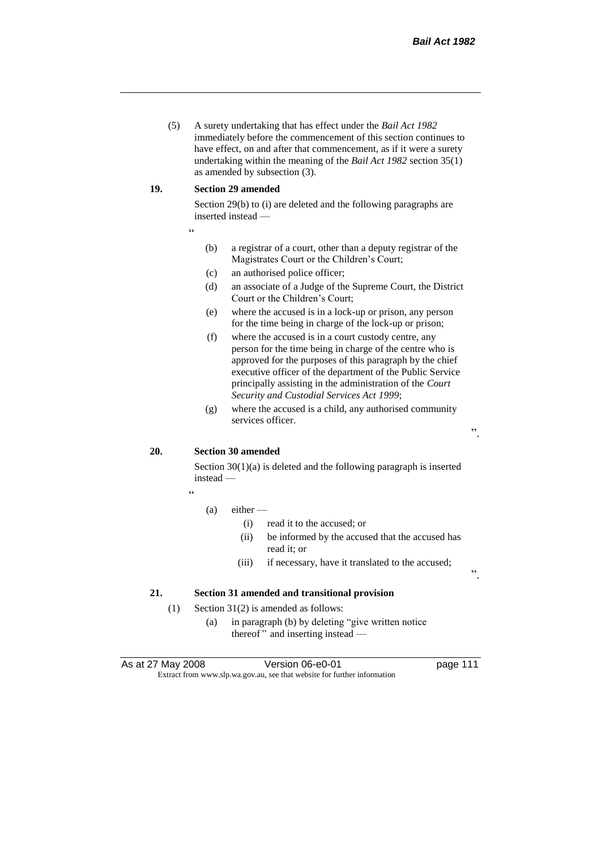(5) A surety undertaking that has effect under the *Bail Act 1982* immediately before the commencement of this section continues to have effect, on and after that commencement, as if it were a surety undertaking within the meaning of the *Bail Act 1982* section 35(1) as amended by subsection (3).

### **19. Section 29 amended**

Section 29(b) to (i) are deleted and the following paragraphs are inserted instead —

- "
- (b) a registrar of a court, other than a deputy registrar of the Magistrates Court or the Children's Court;
- (c) an authorised police officer;
- (d) an associate of a Judge of the Supreme Court, the District Court or the Children's Court;
- (e) where the accused is in a lock-up or prison, any person for the time being in charge of the lock-up or prison;
- (f) where the accused is in a court custody centre, any person for the time being in charge of the centre who is approved for the purposes of this paragraph by the chief executive officer of the department of the Public Service principally assisting in the administration of the *Court Security and Custodial Services Act 1999*;
- (g) where the accused is a child, any authorised community services officer.

".

".

# **20. Section 30 amended**

Section 30(1)(a) is deleted and the following paragraph is inserted instead —

"

#### (a) either —

- (i) read it to the accused; or
- (ii) be informed by the accused that the accused has read it; or
- (iii) if necessary, have it translated to the accused;

## **21. Section 31 amended and transitional provision**

- (1) Section 31(2) is amended as follows:
	- (a) in paragraph (b) by deleting "give written notice thereof " and inserting instead —

As at 27 May 2008 Version 06-e0-01 Page 111 Extract from www.slp.wa.gov.au, see that website for further information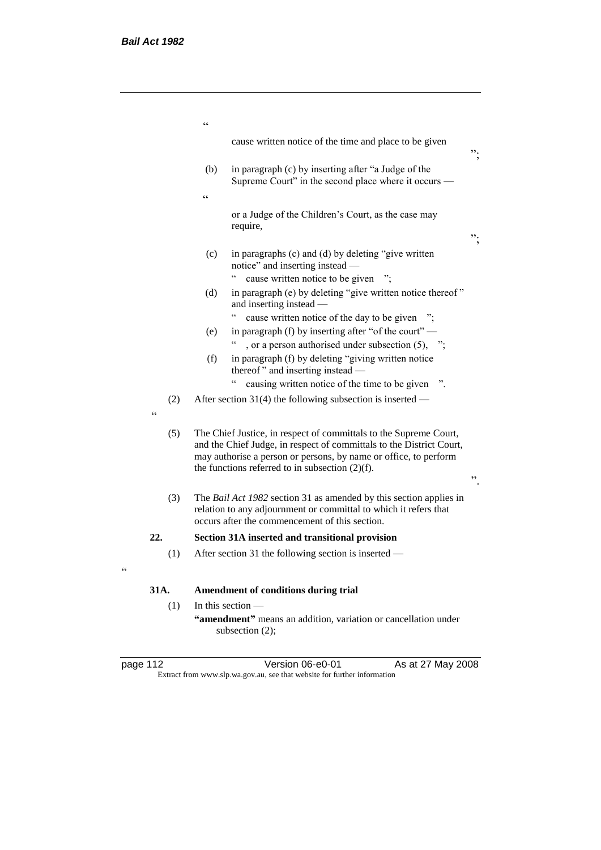|          | $\epsilon$                                                                                                                                                                               |                                                                                                                                                                                                                                                                     |    |
|----------|------------------------------------------------------------------------------------------------------------------------------------------------------------------------------------------|---------------------------------------------------------------------------------------------------------------------------------------------------------------------------------------------------------------------------------------------------------------------|----|
|          |                                                                                                                                                                                          | cause written notice of the time and place to be given                                                                                                                                                                                                              | ". |
|          | (b)                                                                                                                                                                                      | in paragraph (c) by inserting after "a Judge of the<br>Supreme Court" in the second place where it occurs —                                                                                                                                                         |    |
|          | $\epsilon$                                                                                                                                                                               |                                                                                                                                                                                                                                                                     |    |
|          |                                                                                                                                                                                          | or a Judge of the Children's Court, as the case may<br>require,                                                                                                                                                                                                     | ". |
|          | (c)                                                                                                                                                                                      | in paragraphs (c) and (d) by deleting "give written<br>notice" and inserting instead -                                                                                                                                                                              |    |
|          |                                                                                                                                                                                          | cause written notice to be given                                                                                                                                                                                                                                    |    |
|          | (d)                                                                                                                                                                                      | in paragraph (e) by deleting "give written notice thereof"<br>and inserting instead —                                                                                                                                                                               |    |
|          |                                                                                                                                                                                          | cause written notice of the day to be given                                                                                                                                                                                                                         |    |
|          | (e)                                                                                                                                                                                      | in paragraph (f) by inserting after "of the court" —                                                                                                                                                                                                                |    |
|          |                                                                                                                                                                                          | , or a person authorised under subsection $(5)$ , ";                                                                                                                                                                                                                |    |
|          | (f)                                                                                                                                                                                      | in paragraph (f) by deleting "giving written notice<br>thereof" and inserting instead -                                                                                                                                                                             |    |
|          |                                                                                                                                                                                          | $\epsilon$<br>causing written notice of the time to be given                                                                                                                                                                                                        |    |
| (2)<br>C |                                                                                                                                                                                          | After section 31(4) the following subsection is inserted —                                                                                                                                                                                                          |    |
| (5)      |                                                                                                                                                                                          | The Chief Justice, in respect of committals to the Supreme Court,<br>and the Chief Judge, in respect of committals to the District Court,<br>may authorise a person or persons, by name or office, to perform<br>the functions referred to in subsection $(2)(f)$ . | ,, |
| (3)      | The Bail Act 1982 section 31 as amended by this section applies in<br>relation to any adjournment or committal to which it refers that<br>occurs after the commencement of this section. |                                                                                                                                                                                                                                                                     |    |
| 22.      |                                                                                                                                                                                          | Section 31A inserted and transitional provision                                                                                                                                                                                                                     |    |
| (1)      |                                                                                                                                                                                          | After section 31 the following section is inserted —                                                                                                                                                                                                                |    |
| 31A.     |                                                                                                                                                                                          | Amendment of conditions during trial                                                                                                                                                                                                                                |    |
| (1)      | In this section $-$                                                                                                                                                                      |                                                                                                                                                                                                                                                                     |    |
|          | "amendment" means an addition, variation or cancellation under<br>subsection (2);                                                                                                        |                                                                                                                                                                                                                                                                     |    |

| page |  |
|------|--|
|      |  |

"

page 112 **Detail Contract Contract Version 06-e0-01** As at 27 May 2008 Extract from www.slp.wa.gov.au, see that website for further information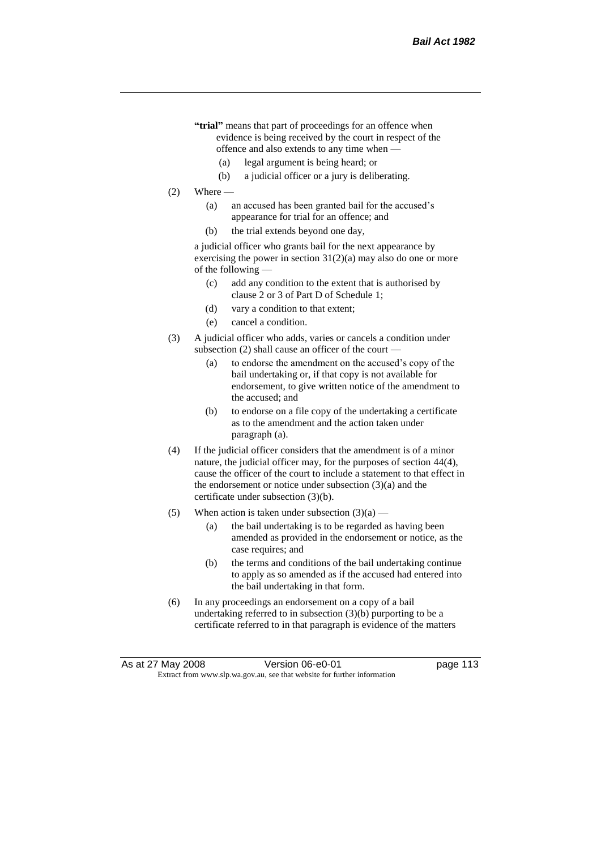- **"trial"** means that part of proceedings for an offence when evidence is being received by the court in respect of the offence and also extends to any time when —
	- (a) legal argument is being heard; or
	- (b) a judicial officer or a jury is deliberating.
- $(2)$  Where
	- (a) an accused has been granted bail for the accused's appearance for trial for an offence; and
	- (b) the trial extends beyond one day,

a judicial officer who grants bail for the next appearance by exercising the power in section  $31(2)(a)$  may also do one or more of the following —

- (c) add any condition to the extent that is authorised by clause 2 or 3 of Part D of Schedule 1;
- (d) vary a condition to that extent;
- (e) cancel a condition.
- (3) A judicial officer who adds, varies or cancels a condition under subsection  $(2)$  shall cause an officer of the court -
	- (a) to endorse the amendment on the accused's copy of the bail undertaking or, if that copy is not available for endorsement, to give written notice of the amendment to the accused; and
	- (b) to endorse on a file copy of the undertaking a certificate as to the amendment and the action taken under paragraph (a).
- (4) If the judicial officer considers that the amendment is of a minor nature, the judicial officer may, for the purposes of section 44(4), cause the officer of the court to include a statement to that effect in the endorsement or notice under subsection (3)(a) and the certificate under subsection (3)(b).
- (5) When action is taken under subsection  $(3)(a)$ 
	- (a) the bail undertaking is to be regarded as having been amended as provided in the endorsement or notice, as the case requires; and
	- (b) the terms and conditions of the bail undertaking continue to apply as so amended as if the accused had entered into the bail undertaking in that form.
- (6) In any proceedings an endorsement on a copy of a bail undertaking referred to in subsection (3)(b) purporting to be a certificate referred to in that paragraph is evidence of the matters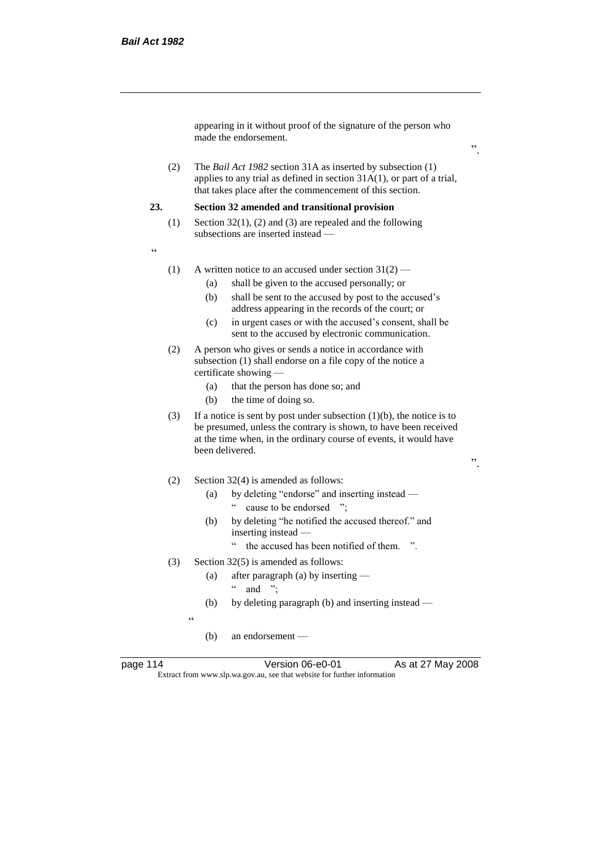appearing in it without proof of the signature of the person who made the endorsement.

(2) The *Bail Act 1982* section 31A as inserted by subsection (1) applies to any trial as defined in section 31A(1), or part of a trial, that takes place after the commencement of this section.

#### **23. Section 32 amended and transitional provision**

- (1) Section 32(1), (2) and (3) are repealed and the following subsections are inserted instead —
- "
- (1) A written notice to an accused under section  $31(2)$ 
	- (a) shall be given to the accused personally; or
	- (b) shall be sent to the accused by post to the accused's address appearing in the records of the court; or
	- (c) in urgent cases or with the accused's consent, shall be sent to the accused by electronic communication.
- (2) A person who gives or sends a notice in accordance with subsection (1) shall endorse on a file copy of the notice a certificate showing —
	- (a) that the person has done so; and
	- (b) the time of doing so.
- (3) If a notice is sent by post under subsection  $(1)(b)$ , the notice is to be presumed, unless the contrary is shown, to have been received at the time when, in the ordinary course of events, it would have been delivered.
- (2) Section 32(4) is amended as follows:
	- (a) by deleting "endorse" and inserting instead " cause to be endorsed ";
	- (b) by deleting "he notified the accused thereof." and inserting instead —
		- " the accused has been notified of them. ".
- (3) Section 32(5) is amended as follows:
	- (a) after paragraph (a) by inserting  $"$  and ":
	- (b) by deleting paragraph (b) and inserting instead —

.<br>د د

(b) an endorsement —

page 114 **Version 06-e0-01** As at 27 May 2008 Extract from www.slp.wa.gov.au, see that website for further information

".

".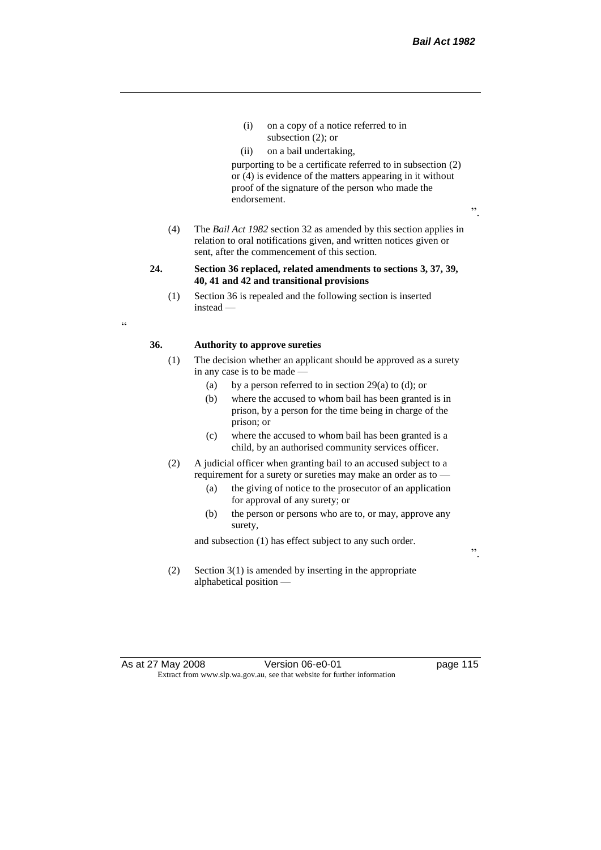".

- (i) on a copy of a notice referred to in subsection (2); or
- (ii) on a bail undertaking,

purporting to be a certificate referred to in subsection (2) or (4) is evidence of the matters appearing in it without proof of the signature of the person who made the endorsement.

- (4) The *Bail Act 1982* section 32 as amended by this section applies in relation to oral notifications given, and written notices given or sent, after the commencement of this section.
- **24. Section 36 replaced, related amendments to sections 3, 37, 39, 40, 41 and 42 and transitional provisions**
	- (1) Section 36 is repealed and the following section is inserted instead —

 $\epsilon$ 

## **36. Authority to approve sureties**

- (1) The decision whether an applicant should be approved as a surety in any case is to be made —
	- (a) by a person referred to in section  $29(a)$  to (d); or
	- (b) where the accused to whom bail has been granted is in prison, by a person for the time being in charge of the prison; or
	- (c) where the accused to whom bail has been granted is a child, by an authorised community services officer.
- (2) A judicial officer when granting bail to an accused subject to a requirement for a surety or sureties may make an order as to -
	- (a) the giving of notice to the prosecutor of an application for approval of any surety; or
	- (b) the person or persons who are to, or may, approve any surety,

and subsection (1) has effect subject to any such order.

".

(2) Section 3(1) is amended by inserting in the appropriate alphabetical position —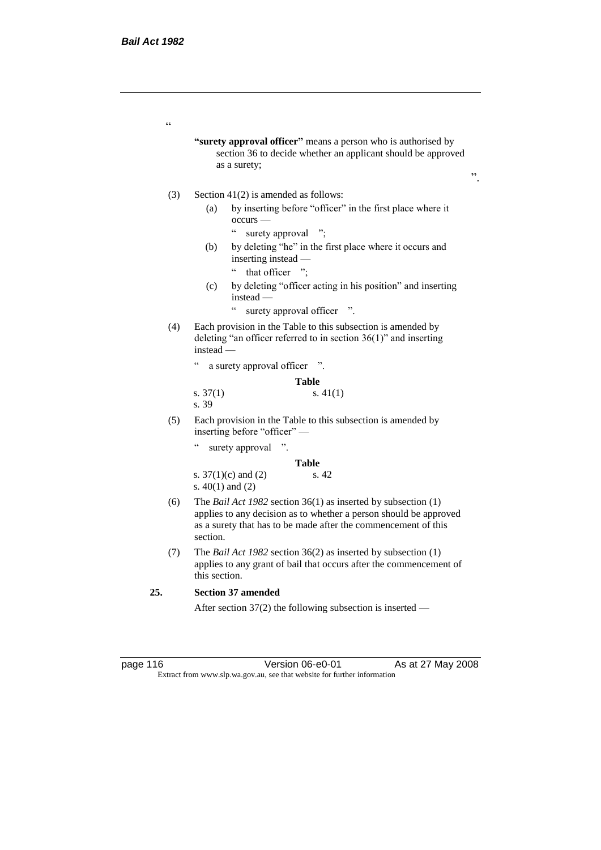$\epsilon$ 

**"surety approval officer"** means a person who is authorised by section 36 to decide whether an applicant should be approved as a surety;

".

#### (3) Section 41(2) is amended as follows:

- (a) by inserting before "officer" in the first place where it occurs —
	- " surety approval ";
- (b) by deleting "he" in the first place where it occurs and inserting instead —
	- " that officer ";
- (c) by deleting "officer acting in his position" and inserting instead —
	- " surety approval officer ".
- (4) Each provision in the Table to this subsection is amended by deleting "an officer referred to in section 36(1)" and inserting instead —

" a surety approval officer ".

|            | <b>Table</b> |
|------------|--------------|
| s. $37(1)$ | s. $41(1)$   |
| s. 39      |              |

- (5) Each provision in the Table to this subsection is amended by inserting before "officer" —
	- " surety approval ".

**Table** s. 37(1)(c) and (2) s. 42 s. 40(1) and (2)

- (6) The *Bail Act 1982* section 36(1) as inserted by subsection (1) applies to any decision as to whether a person should be approved as a surety that has to be made after the commencement of this section.
- (7) The *Bail Act 1982* section 36(2) as inserted by subsection (1) applies to any grant of bail that occurs after the commencement of this section.

## **25. Section 37 amended**

After section 37(2) the following subsection is inserted —

page 116 **Version 06-e0-01** As at 27 May 2008 Extract from www.slp.wa.gov.au, see that website for further information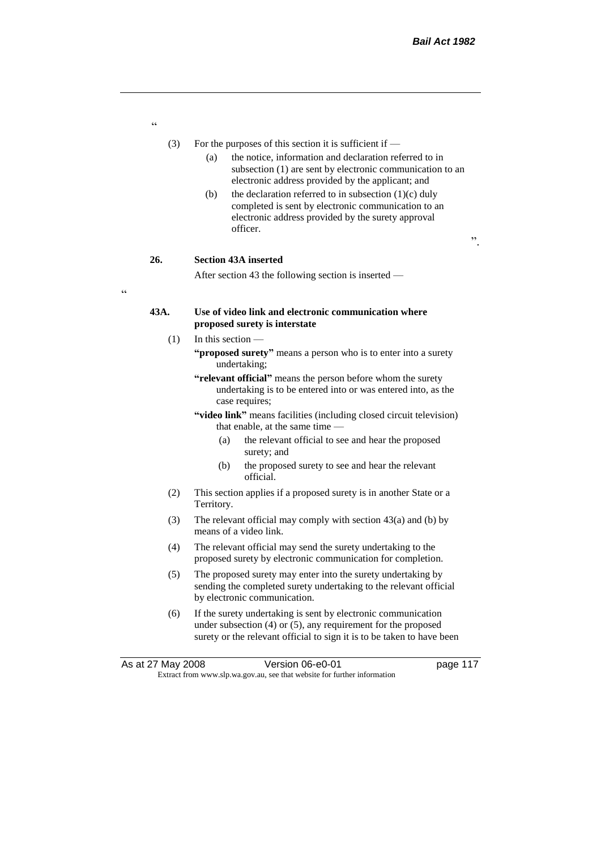- (3) For the purposes of this section it is sufficient if
	- (a) the notice, information and declaration referred to in subsection (1) are sent by electronic communication to an electronic address provided by the applicant; and
	- (b) the declaration referred to in subsection  $(1)(c)$  duly completed is sent by electronic communication to an electronic address provided by the surety approval officer.

".

# **26. Section 43A inserted**

"

 $\epsilon$ 

After section 43 the following section is inserted —

## **43A. Use of video link and electronic communication where proposed surety is interstate**

- (1) In this section **"proposed surety"** means a person who is to enter into a surety undertaking;
	- **"relevant official"** means the person before whom the surety undertaking is to be entered into or was entered into, as the case requires;
	- **"video link"** means facilities (including closed circuit television) that enable, at the same time —
		- (a) the relevant official to see and hear the proposed surety; and
		- (b) the proposed surety to see and hear the relevant official.
- (2) This section applies if a proposed surety is in another State or a Territory.
- (3) The relevant official may comply with section 43(a) and (b) by means of a video link.
- (4) The relevant official may send the surety undertaking to the proposed surety by electronic communication for completion.
- (5) The proposed surety may enter into the surety undertaking by sending the completed surety undertaking to the relevant official by electronic communication.
- (6) If the surety undertaking is sent by electronic communication under subsection (4) or (5), any requirement for the proposed surety or the relevant official to sign it is to be taken to have been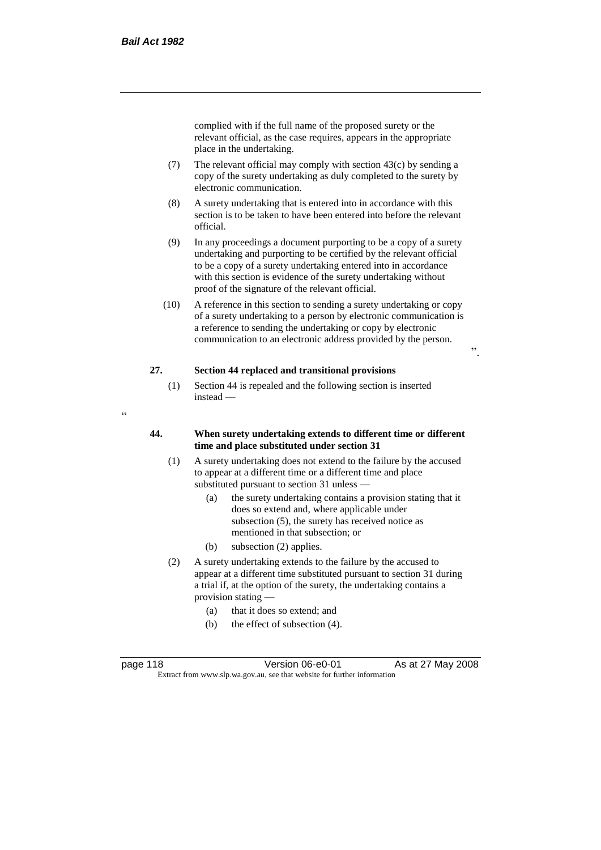complied with if the full name of the proposed surety or the relevant official, as the case requires, appears in the appropriate place in the undertaking.

- (7) The relevant official may comply with section  $43(c)$  by sending a copy of the surety undertaking as duly completed to the surety by electronic communication.
- (8) A surety undertaking that is entered into in accordance with this section is to be taken to have been entered into before the relevant official.
- (9) In any proceedings a document purporting to be a copy of a surety undertaking and purporting to be certified by the relevant official to be a copy of a surety undertaking entered into in accordance with this section is evidence of the surety undertaking without proof of the signature of the relevant official.
- (10) A reference in this section to sending a surety undertaking or copy of a surety undertaking to a person by electronic communication is a reference to sending the undertaking or copy by electronic communication to an electronic address provided by the person.

".

# **27. Section 44 replaced and transitional provisions**

- (1) Section 44 is repealed and the following section is inserted instead —
- "

## **44. When surety undertaking extends to different time or different time and place substituted under section 31**

- (1) A surety undertaking does not extend to the failure by the accused to appear at a different time or a different time and place substituted pursuant to section 31 unless —
	- (a) the surety undertaking contains a provision stating that it does so extend and, where applicable under subsection (5), the surety has received notice as mentioned in that subsection; or
	- (b) subsection (2) applies.
- (2) A surety undertaking extends to the failure by the accused to appear at a different time substituted pursuant to section 31 during a trial if, at the option of the surety, the undertaking contains a provision stating —
	- (a) that it does so extend; and
	- (b) the effect of subsection (4).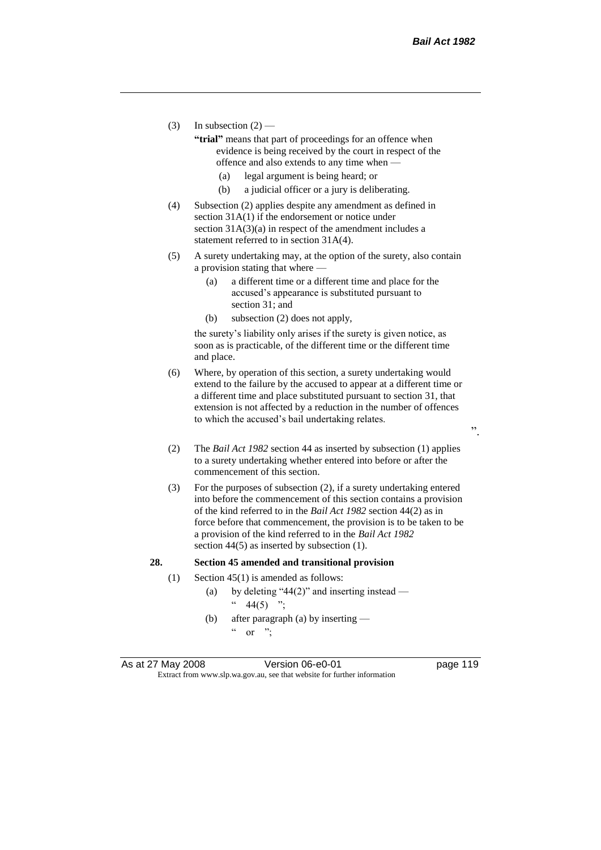- (3) In subsection  $(2)$ 
	- **"trial"** means that part of proceedings for an offence when evidence is being received by the court in respect of the offence and also extends to any time when —
		- (a) legal argument is being heard; or
		- (b) a judicial officer or a jury is deliberating.
- (4) Subsection (2) applies despite any amendment as defined in section 31A(1) if the endorsement or notice under section  $31A(3)(a)$  in respect of the amendment includes a statement referred to in section 31A(4).
- (5) A surety undertaking may, at the option of the surety, also contain a provision stating that where —
	- (a) a different time or a different time and place for the accused's appearance is substituted pursuant to section 31; and
	- (b) subsection (2) does not apply,

the surety's liability only arises if the surety is given notice, as soon as is practicable, of the different time or the different time and place.

- (6) Where, by operation of this section, a surety undertaking would extend to the failure by the accused to appear at a different time or a different time and place substituted pursuant to section 31, that extension is not affected by a reduction in the number of offences to which the accused's bail undertaking relates.
- (2) The *Bail Act 1982* section 44 as inserted by subsection (1) applies to a surety undertaking whether entered into before or after the commencement of this section.
- (3) For the purposes of subsection (2), if a surety undertaking entered into before the commencement of this section contains a provision of the kind referred to in the *Bail Act 1982* section 44(2) as in force before that commencement, the provision is to be taken to be a provision of the kind referred to in the *Bail Act 1982*  section 44(5) as inserted by subsection (1).

#### **28. Section 45 amended and transitional provision**

- (1) Section 45(1) is amended as follows:
	- (a) by deleting "44(2)" and inserting instead  $44(5)$  ";
	- (b) after paragraph (a) by inserting  $\alpha$  or ";

As at 27 May 2008 Version 06-e0-01 Page 119 Extract from www.slp.wa.gov.au, see that website for further information

".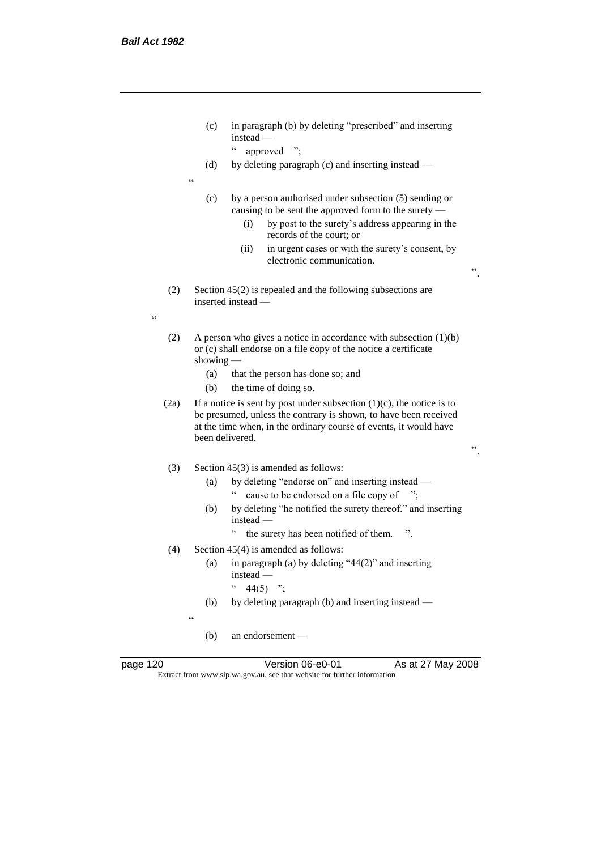- (c) in paragraph (b) by deleting "prescribed" and inserting instead —
	- " approved ";
- (d) by deleting paragraph (c) and inserting instead —
- $\epsilon$
- (c) by a person authorised under subsection (5) sending or causing to be sent the approved form to the surety —
	- (i) by post to the surety's address appearing in the records of the court; or
	- (ii) in urgent cases or with the surety's consent, by electronic communication.

".

".

- (2) Section 45(2) is repealed and the following subsections are inserted instead —
- $\epsilon$
- (2) A person who gives a notice in accordance with subsection  $(1)(b)$ or (c) shall endorse on a file copy of the notice a certificate showing -
	- (a) that the person has done so; and
	- (b) the time of doing so.
- (2a) If a notice is sent by post under subsection  $(1)(c)$ , the notice is to be presumed, unless the contrary is shown, to have been received at the time when, in the ordinary course of events, it would have been delivered.

## (3) Section 45(3) is amended as follows:

- (a) by deleting "endorse on" and inserting instead " cause to be endorsed on a file copy of ";
- (b) by deleting "he notified the surety thereof." and inserting instead —
	- " the surety has been notified of them. ".
- (4) Section 45(4) is amended as follows:
	- (a) in paragraph (a) by deleting "44(2)" and inserting instead —
		- $44(5)$  ";
	- (b) by deleting paragraph (b) and inserting instead —

 $\epsilon$ 

(b) an endorsement —

page 120 **Version 06-e0-01** As at 27 May 2008 Extract from www.slp.wa.gov.au, see that website for further information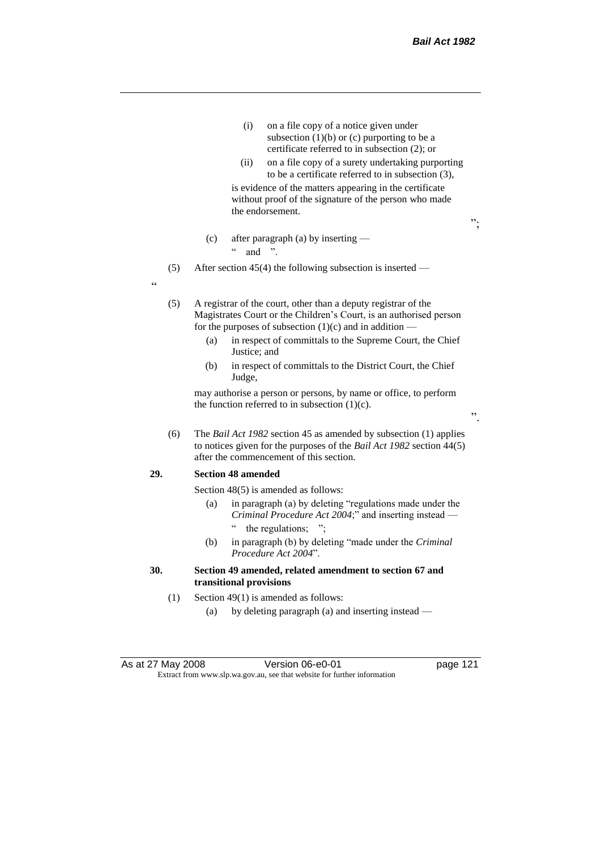- (i) on a file copy of a notice given under subsection  $(1)(b)$  or  $(c)$  purporting to be a certificate referred to in subsection (2); or
- (ii) on a file copy of a surety undertaking purporting to be a certificate referred to in subsection (3),

is evidence of the matters appearing in the certificate without proof of the signature of the person who made the endorsement.

";

".

- (c) after paragraph (a) by inserting
	- $\ldots$  and ".
- (5) After section 45(4) the following subsection is inserted —

"

(5) A registrar of the court, other than a deputy registrar of the Magistrates Court or the Children's Court, is an authorised person for the purposes of subsection  $(1)(c)$  and in addition –

- (a) in respect of committals to the Supreme Court, the Chief Justice; and
- (b) in respect of committals to the District Court, the Chief Judge,

may authorise a person or persons, by name or office, to perform the function referred to in subsection  $(1)(c)$ .

(6) The *Bail Act 1982* section 45 as amended by subsection (1) applies to notices given for the purposes of the *Bail Act 1982* section 44(5) after the commencement of this section.

#### **29. Section 48 amended**

Section 48(5) is amended as follows:

- (a) in paragraph (a) by deleting "regulations made under the *Criminal Procedure Act 2004*;" and inserting instead the regulations; ";
- (b) in paragraph (b) by deleting "made under the *Criminal Procedure Act 2004*".

# **30. Section 49 amended, related amendment to section 67 and transitional provisions**

- (1) Section 49(1) is amended as follows:
	- (a) by deleting paragraph (a) and inserting instead —

As at 27 May 2008 Version 06-e0-01 page 121 Extract from www.slp.wa.gov.au, see that website for further information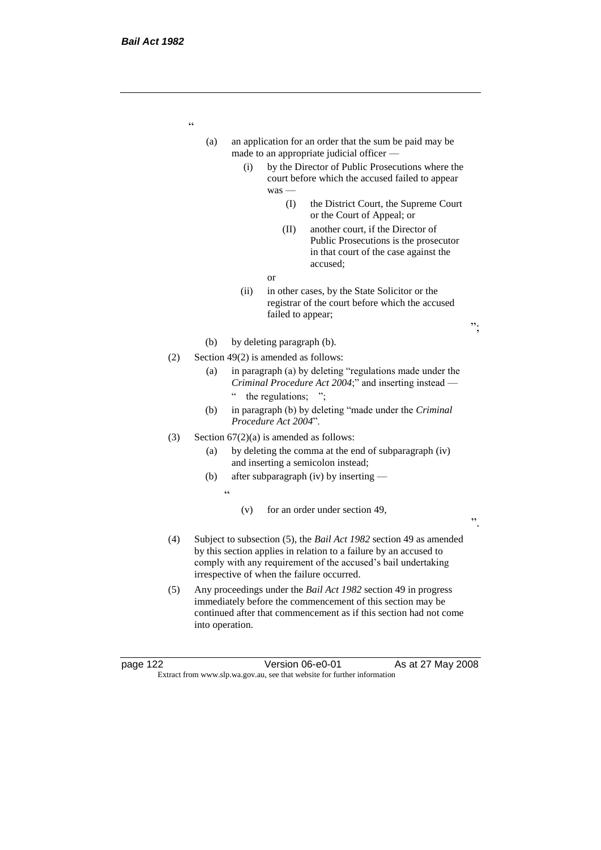| (a) |     |            |                                      | an application for an order that the sum be paid may be<br>made to an appropriate judicial officer -                                                                                                                                                   |    |
|-----|-----|------------|--------------------------------------|--------------------------------------------------------------------------------------------------------------------------------------------------------------------------------------------------------------------------------------------------------|----|
|     |     | (i)        | was -                                | by the Director of Public Prosecutions where the<br>court before which the accused failed to appear                                                                                                                                                    |    |
|     |     |            | (I)                                  | the District Court, the Supreme Court<br>or the Court of Appeal; or                                                                                                                                                                                    |    |
|     |     |            | (II)                                 | another court, if the Director of<br>Public Prosecutions is the prosecutor<br>in that court of the case against the<br>accused;                                                                                                                        |    |
|     |     |            | <b>or</b>                            |                                                                                                                                                                                                                                                        |    |
|     |     | (ii)       | failed to appear;                    | in other cases, by the State Solicitor or the<br>registrar of the court before which the accused                                                                                                                                                       | ". |
|     | (b) |            | by deleting paragraph (b).           |                                                                                                                                                                                                                                                        |    |
| (2) |     |            | Section 49(2) is amended as follows: |                                                                                                                                                                                                                                                        |    |
|     | (a) | $\epsilon$ | the regulations;                     | in paragraph (a) by deleting "regulations made under the<br>Criminal Procedure Act 2004;" and inserting instead —                                                                                                                                      |    |
|     | (b) |            | Procedure Act 2004".                 | in paragraph (b) by deleting "made under the Criminal                                                                                                                                                                                                  |    |
| (3) |     |            |                                      | Section $67(2)(a)$ is amended as follows:                                                                                                                                                                                                              |    |
|     | (a) |            |                                      | by deleting the comma at the end of subparagraph (iv)<br>and inserting a semicolon instead;                                                                                                                                                            |    |
|     | (b) |            |                                      | after subparagraph (iv) by inserting —                                                                                                                                                                                                                 |    |
|     |     | $\epsilon$ |                                      |                                                                                                                                                                                                                                                        |    |
|     |     | (v)        |                                      | for an order under section 49,                                                                                                                                                                                                                         | ,, |
| (4) |     |            |                                      | Subject to subsection (5), the Bail Act 1982 section 49 as amended<br>by this section applies in relation to a failure by an accused to<br>comply with any requirement of the accused's bail undertaking<br>irrespective of when the failure occurred. |    |
| (5) |     |            |                                      | Any proceedings under the Bail Act 1982 section 49 in progress<br>immediately before the commencement of this section may be<br>continued after that commencement as if this section had not come                                                      |    |

into operation.

page 122 Version 06-e0-01 As at 27 May 2008 Extract from www.slp.wa.gov.au, see that website for further information

"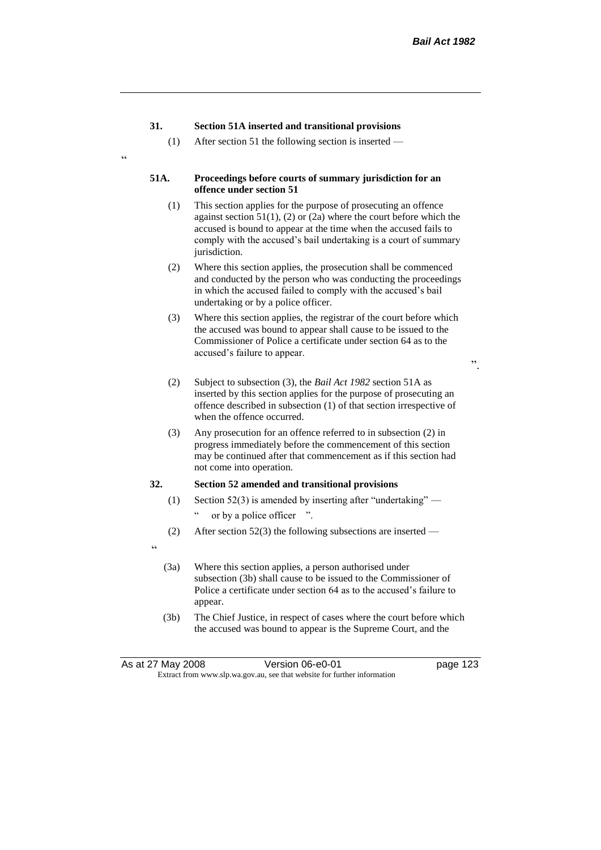## **31. Section 51A inserted and transitional provisions**

(1) After section 51 the following section is inserted —

#### **51A. Proceedings before courts of summary jurisdiction for an offence under section 51**

- (1) This section applies for the purpose of prosecuting an offence against section 51(1), (2) or (2a) where the court before which the accused is bound to appear at the time when the accused fails to comply with the accused's bail undertaking is a court of summary jurisdiction.
- (2) Where this section applies, the prosecution shall be commenced and conducted by the person who was conducting the proceedings in which the accused failed to comply with the accused's bail undertaking or by a police officer.
- (3) Where this section applies, the registrar of the court before which the accused was bound to appear shall cause to be issued to the Commissioner of Police a certificate under section 64 as to the accused's failure to appear.
	-

".

- (2) Subject to subsection (3), the *Bail Act 1982* section 51A as inserted by this section applies for the purpose of prosecuting an offence described in subsection (1) of that section irrespective of when the offence occurred.
- (3) Any prosecution for an offence referred to in subsection (2) in progress immediately before the commencement of this section may be continued after that commencement as if this section had not come into operation.

## **32. Section 52 amended and transitional provisions**

- (1) Section 52(3) is amended by inserting after "undertaking" or by a police officer ".
- (2) After section 52(3) the following subsections are inserted —
- "

 $\epsilon$ 

- (3a) Where this section applies, a person authorised under subsection (3b) shall cause to be issued to the Commissioner of Police a certificate under section 64 as to the accused's failure to appear.
- (3b) The Chief Justice, in respect of cases where the court before which the accused was bound to appear is the Supreme Court, and the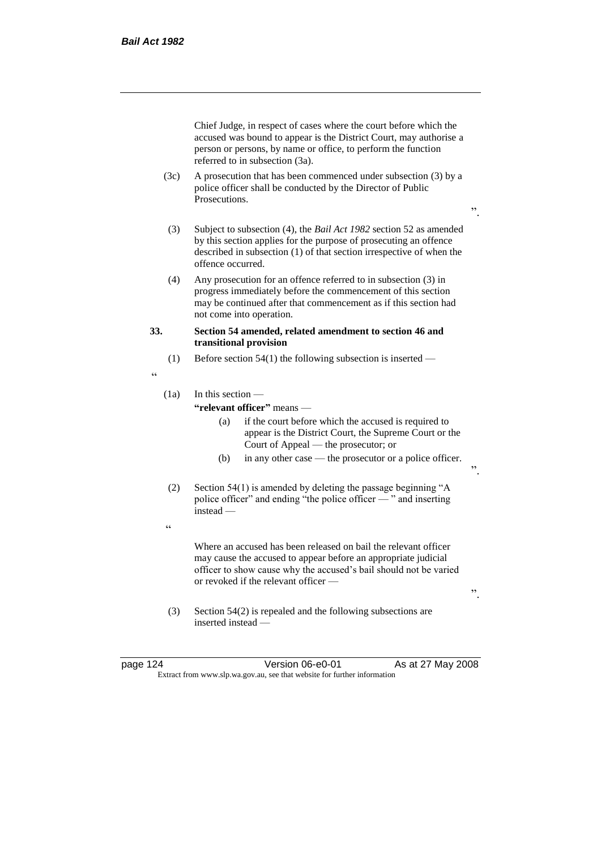Chief Judge, in respect of cases where the court before which the accused was bound to appear is the District Court, may authorise a person or persons, by name or office, to perform the function referred to in subsection (3a).

- (3c) A prosecution that has been commenced under subsection (3) by a police officer shall be conducted by the Director of Public Prosecutions.
- ".
- (3) Subject to subsection (4), the *Bail Act 1982* section 52 as amended by this section applies for the purpose of prosecuting an offence described in subsection (1) of that section irrespective of when the offence occurred.
- (4) Any prosecution for an offence referred to in subsection (3) in progress immediately before the commencement of this section may be continued after that commencement as if this section had not come into operation.

## **33. Section 54 amended, related amendment to section 46 and transitional provision**

- (1) Before section  $54(1)$  the following subsection is inserted —
- "

# (1a) In this section —

## **"relevant officer"** means —

- (a) if the court before which the accused is required to appear is the District Court, the Supreme Court or the Court of Appeal — the prosecutor; or
- (b) in any other case the prosecutor or a police officer.
- (2) Section 54(1) is amended by deleting the passage beginning "A police officer" and ending "the police officer — " and inserting instead —
- $\epsilon$

Where an accused has been released on bail the relevant officer may cause the accused to appear before an appropriate judicial officer to show cause why the accused's bail should not be varied or revoked if the relevant officer —

- (3) Section 54(2) is repealed and the following subsections are inserted instead —
- 

page 124 Version 06-e0-01 As at 27 May 2008 Extract from www.slp.wa.gov.au, see that website for further information

".

".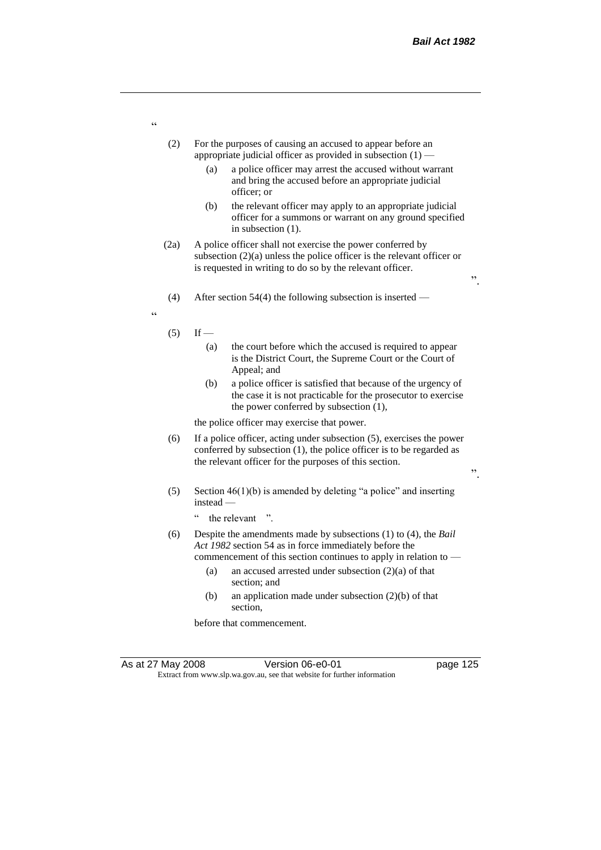".

".

- (2) For the purposes of causing an accused to appear before an appropriate judicial officer as provided in subsection (1) —
	- (a) a police officer may arrest the accused without warrant and bring the accused before an appropriate judicial officer; or
	- (b) the relevant officer may apply to an appropriate judicial officer for a summons or warrant on any ground specified in subsection (1).
- (2a) A police officer shall not exercise the power conferred by subsection (2)(a) unless the police officer is the relevant officer or is requested in writing to do so by the relevant officer.
- (4) After section 54(4) the following subsection is inserted —
- "
- $(5)$  If
	- (a) the court before which the accused is required to appear is the District Court, the Supreme Court or the Court of Appeal; and
	- (b) a police officer is satisfied that because of the urgency of the case it is not practicable for the prosecutor to exercise the power conferred by subsection (1),

the police officer may exercise that power.

- (6) If a police officer, acting under subsection (5), exercises the power conferred by subsection (1), the police officer is to be regarded as the relevant officer for the purposes of this section.
- (5) Section 46(1)(b) is amended by deleting "a police" and inserting instead —
	- " the relevant ".
- (6) Despite the amendments made by subsections (1) to (4), the *Bail Act 1982* section 54 as in force immediately before the commencement of this section continues to apply in relation to —
	- (a) an accused arrested under subsection (2)(a) of that section; and
	- (b) an application made under subsection (2)(b) of that section,

before that commencement.

"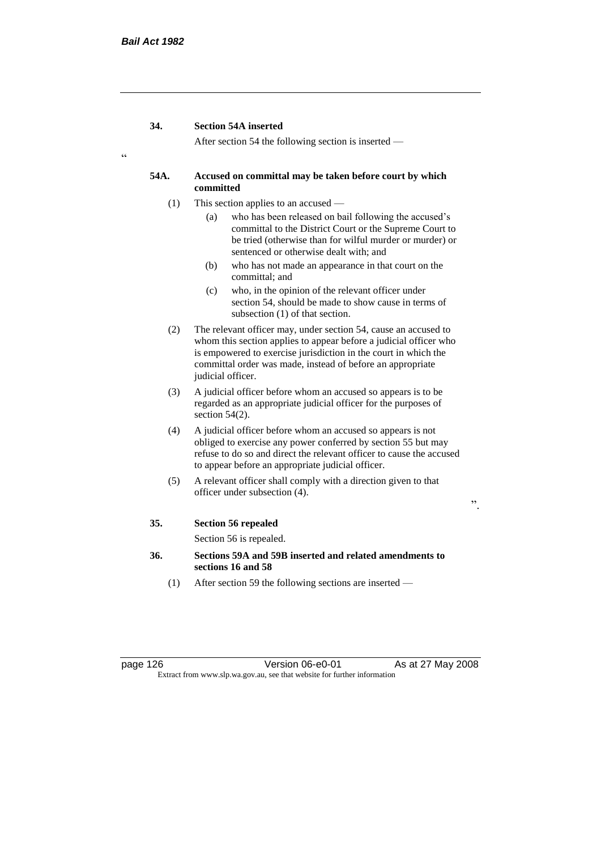"

After section 54 the following section is inserted —

## **54A. Accused on committal may be taken before court by which committed**

- (1) This section applies to an accused
	- (a) who has been released on bail following the accused's committal to the District Court or the Supreme Court to be tried (otherwise than for wilful murder or murder) or sentenced or otherwise dealt with; and
	- (b) who has not made an appearance in that court on the committal; and
	- (c) who, in the opinion of the relevant officer under section 54, should be made to show cause in terms of subsection (1) of that section.
- (2) The relevant officer may, under section 54, cause an accused to whom this section applies to appear before a judicial officer who is empowered to exercise jurisdiction in the court in which the committal order was made, instead of before an appropriate judicial officer.
- (3) A judicial officer before whom an accused so appears is to be regarded as an appropriate judicial officer for the purposes of section  $54(2)$ .
- (4) A judicial officer before whom an accused so appears is not obliged to exercise any power conferred by section 55 but may refuse to do so and direct the relevant officer to cause the accused to appear before an appropriate judicial officer.
- (5) A relevant officer shall comply with a direction given to that officer under subsection (4).

".

## **35. Section 56 repealed**

Section 56 is repealed.

- **36. Sections 59A and 59B inserted and related amendments to sections 16 and 58**
	- (1) After section 59 the following sections are inserted —

page 126 **Version 06-e0-01** As at 27 May 2008 Extract from www.slp.wa.gov.au, see that website for further information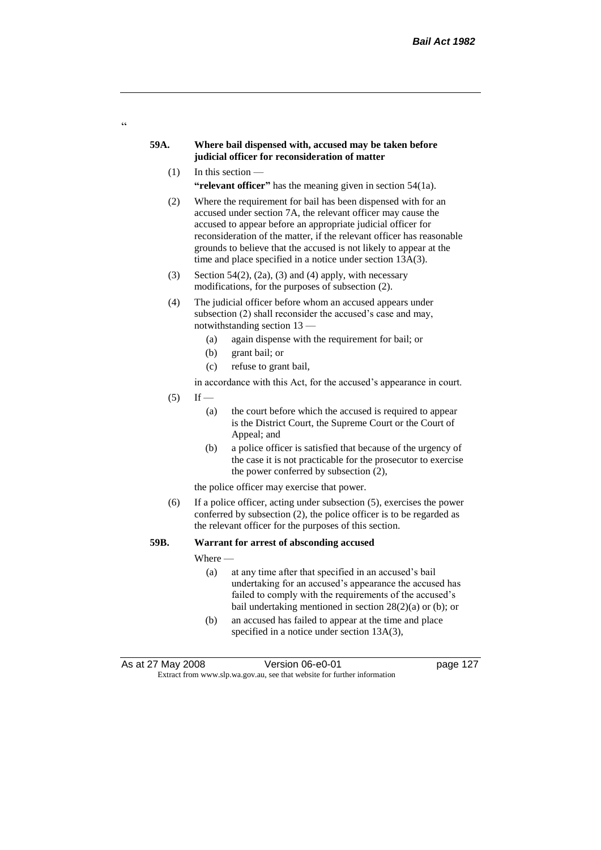## **59A. Where bail dispensed with, accused may be taken before judicial officer for reconsideration of matter**

 $(1)$  In this section —

 $\alpha$ 

"relevant officer" has the meaning given in section 54(1a).

- (2) Where the requirement for bail has been dispensed with for an accused under section 7A, the relevant officer may cause the accused to appear before an appropriate judicial officer for reconsideration of the matter, if the relevant officer has reasonable grounds to believe that the accused is not likely to appear at the time and place specified in a notice under section 13A(3).
- (3) Section 54(2), (2a), (3) and (4) apply, with necessary modifications, for the purposes of subsection (2).
- (4) The judicial officer before whom an accused appears under subsection (2) shall reconsider the accused's case and may, notwithstanding section 13 —
	- (a) again dispense with the requirement for bail; or
	- (b) grant bail; or
	- (c) refuse to grant bail,

in accordance with this Act, for the accused's appearance in court.

- $(5)$  If
	- (a) the court before which the accused is required to appear is the District Court, the Supreme Court or the Court of Appeal; and
	- (b) a police officer is satisfied that because of the urgency of the case it is not practicable for the prosecutor to exercise the power conferred by subsection (2),

the police officer may exercise that power.

(6) If a police officer, acting under subsection (5), exercises the power conferred by subsection (2), the police officer is to be regarded as the relevant officer for the purposes of this section.

## **59B. Warrant for arrest of absconding accused**

Where —

- (a) at any time after that specified in an accused's bail undertaking for an accused's appearance the accused has failed to comply with the requirements of the accused's bail undertaking mentioned in section 28(2)(a) or (b); or
- (b) an accused has failed to appear at the time and place specified in a notice under section 13A(3),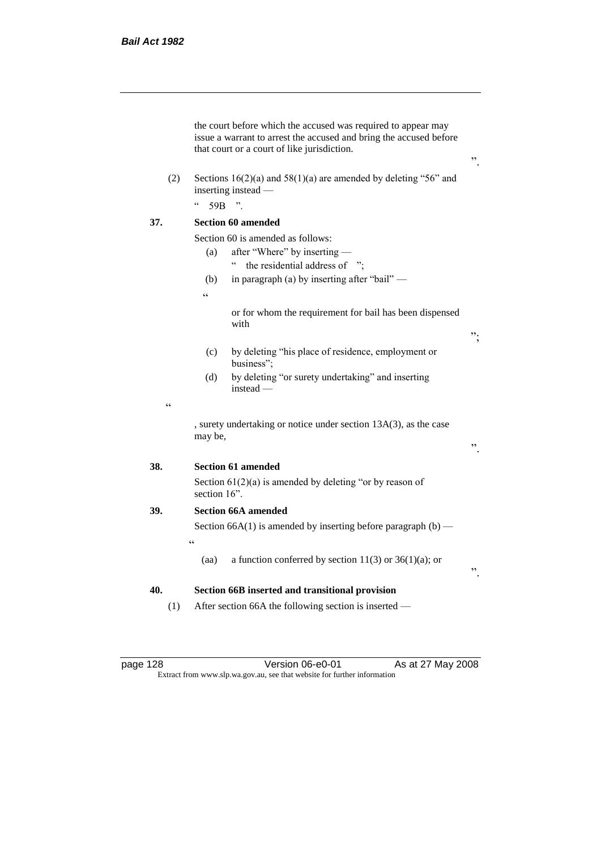|            | the court before which the accused was required to appear may<br>issue a warrant to arrest the accused and bring the accused before<br>that court or a court of like jurisdiction. |    |  |
|------------|------------------------------------------------------------------------------------------------------------------------------------------------------------------------------------|----|--|
| (2)        | Sections $16(2)(a)$ and $58(1)(a)$ are amended by deleting "56" and<br>inserting instead -                                                                                         |    |  |
|            | $\boldsymbol{\varsigma}$ $\boldsymbol{\varsigma}$<br>59B<br>$\overline{\phantom{a}}$                                                                                               |    |  |
| 37.        | <b>Section 60 amended</b>                                                                                                                                                          |    |  |
|            | Section 60 is amended as follows:                                                                                                                                                  |    |  |
|            | after "Where" by inserting —<br>(a)                                                                                                                                                |    |  |
|            | $\epsilon$<br>the residential address of ";                                                                                                                                        |    |  |
|            | in paragraph (a) by inserting after "bail" —<br>(b)                                                                                                                                |    |  |
|            | $\epsilon$                                                                                                                                                                         |    |  |
|            | or for whom the requirement for bail has been dispensed<br>with                                                                                                                    | ". |  |
|            | by deleting "his place of residence, employment or<br>(c)<br>business";                                                                                                            |    |  |
|            | by deleting "or surety undertaking" and inserting<br>(d)<br>$instead -$                                                                                                            |    |  |
| $\epsilon$ |                                                                                                                                                                                    |    |  |
|            | , surety undertaking or notice under section 13A(3), as the case<br>may be,                                                                                                        | ,, |  |
| 38.        | <b>Section 61 amended</b>                                                                                                                                                          |    |  |
|            | Section $61(2)(a)$ is amended by deleting "or by reason of<br>section 16".                                                                                                         |    |  |
| 39.        | <b>Section 66A amended</b>                                                                                                                                                         |    |  |
|            | Section 66A(1) is amended by inserting before paragraph $(b)$ —                                                                                                                    |    |  |
|            | $\epsilon$                                                                                                                                                                         |    |  |
|            | a function conferred by section 11(3) or $36(1)(a)$ ; or<br>(aa)                                                                                                                   | ,, |  |
| 40.        | Section 66B inserted and transitional provision                                                                                                                                    |    |  |
| (1)        | After section 66A the following section is inserted —                                                                                                                              |    |  |

page 128 **Decime 128** Version 06-e0-01 As at 27 May 2008 Extract from www.slp.wa.gov.au, see that website for further information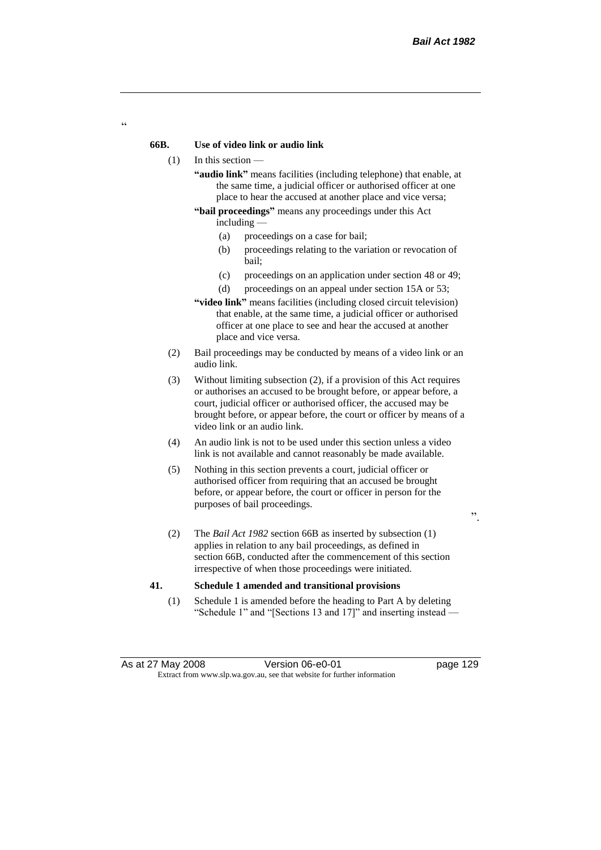## **66B. Use of video link or audio link**

- (1) In this section
	- **"audio link"** means facilities (including telephone) that enable, at the same time, a judicial officer or authorised officer at one place to hear the accused at another place and vice versa;
	- **"bail proceedings"** means any proceedings under this Act including —
		- (a) proceedings on a case for bail;
		- (b) proceedings relating to the variation or revocation of bail;
		- (c) proceedings on an application under section 48 or 49;
		- (d) proceedings on an appeal under section 15A or 53;
	- **"video link"** means facilities (including closed circuit television) that enable, at the same time, a judicial officer or authorised officer at one place to see and hear the accused at another place and vice versa.
- (2) Bail proceedings may be conducted by means of a video link or an audio link.
- (3) Without limiting subsection (2), if a provision of this Act requires or authorises an accused to be brought before, or appear before, a court, judicial officer or authorised officer, the accused may be brought before, or appear before, the court or officer by means of a video link or an audio link.
- (4) An audio link is not to be used under this section unless a video link is not available and cannot reasonably be made available.
- (5) Nothing in this section prevents a court, judicial officer or authorised officer from requiring that an accused be brought before, or appear before, the court or officer in person for the purposes of bail proceedings.

".

(2) The *Bail Act 1982* section 66B as inserted by subsection (1) applies in relation to any bail proceedings, as defined in section 66B, conducted after the commencement of this section irrespective of when those proceedings were initiated.

#### **41. Schedule 1 amended and transitional provisions**

(1) Schedule 1 is amended before the heading to Part A by deleting "Schedule 1" and "[Sections 13 and 17]" and inserting instead —

 $\epsilon$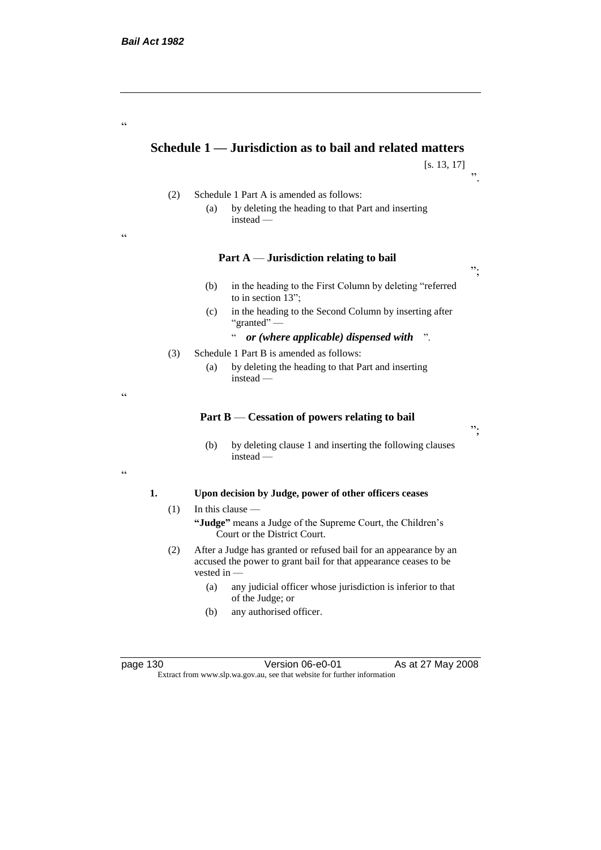"

"

"

.<br>ده

# **Schedule 1 — Jurisdiction as to bail and related matters**

[s. 13, 17]

- (2) Schedule 1 Part A is amended as follows: (a) by deleting the heading to that Part and inserting
	- instead —

## **Part A** — **Jurisdiction relating to bail**

- (b) in the heading to the First Column by deleting "referred to in section 13";
- (c) in the heading to the Second Column by inserting after "granted" —
	- " *or (where applicable) dispensed with* ".
- (3) Schedule 1 Part B is amended as follows:
	- (a) by deleting the heading to that Part and inserting instead —

#### **Part B** — **Cessation of powers relating to bail**

(b) by deleting clause 1 and inserting the following clauses instead —

### **1. Upon decision by Judge, power of other officers ceases**

 $(1)$  In this clause —

**"Judge"** means a Judge of the Supreme Court, the Children's Court or the District Court.

- (2) After a Judge has granted or refused bail for an appearance by an accused the power to grant bail for that appearance ceases to be vested in -
	- (a) any judicial officer whose jurisdiction is inferior to that of the Judge; or
	- (b) any authorised officer.

page 130 Version 06-e0-01 As at 27 May 2008 Extract from www.slp.wa.gov.au, see that website for further information

";

";

".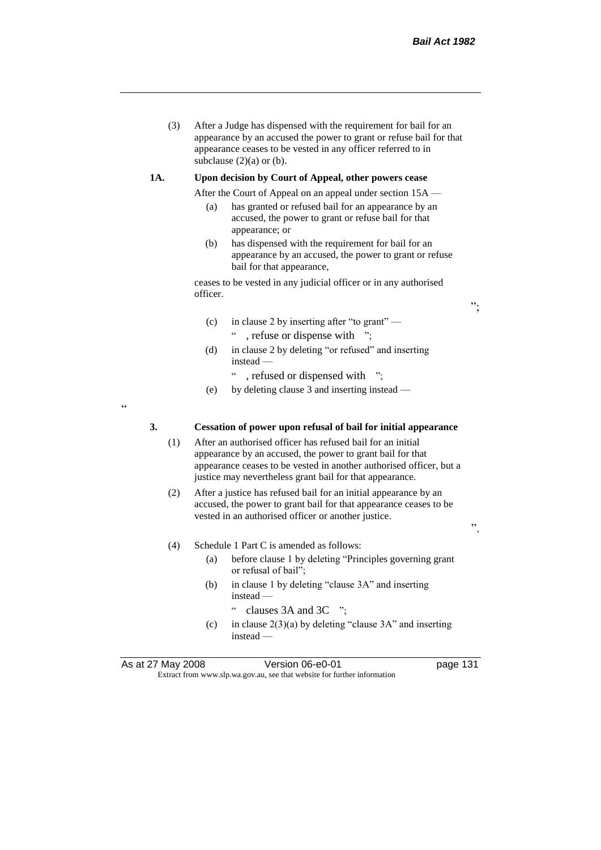(3) After a Judge has dispensed with the requirement for bail for an appearance by an accused the power to grant or refuse bail for that appearance ceases to be vested in any officer referred to in subclause  $(2)(a)$  or  $(b)$ .

#### **1A. Upon decision by Court of Appeal, other powers cease**

- After the Court of Appeal on an appeal under section 15A
	- (a) has granted or refused bail for an appearance by an accused, the power to grant or refuse bail for that appearance; or
	- (b) has dispensed with the requirement for bail for an appearance by an accused, the power to grant or refuse bail for that appearance,

ceases to be vested in any judicial officer or in any authorised officer.

- (c) in clause 2 by inserting after "to grant" , refuse or dispense with ";
- (d) in clause 2 by deleting "or refused" and inserting instead —
	- " , refused or dispensed with ";
- (e) by deleting clause 3 and inserting instead —

.<br>.

## **3. Cessation of power upon refusal of bail for initial appearance**

- (1) After an authorised officer has refused bail for an initial appearance by an accused, the power to grant bail for that appearance ceases to be vested in another authorised officer, but a justice may nevertheless grant bail for that appearance.
- (2) After a justice has refused bail for an initial appearance by an accused, the power to grant bail for that appearance ceases to be vested in an authorised officer or another justice.

(4) Schedule 1 Part C is amended as follows:

- (a) before clause 1 by deleting "Principles governing grant or refusal of bail";
- (b) in clause 1 by deleting "clause 3A" and inserting instead —
	- " clauses 3A and 3C ";
- (c) in clause  $2(3)(a)$  by deleting "clause 3A" and inserting instead —

As at 27 May 2008 Version 06-e0-01 Page 131 Extract from www.slp.wa.gov.au, see that website for further information

".

";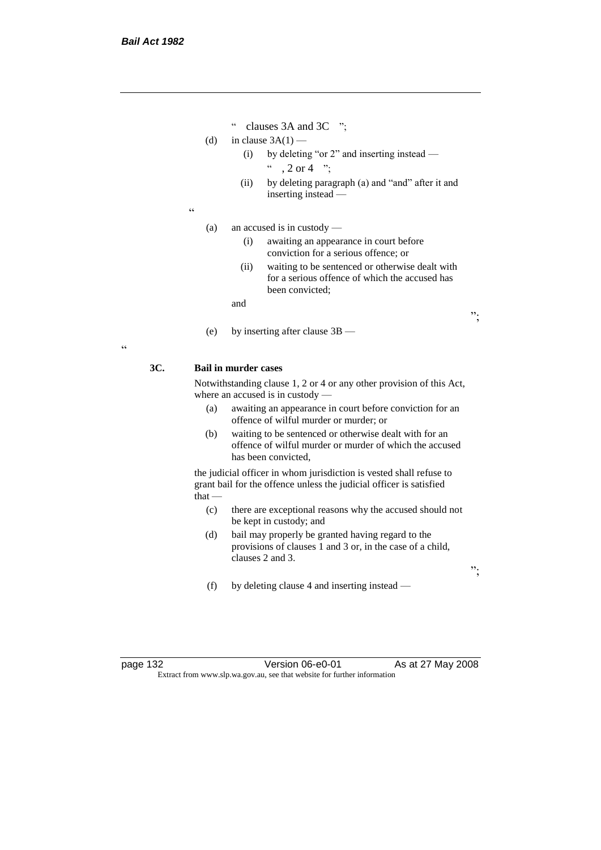- " clauses 3A and 3C ";
- (d) in clause  $3A(1)$ 
	- (i) by deleting "or 2" and inserting instead  $\degree$  , 2 or 4  $\degree$  :
	- (ii) by deleting paragraph (a) and "and" after it and inserting instead —
- $\epsilon$

(a) an accused is in custody —

- (i) awaiting an appearance in court before conviction for a serious offence; or
- (ii) waiting to be sentenced or otherwise dealt with for a serious offence of which the accused has been convicted;

";

";

and

(e) by inserting after clause 3B —

## $\epsilon$

## **3C. Bail in murder cases**

Notwithstanding clause 1, 2 or 4 or any other provision of this Act, where an accused is in custody —

- (a) awaiting an appearance in court before conviction for an offence of wilful murder or murder; or
- (b) waiting to be sentenced or otherwise dealt with for an offence of wilful murder or murder of which the accused has been convicted,

the judicial officer in whom jurisdiction is vested shall refuse to grant bail for the offence unless the judicial officer is satisfied  $that -$ 

- (c) there are exceptional reasons why the accused should not be kept in custody; and
- (d) bail may properly be granted having regard to the provisions of clauses 1 and 3 or, in the case of a child, clauses 2 and 3.
- (f) by deleting clause 4 and inserting instead —

page 132 Version 06-e0-01 As at 27 May 2008 Extract from www.slp.wa.gov.au, see that website for further information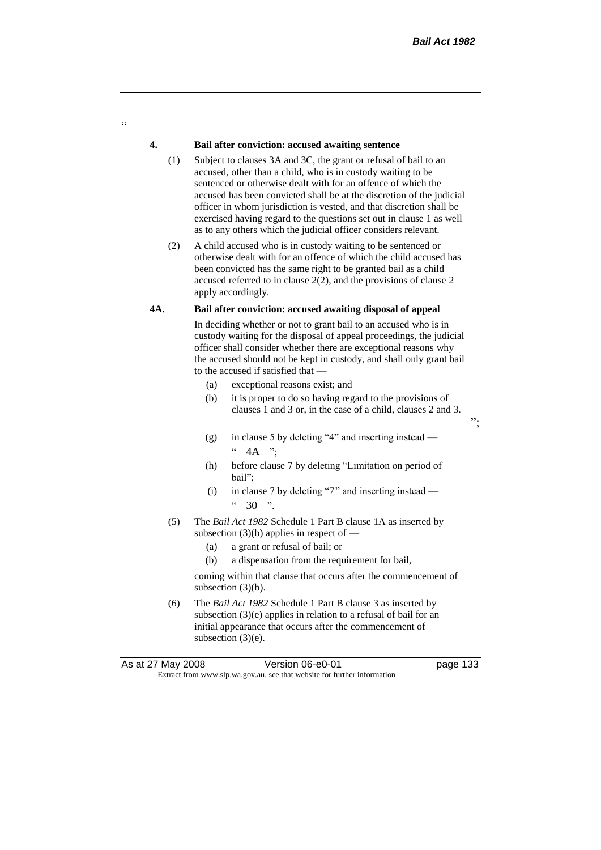";

## **4. Bail after conviction: accused awaiting sentence**

 $\alpha$ 

- (1) Subject to clauses 3A and 3C, the grant or refusal of bail to an accused, other than a child, who is in custody waiting to be sentenced or otherwise dealt with for an offence of which the accused has been convicted shall be at the discretion of the judicial officer in whom jurisdiction is vested, and that discretion shall be exercised having regard to the questions set out in clause 1 as well as to any others which the judicial officer considers relevant.
- (2) A child accused who is in custody waiting to be sentenced or otherwise dealt with for an offence of which the child accused has been convicted has the same right to be granted bail as a child accused referred to in clause 2(2), and the provisions of clause 2 apply accordingly.

## **4A. Bail after conviction: accused awaiting disposal of appeal**

In deciding whether or not to grant bail to an accused who is in custody waiting for the disposal of appeal proceedings, the judicial officer shall consider whether there are exceptional reasons why the accused should not be kept in custody, and shall only grant bail to the accused if satisfied that —

- (a) exceptional reasons exist; and
- (b) it is proper to do so having regard to the provisions of clauses 1 and 3 or, in the case of a child, clauses 2 and 3.
- (g) in clause 5 by deleting "4" and inserting instead  $4A$  ";
- (h) before clause 7 by deleting "Limitation on period of bail";
- (i) in clause 7 by deleting "7" and inserting instead  $4.30$  "
- (5) The *Bail Act 1982* Schedule 1 Part B clause 1A as inserted by subsection  $(3)(b)$  applies in respect of —
	- (a) a grant or refusal of bail; or
	- (b) a dispensation from the requirement for bail,

coming within that clause that occurs after the commencement of subsection (3)(b).

(6) The *Bail Act 1982* Schedule 1 Part B clause 3 as inserted by subsection (3)(e) applies in relation to a refusal of bail for an initial appearance that occurs after the commencement of subsection (3)(e).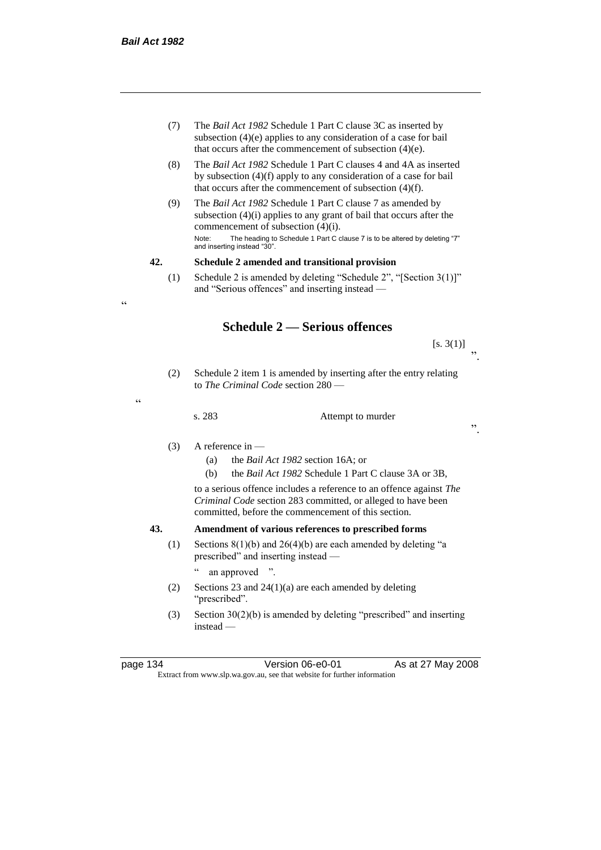.<br>.

"

- (7) The *Bail Act 1982* Schedule 1 Part C clause 3C as inserted by subsection (4)(e) applies to any consideration of a case for bail that occurs after the commencement of subsection (4)(e).
- (8) The *Bail Act 1982* Schedule 1 Part C clauses 4 and 4A as inserted by subsection (4)(f) apply to any consideration of a case for bail that occurs after the commencement of subsection (4)(f).
- (9) The *Bail Act 1982* Schedule 1 Part C clause 7 as amended by subsection (4)(i) applies to any grant of bail that occurs after the commencement of subsection (4)(i). Note: The heading to Schedule 1 Part C clause 7 is to be altered by deleting "7" and inserting instead "30".

## **42. Schedule 2 amended and transitional provision**

(1) Schedule 2 is amended by deleting "Schedule 2", "[Section 3(1)]" and "Serious offences" and inserting instead —

# **Schedule 2 — Serious offences**

 $[s. 3(1)]$ ".

(2) Schedule 2 item 1 is amended by inserting after the entry relating to *The Criminal Code* section 280 —

s. 283 Attempt to murder

".

# (3) A reference in —

- (a) the *Bail Act 1982* section 16A; or
- (b) the *Bail Act 1982* Schedule 1 Part C clause 3A or 3B,

to a serious offence includes a reference to an offence against *The Criminal Code* section 283 committed, or alleged to have been committed, before the commencement of this section.

## **43. Amendment of various references to prescribed forms**

(1) Sections  $8(1)(b)$  and  $26(4)(b)$  are each amended by deleting "a prescribed" and inserting instead —

" an approved ".

- (2) Sections 23 and 24(1)(a) are each amended by deleting "prescribed".
- (3) Section  $30(2)(b)$  is amended by deleting "prescribed" and inserting instead —

page 134 Version 06-e0-01 As at 27 May 2008 Extract from www.slp.wa.gov.au, see that website for further information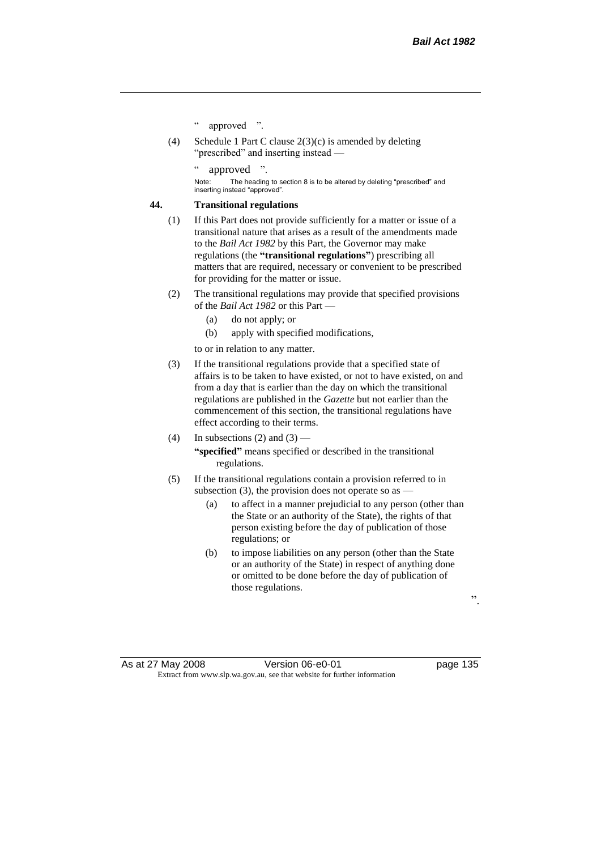- " approved ".
- (4) Schedule 1 Part C clause 2(3)(c) is amended by deleting "prescribed" and inserting instead —

approved

Note: The heading to section 8 is to be altered by deleting "prescribed" and inserting instead "approved".

## **44. Transitional regulations**

- (1) If this Part does not provide sufficiently for a matter or issue of a transitional nature that arises as a result of the amendments made to the *Bail Act 1982* by this Part, the Governor may make regulations (the **"transitional regulations"**) prescribing all matters that are required, necessary or convenient to be prescribed for providing for the matter or issue.
- (2) The transitional regulations may provide that specified provisions of the *Bail Act 1982* or this Part —
	- (a) do not apply; or
	- (b) apply with specified modifications,

to or in relation to any matter.

- (3) If the transitional regulations provide that a specified state of affairs is to be taken to have existed, or not to have existed, on and from a day that is earlier than the day on which the transitional regulations are published in the *Gazette* but not earlier than the commencement of this section, the transitional regulations have effect according to their terms.
- (4) In subsections (2) and (3) **"specified"** means specified or described in the transitional regulations.
- (5) If the transitional regulations contain a provision referred to in subsection (3), the provision does not operate so as  $-$ 
	- (a) to affect in a manner prejudicial to any person (other than the State or an authority of the State), the rights of that person existing before the day of publication of those regulations; or
	- (b) to impose liabilities on any person (other than the State or an authority of the State) in respect of anything done or omitted to be done before the day of publication of those regulations.

".

As at 27 May 2008 Version 06-e0-01 Page 135 Extract from www.slp.wa.gov.au, see that website for further information